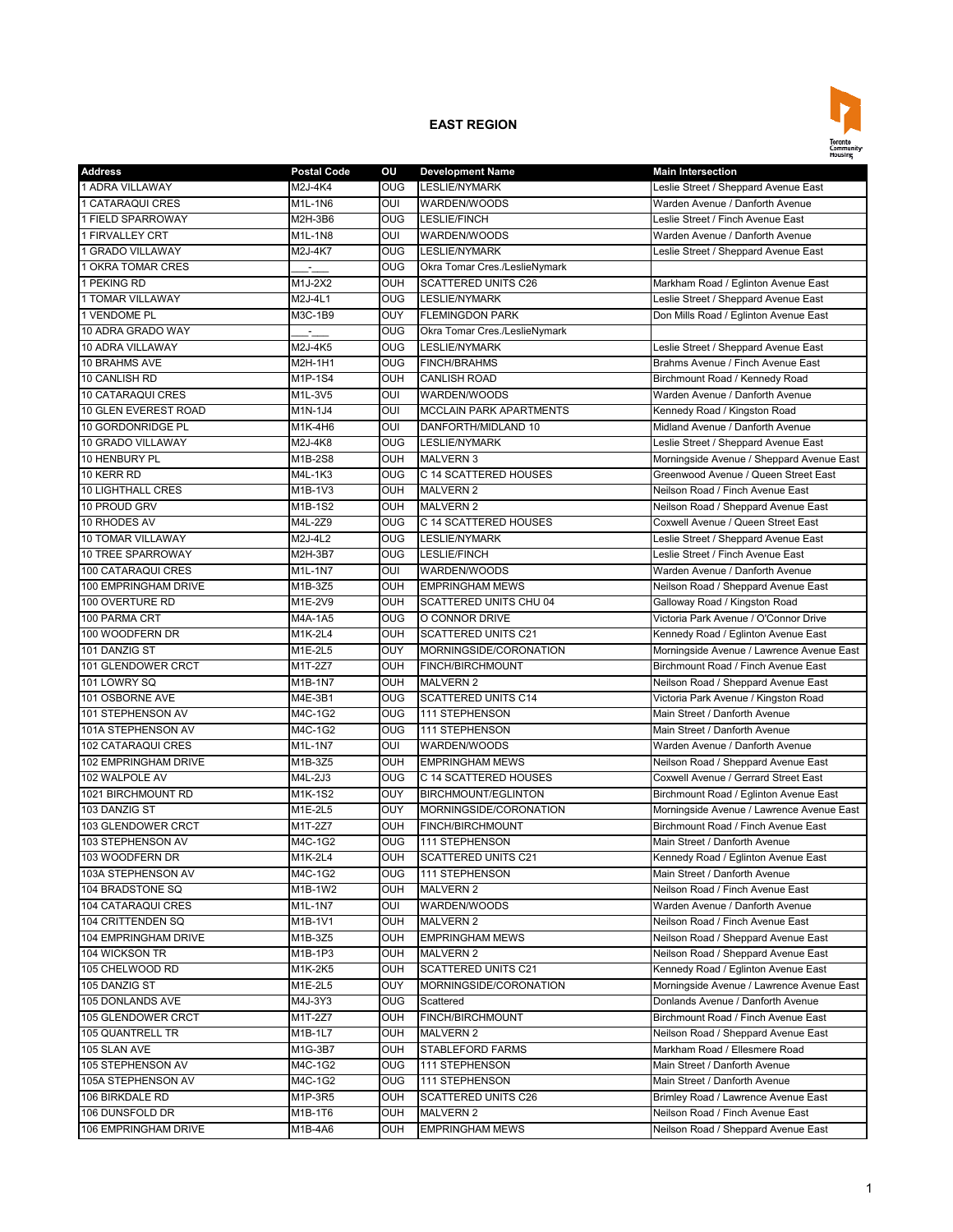

| <b>Address</b>           | <b>Postal Code</b> | OU                      | <b>Development Name</b>        | <b>Main Intersection</b>                  |
|--------------------------|--------------------|-------------------------|--------------------------------|-------------------------------------------|
| 1 ADRA VILLAWAY          | M2J-4K4            | <b>OUG</b>              | <b>LESLIE/NYMARK</b>           | Leslie Street / Sheppard Avenue East      |
| 1 CATARAQUI CRES         | M1L-1N6            | OUI                     | WARDEN/WOODS                   | Warden Avenue / Danforth Avenue           |
| 1 FIELD SPARROWAY        | M2H-3B6            | <b>OUG</b>              | <b>LESLIE/FINCH</b>            | Leslie Street / Finch Avenue East         |
| 1 FIRVALLEY CRT          | M1L-1N8            | OUI                     | WARDEN/WOODS                   | Warden Avenue / Danforth Avenue           |
| 1 GRADO VILLAWAY         | M2J-4K7            | <b>OUG</b>              | LESLIE/NYMARK                  | Leslie Street / Sheppard Avenue East      |
| 1 OKRA TOMAR CRES        | $ -$               | $\overline{\text{OUG}}$ | Okra Tomar Cres./LeslieNymark  |                                           |
| 1 PEKING RD              | M1J-2X2            | OUH                     | <b>SCATTERED UNITS C26</b>     | Markham Road / Eglinton Avenue East       |
| 1 TOMAR VILLAWAY         | M2J-4L1            | OUG                     | <b>LESLIE/NYMARK</b>           | Leslie Street / Sheppard Avenue East      |
| 1 VENDOME PL             | M3C-1B9            | OUY                     | <b>FLEMINGDON PARK</b>         | Don Mills Road / Eglinton Avenue East     |
| 10 ADRA GRADO WAY        |                    | <b>OUG</b>              | Okra Tomar Cres./LeslieNymark  |                                           |
| 10 ADRA VILLAWAY         | M2J-4K5            | <b>OUG</b>              | <b>LESLIE/NYMARK</b>           | Leslie Street / Sheppard Avenue East      |
| 10 BRAHMS AVE            | M2H-1H1            | <b>OUG</b>              | <b>FINCH/BRAHMS</b>            | Brahms Avenue / Finch Avenue East         |
| 10 CANLISH RD            | M1P-1S4            | OUH                     | <b>CANLISH ROAD</b>            | Birchmount Road / Kennedy Road            |
| 10 CATARAQUI CRES        | M1L-3V5            | OUI                     | WARDEN/WOODS                   | Warden Avenue / Danforth Avenue           |
| 10 GLEN EVEREST ROAD     | M1N-1J4            | OUI                     | <b>MCCLAIN PARK APARTMENTS</b> | Kennedy Road / Kingston Road              |
| 10 GORDONRIDGE PL        | M1K-4H6            | OUI                     | DANFORTH/MIDLAND 10            | Midland Avenue / Danforth Avenue          |
| 10 GRADO VILLAWAY        | M2J-4K8            | $\overline{\text{O}}$   | <b>LESLIE/NYMARK</b>           | Leslie Street / Sheppard Avenue East      |
| 10 HENBURY PL            | M1B-2S8            | OUH                     | <b>MALVERN 3</b>               | Morningside Avenue / Sheppard Avenue East |
| 10 KERR RD               | M4L-1K3            | <b>OUG</b>              | C 14 SCATTERED HOUSES          | Greenwood Avenue / Queen Street East      |
| <b>10 LIGHTHALL CRES</b> | M1B-1V3            | OUH                     | <b>MALVERN 2</b>               | Neilson Road / Finch Avenue East          |
| 10 PROUD GRV             | M1B-1S2            | OUH                     | <b>MALVERN 2</b>               | Neilson Road / Sheppard Avenue East       |
| 10 RHODES AV             | M4L-2Z9            | <b>OUG</b>              | C 14 SCATTERED HOUSES          | Coxwell Avenue / Queen Street East        |
| 10 TOMAR VILLAWAY        | M2J-4L2            | <b>OUG</b>              | <b>LESLIE/NYMARK</b>           | Leslie Street / Sheppard Avenue East      |
| 10 TREE SPARROWAY        | M2H-3B7            | <b>OUG</b>              | LESLIE/FINCH                   | Leslie Street / Finch Avenue East         |
| 100 CATARAQUI CRES       | M1L-1N7            | OUI                     | WARDEN/WOODS                   | Warden Avenue / Danforth Avenue           |
| 100 EMPRINGHAM DRIVE     | M1B-3Z5            | <b>OUH</b>              | <b>EMPRINGHAM MEWS</b>         | Neilson Road / Sheppard Avenue East       |
| 100 OVERTURE RD          | M1E-2V9            | OUH                     | SCATTERED UNITS CHU 04         | Galloway Road / Kingston Road             |
| 100 PARMA CRT            | M4A-1A5            | <b>OUG</b>              | O CONNOR DRIVE                 | Victoria Park Avenue / O'Connor Drive     |
| 100 WOODFERN DR          | M1K-2L4            | <b>OUH</b>              | SCATTERED UNITS C21            | Kennedy Road / Eglinton Avenue East       |
| 101 DANZIG ST            | M1E-2L5            | OUY                     | MORNINGSIDE/CORONATION         | Morningside Avenue / Lawrence Avenue East |
| 101 GLENDOWER CRCT       | M1T-2Z7            | OUH                     | FINCH/BIRCHMOUNT               | Birchmount Road / Finch Avenue East       |
| 101 LOWRY SQ             | M1B-1N7            | <b>OUH</b>              | <b>MALVERN 2</b>               | Neilson Road / Sheppard Avenue East       |
| 101 OSBORNE AVE          | M4E-3B1            | OUG                     | <b>SCATTERED UNITS C14</b>     | Victoria Park Avenue / Kingston Road      |
| 101 STEPHENSON AV        | M4C-1G2            | <b>OUG</b>              | 111 STEPHENSON                 | Main Street / Danforth Avenue             |
| 101A STEPHENSON AV       | M4C-1G2            | <b>OUG</b>              | 111 STEPHENSON                 | Main Street / Danforth Avenue             |
| 102 CATARAQUI CRES       | M1L-1N7            | OUI                     | WARDEN/WOODS                   | Warden Avenue / Danforth Avenue           |
| 102 EMPRINGHAM DRIVE     | M1B-3Z5            | OUH                     | <b>EMPRINGHAM MEWS</b>         | Neilson Road / Sheppard Avenue East       |
| 102 WALPOLE AV           | M4L-2J3            | <b>OUG</b>              | C 14 SCATTERED HOUSES          | Coxwell Avenue / Gerrard Street East      |
| 1021 BIRCHMOUNT RD       | M1K-1S2            | <b>OUY</b>              | <b>BIRCHMOUNT/EGLINTON</b>     | Birchmount Road / Eglinton Avenue East    |
| 103 DANZIG ST            | M1E-2L5            | OUY                     | MORNINGSIDE/CORONATION         | Morningside Avenue / Lawrence Avenue East |
| 103 GLENDOWER CRCT       | M1T-2Z7            | <b>OUH</b>              | <b>FINCH/BIRCHMOUNT</b>        | Birchmount Road / Finch Avenue East       |
| 103 STEPHENSON AV        | M4C-1G2            | <b>OUG</b>              | 111 STEPHENSON                 | Main Street / Danforth Avenue             |
| 103 WOODFERN DR          | $M1K-2L4$          | OUH                     | <b>SCATTERED UNITS C21</b>     | Kennedy Road / Eglinton Avenue East       |
| 103A STEPHENSON AV       | M4C-1G2            | <b>OUG</b>              | 111 STEPHENSON                 | Main Street / Danforth Avenue             |
| 104 BRADSTONE SQ         | M1B-1W2            | OUH                     | MALVERN 2                      | Neilson Road / Finch Avenue East          |
| 104 CATARAQUI CRES       | M1L-1N7            | OUI                     | WARDEN/WOODS                   | Warden Avenue / Danforth Avenue           |
| 104 CRITTENDEN SQ        | M1B-1V1            | OUH                     | <b>MALVERN 2</b>               | Neilson Road / Finch Avenue East          |
| 104 EMPRINGHAM DRIVE     | M1B-3Z5            | <b>OUH</b>              | <b>EMPRINGHAM MEWS</b>         | Neilson Road / Sheppard Avenue East       |
| 104 WICKSON TR           | M1B-1P3            | OUH                     | MALVERN 2                      | Neilson Road / Sheppard Avenue East       |
| 105 CHELWOOD RD          | M1K-2K5            | OUH                     | SCATTERED UNITS C21            | Kennedy Road / Eglinton Avenue East       |
| 105 DANZIG ST            | M1E-2L5            | OUY                     |                                | Morningside Avenue / Lawrence Avenue East |
|                          |                    | <b>OUG</b>              | MORNINGSIDE/CORONATION         |                                           |
| 105 DONLANDS AVE         | M4J-3Y3            |                         | Scattered                      | Donlands Avenue / Danforth Avenue         |
| 105 GLENDOWER CRCT       | M1T-2Z7            | OUH                     | FINCH/BIRCHMOUNT               | Birchmount Road / Finch Avenue East       |
| 105 QUANTRELL TR         | M1B-1L7            | OUH                     | MALVERN 2                      | Neilson Road / Sheppard Avenue East       |
| 105 SLAN AVE             | M1G-3B7            | OUH                     | STABLEFORD FARMS               | Markham Road / Ellesmere Road             |
| 105 STEPHENSON AV        | M4C-1G2            | <b>OUG</b>              | 111 STEPHENSON                 | Main Street / Danforth Avenue             |
| 105A STEPHENSON AV       | M4C-1G2            | <b>OUG</b>              | 111 STEPHENSON                 | Main Street / Danforth Avenue             |
| 106 BIRKDALE RD          | M1P-3R5            | OUH                     | <b>SCATTERED UNITS C26</b>     | Brimley Road / Lawrence Avenue East       |
| 106 DUNSFOLD DR          | M1B-1T6            | <b>OUH</b>              | MALVERN 2                      | Neilson Road / Finch Avenue East          |
| 106 EMPRINGHAM DRIVE     | M1B-4A6            | OUH                     | <b>EMPRINGHAM MEWS</b>         | Neilson Road / Sheppard Avenue East       |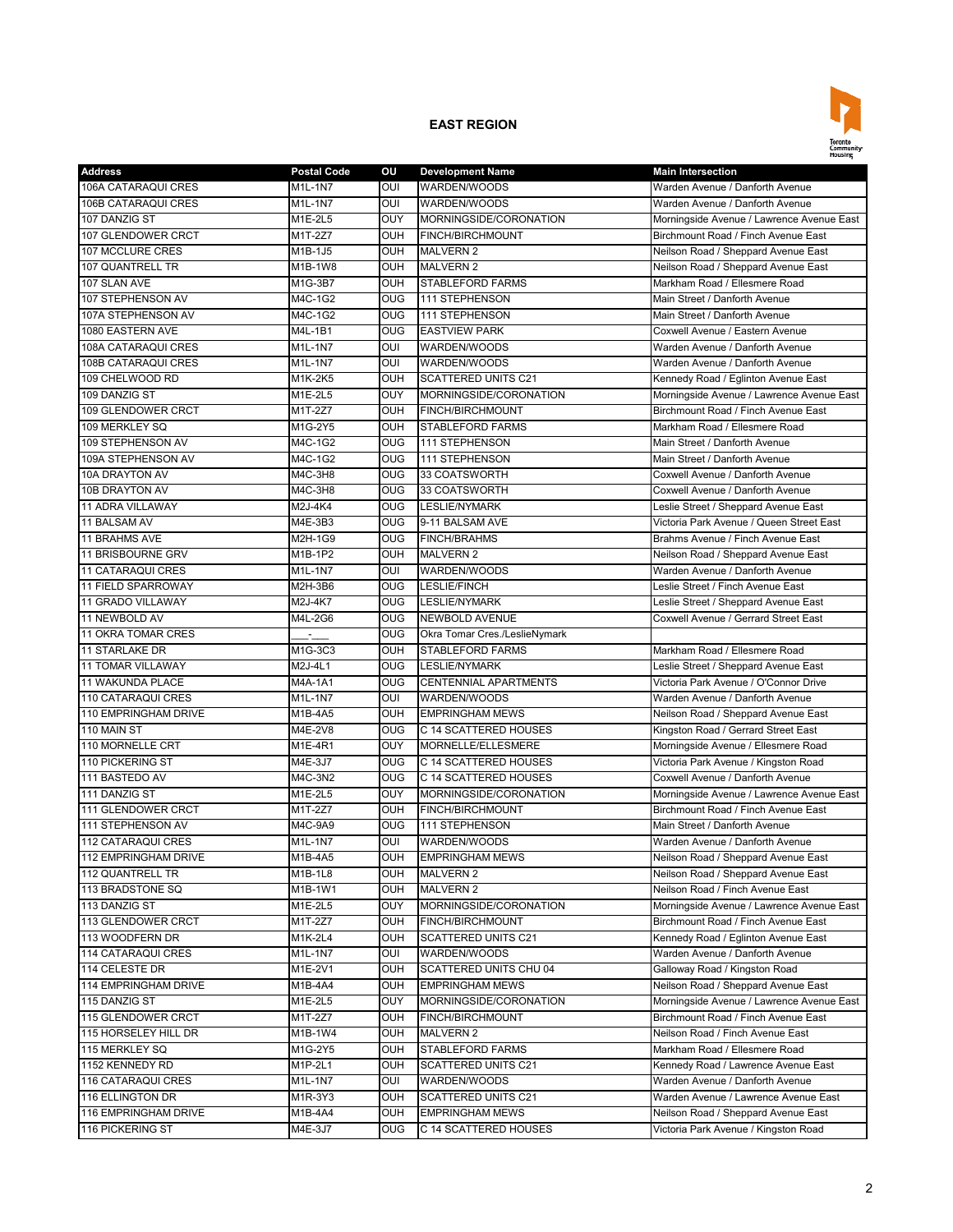

| <b>Address</b>                           | <b>Postal Code</b>  | ou             | <b>Development Name</b>       | <b>Main Intersection</b>                  |
|------------------------------------------|---------------------|----------------|-------------------------------|-------------------------------------------|
| 106A CATARAQUI CRES                      | M1L-1N7             | OUI            | WARDEN/WOODS                  | Warden Avenue / Danforth Avenue           |
| 106B CATARAQUI CRES                      | $M1L-1N7$           | OUI            | WARDEN/WOODS                  | Warden Avenue / Danforth Avenue           |
| 107 DANZIG ST                            | M1E-2L5             | OUY            | MORNINGSIDE/CORONATION        | Morningside Avenue / Lawrence Avenue East |
| 107 GLENDOWER CRCT                       | M1T-2Z7             | <b>OUH</b>     | FINCH/BIRCHMOUNT              | Birchmount Road / Finch Avenue East       |
| 107 MCCLURE CRES                         | M1B-1J5             | OUH            | <b>MALVERN 2</b>              | Neilson Road / Sheppard Avenue East       |
| 107 QUANTRELL TR                         | M1B-1W8             | <b>OUH</b>     | <b>MALVERN 2</b>              | Neilson Road / Sheppard Avenue East       |
| 107 SLAN AVE                             | M1G-3B7             | <b>OUH</b>     | <b>STABLEFORD FARMS</b>       | Markham Road / Ellesmere Road             |
| 107 STEPHENSON AV                        | M4C-1G2             | <b>OUG</b>     | 111 STEPHENSON                | Main Street / Danforth Avenue             |
| 107A STEPHENSON AV                       | M4C-1G2             | OUG            | 111 STEPHENSON                | Main Street / Danforth Avenue             |
| 1080 EASTERN AVE                         | M4L-1B1             | <b>OUG</b>     | <b>EASTVIEW PARK</b>          | Coxwell Avenue / Eastern Avenue           |
| 108A CATARAQUI CRES                      | M1L-1N7             | OUI            | WARDEN/WOODS                  | Warden Avenue / Danforth Avenue           |
| 108B CATARAQUI CRES                      | M1L-1N7             | OUI            | WARDEN/WOODS                  | Warden Avenue / Danforth Avenue           |
| 109 CHELWOOD RD                          | M1K-2K5             | OUH            | <b>SCATTERED UNITS C21</b>    | Kennedy Road / Eglinton Avenue East       |
| 109 DANZIG ST                            | M1E-2L5             | <b>OUY</b>     | MORNINGSIDE/CORONATION        | Morningside Avenue / Lawrence Avenue East |
| 109 GLENDOWER CRCT                       | M1T-2Z7             | OUH            | FINCH/BIRCHMOUNT              | Birchmount Road / Finch Avenue East       |
| 109 MERKLEY SQ                           | M1G-2Y5             | <b>OUH</b>     | <b>STABLEFORD FARMS</b>       | Markham Road / Ellesmere Road             |
| 109 STEPHENSON AV                        | M4C-1G2             | O <sub>0</sub> | 111 STEPHENSON                | Main Street / Danforth Avenue             |
| 109A STEPHENSON AV                       | M4C-1G2             | <b>OUG</b>     | 111 STEPHENSON                | Main Street / Danforth Avenue             |
| 10A DRAYTON AV                           | M4C-3H8             | <b>OUG</b>     | 33 COATSWORTH                 | Coxwell Avenue / Danforth Avenue          |
| 10B DRAYTON AV                           | M4C-3H8             | <b>OUG</b>     | 33 COATSWORTH                 | Coxwell Avenue / Danforth Avenue          |
| 11 ADRA VILLAWAY                         | M2J-4K4             | <b>OUG</b>     | LESLIE/NYMARK                 | Leslie Street / Sheppard Avenue East      |
| 11 BALSAM AV                             | M4E-3B3             | <b>OUG</b>     | 9-11 BALSAM AVE               | Victoria Park Avenue / Queen Street East  |
| <b>11 BRAHMS AVE</b>                     | M2H-1G9             | <b>OUG</b>     | <b>FINCH/BRAHMS</b>           | Brahms Avenue / Finch Avenue East         |
| 11 BRISBOURNE GRV                        | M1B-1P2             | <b>OUH</b>     | <b>MALVERN 2</b>              | Neilson Road / Sheppard Avenue East       |
| <b>11 CATARAQUI CRES</b>                 | M1L-1N7             | OUI            | WARDEN/WOODS                  | Warden Avenue / Danforth Avenue           |
| 11 FIELD SPARROWAY                       | M2H-3B6             | <b>OUG</b>     | LESLIE/FINCH                  | Leslie Street / Finch Avenue East         |
| <b>11 GRADO VILLAWAY</b>                 | M2J-4K7             | <b>OUG</b>     | <b>LESLIE/NYMARK</b>          | Leslie Street / Sheppard Avenue East      |
| 11 NEWBOLD AV                            | M4L-2G6             | <b>OUG</b>     | <b>NEWBOLD AVENUE</b>         | Coxwell Avenue / Gerrard Street East      |
| 11 OKRA TOMAR CRES                       |                     | OUG            | Okra Tomar Cres./LeslieNymark |                                           |
| <b>11 STARLAKE DR</b>                    | M1G-3C3             | OUH            | <b>STABLEFORD FARMS</b>       | Markham Road / Ellesmere Road             |
| <b>11 TOMAR VILLAWAY</b>                 | M2J-4L1             | O <sub>0</sub> | <b>LESLIE/NYMARK</b>          | Leslie Street / Sheppard Avenue East      |
| 11 WAKUNDA PLACE                         | M4A-1A1             | <b>OUG</b>     | <b>CENTENNIAL APARTMENTS</b>  | Victoria Park Avenue / O'Connor Drive     |
| 110 CATARAQUI CRES                       | M1L-1N7             | OUI            | WARDEN/WOODS                  | Warden Avenue / Danforth Avenue           |
| 110 EMPRINGHAM DRIVE                     | M1B-4A5             | <b>OUH</b>     | <b>EMPRINGHAM MEWS</b>        | Neilson Road / Sheppard Avenue East       |
| 110 MAIN ST                              | M4E-2V8             | <b>OUG</b>     | C 14 SCATTERED HOUSES         | Kingston Road / Gerrard Street East       |
| 110 MORNELLE CRT                         | M1E-4R1             | OUY            | MORNELLE/ELLESMERE            | Morningside Avenue / Ellesmere Road       |
| 110 PICKERING ST                         | M4E-3J7             | <b>OUG</b>     | C 14 SCATTERED HOUSES         | Victoria Park Avenue / Kingston Road      |
| 111 BASTEDO AV                           | M4C-3N2             | <b>OUG</b>     | C 14 SCATTERED HOUSES         | Coxwell Avenue / Danforth Avenue          |
| 111 DANZIG ST                            | M <sub>1E-2L5</sub> | OUY            | MORNINGSIDE/CORONATION        | Morningside Avenue / Lawrence Avenue East |
| 111 GLENDOWER CRCT                       | M1T-2Z7             | <b>OUH</b>     | FINCH/BIRCHMOUNT              | Birchmount Road / Finch Avenue East       |
| 111 STEPHENSON AV                        | M4C-9A9             | <b>OUG</b>     | 111 STEPHENSON                | Main Street / Danforth Avenue             |
| <b>112 CATARAQUI CRES</b>                | M1L-1N7             | OUI            | WARDEN/WOODS                  | Warden Avenue / Danforth Avenue           |
|                                          |                     | OUH            |                               | Neilson Road / Sheppard Avenue East       |
| 112 EMPRINGHAM DRIVE<br>112 QUANTRELL TR | M1B-4A5             |                | <b>EMPRINGHAM MEWS</b>        |                                           |
|                                          | M1B-1L8             | OUH            | <b>MALVERN 2</b>              | Neilson Road / Sheppard Avenue East       |
| 113 BRADSTONE SQ                         | M1B-1W1             | OUH            | MALVERN 2                     | Neilson Road / Finch Avenue East          |
| 113 DANZIG ST                            | M1E-2L5             | <b>OUY</b>     | MORNINGSIDE/CORONATION        | Morningside Avenue / Lawrence Avenue East |
| 113 GLENDOWER CRCT                       | M1T-2Z7             | OUH            | FINCH/BIRCHMOUNT              | Birchmount Road / Finch Avenue East       |
| 113 WOODFERN DR                          | M1K-2L4             | <b>OUH</b>     | SCATTERED UNITS C21           | Kennedy Road / Eglinton Avenue East       |
| 114 CATARAQUI CRES                       | M1L-1N7             | OUI            | WARDEN/WOODS                  | Warden Avenue / Danforth Avenue           |
| 114 CELESTE DR                           | M1E-2V1             | <b>OUH</b>     | SCATTERED UNITS CHU 04        | Galloway Road / Kingston Road             |
| 114 EMPRINGHAM DRIVE                     | M1B-4A4             | <b>OUH</b>     | <b>EMPRINGHAM MEWS</b>        | Neilson Road / Sheppard Avenue East       |
| 115 DANZIG ST                            | M1E-2L5             | <b>OUY</b>     | MORNINGSIDE/CORONATION        | Morningside Avenue / Lawrence Avenue East |
| 115 GLENDOWER CRCT                       | $M1T-2Z7$           | <b>OUH</b>     | FINCH/BIRCHMOUNT              | Birchmount Road / Finch Avenue East       |
| 115 HORSELEY HILL DR                     | M1B-1W4             | OUH            | <b>MALVERN 2</b>              | Neilson Road / Finch Avenue East          |
| 115 MERKLEY SQ                           | M1G-2Y5             | OUH            | STABLEFORD FARMS              | Markham Road / Ellesmere Road             |
| 1152 KENNEDY RD                          | M1P-2L1             | OUH            | SCATTERED UNITS C21           | Kennedy Road / Lawrence Avenue East       |
| 116 CATARAQUI CRES                       | M1L-1N7             | OUI            | WARDEN/WOODS                  | Warden Avenue / Danforth Avenue           |
| 116 ELLINGTON DR                         | M1R-3Y3             | <b>OUH</b>     | SCATTERED UNITS C21           | Warden Avenue / Lawrence Avenue East      |
| 116 EMPRINGHAM DRIVE                     | M1B-4A4             | OUH            | <b>EMPRINGHAM MEWS</b>        | Neilson Road / Sheppard Avenue East       |
| 116 PICKERING ST                         | M4E-3J7             | OUG            | C 14 SCATTERED HOUSES         | Victoria Park Avenue / Kingston Road      |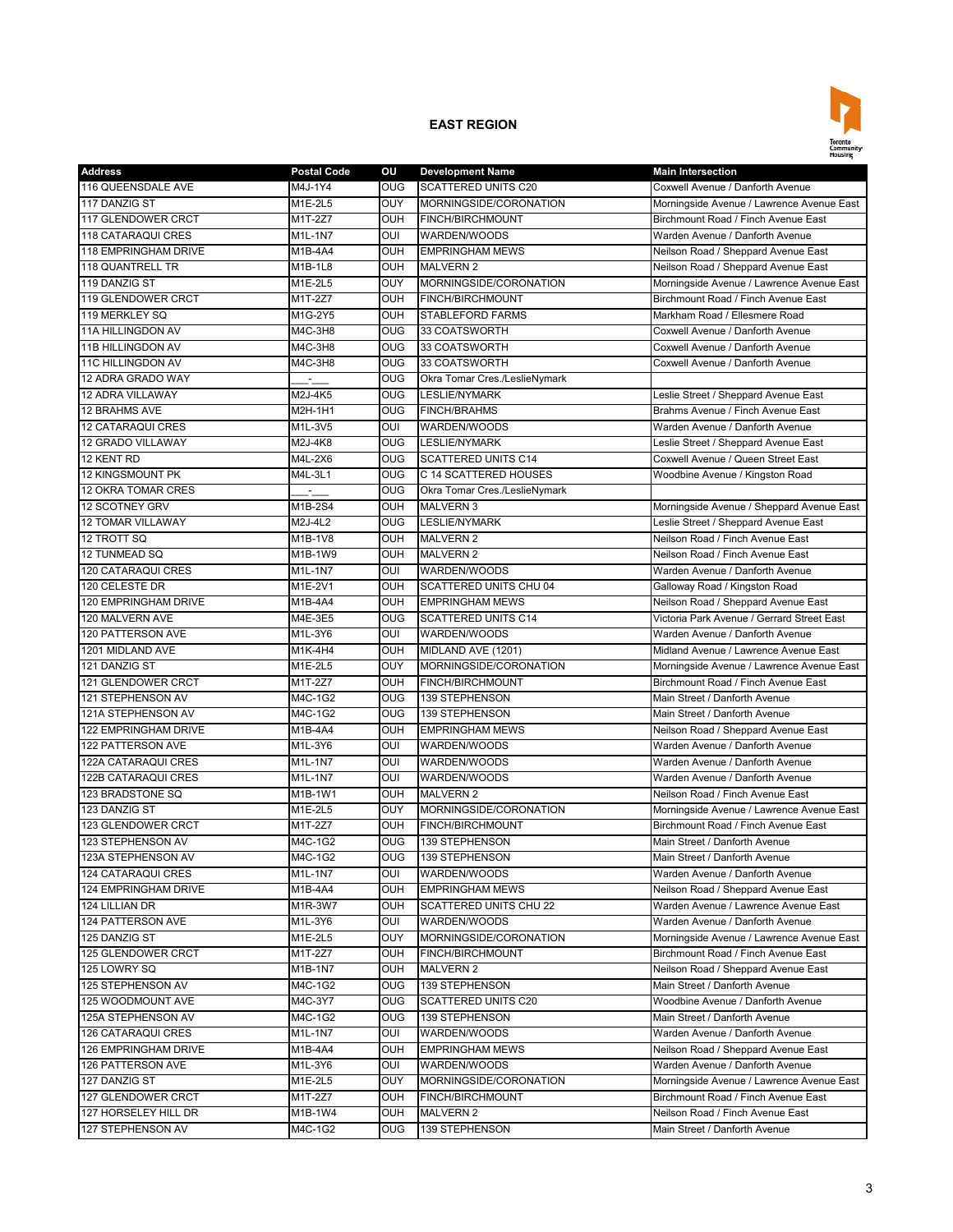

| <b>Address</b>              | <b>Postal Code</b> | ou              | <b>Development Name</b>       | <b>Main Intersection</b>                   |
|-----------------------------|--------------------|-----------------|-------------------------------|--------------------------------------------|
| 116 QUEENSDALE AVE          | M4J-1Y4            | OUG             | <b>SCATTERED UNITS C20</b>    | Coxwell Avenue / Danforth Avenue           |
| 117 DANZIG ST               | M1E-2L5            | OUY             | MORNINGSIDE/CORONATION        | Morningside Avenue / Lawrence Avenue East  |
| 117 GLENDOWER CRCT          | M1T-2Z7            | OUH             | <b>FINCH/BIRCHMOUNT</b>       | Birchmount Road / Finch Avenue East        |
| <b>118 CATARAQUI CRES</b>   | M1L-1N7            | OUI             | WARDEN/WOODS                  | Warden Avenue / Danforth Avenue            |
| <b>118 EMPRINGHAM DRIVE</b> | M1B-4A4            | OUH             | <b>EMPRINGHAM MEWS</b>        | Neilson Road / Sheppard Avenue East        |
| 118 QUANTRELL TR            | M1B-1L8            | OUH             | <b>MALVERN 2</b>              | Neilson Road / Sheppard Avenue East        |
| 119 DANZIG ST               | M1E-2L5            | OUY             | MORNINGSIDE/CORONATION        | Morningside Avenue / Lawrence Avenue East  |
| 119 GLENDOWER CRCT          | M1T-2Z7            | OUH             | <b>FINCH/BIRCHMOUNT</b>       | Birchmount Road / Finch Avenue East        |
| 119 MERKLEY SQ              | M1G-2Y5            | <b>OUH</b>      | <b>STABLEFORD FARMS</b>       | Markham Road / Ellesmere Road              |
| 11A HILLINGDON AV           | M4C-3H8            | <b>OUG</b>      | 33 COATSWORTH                 | Coxwell Avenue / Danforth Avenue           |
| 11B HILLINGDON AV           | M4C-3H8            | <b>OUG</b>      | 33 COATSWORTH                 | Coxwell Avenue / Danforth Avenue           |
| 11C HILLINGDON AV           | M4C-3H8            | <b>OUG</b>      | 33 COATSWORTH                 | Coxwell Avenue / Danforth Avenue           |
| 12 ADRA GRADO WAY           |                    | OUG             | Okra Tomar Cres./LeslieNymark |                                            |
| 12 ADRA VILLAWAY            | M2J-4K5            | <b>OUG</b>      | <b>LESLIE/NYMARK</b>          | Leslie Street / Sheppard Avenue East       |
| 12 BRAHMS AVE               | M2H-1H1            | <b>OUG</b>      | <b>FINCH/BRAHMS</b>           | Brahms Avenue / Finch Avenue East          |
| <b>12 CATARAQUI CRES</b>    | M1L-3V5            | OUI             | WARDEN/WOODS                  | Warden Avenue / Danforth Avenue            |
| <b>12 GRADO VILLAWAY</b>    | M2J-4K8            | $_{\text{OUG}}$ | <b>LESLIE/NYMARK</b>          | Leslie Street / Sheppard Avenue East       |
| 12 KENT RD                  | M4L-2X6            | <b>OUG</b>      | <b>SCATTERED UNITS C14</b>    | Coxwell Avenue / Queen Street East         |
| <b>12 KINGSMOUNT PK</b>     | M4L-3L1            | OUG             | C 14 SCATTERED HOUSES         | Woodbine Avenue / Kingston Road            |
| 12 OKRA TOMAR CRES          |                    |                 |                               |                                            |
|                             | M1B-2S4            | <b>OUG</b>      | Okra Tomar Cres./LeslieNymark | Morningside Avenue / Sheppard Avenue East  |
| 12 SCOTNEY GRV              | $M2J-4L2$          | <b>OUH</b>      | <b>MALVERN 3</b>              |                                            |
| <b>12 TOMAR VILLAWAY</b>    |                    | OUG             | <b>LESLIE/NYMARK</b>          | Leslie Street / Sheppard Avenue East       |
| 12 TROTT SQ                 | M1B-1V8            | OUH             | <b>MALVERN 2</b>              | Neilson Road / Finch Avenue East           |
| 12 TUNMEAD SQ               | M1B-1W9            | OUH             | <b>MALVERN 2</b>              | Neilson Road / Finch Avenue East           |
| 120 CATARAQUI CRES          | M1L-1N7            | OUI             | WARDEN/WOODS                  | Warden Avenue / Danforth Avenue            |
| 120 CELESTE DR              | M1E-2V1            | OUH             | <b>SCATTERED UNITS CHU 04</b> | Galloway Road / Kingston Road              |
| 120 EMPRINGHAM DRIVE        | M1B-4A4            | OUH             | <b>EMPRINGHAM MEWS</b>        | Neilson Road / Sheppard Avenue East        |
| 120 MALVERN AVE             | M4E-3E5            | <b>OUG</b>      | <b>SCATTERED UNITS C14</b>    | Victoria Park Avenue / Gerrard Street East |
| 120 PATTERSON AVE           | M1L-3Y6            | OUI             | WARDEN/WOODS                  | Warden Avenue / Danforth Avenue            |
| 1201 MIDLAND AVE            | M1K-4H4            | OUH             | MIDLAND AVE (1201)            | Midland Avenue / Lawrence Avenue East      |
| 121 DANZIG ST               | M1E-2L5            | OUY             | MORNINGSIDE/CORONATION        | Morningside Avenue / Lawrence Avenue East  |
| 121 GLENDOWER CRCT          | M1T-2Z7            | OUH             | FINCH/BIRCHMOUNT              | Birchmount Road / Finch Avenue East        |
| 121 STEPHENSON AV           | M4C-1G2            | OUG             | 139 STEPHENSON                | Main Street / Danforth Avenue              |
| 121A STEPHENSON AV          | M4C-1G2            | OUG             | 139 STEPHENSON                | Main Street / Danforth Avenue              |
| 122 EMPRINGHAM DRIVE        | M1B-4A4            | <b>OUH</b>      | <b>EMPRINGHAM MEWS</b>        | Neilson Road / Sheppard Avenue East        |
| <b>122 PATTERSON AVE</b>    | M1L-3Y6            | OUI             | WARDEN/WOODS                  | Warden Avenue / Danforth Avenue            |
| 122A CATARAQUI CRES         | M1L-1N7            | OUI             | WARDEN/WOODS                  | Warden Avenue / Danforth Avenue            |
| 122B CATARAQUI CRES         | M1L-1N7            | OUI             | WARDEN/WOODS                  | Warden Avenue / Danforth Avenue            |
| 123 BRADSTONE SQ            | M1B-1W1            | OUH             | <b>MALVERN 2</b>              | Neilson Road / Finch Avenue East           |
| 123 DANZIG ST               | M1E-2L5            | OUY             | MORNINGSIDE/CORONATION        | Morningside Avenue / Lawrence Avenue East  |
| 123 GLENDOWER CRCT          | M1T-2Z7            | OUH             | <b>FINCH/BIRCHMOUNT</b>       | Birchmount Road / Finch Avenue East        |
| 123 STEPHENSON AV           | M4C-1G2            | <b>OUG</b>      | <b>139 STEPHENSON</b>         | Main Street / Danforth Avenue              |
| 123A STEPHENSON AV          | M4C-1G2            | <b>OUG</b>      | <b>139 STEPHENSON</b>         | Main Street / Danforth Avenue              |
| <b>124 CATARAQUI CRES</b>   | M1L-1N7            | OUI             | WARDEN/WOODS                  | Warden Avenue / Danforth Avenue            |
| 124 EMPRINGHAM DRIVE        | M1B-4A4            | OUH             | <b>EMPRINGHAM MEWS</b>        | Neilson Road / Sheppard Avenue East        |
| 124 LILLIAN DR              | M1R-3W7            | OUH             | SCATTERED UNITS CHU 22        | Warden Avenue / Lawrence Avenue East       |
| 124 PATTERSON AVE           | M1L-3Y6            | OUI             | WARDEN/WOODS                  | Warden Avenue / Danforth Avenue            |
| 125 DANZIG ST               | M1E-2L5            | OUY             | MORNINGSIDE/CORONATION        | Morningside Avenue / Lawrence Avenue East  |
| 125 GLENDOWER CRCT          | M1T-2Z7            | OUH             | FINCH/BIRCHMOUNT              | Birchmount Road / Finch Avenue East        |
| 125 LOWRY SQ                | M1B-1N7            | OUH             | <b>MALVERN 2</b>              | Neilson Road / Sheppard Avenue East        |
| 125 STEPHENSON AV           | M4C-1G2            | <b>OUG</b>      | 139 STEPHENSON                | Main Street / Danforth Avenue              |
| 125 WOODMOUNT AVE           | M4C-3Y7            | <b>OUG</b>      | SCATTERED UNITS C20           | Woodbine Avenue / Danforth Avenue          |
| 125A STEPHENSON AV          | M4C-1G2            | <b>OUG</b>      | 139 STEPHENSON                | Main Street / Danforth Avenue              |
|                             | M1L-1N7            | OUI             |                               | Warden Avenue / Danforth Avenue            |
| 126 CATARAQUI CRES          |                    |                 | WARDEN/WOODS                  |                                            |
| 126 EMPRINGHAM DRIVE        | M1B-4A4            | OUH             | <b>EMPRINGHAM MEWS</b>        | Neilson Road / Sheppard Avenue East        |
| 126 PATTERSON AVE           | M1L-3Y6            | OUI             | WARDEN/WOODS                  | Warden Avenue / Danforth Avenue            |
| 127 DANZIG ST               | M1E-2L5            | OUY             | MORNINGSIDE/CORONATION        | Morningside Avenue / Lawrence Avenue East  |
| 127 GLENDOWER CRCT          | M1T-2Z7            | OUH             | FINCH/BIRCHMOUNT              | Birchmount Road / Finch Avenue East        |
| 127 HORSELEY HILL DR        | M1B-1W4            | OUH             | <b>MALVERN 2</b>              | Neilson Road / Finch Avenue East           |
| 127 STEPHENSON AV           | M4C-1G2            | <b>OUG</b>      | 139 STEPHENSON                | Main Street / Danforth Avenue              |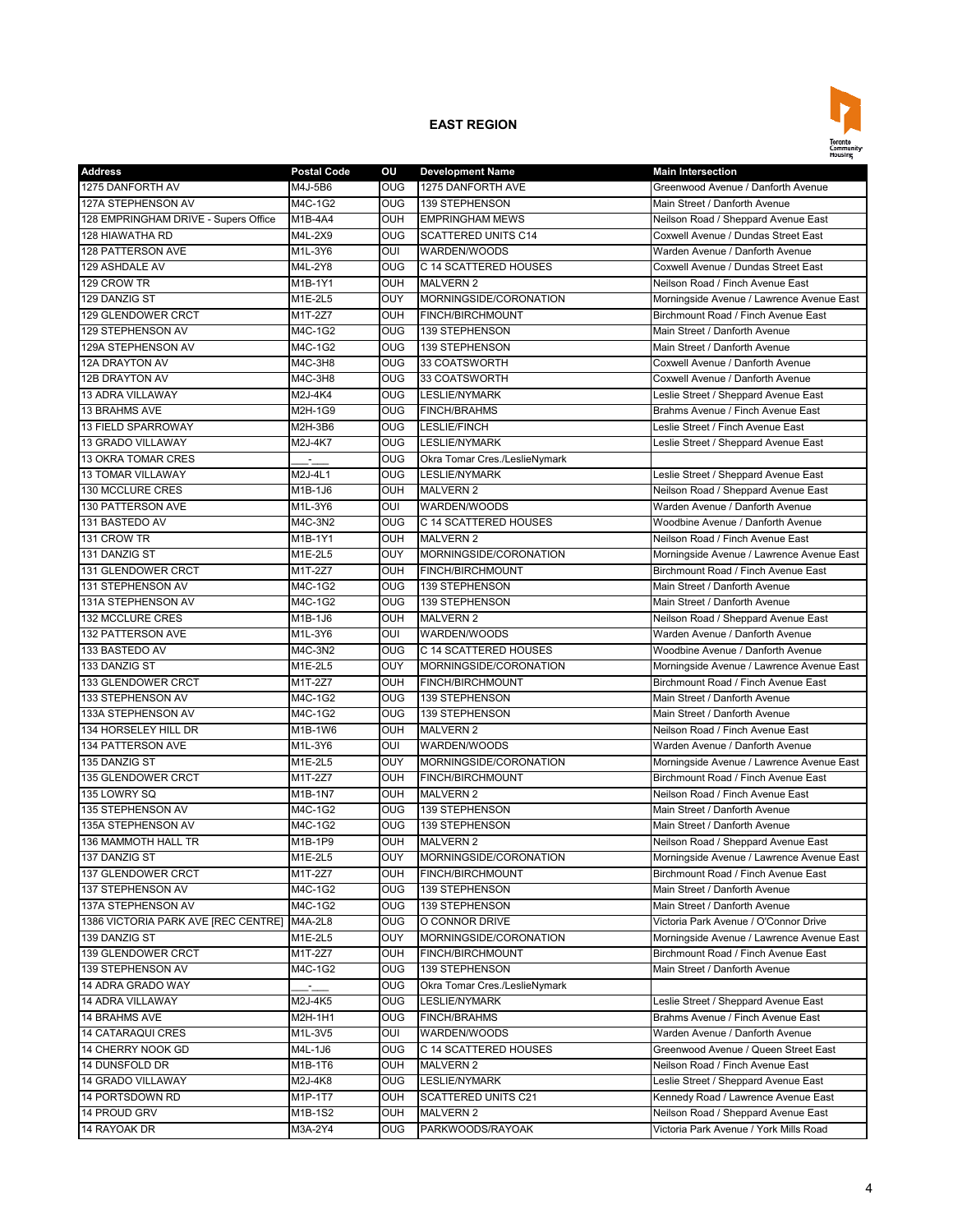

| <b>Address</b>                              | <b>Postal Code</b> | ου                      | <b>Development Name</b>       | <b>Main Intersection</b>                                                         |
|---------------------------------------------|--------------------|-------------------------|-------------------------------|----------------------------------------------------------------------------------|
| 1275 DANFORTH AV                            | M4J-5B6            | OUG                     | 1275 DANFORTH AVE             | Greenwood Avenue / Danforth Avenue                                               |
| 127A STEPHENSON AV                          | M4C-1G2            | OUG                     | 139 STEPHENSON                | Main Street / Danforth Avenue                                                    |
| 128 EMPRINGHAM DRIVE - Supers Office        | M1B-4A4            | <b>OUH</b>              | <b>EMPRINGHAM MEWS</b>        | Neilson Road / Sheppard Avenue East                                              |
| 128 HIAWATHA RD                             | M4L-2X9            | <b>OUG</b>              | <b>SCATTERED UNITS C14</b>    | Coxwell Avenue / Dundas Street East                                              |
| <b>128 PATTERSON AVE</b>                    | M1L-3Y6            | OUI                     | WARDEN/WOODS                  | Warden Avenue / Danforth Avenue                                                  |
| 129 ASHDALE AV                              | M4L-2Y8            | $\overline{\text{O}}$   | C 14 SCATTERED HOUSES         | Coxwell Avenue / Dundas Street East                                              |
| 129 CROW TR                                 | M1B-1Y1            | OUH                     | <b>MALVERN 2</b>              | Neilson Road / Finch Avenue East                                                 |
| 129 DANZIG ST                               | M1E-2L5            | <b>OUY</b>              | MORNINGSIDE/CORONATION        | Morningside Avenue / Lawrence Avenue East                                        |
| 129 GLENDOWER CRCT                          | M1T-2Z7            | <b>OUH</b>              | <b>FINCH/BIRCHMOUNT</b>       | Birchmount Road / Finch Avenue East                                              |
| 129 STEPHENSON AV                           | M4C-1G2            | OUG                     | 139 STEPHENSON                | Main Street / Danforth Avenue                                                    |
| 129A STEPHENSON AV                          | M4C-1G2            | <b>OUG</b>              | 139 STEPHENSON                | Main Street / Danforth Avenue                                                    |
| 12A DRAYTON AV                              | M4C-3H8            | <b>OUG</b>              | 33 COATSWORTH                 | Coxwell Avenue / Danforth Avenue                                                 |
| 12B DRAYTON AV                              | M4C-3H8            | <b>OUG</b>              | 33 COATSWORTH                 | Coxwell Avenue / Danforth Avenue                                                 |
| 13 ADRA VILLAWAY                            | M2J-4K4            | OUG                     | <b>LESLIE/NYMARK</b>          | Leslie Street / Sheppard Avenue East                                             |
| 13 BRAHMS AVE                               | M2H-1G9            | <b>OUG</b>              | <b>FINCH/BRAHMS</b>           | Brahms Avenue / Finch Avenue East                                                |
| 13 FIELD SPARROWAY                          | M2H-3B6            | <b>OUG</b>              | LESLIE/FINCH                  | Leslie Street / Finch Avenue East                                                |
| <b>13 GRADO VILLAWAY</b>                    | M2J-4K7            | $\overline{\text{OUG}}$ | <b>LESLIE/NYMARK</b>          | Leslie Street / Sheppard Avenue East                                             |
| 13 OKRA TOMAR CRES                          |                    | <b>OUG</b>              | Okra Tomar Cres./LeslieNymark |                                                                                  |
| <b>13 TOMAR VILLAWAY</b>                    | M2J-4L1            | <b>OUG</b>              | <b>LESLIE/NYMARK</b>          | Leslie Street / Sheppard Avenue East                                             |
| 130 MCCLURE CRES                            | M1B-1J6            | OUH                     | <b>MALVERN 2</b>              | Neilson Road / Sheppard Avenue East                                              |
| 130 PATTERSON AVE                           | M1L-3Y6            | OUI                     | WARDEN/WOODS                  | Warden Avenue / Danforth Avenue                                                  |
| 131 BASTEDO AV                              | M4C-3N2            | <b>OUG</b>              | C 14 SCATTERED HOUSES         | Woodbine Avenue / Danforth Avenue                                                |
| 131 CROW TR                                 | M1B-1Y1            | <b>OUH</b>              | <b>MALVERN 2</b>              | Neilson Road / Finch Avenue East                                                 |
| 131 DANZIG ST                               | M1E-2L5            | OUY                     | MORNINGSIDE/CORONATION        |                                                                                  |
| 131 GLENDOWER CRCT                          | M1T-2Z7            | <b>OUH</b>              | <b>FINCH/BIRCHMOUNT</b>       | Morningside Avenue / Lawrence Avenue East<br>Birchmount Road / Finch Avenue East |
|                                             |                    |                         |                               |                                                                                  |
| 131 STEPHENSON AV                           | M4C-1G2            | OUG                     | 139 STEPHENSON                | Main Street / Danforth Avenue                                                    |
| 131A STEPHENSON AV                          | M4C-1G2            | <b>OUG</b>              | 139 STEPHENSON                | Main Street / Danforth Avenue                                                    |
| 132 MCCLURE CRES                            | M1B-1J6            | <b>OUH</b>              | <b>MALVERN 2</b>              | Neilson Road / Sheppard Avenue East                                              |
| 132 PATTERSON AVE                           | M1L-3Y6            | OUI                     | WARDEN/WOODS                  | Warden Avenue / Danforth Avenue                                                  |
| 133 BASTEDO AV                              | M4C-3N2            | <b>OUG</b>              | C 14 SCATTERED HOUSES         | Woodbine Avenue / Danforth Avenue                                                |
| 133 DANZIG ST                               | M1E-2L5            | OUY                     | MORNINGSIDE/CORONATION        | Morningside Avenue / Lawrence Avenue East                                        |
| 133 GLENDOWER CRCT                          | M1T-2Z7            | OUH                     | FINCH/BIRCHMOUNT              | Birchmount Road / Finch Avenue East                                              |
| 133 STEPHENSON AV                           | M4C-1G2            | <b>OUG</b>              | 139 STEPHENSON                | Main Street / Danforth Avenue                                                    |
| 133A STEPHENSON AV                          | M4C-1G2            | <b>OUG</b>              | 139 STEPHENSON                | Main Street / Danforth Avenue                                                    |
| 134 HORSELEY HILL DR                        | M1B-1W6            | OUH                     | <b>MALVERN 2</b>              | Neilson Road / Finch Avenue East                                                 |
| 134 PATTERSON AVE                           | M1L-3Y6            | OUI                     | WARDEN/WOODS                  | Warden Avenue / Danforth Avenue                                                  |
| 135 DANZIG ST                               | M1E-2L5            | OUY                     | MORNINGSIDE/CORONATION        | Morningside Avenue / Lawrence Avenue East                                        |
| 135 GLENDOWER CRCT                          | M1T-2Z7            | <b>OUH</b>              | FINCH/BIRCHMOUNT              | Birchmount Road / Finch Avenue East                                              |
| 135 LOWRY SQ                                | M1B-1N7            | <b>OUH</b>              | <b>MALVERN 2</b>              | Neilson Road / Finch Avenue East                                                 |
| 135 STEPHENSON AV                           | M4C-1G2            | <b>OUG</b>              | 139 STEPHENSON                | Main Street / Danforth Avenue                                                    |
| 135A STEPHENSON AV                          | M4C-1G2            | OUG                     | 139 STEPHENSON                | Main Street / Danforth Avenue                                                    |
| 136 MAMMOTH HALL TR                         | M1B-1P9            | OUH                     | <b>MALVERN 2</b>              | Neilson Road / Sheppard Avenue East                                              |
| 137 DANZIG ST                               | M1E-2L5            | <b>OUY</b>              | MORNINGSIDE/CORONATION        | Morningside Avenue / Lawrence Avenue East                                        |
| 137 GLENDOWER CRCT                          | M1T-2Z7            | <b>OUH</b>              | FINCH/BIRCHMOUNT              | Birchmount Road / Finch Avenue East                                              |
| 137 STEPHENSON AV                           | M4C-1G2            | <b>OUG</b>              | 139 STEPHENSON                | Main Street / Danforth Avenue                                                    |
| 137A STEPHENSON AV                          | M4C-1G2            | <b>OUG</b>              | 139 STEPHENSON                | Main Street / Danforth Avenue                                                    |
| 1386 VICTORIA PARK AVE [REC CENTRE] M4A-2L8 |                    | <b>OUG</b>              | O CONNOR DRIVE                | Victoria Park Avenue / O'Connor Drive                                            |
| 139 DANZIG ST                               | M1E-2L5            | OUY                     | MORNINGSIDE/CORONATION        | Morningside Avenue / Lawrence Avenue East                                        |
| 139 GLENDOWER CRCT                          | M1T-2Z7            | <b>OUH</b>              | FINCH/BIRCHMOUNT              | Birchmount Road / Finch Avenue East                                              |
| 139 STEPHENSON AV                           | M4C-1G2            | <b>OUG</b>              | 139 STEPHENSON                | Main Street / Danforth Avenue                                                    |
| 14 ADRA GRADO WAY                           |                    | <b>OUG</b>              | Okra Tomar Cres./LeslieNymark |                                                                                  |
| <b>14 ADRA VILLAWAY</b>                     | M2J-4K5            | <b>OUG</b>              | LESLIE/NYMARK                 | Leslie Street / Sheppard Avenue East                                             |
| 14 BRAHMS AVE                               | M2H-1H1            | <b>OUG</b>              | <b>FINCH/BRAHMS</b>           | Brahms Avenue / Finch Avenue East                                                |
| 14 CATARAQUI CRES                           | M1L-3V5            | OUI                     | WARDEN/WOODS                  | Warden Avenue / Danforth Avenue                                                  |
| 14 CHERRY NOOK GD                           | M4L-1J6            | OUG                     | C 14 SCATTERED HOUSES         | Greenwood Avenue / Queen Street East                                             |
| 14 DUNSFOLD DR                              | M1B-1T6            | OUH                     | MALVERN 2                     | Neilson Road / Finch Avenue East                                                 |
| 14 GRADO VILLAWAY                           | M2J-4K8            | <b>OUG</b>              | <b>LESLIE/NYMARK</b>          | Leslie Street / Sheppard Avenue East                                             |
| 14 PORTSDOWN RD                             | M1P-1T7            | OUH                     | <b>SCATTERED UNITS C21</b>    | Kennedy Road / Lawrence Avenue East                                              |
| 14 PROUD GRV                                | M1B-1S2            | OUH                     | MALVERN 2                     | Neilson Road / Sheppard Avenue East                                              |
| 14 RAYOAK DR                                | M3A-2Y4            | <b>OUG</b>              | PARKWOODS/RAYOAK              | Victoria Park Avenue / York Mills Road                                           |
|                                             |                    |                         |                               |                                                                                  |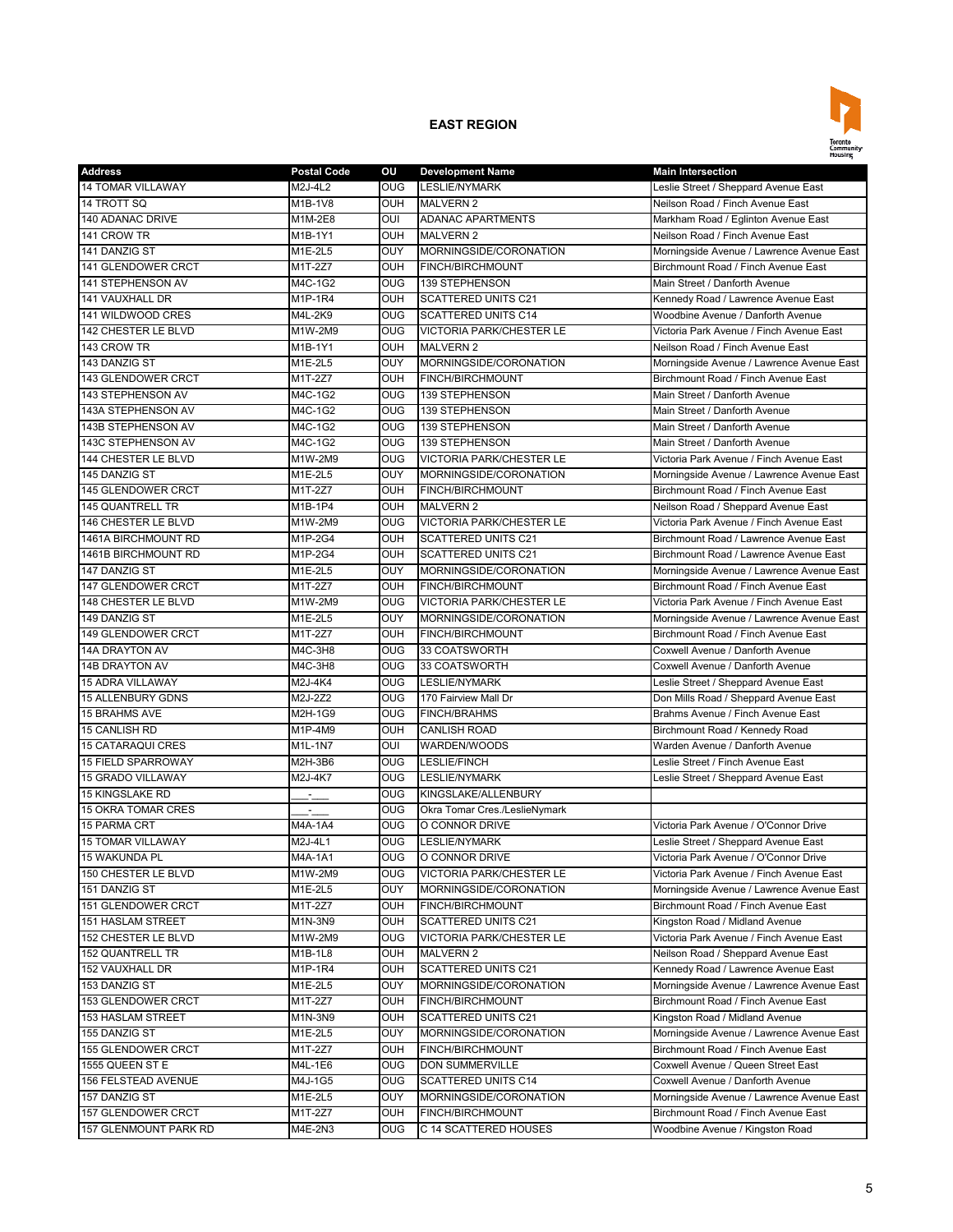

| <b>Address</b>            | <b>Postal Code</b> | ou                      | <b>Development Name</b>         | <b>Main Intersection</b>                  |
|---------------------------|--------------------|-------------------------|---------------------------------|-------------------------------------------|
| 14 TOMAR VILLAWAY         | M2J-4L2            | OUG                     | <b>LESLIE/NYMARK</b>            | Leslie Street / Sheppard Avenue East      |
| 14 TROTT SQ               | M1B-1V8            | <b>OUH</b>              | <b>MALVERN 2</b>                | Neilson Road / Finch Avenue East          |
| 140 ADANAC DRIVE          | M1M-2E8            | OUI                     | <b>ADANAC APARTMENTS</b>        | Markham Road / Eglinton Avenue East       |
| 141 CROW TR               | M1B-1Y1            | OUH                     | <b>MALVERN 2</b>                | Neilson Road / Finch Avenue East          |
| 141 DANZIG ST             | M1E-2L5            | OUY                     | MORNINGSIDE/CORONATION          | Morningside Avenue / Lawrence Avenue East |
| 141 GLENDOWER CRCT        | M1T-2Z7            | OUH                     | <b>FINCH/BIRCHMOUNT</b>         | Birchmount Road / Finch Avenue East       |
| 141 STEPHENSON AV         | M4C-1G2            | <b>OUG</b>              | 139 STEPHENSON                  | Main Street / Danforth Avenue             |
| 141 VAUXHALL DR           | M1P-1R4            | OUH                     | <b>SCATTERED UNITS C21</b>      | Kennedy Road / Lawrence Avenue East       |
| 141 WILDWOOD CRES         | M4L-2K9            | <b>OUG</b>              | <b>SCATTERED UNITS C14</b>      | Woodbine Avenue / Danforth Avenue         |
| 142 CHESTER LE BLVD       | M1W-2M9            | <b>OUG</b>              | <b>VICTORIA PARK/CHESTER LE</b> | Victoria Park Avenue / Finch Avenue East  |
| 143 CROW TR               | M1B-1Y1            | <b>OUH</b>              | <b>MALVERN 2</b>                | Neilson Road / Finch Avenue East          |
| 143 DANZIG ST             | M1E-2L5            | OUY                     | MORNINGSIDE/CORONATION          | Morningside Avenue / Lawrence Avenue East |
| 143 GLENDOWER CRCT        | M1T-2Z7            | OUH                     | FINCH/BIRCHMOUNT                | Birchmount Road / Finch Avenue East       |
| 143 STEPHENSON AV         | M4C-1G2            | $\overline{\text{OUG}}$ | 139 STEPHENSON                  | Main Street / Danforth Avenue             |
| 143A STEPHENSON AV        | M4C-1G2            | OUG                     | 139 STEPHENSON                  | Main Street / Danforth Avenue             |
| 143B STEPHENSON AV        | M4C-1G2            | <b>OUG</b>              | 139 STEPHENSON                  | Main Street / Danforth Avenue             |
| 143C STEPHENSON AV        | M4C-1G2            | <b>OUG</b>              | 139 STEPHENSON                  | Main Street / Danforth Avenue             |
| 144 CHESTER LE BLVD       | M1W-2M9            | <b>OUG</b>              | <b>VICTORIA PARK/CHESTER LE</b> | Victoria Park Avenue / Finch Avenue East  |
| 145 DANZIG ST             | M1E-2L5            | OUY                     | MORNINGSIDE/CORONATION          | Morningside Avenue / Lawrence Avenue East |
| 145 GLENDOWER CRCT        | M1T-2Z7            | OUH                     | FINCH/BIRCHMOUNT                | Birchmount Road / Finch Avenue East       |
| 145 QUANTRELL TR          | M1B-1P4            | <b>OUH</b>              | <b>MALVERN 2</b>                | Neilson Road / Sheppard Avenue East       |
| 146 CHESTER LE BLVD       | M1W-2M9            | <b>OUG</b>              | <b>VICTORIA PARK/CHESTER LE</b> | Victoria Park Avenue / Finch Avenue East  |
| 1461A BIRCHMOUNT RD       | M1P-2G4            | <b>OUH</b>              | <b>SCATTERED UNITS C21</b>      | Birchmount Road / Lawrence Avenue East    |
| 1461B BIRCHMOUNT RD       | M1P-2G4            | <b>OUH</b>              | <b>SCATTERED UNITS C21</b>      | Birchmount Road / Lawrence Avenue East    |
| 147 DANZIG ST             | M1E-2L5            | OUY                     | MORNINGSIDE/CORONATION          |                                           |
|                           |                    | OUH                     |                                 | Morningside Avenue / Lawrence Avenue East |
| 147 GLENDOWER CRCT        | M1T-2Z7            |                         | <b>FINCH/BIRCHMOUNT</b>         | Birchmount Road / Finch Avenue East       |
| 148 CHESTER LE BLVD       | M1W-2M9            | <b>OUG</b>              | <b>VICTORIA PARK/CHESTER LE</b> | Victoria Park Avenue / Finch Avenue East  |
| 149 DANZIG ST             | M1E-2L5            | OUY                     | MORNINGSIDE/CORONATION          | Morningside Avenue / Lawrence Avenue East |
| 149 GLENDOWER CRCT        | M1T-2Z7            | OUH                     | FINCH/BIRCHMOUNT                | Birchmount Road / Finch Avenue East       |
| 14A DRAYTON AV            | M4C-3H8            | <b>OUG</b>              | 33 COATSWORTH                   | Coxwell Avenue / Danforth Avenue          |
| <b>14B DRAYTON AV</b>     | M4C-3H8            | $_{\text{OUG}}$         | 33 COATSWORTH                   | Coxwell Avenue / Danforth Avenue          |
| <b>15 ADRA VILLAWAY</b>   | M2J-4K4            | <b>OUG</b>              | <b>LESLIE/NYMARK</b>            | Leslie Street / Sheppard Avenue East      |
| <b>15 ALLENBURY GDNS</b>  | M2J-2Z2            | OUG                     | 170 Fairview Mall Dr            | Don Mills Road / Sheppard Avenue East     |
| 15 BRAHMS AVE             | M2H-1G9            | OUG                     | <b>FINCH/BRAHMS</b>             | Brahms Avenue / Finch Avenue East         |
| 15 CANLISH RD             | M1P-4M9            | OUH                     | <b>CANLISH ROAD</b>             | Birchmount Road / Kennedy Road            |
| <b>15 CATARAQUI CRES</b>  | M1L-1N7            | OUI                     | WARDEN/WOODS                    | Warden Avenue / Danforth Avenue           |
| 15 FIELD SPARROWAY        | M2H-3B6            | OUG                     | <b>LESLIE/FINCH</b>             | Leslie Street / Finch Avenue East         |
| <b>15 GRADO VILLAWAY</b>  | M2J-4K7            | <b>OUG</b>              | <b>LESLIE/NYMARK</b>            | Leslie Street / Sheppard Avenue East      |
| <b>15 KINGSLAKE RD</b>    | ż.                 | <b>OUG</b>              | KINGSLAKE/ALLENBURY             |                                           |
| <b>15 OKRA TOMAR CRES</b> |                    | OUG                     | Okra Tomar Cres./LeslieNymark   |                                           |
| 15 PARMA CRT              | M4A-1A4            | <b>OUG</b>              | O CONNOR DRIVE                  | Victoria Park Avenue / O'Connor Drive     |
| <b>15 TOMAR VILLAWAY</b>  | M2J-4L1            | OUG                     | <b>LESLIE/NYMARK</b>            | Leslie Street / Sheppard Avenue East      |
| <b>15 WAKUNDA PL</b>      | M4A-1A1            | <b>OUG</b>              | O CONNOR DRIVE                  | Victoria Park Avenue / O'Connor Drive     |
| 150 CHESTER LE BLVD       | M1W-2M9            | <b>OUG</b>              | VICTORIA PARK/CHESTER LE        | Victoria Park Avenue / Finch Avenue East  |
| 151 DANZIG ST             | M1E-2L5            | OUY                     | MORNINGSIDE/CORONATION          | Morningside Avenue / Lawrence Avenue East |
| 151 GLENDOWER CRCT        | M1T-2Z7            | OUH                     | FINCH/BIRCHMOUNT                | Birchmount Road / Finch Avenue East       |
| 151 HASLAM STREET         | M1N-3N9            | OUH                     | <b>SCATTERED UNITS C21</b>      | Kingston Road / Midland Avenue            |
| 152 CHESTER LE BLVD       | M1W-2M9            | OUG                     | VICTORIA PARK/CHESTER LE        | Victoria Park Avenue / Finch Avenue East  |
| 152 QUANTRELL TR          | M1B-1L8            | OUH                     | <b>MALVERN 2</b>                | Neilson Road / Sheppard Avenue East       |
| 152 VAUXHALL DR           | M1P-1R4            | OUH                     | <b>SCATTERED UNITS C21</b>      | Kennedy Road / Lawrence Avenue East       |
| 153 DANZIG ST             | M1E-2L5            | OUY                     | MORNINGSIDE/CORONATION          | Morningside Avenue / Lawrence Avenue East |
| 153 GLENDOWER CRCT        | M1T-2Z7            | OUH                     | FINCH/BIRCHMOUNT                | Birchmount Road / Finch Avenue East       |
| <b>153 HASLAM STREET</b>  | M1N-3N9            | OUH                     | <b>SCATTERED UNITS C21</b>      | Kingston Road / Midland Avenue            |
| 155 DANZIG ST             | M1E-2L5            | OUY                     | MORNINGSIDE/CORONATION          | Morningside Avenue / Lawrence Avenue East |
| 155 GLENDOWER CRCT        | M1T-2Z7            | OUH                     | FINCH/BIRCHMOUNT                | Birchmount Road / Finch Avenue East       |
| 1555 QUEEN ST E           | M4L-1E6            | OUG.                    | DON SUMMERVILLE                 | Coxwell Avenue / Queen Street East        |
| 156 FELSTEAD AVENUE       | M4J-1G5            | OUG                     | SCATTERED UNITS C14             | Coxwell Avenue / Danforth Avenue          |
| 157 DANZIG ST             | M1E-2L5            | OUY                     | MORNINGSIDE/CORONATION          | Morningside Avenue / Lawrence Avenue East |
| 157 GLENDOWER CRCT        | M1T-2Z7            | OUH                     | FINCH/BIRCHMOUNT                | Birchmount Road / Finch Avenue East       |
| 157 GLENMOUNT PARK RD     | M4E-2N3            | OUG                     | C 14 SCATTERED HOUSES           | Woodbine Avenue / Kingston Road           |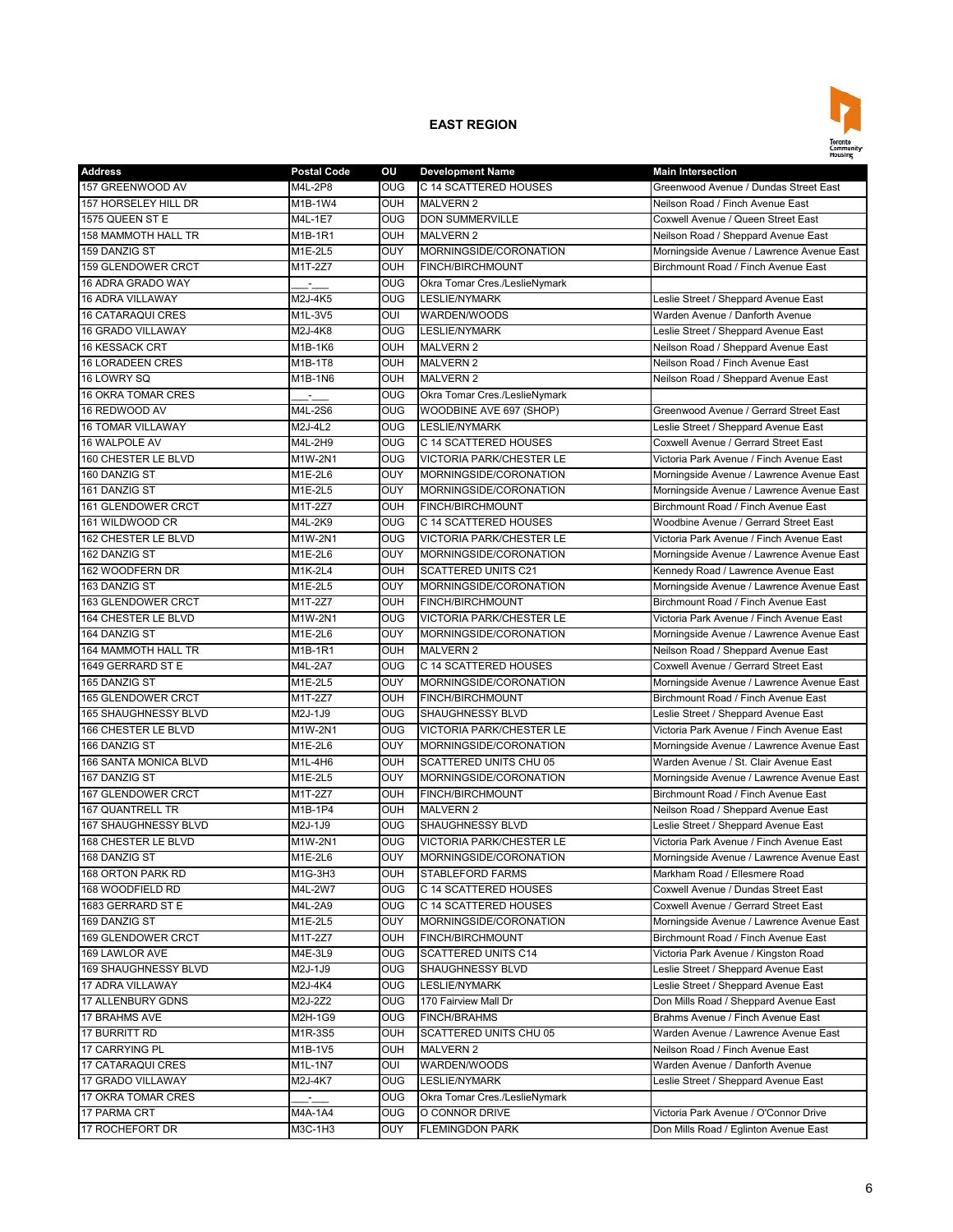

| <b>Address</b>                      | <b>Postal Code</b>        | ΟU         | <b>Development Name</b>         | <b>Main Intersection</b>                                                         |
|-------------------------------------|---------------------------|------------|---------------------------------|----------------------------------------------------------------------------------|
| 157 GREENWOOD AV                    | M4L-2P8                   | <b>OUG</b> | C 14 SCATTERED HOUSES           | Greenwood Avenue / Dundas Street East                                            |
| 157 HORSELEY HILL DR                | M1B-1W4                   | OUH        | <b>MALVERN 2</b>                | Neilson Road / Finch Avenue East                                                 |
| 1575 QUEEN ST E                     | M4L-1E7                   | <b>OUG</b> | <b>DON SUMMERVILLE</b>          | Coxwell Avenue / Queen Street East                                               |
| 158 MAMMOTH HALL TR                 | M1B-1R1                   | OUH        | <b>MALVERN 2</b>                | Neilson Road / Sheppard Avenue East                                              |
| 159 DANZIG ST                       | M1E-2L5                   | OUY        | MORNINGSIDE/CORONATION          | Morningside Avenue / Lawrence Avenue East                                        |
| 159 GLENDOWER CRCT                  | M1T-2Z7                   | OUH        | FINCH/BIRCHMOUNT                | Birchmount Road / Finch Avenue East                                              |
| 16 ADRA GRADO WAY                   |                           | <b>OUG</b> | Okra Tomar Cres./LeslieNymark   |                                                                                  |
| 16 ADRA VILLAWAY                    | M2J-4K5                   | <b>OUG</b> | <b>LESLIE/NYMARK</b>            | Leslie Street / Sheppard Avenue East                                             |
| <b>16 CATARAQUI CRES</b>            | M1L-3V5                   | OUI        | WARDEN/WOODS                    | Warden Avenue / Danforth Avenue                                                  |
| 16 GRADO VILLAWAY                   | M2J-4K8                   | <b>OUG</b> | <b>LESLIE/NYMARK</b>            | Leslie Street / Sheppard Avenue East                                             |
| <b>16 KESSACK CRT</b>               | M1B-1K6                   | OUH        | <b>MALVERN 2</b>                | Neilson Road / Sheppard Avenue East                                              |
| <b>16 LORADEEN CRES</b>             | M1B-1T8                   | <b>OUH</b> | <b>MALVERN 2</b>                | Neilson Road / Finch Avenue East                                                 |
| 16 LOWRY SQ                         | M1B-1N6                   | OUH        | <b>MALVERN 2</b>                | Neilson Road / Sheppard Avenue East                                              |
| <b>16 OKRA TOMAR CRES</b>           | $\mathbb{H}_{\mathbb{R}}$ | OUG        | Okra Tomar Cres./LeslieNymark   |                                                                                  |
| 16 REDWOOD AV                       | M4L-2S6                   | OUG        | WOODBINE AVE 697 (SHOP)         | Greenwood Avenue / Gerrard Street East                                           |
| <b>16 TOMAR VILLAWAY</b>            | M2J-4L2                   | <b>OUG</b> | <b>LESLIE/NYMARK</b>            | Leslie Street / Sheppard Avenue East                                             |
| 16 WALPOLE AV                       | M4L-2H9                   | <b>OUG</b> | C 14 SCATTERED HOUSES           | Coxwell Avenue / Gerrard Street East                                             |
| 160 CHESTER LE BLVD                 | M1W-2N1                   | <b>OUG</b> | <b>VICTORIA PARK/CHESTER LE</b> | Victoria Park Avenue / Finch Avenue East                                         |
| 160 DANZIG ST                       | M1E-2L6                   | OUY        | MORNINGSIDE/CORONATION          | Morningside Avenue / Lawrence Avenue East                                        |
| 161 DANZIG ST                       | M1E-2L5                   | OUY        | MORNINGSIDE/CORONATION          | Morningside Avenue / Lawrence Avenue East                                        |
| 161 GLENDOWER CRCT                  | M1T-2Z7                   | OUH        | <b>FINCH/BIRCHMOUNT</b>         | Birchmount Road / Finch Avenue East                                              |
| 161 WILDWOOD CR                     | M4L-2K9                   | <b>OUG</b> | C 14 SCATTERED HOUSES           | Woodbine Avenue / Gerrard Street East                                            |
| 162 CHESTER LE BLVD                 | M1W-2N1                   | <b>OUG</b> | <b>VICTORIA PARK/CHESTER LE</b> | Victoria Park Avenue / Finch Avenue East                                         |
| 162 DANZIG ST                       | M1E-2L6                   | OUY        | MORNINGSIDE/CORONATION          | Morningside Avenue / Lawrence Avenue East                                        |
| 162 WOODFERN DR                     | <b>M1K-2L4</b>            | OUH        | <b>SCATTERED UNITS C21</b>      | Kennedy Road / Lawrence Avenue East                                              |
|                                     |                           | OUY        |                                 |                                                                                  |
| 163 DANZIG ST<br>163 GLENDOWER CRCT | M1E-2L5<br>M1T-2Z7        | OUH        | MORNINGSIDE/CORONATION          | Morningside Avenue / Lawrence Avenue East<br>Birchmount Road / Finch Avenue East |
| 164 CHESTER LE BLVD                 |                           |            | <b>FINCH/BIRCHMOUNT</b>         |                                                                                  |
|                                     | M1W-2N1                   | <b>OUG</b> | <b>VICTORIA PARK/CHESTER LE</b> | Victoria Park Avenue / Finch Avenue East                                         |
| 164 DANZIG ST                       | M1E-2L6                   | OUY        | MORNINGSIDE/CORONATION          | Morningside Avenue / Lawrence Avenue East                                        |
| 164 MAMMOTH HALL TR                 | M1B-1R1                   | OUH        | <b>MALVERN 2</b>                | Neilson Road / Sheppard Avenue East<br>Coxwell Avenue / Gerrard Street East      |
| 1649 GERRARD ST E                   | M4L-2A7                   | OUG        | C 14 SCATTERED HOUSES           |                                                                                  |
| 165 DANZIG ST                       | M1E-2L5                   | OUY        | MORNINGSIDE/CORONATION          | Morningside Avenue / Lawrence Avenue East                                        |
| 165 GLENDOWER CRCT                  | M1T-2Z7                   | OUH        | <b>FINCH/BIRCHMOUNT</b>         | Birchmount Road / Finch Avenue East                                              |
| 165 SHAUGHNESSY BLVD                | M2J-1J9                   | OUG        | SHAUGHNESSY BLVD                | Leslie Street / Sheppard Avenue East                                             |
| 166 CHESTER LE BLVD                 | M1W-2N1                   | <b>OUG</b> | <b>VICTORIA PARK/CHESTER LE</b> | Victoria Park Avenue / Finch Avenue East                                         |
| 166 DANZIG ST                       | M1E-2L6                   | OUY        | MORNINGSIDE/CORONATION          | Morningside Avenue / Lawrence Avenue East                                        |
| 166 SANTA MONICA BLVD               | M1L-4H6                   | OUH        | <b>SCATTERED UNITS CHU 05</b>   | Warden Avenue / St. Clair Avenue East                                            |
| 167 DANZIG ST                       | M1E-2L5                   | OUY        | MORNINGSIDE/CORONATION          | Morningside Avenue / Lawrence Avenue East                                        |
| 167 GLENDOWER CRCT                  | M1T-2Z7                   | OUH        | FINCH/BIRCHMOUNT                | Birchmount Road / Finch Avenue East                                              |
| 167 QUANTRELL TR                    | M1B-1P4                   | OUH        | <b>MALVERN 2</b>                | Neilson Road / Sheppard Avenue East                                              |
| <b>167 SHAUGHNESSY BLVD</b>         | M2J-1J9                   | <b>OUG</b> | <b>SHAUGHNESSY BLVD</b>         | Leslie Street / Sheppard Avenue East                                             |
| <b>168 CHESTER LE BLVD</b>          | M1W-2N1                   | OUG        | <b>VICTORIA PARK/CHESTER LE</b> | Victoria Park Avenue / Finch Avenue East                                         |
| 168 DANZIG ST                       | M1E-2L6                   | <b>OUY</b> | MORNINGSIDE/CORONATION          | Morningside Avenue / Lawrence Avenue East                                        |
| 168 ORTON PARK RD                   | M1G-3H3                   | OUH        | <b>STABLEFORD FARMS</b>         | Markham Road / Ellesmere Road                                                    |
| 168 WOODFIELD RD                    | M4L-2W7                   | <b>OUG</b> | C 14 SCATTERED HOUSES           | Coxwell Avenue / Dundas Street East                                              |
| 1683 GERRARD ST E                   | M4L-2A9                   | <b>OUG</b> | C 14 SCATTERED HOUSES           | Coxwell Avenue / Gerrard Street East                                             |
| 169 DANZIG ST                       | M1E-2L5                   | OUY        | MORNINGSIDE/CORONATION          | Morningside Avenue / Lawrence Avenue East                                        |
| 169 GLENDOWER CRCT                  | M1T-2Z7                   | OUH        | <b>FINCH/BIRCHMOUNT</b>         | Birchmount Road / Finch Avenue East                                              |
| 169 LAWLOR AVE                      | M4E-3L9                   | <b>OUG</b> | SCATTERED UNITS C14             | Victoria Park Avenue / Kingston Road                                             |
| 169 SHAUGHNESSY BLVD                | M2J-1J9                   | OUG        | SHAUGHNESSY BLVD                | Leslie Street / Sheppard Avenue East                                             |
| 17 ADRA VILLAWAY                    | M2J-4K4                   | <b>OUG</b> | LESLIE/NYMARK                   | Leslie Street / Sheppard Avenue East                                             |
| 17 ALLENBURY GDNS                   | M2J-2Z2                   | OUG        | 170 Fairview Mall Dr            | Don Mills Road / Sheppard Avenue East                                            |
| 17 BRAHMS AVE                       | M2H-1G9                   | <b>OUG</b> | <b>FINCH/BRAHMS</b>             | Brahms Avenue / Finch Avenue East                                                |
| 17 BURRITT RD                       | M1R-3S5                   | OUH        | SCATTERED UNITS CHU 05          | Warden Avenue / Lawrence Avenue East                                             |
| 17 CARRYING PL                      | M1B-1V5                   | OUH        | <b>MALVERN 2</b>                | Neilson Road / Finch Avenue East                                                 |
| 17 CATARAQUI CRES                   | M1L-1N7                   | OUI        | WARDEN/WOODS                    | Warden Avenue / Danforth Avenue                                                  |
| 17 GRADO VILLAWAY                   | M2J-4K7                   | OUG.       | <b>LESLIE/NYMARK</b>            | eslie Street / Sheppard Avenue East.                                             |
| 17 OKRA TOMAR CRES                  | ЦÚ.                       | <b>OUG</b> | Okra Tomar Cres./LeslieNymark   |                                                                                  |
| 17 PARMA CRT                        | M4A-1A4                   | <b>OUG</b> | O CONNOR DRIVE                  | Victoria Park Avenue / O'Connor Drive                                            |
| 17 ROCHEFORT DR                     | M3C-1H3                   | <b>OUY</b> | <b>FLEMINGDON PARK</b>          | Don Mills Road / Eglinton Avenue East                                            |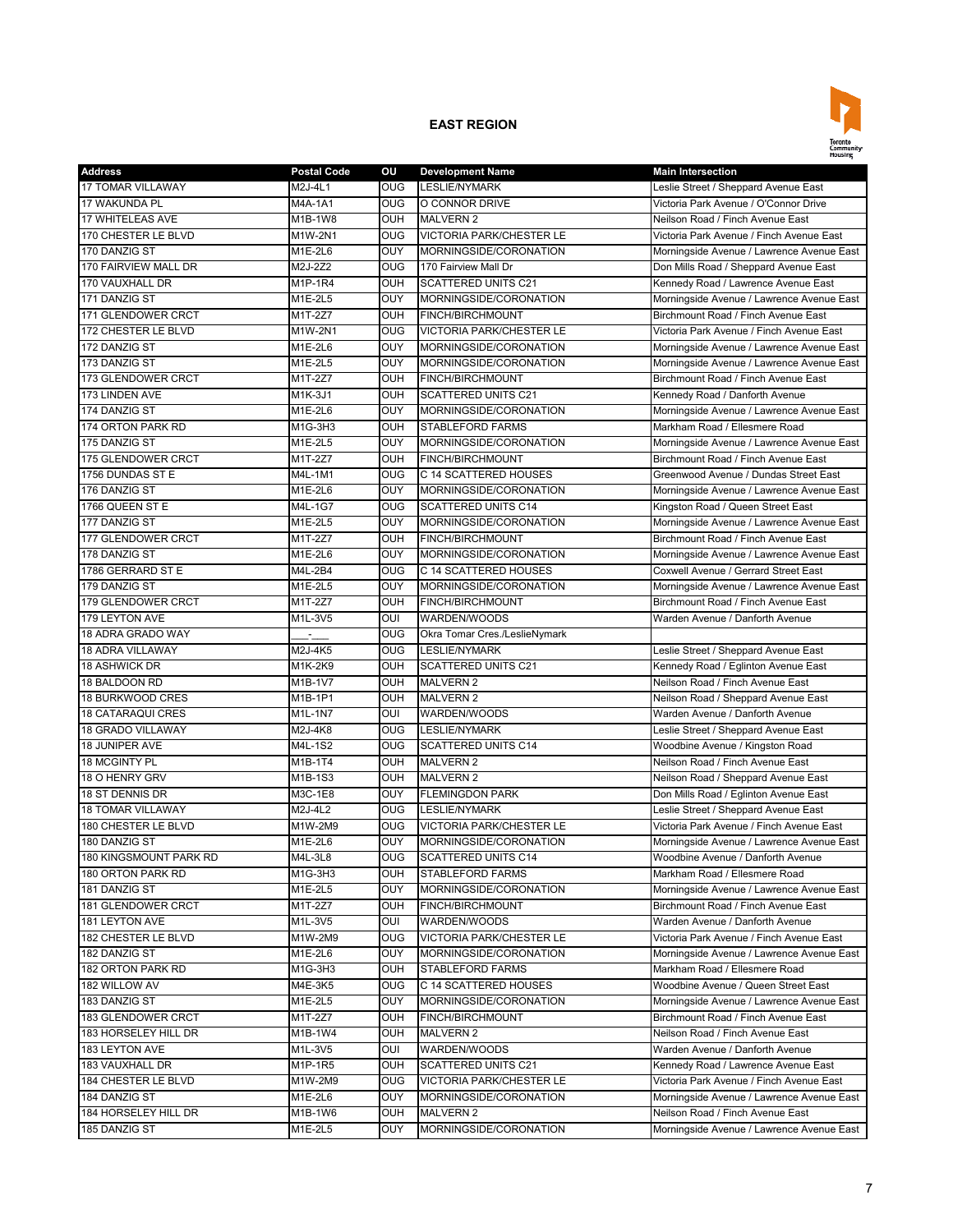

| <b>Address</b>           | <b>Postal Code</b> | ου         | <b>Development Name</b>         | <b>Main Intersection</b>                  |
|--------------------------|--------------------|------------|---------------------------------|-------------------------------------------|
| 17 TOMAR VILLAWAY        | M2J-4L1            | <b>OUG</b> | <b>LESLIE/NYMARK</b>            | Leslie Street / Sheppard Avenue East      |
| 17 WAKUNDA PL            | M4A-1A1            | <b>OUG</b> | O CONNOR DRIVE                  | Victoria Park Avenue / O'Connor Drive     |
| <b>17 WHITELEAS AVE</b>  | M1B-1W8            | OUH        | <b>MALVERN 2</b>                | Neilson Road / Finch Avenue East          |
| 170 CHESTER LE BLVD      | M1W-2N1            | <b>OUG</b> | <b>VICTORIA PARK/CHESTER LE</b> | Victoria Park Avenue / Finch Avenue East  |
| 170 DANZIG ST            | M1E-2L6            | OUY        | MORNINGSIDE/CORONATION          | Morningside Avenue / Lawrence Avenue East |
| 170 FAIRVIEW MALL DR     | M2J-2Z2            | OUG        | 170 Fairview Mall Dr            | Don Mills Road / Sheppard Avenue East     |
| 170 VAUXHALL DR          | M1P-1R4            | OUH        | <b>SCATTERED UNITS C21</b>      | Kennedy Road / Lawrence Avenue East       |
| 171 DANZIG ST            | M1E-2L5            | OUY        | MORNINGSIDE/CORONATION          | Morningside Avenue / Lawrence Avenue East |
| 171 GLENDOWER CRCT       | M1T-2Z7            | OUH        | FINCH/BIRCHMOUNT                | Birchmount Road / Finch Avenue East       |
| 172 CHESTER LE BLVD      | M1W-2N1            | <b>OUG</b> | <b>VICTORIA PARK/CHESTER LE</b> | Victoria Park Avenue / Finch Avenue East  |
| 172 DANZIG ST            | M1E-2L6            | OUY        | MORNINGSIDE/CORONATION          | Morningside Avenue / Lawrence Avenue East |
| 173 DANZIG ST            | M1E-2L5            | OUY        | MORNINGSIDE/CORONATION          | Morningside Avenue / Lawrence Avenue East |
| 173 GLENDOWER CRCT       | M1T-2Z7            | OUH        | FINCH/BIRCHMOUNT                | Birchmount Road / Finch Avenue East       |
| 173 LINDEN AVE           | M1K-3J1            | <b>OUH</b> | <b>SCATTERED UNITS C21</b>      | Kennedy Road / Danforth Avenue            |
| 174 DANZIG ST            | M1E-2L6            | OUY        | MORNINGSIDE/CORONATION          | Morningside Avenue / Lawrence Avenue East |
| 174 ORTON PARK RD        | M1G-3H3            | OUH        | <b>STABLEFORD FARMS</b>         | Markham Road / Ellesmere Road             |
| 175 DANZIG ST            | M1E-2L5            | OUY        | MORNINGSIDE/CORONATION          | Morningside Avenue / Lawrence Avenue East |
| 175 GLENDOWER CRCT       | M1T-2Z7            | OUH        | FINCH/BIRCHMOUNT                | Birchmount Road / Finch Avenue East       |
| 1756 DUNDAS ST E         | M4L-1M1            | OUG        | C 14 SCATTERED HOUSES           | Greenwood Avenue / Dundas Street East     |
| 176 DANZIG ST            | M1E-2L6            | OUY        | MORNINGSIDE/CORONATION          | Morningside Avenue / Lawrence Avenue East |
| 1766 QUEEN ST E          | M4L-1G7            | <b>OUG</b> | <b>SCATTERED UNITS C14</b>      | Kingston Road / Queen Street East         |
| 177 DANZIG ST            | M1E-2L5            | OUY        | MORNINGSIDE/CORONATION          | Morningside Avenue / Lawrence Avenue East |
| 177 GLENDOWER CRCT       | M1T-2Z7            | OUH        | FINCH/BIRCHMOUNT                | Birchmount Road / Finch Avenue East       |
| 178 DANZIG ST            | M1E-2L6            | OUY        | MORNINGSIDE/CORONATION          | Morningside Avenue / Lawrence Avenue East |
| 1786 GERRARD ST E        | M4L-2B4            | OUG        | C 14 SCATTERED HOUSES           | Coxwell Avenue / Gerrard Street East      |
| 179 DANZIG ST            | M1E-2L5            | OUY        | MORNINGSIDE/CORONATION          | Morningside Avenue / Lawrence Avenue East |
| 179 GLENDOWER CRCT       | M1T-2Z7            | OUH        | FINCH/BIRCHMOUNT                | Birchmount Road / Finch Avenue East       |
| 179 LEYTON AVE           | M1L-3V5            | OUI        | WARDEN/WOODS                    | Warden Avenue / Danforth Avenue           |
| 18 ADRA GRADO WAY        |                    | <b>OUG</b> | Okra Tomar Cres./LeslieNymark   |                                           |
| <b>18 ADRA VILLAWAY</b>  | M2J-4K5            | OUG        | <b>LESLIE/NYMARK</b>            | Leslie Street / Sheppard Avenue East      |
| 18 ASHWICK DR            | M1K-2K9            | <b>OUH</b> | <b>SCATTERED UNITS C21</b>      | Kennedy Road / Eglinton Avenue East       |
| 18 BALDOON RD            | M1B-1V7            | OUH        | <b>MALVERN 2</b>                | Neilson Road / Finch Avenue East          |
| <b>18 BURKWOOD CRES</b>  | M1B-1P1            | <b>OUH</b> | <b>MALVERN 2</b>                | Neilson Road / Sheppard Avenue East       |
| <b>18 CATARAQUI CRES</b> | M1L-1N7            | OUI        | WARDEN/WOODS                    | Warden Avenue / Danforth Avenue           |
| 18 GRADO VILLAWAY        | M2J-4K8            | <b>OUG</b> | <b>LESLIE/NYMARK</b>            | Leslie Street / Sheppard Avenue East      |
| 18 JUNIPER AVE           | M4L-1S2            | OUG        | <b>SCATTERED UNITS C14</b>      | Woodbine Avenue / Kingston Road           |
| 18 MCGINTY PL            | M1B-1T4            | OUH        | <b>MALVERN 2</b>                | Neilson Road / Finch Avenue East          |
| 18 O HENRY GRV           | M1B-1S3            | OUH        | <b>MALVERN 2</b>                | Neilson Road / Sheppard Avenue East       |
| 18 ST DENNIS DR          | M3C-1E8            | OUY        | <b>FLEMINGDON PARK</b>          | Don Mills Road / Eglinton Avenue East     |
| 18 TOMAR VILLAWAY        | M2J-4L2            | OUG        | <b>LESLIE/NYMARK</b>            | Leslie Street / Sheppard Avenue East      |
| 180 CHESTER LE BLVD      | M1W-2M9            | <b>OUG</b> | <b>VICTORIA PARK/CHESTER LE</b> | Victoria Park Avenue / Finch Avenue East  |
| 180 DANZIG ST            | M1E-2L6            | OUY        | MORNINGSIDE/CORONATION          | Morningside Avenue / Lawrence Avenue East |
| 180 KINGSMOUNT PARK RD   | M4L-3L8            | OUG        | <b>SCATTERED UNITS C14</b>      | Woodbine Avenue / Danforth Avenue         |
| 180 ORTON PARK RD        | M1G-3H3            | OUH        | <b>STABLEFORD FARMS</b>         | Markham Road / Ellesmere Road             |
| 181 DANZIG ST            | M1E-2L5            | OUY        | MORNINGSIDE/CORONATION          | Morningside Avenue / Lawrence Avenue East |
| 181 GLENDOWER CRCT       | M1T-2Z7            | OUH        |                                 | Birchmount Road / Finch Avenue East       |
| 181 LEYTON AVE           | M1L-3V5            | OUI        | FINCH/BIRCHMOUNT                | Warden Avenue / Danforth Avenue           |
|                          |                    |            | WARDEN/WOODS                    |                                           |
| 182 CHESTER LE BLVD      | M1W-2M9            | <b>OUG</b> | VICTORIA PARK/CHESTER LE        | Victoria Park Avenue / Finch Avenue East  |
| 182 DANZIG ST            | M1E-2L6            | OUY        | MORNINGSIDE/CORONATION          | Morningside Avenue / Lawrence Avenue East |
| 182 ORTON PARK RD        | M1G-3H3            | OUH        | <b>STABLEFORD FARMS</b>         | Markham Road / Ellesmere Road             |
| 182 WILLOW AV            | M4E-3K5            | <b>OUG</b> | C 14 SCATTERED HOUSES           | Woodbine Avenue / Queen Street East       |
| 183 DANZIG ST            | M1E-2L5            | <b>OUY</b> | MORNINGSIDE/CORONATION          | Morningside Avenue / Lawrence Avenue East |
| 183 GLENDOWER CRCT       | M1T-2Z7            | OUH        | FINCH/BIRCHMOUNT                | Birchmount Road / Finch Avenue East       |
| 183 HORSELEY HILL DR     | M1B-1W4            | OUH        | <b>MALVERN 2</b>                | Neilson Road / Finch Avenue East          |
| 183 LEYTON AVE           | M1L-3V5            | OUI        | WARDEN/WOODS                    | Warden Avenue / Danforth Avenue           |
| 183 VAUXHALL DR          | M1P-1R5            | OUH        | SCATTERED UNITS C21             | Kennedy Road / Lawrence Avenue East       |
| 184 CHESTER LE BLVD      | M1W-2M9            | OUG        | VICTORIA PARK/CHESTER LE        | Victoria Park Avenue / Finch Avenue East  |
| 184 DANZIG ST            | M1E-2L6            | OUY        | MORNINGSIDE/CORONATION          | Morningside Avenue / Lawrence Avenue East |
| 184 HORSELEY HILL DR     | M1B-1W6            | OUH        | <b>MALVERN 2</b>                | Neilson Road / Finch Avenue East          |
| 185 DANZIG ST            | M1E-2L5            | OUY        | MORNINGSIDE/CORONATION          | Morningside Avenue / Lawrence Avenue East |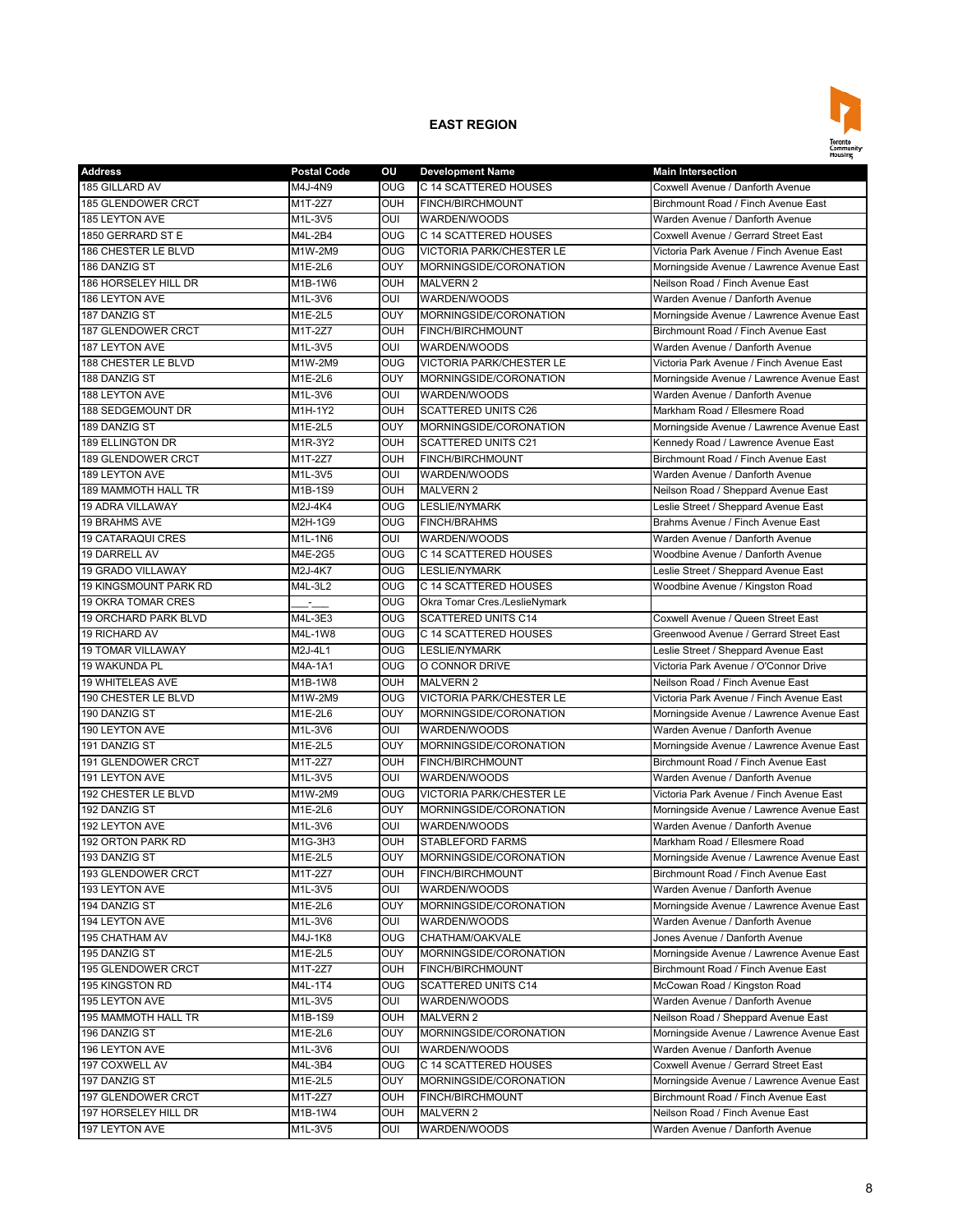

| 185 GILLARD AV<br>C 14 SCATTERED HOUSES<br>M4J-4N9<br><b>OUG</b><br>Coxwell Avenue / Danforth Avenue<br>185 GLENDOWER CRCT<br><b>OUH</b><br>Birchmount Road / Finch Avenue East<br>M1T-2Z7<br>FINCH/BIRCHMOUNT<br>M1L-3V5<br>$\overline{\text{C}}$<br>185 LEYTON AVE<br><b>WARDEN/WOODS</b><br>Warden Avenue / Danforth Avenue<br>1850 GERRARD ST E<br>M4L-2B4<br><b>OUG</b><br>C 14 SCATTERED HOUSES<br>Coxwell Avenue / Gerrard Street East<br>186 CHESTER LE BLVD<br><b>OUG</b><br>M1W-2M9<br><b>VICTORIA PARK/CHESTER LE</b><br>Victoria Park Avenue / Finch Avenue East<br>OUY<br>186 DANZIG ST<br>M1E-2L6<br>MORNINGSIDE/CORONATION<br>Morningside Avenue / Lawrence Avenue East<br>186 HORSELEY HILL DR<br>M1B-1W6<br><b>OUH</b><br><b>MALVERN 2</b><br>Neilson Road / Finch Avenue East<br>186 LEYTON AVE<br>M1L-3V6<br><b>OUI</b><br>WARDEN/WOODS<br>Warden Avenue / Danforth Avenue<br>OUY<br>MORNINGSIDE/CORONATION<br>187 DANZIG ST<br>M1E-2L5<br>Morningside Avenue / Lawrence Avenue East<br><b>OUH</b><br><b>187 GLENDOWER CRCT</b><br>M1T-2Z7<br>FINCH/BIRCHMOUNT<br>Birchmount Road / Finch Avenue East<br>187 LEYTON AVE<br>M1L-3V5<br>OUI<br>WARDEN/WOODS<br>Warden Avenue / Danforth Avenue<br><b>OUG</b><br>188 CHESTER LE BLVD<br>M1W-2M9<br><b>VICTORIA PARK/CHESTER LE</b><br>Victoria Park Avenue / Finch Avenue East<br>OUY<br>188 DANZIG ST<br>M1E-2L6<br>MORNINGSIDE/CORONATION<br>Morningside Avenue / Lawrence Avenue East<br>188 LEYTON AVE<br>M1L-3V6<br>OUI<br>WARDEN/WOODS<br>Warden Avenue / Danforth Avenue<br>188 SEDGEMOUNT DR<br><b>OUH</b><br><b>SCATTERED UNITS C26</b><br>Markham Road / Ellesmere Road<br>M1H-1Y2<br>OUY<br>189 DANZIG ST<br>MORNINGSIDE/CORONATION<br>Morningside Avenue / Lawrence Avenue East<br>M1E-2L5<br>189 ELLINGTON DR<br>M1R-3Y2<br><b>OUH</b><br><b>SCATTERED UNITS C21</b><br>Kennedy Road / Lawrence Avenue East<br>M1T-2Z7<br>Birchmount Road / Finch Avenue East<br>189 GLENDOWER CRCT<br><b>OUH</b><br><b>FINCH/BIRCHMOUNT</b><br>189 LEYTON AVE<br>M1L-3V5<br><b>OUI</b><br>WARDEN/WOODS<br>Warden Avenue / Danforth Avenue<br>OUH<br><b>189 MAMMOTH HALL TR</b><br>M1B-1S9<br><b>MALVERN 2</b><br>Neilson Road / Sheppard Avenue East<br><b>OUG</b><br><b>LESLIE/NYMARK</b><br>Leslie Street / Sheppard Avenue East<br><b>19 ADRA VILLAWAY</b><br>M2J-4K4<br>Brahms Avenue / Finch Avenue East<br>19 BRAHMS AVE<br>M2H-1G9<br><b>OUG</b><br><b>FINCH/BRAHMS</b><br><b>19 CATARAQUI CRES</b><br>OUI<br>WARDEN/WOODS<br>Warden Avenue / Danforth Avenue<br>M1L-1N6<br>19 DARRELL AV<br>M4E-2G5<br><b>OUG</b><br>C 14 SCATTERED HOUSES<br>Woodbine Avenue / Danforth Avenue<br><b>OUG</b><br>19 GRADO VILLAWAY<br>M2J-4K7<br><b>LESLIE/NYMARK</b><br>Leslie Street / Sheppard Avenue East<br>19 KINGSMOUNT PARK RD<br>M4L-3L2<br><b>OUG</b><br>C 14 SCATTERED HOUSES<br>Woodbine Avenue / Kingston Road<br><b>19 OKRA TOMAR CRES</b><br>OUG<br>Okra Tomar Cres./LeslieNymark<br>in the control<br><b>19 ORCHARD PARK BLVD</b><br>M4L-3E3<br>O <sub>0</sub><br><b>SCATTERED UNITS C14</b><br>Coxwell Avenue / Queen Street East<br>C 14 SCATTERED HOUSES<br>Greenwood Avenue / Gerrard Street East<br>19 RICHARD AV<br>M4L-1W8<br><b>OUG</b><br>OUG<br>Leslie Street / Sheppard Avenue East<br><b>19 TOMAR VILLAWAY</b><br>M2J-4L1<br><b>LESLIE/NYMARK</b><br>Victoria Park Avenue / O'Connor Drive<br>19 WAKUNDA PL<br>M4A-1A1<br><b>OUG</b><br>O CONNOR DRIVE<br>19 WHITELEAS AVE<br>Neilson Road / Finch Avenue East<br>M1B-1W8<br><b>OUH</b><br><b>MALVERN 2</b><br>190 CHESTER LE BLVD<br><b>VICTORIA PARK/CHESTER LE</b><br>M1W-2M9<br><b>OUG</b><br>Victoria Park Avenue / Finch Avenue East<br><b>OUY</b><br>MORNINGSIDE/CORONATION<br>190 DANZIG ST<br>M1E-2L6<br>Morningside Avenue / Lawrence Avenue East<br>190 LEYTON AVE<br>M1L-3V6<br>OUI<br><b>WARDEN/WOODS</b><br>Warden Avenue / Danforth Avenue<br>OUY<br>MORNINGSIDE/CORONATION<br>Morningside Avenue / Lawrence Avenue East<br>191 DANZIG ST<br>M1E-2L5<br>191 GLENDOWER CRCT<br>M1T-2Z7<br><b>OUH</b><br>Birchmount Road / Finch Avenue East<br><b>FINCH/BIRCHMOUNT</b><br>OUI<br>191 LEYTON AVE<br>M1L-3V5<br>WARDEN/WOODS<br>Warden Avenue / Danforth Avenue<br>192 CHESTER LE BLVD<br>M1W-2M9<br><b>OUG</b><br><b>VICTORIA PARK/CHESTER LE</b><br>Victoria Park Avenue / Finch Avenue East<br>OUY<br>Morningside Avenue / Lawrence Avenue East<br>192 DANZIG ST<br>M1E-2L6<br>MORNINGSIDE/CORONATION<br>192 LEYTON AVE<br>M1L-3V6<br>OUI<br>WARDEN/WOODS<br>Warden Avenue / Danforth Avenue<br>192 ORTON PARK RD<br><b>STABLEFORD FARMS</b><br>Markham Road / Ellesmere Road<br>M1G-3H3<br><b>OUH</b><br>OUY<br>193 DANZIG ST<br>M1E-2L5<br>MORNINGSIDE/CORONATION<br>Morningside Avenue / Lawrence Avenue East<br>193 GLENDOWER CRCT<br>M1T-2Z7<br><b>OUH</b><br>FINCH/BIRCHMOUNT<br>Birchmount Road / Finch Avenue East<br>193 LEYTON AVE<br>M1L-3V5<br>OUI<br>WARDEN/WOODS<br>Warden Avenue / Danforth Avenue<br>194 DANZIG ST<br>M1E-2L6<br><b>OUY</b><br>MORNINGSIDE/CORONATION<br>Morningside Avenue / Lawrence Avenue East<br>Warden Avenue / Danforth Avenue<br>194 LEYTON AVE<br>M1L-3V6<br>OUI<br>WARDEN/WOODS<br>195 CHATHAM AV<br>M4J-1K8<br><b>OUG</b><br>CHATHAM/OAKVALE<br>Jones Avenue / Danforth Avenue<br>195 DANZIG ST<br>M1E-2L5<br><b>OUY</b><br>MORNINGSIDE/CORONATION<br>Morningside Avenue / Lawrence Avenue East<br>195 GLENDOWER CRCT<br><b>OUH</b><br>Birchmount Road / Finch Avenue East<br>M1T-2Z7<br>FINCH/BIRCHMOUNT<br><b>195 KINGSTON RD</b><br>M4L-1T4<br><b>OUG</b><br><b>SCATTERED UNITS C14</b><br>McCowan Road / Kingston Road | <b>Address</b> | <b>Postal Code</b> | ou | <b>Development Name</b> | <b>Main Intersection</b> |
|------------------------------------------------------------------------------------------------------------------------------------------------------------------------------------------------------------------------------------------------------------------------------------------------------------------------------------------------------------------------------------------------------------------------------------------------------------------------------------------------------------------------------------------------------------------------------------------------------------------------------------------------------------------------------------------------------------------------------------------------------------------------------------------------------------------------------------------------------------------------------------------------------------------------------------------------------------------------------------------------------------------------------------------------------------------------------------------------------------------------------------------------------------------------------------------------------------------------------------------------------------------------------------------------------------------------------------------------------------------------------------------------------------------------------------------------------------------------------------------------------------------------------------------------------------------------------------------------------------------------------------------------------------------------------------------------------------------------------------------------------------------------------------------------------------------------------------------------------------------------------------------------------------------------------------------------------------------------------------------------------------------------------------------------------------------------------------------------------------------------------------------------------------------------------------------------------------------------------------------------------------------------------------------------------------------------------------------------------------------------------------------------------------------------------------------------------------------------------------------------------------------------------------------------------------------------------------------------------------------------------------------------------------------------------------------------------------------------------------------------------------------------------------------------------------------------------------------------------------------------------------------------------------------------------------------------------------------------------------------------------------------------------------------------------------------------------------------------------------------------------------------------------------------------------------------------------------------------------------------------------------------------------------------------------------------------------------------------------------------------------------------------------------------------------------------------------------------------------------------------------------------------------------------------------------------------------------------------------------------------------------------------------------------------------------------------------------------------------------------------------------------------------------------------------------------------------------------------------------------------------------------------------------------------------------------------------------------------------------------------------------------------------------------------------------------------------------------------------------------------------------------------------------------------------------------------------------------------------------------------------------------------------------------------------------------------------------------------------------------------------------------------------------------------------------------------------------------------------------------------------------------------------------------------------------------------------------------------------------------------------------------------------------------------------------------------------------------------------------------------------------------------------------------------------------------------------------------------------------------------------------------------------------------------------------------------------------------------------------------------------------------------------------------------------------------------------------------------------------------------------------------------------------------------------------------------------------------------------------------------------------------------------------------------------------------------------------------------------------------------------------------------------------------------------------------------------------------------------------------------------------------------------------------------------------------------------------------------------------------------|----------------|--------------------|----|-------------------------|--------------------------|
|                                                                                                                                                                                                                                                                                                                                                                                                                                                                                                                                                                                                                                                                                                                                                                                                                                                                                                                                                                                                                                                                                                                                                                                                                                                                                                                                                                                                                                                                                                                                                                                                                                                                                                                                                                                                                                                                                                                                                                                                                                                                                                                                                                                                                                                                                                                                                                                                                                                                                                                                                                                                                                                                                                                                                                                                                                                                                                                                                                                                                                                                                                                                                                                                                                                                                                                                                                                                                                                                                                                                                                                                                                                                                                                                                                                                                                                                                                                                                                                                                                                                                                                                                                                                                                                                                                                                                                                                                                                                                                                                                                                                                                                                                                                                                                                                                                                                                                                                                                                                                                                                                                                                                                                                                                                                                                                                                                                                                                                                                                                                                                                                                        |                |                    |    |                         |                          |
|                                                                                                                                                                                                                                                                                                                                                                                                                                                                                                                                                                                                                                                                                                                                                                                                                                                                                                                                                                                                                                                                                                                                                                                                                                                                                                                                                                                                                                                                                                                                                                                                                                                                                                                                                                                                                                                                                                                                                                                                                                                                                                                                                                                                                                                                                                                                                                                                                                                                                                                                                                                                                                                                                                                                                                                                                                                                                                                                                                                                                                                                                                                                                                                                                                                                                                                                                                                                                                                                                                                                                                                                                                                                                                                                                                                                                                                                                                                                                                                                                                                                                                                                                                                                                                                                                                                                                                                                                                                                                                                                                                                                                                                                                                                                                                                                                                                                                                                                                                                                                                                                                                                                                                                                                                                                                                                                                                                                                                                                                                                                                                                                                        |                |                    |    |                         |                          |
|                                                                                                                                                                                                                                                                                                                                                                                                                                                                                                                                                                                                                                                                                                                                                                                                                                                                                                                                                                                                                                                                                                                                                                                                                                                                                                                                                                                                                                                                                                                                                                                                                                                                                                                                                                                                                                                                                                                                                                                                                                                                                                                                                                                                                                                                                                                                                                                                                                                                                                                                                                                                                                                                                                                                                                                                                                                                                                                                                                                                                                                                                                                                                                                                                                                                                                                                                                                                                                                                                                                                                                                                                                                                                                                                                                                                                                                                                                                                                                                                                                                                                                                                                                                                                                                                                                                                                                                                                                                                                                                                                                                                                                                                                                                                                                                                                                                                                                                                                                                                                                                                                                                                                                                                                                                                                                                                                                                                                                                                                                                                                                                                                        |                |                    |    |                         |                          |
|                                                                                                                                                                                                                                                                                                                                                                                                                                                                                                                                                                                                                                                                                                                                                                                                                                                                                                                                                                                                                                                                                                                                                                                                                                                                                                                                                                                                                                                                                                                                                                                                                                                                                                                                                                                                                                                                                                                                                                                                                                                                                                                                                                                                                                                                                                                                                                                                                                                                                                                                                                                                                                                                                                                                                                                                                                                                                                                                                                                                                                                                                                                                                                                                                                                                                                                                                                                                                                                                                                                                                                                                                                                                                                                                                                                                                                                                                                                                                                                                                                                                                                                                                                                                                                                                                                                                                                                                                                                                                                                                                                                                                                                                                                                                                                                                                                                                                                                                                                                                                                                                                                                                                                                                                                                                                                                                                                                                                                                                                                                                                                                                                        |                |                    |    |                         |                          |
|                                                                                                                                                                                                                                                                                                                                                                                                                                                                                                                                                                                                                                                                                                                                                                                                                                                                                                                                                                                                                                                                                                                                                                                                                                                                                                                                                                                                                                                                                                                                                                                                                                                                                                                                                                                                                                                                                                                                                                                                                                                                                                                                                                                                                                                                                                                                                                                                                                                                                                                                                                                                                                                                                                                                                                                                                                                                                                                                                                                                                                                                                                                                                                                                                                                                                                                                                                                                                                                                                                                                                                                                                                                                                                                                                                                                                                                                                                                                                                                                                                                                                                                                                                                                                                                                                                                                                                                                                                                                                                                                                                                                                                                                                                                                                                                                                                                                                                                                                                                                                                                                                                                                                                                                                                                                                                                                                                                                                                                                                                                                                                                                                        |                |                    |    |                         |                          |
|                                                                                                                                                                                                                                                                                                                                                                                                                                                                                                                                                                                                                                                                                                                                                                                                                                                                                                                                                                                                                                                                                                                                                                                                                                                                                                                                                                                                                                                                                                                                                                                                                                                                                                                                                                                                                                                                                                                                                                                                                                                                                                                                                                                                                                                                                                                                                                                                                                                                                                                                                                                                                                                                                                                                                                                                                                                                                                                                                                                                                                                                                                                                                                                                                                                                                                                                                                                                                                                                                                                                                                                                                                                                                                                                                                                                                                                                                                                                                                                                                                                                                                                                                                                                                                                                                                                                                                                                                                                                                                                                                                                                                                                                                                                                                                                                                                                                                                                                                                                                                                                                                                                                                                                                                                                                                                                                                                                                                                                                                                                                                                                                                        |                |                    |    |                         |                          |
|                                                                                                                                                                                                                                                                                                                                                                                                                                                                                                                                                                                                                                                                                                                                                                                                                                                                                                                                                                                                                                                                                                                                                                                                                                                                                                                                                                                                                                                                                                                                                                                                                                                                                                                                                                                                                                                                                                                                                                                                                                                                                                                                                                                                                                                                                                                                                                                                                                                                                                                                                                                                                                                                                                                                                                                                                                                                                                                                                                                                                                                                                                                                                                                                                                                                                                                                                                                                                                                                                                                                                                                                                                                                                                                                                                                                                                                                                                                                                                                                                                                                                                                                                                                                                                                                                                                                                                                                                                                                                                                                                                                                                                                                                                                                                                                                                                                                                                                                                                                                                                                                                                                                                                                                                                                                                                                                                                                                                                                                                                                                                                                                                        |                |                    |    |                         |                          |
|                                                                                                                                                                                                                                                                                                                                                                                                                                                                                                                                                                                                                                                                                                                                                                                                                                                                                                                                                                                                                                                                                                                                                                                                                                                                                                                                                                                                                                                                                                                                                                                                                                                                                                                                                                                                                                                                                                                                                                                                                                                                                                                                                                                                                                                                                                                                                                                                                                                                                                                                                                                                                                                                                                                                                                                                                                                                                                                                                                                                                                                                                                                                                                                                                                                                                                                                                                                                                                                                                                                                                                                                                                                                                                                                                                                                                                                                                                                                                                                                                                                                                                                                                                                                                                                                                                                                                                                                                                                                                                                                                                                                                                                                                                                                                                                                                                                                                                                                                                                                                                                                                                                                                                                                                                                                                                                                                                                                                                                                                                                                                                                                                        |                |                    |    |                         |                          |
|                                                                                                                                                                                                                                                                                                                                                                                                                                                                                                                                                                                                                                                                                                                                                                                                                                                                                                                                                                                                                                                                                                                                                                                                                                                                                                                                                                                                                                                                                                                                                                                                                                                                                                                                                                                                                                                                                                                                                                                                                                                                                                                                                                                                                                                                                                                                                                                                                                                                                                                                                                                                                                                                                                                                                                                                                                                                                                                                                                                                                                                                                                                                                                                                                                                                                                                                                                                                                                                                                                                                                                                                                                                                                                                                                                                                                                                                                                                                                                                                                                                                                                                                                                                                                                                                                                                                                                                                                                                                                                                                                                                                                                                                                                                                                                                                                                                                                                                                                                                                                                                                                                                                                                                                                                                                                                                                                                                                                                                                                                                                                                                                                        |                |                    |    |                         |                          |
|                                                                                                                                                                                                                                                                                                                                                                                                                                                                                                                                                                                                                                                                                                                                                                                                                                                                                                                                                                                                                                                                                                                                                                                                                                                                                                                                                                                                                                                                                                                                                                                                                                                                                                                                                                                                                                                                                                                                                                                                                                                                                                                                                                                                                                                                                                                                                                                                                                                                                                                                                                                                                                                                                                                                                                                                                                                                                                                                                                                                                                                                                                                                                                                                                                                                                                                                                                                                                                                                                                                                                                                                                                                                                                                                                                                                                                                                                                                                                                                                                                                                                                                                                                                                                                                                                                                                                                                                                                                                                                                                                                                                                                                                                                                                                                                                                                                                                                                                                                                                                                                                                                                                                                                                                                                                                                                                                                                                                                                                                                                                                                                                                        |                |                    |    |                         |                          |
|                                                                                                                                                                                                                                                                                                                                                                                                                                                                                                                                                                                                                                                                                                                                                                                                                                                                                                                                                                                                                                                                                                                                                                                                                                                                                                                                                                                                                                                                                                                                                                                                                                                                                                                                                                                                                                                                                                                                                                                                                                                                                                                                                                                                                                                                                                                                                                                                                                                                                                                                                                                                                                                                                                                                                                                                                                                                                                                                                                                                                                                                                                                                                                                                                                                                                                                                                                                                                                                                                                                                                                                                                                                                                                                                                                                                                                                                                                                                                                                                                                                                                                                                                                                                                                                                                                                                                                                                                                                                                                                                                                                                                                                                                                                                                                                                                                                                                                                                                                                                                                                                                                                                                                                                                                                                                                                                                                                                                                                                                                                                                                                                                        |                |                    |    |                         |                          |
|                                                                                                                                                                                                                                                                                                                                                                                                                                                                                                                                                                                                                                                                                                                                                                                                                                                                                                                                                                                                                                                                                                                                                                                                                                                                                                                                                                                                                                                                                                                                                                                                                                                                                                                                                                                                                                                                                                                                                                                                                                                                                                                                                                                                                                                                                                                                                                                                                                                                                                                                                                                                                                                                                                                                                                                                                                                                                                                                                                                                                                                                                                                                                                                                                                                                                                                                                                                                                                                                                                                                                                                                                                                                                                                                                                                                                                                                                                                                                                                                                                                                                                                                                                                                                                                                                                                                                                                                                                                                                                                                                                                                                                                                                                                                                                                                                                                                                                                                                                                                                                                                                                                                                                                                                                                                                                                                                                                                                                                                                                                                                                                                                        |                |                    |    |                         |                          |
|                                                                                                                                                                                                                                                                                                                                                                                                                                                                                                                                                                                                                                                                                                                                                                                                                                                                                                                                                                                                                                                                                                                                                                                                                                                                                                                                                                                                                                                                                                                                                                                                                                                                                                                                                                                                                                                                                                                                                                                                                                                                                                                                                                                                                                                                                                                                                                                                                                                                                                                                                                                                                                                                                                                                                                                                                                                                                                                                                                                                                                                                                                                                                                                                                                                                                                                                                                                                                                                                                                                                                                                                                                                                                                                                                                                                                                                                                                                                                                                                                                                                                                                                                                                                                                                                                                                                                                                                                                                                                                                                                                                                                                                                                                                                                                                                                                                                                                                                                                                                                                                                                                                                                                                                                                                                                                                                                                                                                                                                                                                                                                                                                        |                |                    |    |                         |                          |
|                                                                                                                                                                                                                                                                                                                                                                                                                                                                                                                                                                                                                                                                                                                                                                                                                                                                                                                                                                                                                                                                                                                                                                                                                                                                                                                                                                                                                                                                                                                                                                                                                                                                                                                                                                                                                                                                                                                                                                                                                                                                                                                                                                                                                                                                                                                                                                                                                                                                                                                                                                                                                                                                                                                                                                                                                                                                                                                                                                                                                                                                                                                                                                                                                                                                                                                                                                                                                                                                                                                                                                                                                                                                                                                                                                                                                                                                                                                                                                                                                                                                                                                                                                                                                                                                                                                                                                                                                                                                                                                                                                                                                                                                                                                                                                                                                                                                                                                                                                                                                                                                                                                                                                                                                                                                                                                                                                                                                                                                                                                                                                                                                        |                |                    |    |                         |                          |
|                                                                                                                                                                                                                                                                                                                                                                                                                                                                                                                                                                                                                                                                                                                                                                                                                                                                                                                                                                                                                                                                                                                                                                                                                                                                                                                                                                                                                                                                                                                                                                                                                                                                                                                                                                                                                                                                                                                                                                                                                                                                                                                                                                                                                                                                                                                                                                                                                                                                                                                                                                                                                                                                                                                                                                                                                                                                                                                                                                                                                                                                                                                                                                                                                                                                                                                                                                                                                                                                                                                                                                                                                                                                                                                                                                                                                                                                                                                                                                                                                                                                                                                                                                                                                                                                                                                                                                                                                                                                                                                                                                                                                                                                                                                                                                                                                                                                                                                                                                                                                                                                                                                                                                                                                                                                                                                                                                                                                                                                                                                                                                                                                        |                |                    |    |                         |                          |
|                                                                                                                                                                                                                                                                                                                                                                                                                                                                                                                                                                                                                                                                                                                                                                                                                                                                                                                                                                                                                                                                                                                                                                                                                                                                                                                                                                                                                                                                                                                                                                                                                                                                                                                                                                                                                                                                                                                                                                                                                                                                                                                                                                                                                                                                                                                                                                                                                                                                                                                                                                                                                                                                                                                                                                                                                                                                                                                                                                                                                                                                                                                                                                                                                                                                                                                                                                                                                                                                                                                                                                                                                                                                                                                                                                                                                                                                                                                                                                                                                                                                                                                                                                                                                                                                                                                                                                                                                                                                                                                                                                                                                                                                                                                                                                                                                                                                                                                                                                                                                                                                                                                                                                                                                                                                                                                                                                                                                                                                                                                                                                                                                        |                |                    |    |                         |                          |
|                                                                                                                                                                                                                                                                                                                                                                                                                                                                                                                                                                                                                                                                                                                                                                                                                                                                                                                                                                                                                                                                                                                                                                                                                                                                                                                                                                                                                                                                                                                                                                                                                                                                                                                                                                                                                                                                                                                                                                                                                                                                                                                                                                                                                                                                                                                                                                                                                                                                                                                                                                                                                                                                                                                                                                                                                                                                                                                                                                                                                                                                                                                                                                                                                                                                                                                                                                                                                                                                                                                                                                                                                                                                                                                                                                                                                                                                                                                                                                                                                                                                                                                                                                                                                                                                                                                                                                                                                                                                                                                                                                                                                                                                                                                                                                                                                                                                                                                                                                                                                                                                                                                                                                                                                                                                                                                                                                                                                                                                                                                                                                                                                        |                |                    |    |                         |                          |
|                                                                                                                                                                                                                                                                                                                                                                                                                                                                                                                                                                                                                                                                                                                                                                                                                                                                                                                                                                                                                                                                                                                                                                                                                                                                                                                                                                                                                                                                                                                                                                                                                                                                                                                                                                                                                                                                                                                                                                                                                                                                                                                                                                                                                                                                                                                                                                                                                                                                                                                                                                                                                                                                                                                                                                                                                                                                                                                                                                                                                                                                                                                                                                                                                                                                                                                                                                                                                                                                                                                                                                                                                                                                                                                                                                                                                                                                                                                                                                                                                                                                                                                                                                                                                                                                                                                                                                                                                                                                                                                                                                                                                                                                                                                                                                                                                                                                                                                                                                                                                                                                                                                                                                                                                                                                                                                                                                                                                                                                                                                                                                                                                        |                |                    |    |                         |                          |
|                                                                                                                                                                                                                                                                                                                                                                                                                                                                                                                                                                                                                                                                                                                                                                                                                                                                                                                                                                                                                                                                                                                                                                                                                                                                                                                                                                                                                                                                                                                                                                                                                                                                                                                                                                                                                                                                                                                                                                                                                                                                                                                                                                                                                                                                                                                                                                                                                                                                                                                                                                                                                                                                                                                                                                                                                                                                                                                                                                                                                                                                                                                                                                                                                                                                                                                                                                                                                                                                                                                                                                                                                                                                                                                                                                                                                                                                                                                                                                                                                                                                                                                                                                                                                                                                                                                                                                                                                                                                                                                                                                                                                                                                                                                                                                                                                                                                                                                                                                                                                                                                                                                                                                                                                                                                                                                                                                                                                                                                                                                                                                                                                        |                |                    |    |                         |                          |
|                                                                                                                                                                                                                                                                                                                                                                                                                                                                                                                                                                                                                                                                                                                                                                                                                                                                                                                                                                                                                                                                                                                                                                                                                                                                                                                                                                                                                                                                                                                                                                                                                                                                                                                                                                                                                                                                                                                                                                                                                                                                                                                                                                                                                                                                                                                                                                                                                                                                                                                                                                                                                                                                                                                                                                                                                                                                                                                                                                                                                                                                                                                                                                                                                                                                                                                                                                                                                                                                                                                                                                                                                                                                                                                                                                                                                                                                                                                                                                                                                                                                                                                                                                                                                                                                                                                                                                                                                                                                                                                                                                                                                                                                                                                                                                                                                                                                                                                                                                                                                                                                                                                                                                                                                                                                                                                                                                                                                                                                                                                                                                                                                        |                |                    |    |                         |                          |
|                                                                                                                                                                                                                                                                                                                                                                                                                                                                                                                                                                                                                                                                                                                                                                                                                                                                                                                                                                                                                                                                                                                                                                                                                                                                                                                                                                                                                                                                                                                                                                                                                                                                                                                                                                                                                                                                                                                                                                                                                                                                                                                                                                                                                                                                                                                                                                                                                                                                                                                                                                                                                                                                                                                                                                                                                                                                                                                                                                                                                                                                                                                                                                                                                                                                                                                                                                                                                                                                                                                                                                                                                                                                                                                                                                                                                                                                                                                                                                                                                                                                                                                                                                                                                                                                                                                                                                                                                                                                                                                                                                                                                                                                                                                                                                                                                                                                                                                                                                                                                                                                                                                                                                                                                                                                                                                                                                                                                                                                                                                                                                                                                        |                |                    |    |                         |                          |
|                                                                                                                                                                                                                                                                                                                                                                                                                                                                                                                                                                                                                                                                                                                                                                                                                                                                                                                                                                                                                                                                                                                                                                                                                                                                                                                                                                                                                                                                                                                                                                                                                                                                                                                                                                                                                                                                                                                                                                                                                                                                                                                                                                                                                                                                                                                                                                                                                                                                                                                                                                                                                                                                                                                                                                                                                                                                                                                                                                                                                                                                                                                                                                                                                                                                                                                                                                                                                                                                                                                                                                                                                                                                                                                                                                                                                                                                                                                                                                                                                                                                                                                                                                                                                                                                                                                                                                                                                                                                                                                                                                                                                                                                                                                                                                                                                                                                                                                                                                                                                                                                                                                                                                                                                                                                                                                                                                                                                                                                                                                                                                                                                        |                |                    |    |                         |                          |
|                                                                                                                                                                                                                                                                                                                                                                                                                                                                                                                                                                                                                                                                                                                                                                                                                                                                                                                                                                                                                                                                                                                                                                                                                                                                                                                                                                                                                                                                                                                                                                                                                                                                                                                                                                                                                                                                                                                                                                                                                                                                                                                                                                                                                                                                                                                                                                                                                                                                                                                                                                                                                                                                                                                                                                                                                                                                                                                                                                                                                                                                                                                                                                                                                                                                                                                                                                                                                                                                                                                                                                                                                                                                                                                                                                                                                                                                                                                                                                                                                                                                                                                                                                                                                                                                                                                                                                                                                                                                                                                                                                                                                                                                                                                                                                                                                                                                                                                                                                                                                                                                                                                                                                                                                                                                                                                                                                                                                                                                                                                                                                                                                        |                |                    |    |                         |                          |
|                                                                                                                                                                                                                                                                                                                                                                                                                                                                                                                                                                                                                                                                                                                                                                                                                                                                                                                                                                                                                                                                                                                                                                                                                                                                                                                                                                                                                                                                                                                                                                                                                                                                                                                                                                                                                                                                                                                                                                                                                                                                                                                                                                                                                                                                                                                                                                                                                                                                                                                                                                                                                                                                                                                                                                                                                                                                                                                                                                                                                                                                                                                                                                                                                                                                                                                                                                                                                                                                                                                                                                                                                                                                                                                                                                                                                                                                                                                                                                                                                                                                                                                                                                                                                                                                                                                                                                                                                                                                                                                                                                                                                                                                                                                                                                                                                                                                                                                                                                                                                                                                                                                                                                                                                                                                                                                                                                                                                                                                                                                                                                                                                        |                |                    |    |                         |                          |
|                                                                                                                                                                                                                                                                                                                                                                                                                                                                                                                                                                                                                                                                                                                                                                                                                                                                                                                                                                                                                                                                                                                                                                                                                                                                                                                                                                                                                                                                                                                                                                                                                                                                                                                                                                                                                                                                                                                                                                                                                                                                                                                                                                                                                                                                                                                                                                                                                                                                                                                                                                                                                                                                                                                                                                                                                                                                                                                                                                                                                                                                                                                                                                                                                                                                                                                                                                                                                                                                                                                                                                                                                                                                                                                                                                                                                                                                                                                                                                                                                                                                                                                                                                                                                                                                                                                                                                                                                                                                                                                                                                                                                                                                                                                                                                                                                                                                                                                                                                                                                                                                                                                                                                                                                                                                                                                                                                                                                                                                                                                                                                                                                        |                |                    |    |                         |                          |
|                                                                                                                                                                                                                                                                                                                                                                                                                                                                                                                                                                                                                                                                                                                                                                                                                                                                                                                                                                                                                                                                                                                                                                                                                                                                                                                                                                                                                                                                                                                                                                                                                                                                                                                                                                                                                                                                                                                                                                                                                                                                                                                                                                                                                                                                                                                                                                                                                                                                                                                                                                                                                                                                                                                                                                                                                                                                                                                                                                                                                                                                                                                                                                                                                                                                                                                                                                                                                                                                                                                                                                                                                                                                                                                                                                                                                                                                                                                                                                                                                                                                                                                                                                                                                                                                                                                                                                                                                                                                                                                                                                                                                                                                                                                                                                                                                                                                                                                                                                                                                                                                                                                                                                                                                                                                                                                                                                                                                                                                                                                                                                                                                        |                |                    |    |                         |                          |
|                                                                                                                                                                                                                                                                                                                                                                                                                                                                                                                                                                                                                                                                                                                                                                                                                                                                                                                                                                                                                                                                                                                                                                                                                                                                                                                                                                                                                                                                                                                                                                                                                                                                                                                                                                                                                                                                                                                                                                                                                                                                                                                                                                                                                                                                                                                                                                                                                                                                                                                                                                                                                                                                                                                                                                                                                                                                                                                                                                                                                                                                                                                                                                                                                                                                                                                                                                                                                                                                                                                                                                                                                                                                                                                                                                                                                                                                                                                                                                                                                                                                                                                                                                                                                                                                                                                                                                                                                                                                                                                                                                                                                                                                                                                                                                                                                                                                                                                                                                                                                                                                                                                                                                                                                                                                                                                                                                                                                                                                                                                                                                                                                        |                |                    |    |                         |                          |
|                                                                                                                                                                                                                                                                                                                                                                                                                                                                                                                                                                                                                                                                                                                                                                                                                                                                                                                                                                                                                                                                                                                                                                                                                                                                                                                                                                                                                                                                                                                                                                                                                                                                                                                                                                                                                                                                                                                                                                                                                                                                                                                                                                                                                                                                                                                                                                                                                                                                                                                                                                                                                                                                                                                                                                                                                                                                                                                                                                                                                                                                                                                                                                                                                                                                                                                                                                                                                                                                                                                                                                                                                                                                                                                                                                                                                                                                                                                                                                                                                                                                                                                                                                                                                                                                                                                                                                                                                                                                                                                                                                                                                                                                                                                                                                                                                                                                                                                                                                                                                                                                                                                                                                                                                                                                                                                                                                                                                                                                                                                                                                                                                        |                |                    |    |                         |                          |
|                                                                                                                                                                                                                                                                                                                                                                                                                                                                                                                                                                                                                                                                                                                                                                                                                                                                                                                                                                                                                                                                                                                                                                                                                                                                                                                                                                                                                                                                                                                                                                                                                                                                                                                                                                                                                                                                                                                                                                                                                                                                                                                                                                                                                                                                                                                                                                                                                                                                                                                                                                                                                                                                                                                                                                                                                                                                                                                                                                                                                                                                                                                                                                                                                                                                                                                                                                                                                                                                                                                                                                                                                                                                                                                                                                                                                                                                                                                                                                                                                                                                                                                                                                                                                                                                                                                                                                                                                                                                                                                                                                                                                                                                                                                                                                                                                                                                                                                                                                                                                                                                                                                                                                                                                                                                                                                                                                                                                                                                                                                                                                                                                        |                |                    |    |                         |                          |
|                                                                                                                                                                                                                                                                                                                                                                                                                                                                                                                                                                                                                                                                                                                                                                                                                                                                                                                                                                                                                                                                                                                                                                                                                                                                                                                                                                                                                                                                                                                                                                                                                                                                                                                                                                                                                                                                                                                                                                                                                                                                                                                                                                                                                                                                                                                                                                                                                                                                                                                                                                                                                                                                                                                                                                                                                                                                                                                                                                                                                                                                                                                                                                                                                                                                                                                                                                                                                                                                                                                                                                                                                                                                                                                                                                                                                                                                                                                                                                                                                                                                                                                                                                                                                                                                                                                                                                                                                                                                                                                                                                                                                                                                                                                                                                                                                                                                                                                                                                                                                                                                                                                                                                                                                                                                                                                                                                                                                                                                                                                                                                                                                        |                |                    |    |                         |                          |
|                                                                                                                                                                                                                                                                                                                                                                                                                                                                                                                                                                                                                                                                                                                                                                                                                                                                                                                                                                                                                                                                                                                                                                                                                                                                                                                                                                                                                                                                                                                                                                                                                                                                                                                                                                                                                                                                                                                                                                                                                                                                                                                                                                                                                                                                                                                                                                                                                                                                                                                                                                                                                                                                                                                                                                                                                                                                                                                                                                                                                                                                                                                                                                                                                                                                                                                                                                                                                                                                                                                                                                                                                                                                                                                                                                                                                                                                                                                                                                                                                                                                                                                                                                                                                                                                                                                                                                                                                                                                                                                                                                                                                                                                                                                                                                                                                                                                                                                                                                                                                                                                                                                                                                                                                                                                                                                                                                                                                                                                                                                                                                                                                        |                |                    |    |                         |                          |
|                                                                                                                                                                                                                                                                                                                                                                                                                                                                                                                                                                                                                                                                                                                                                                                                                                                                                                                                                                                                                                                                                                                                                                                                                                                                                                                                                                                                                                                                                                                                                                                                                                                                                                                                                                                                                                                                                                                                                                                                                                                                                                                                                                                                                                                                                                                                                                                                                                                                                                                                                                                                                                                                                                                                                                                                                                                                                                                                                                                                                                                                                                                                                                                                                                                                                                                                                                                                                                                                                                                                                                                                                                                                                                                                                                                                                                                                                                                                                                                                                                                                                                                                                                                                                                                                                                                                                                                                                                                                                                                                                                                                                                                                                                                                                                                                                                                                                                                                                                                                                                                                                                                                                                                                                                                                                                                                                                                                                                                                                                                                                                                                                        |                |                    |    |                         |                          |
|                                                                                                                                                                                                                                                                                                                                                                                                                                                                                                                                                                                                                                                                                                                                                                                                                                                                                                                                                                                                                                                                                                                                                                                                                                                                                                                                                                                                                                                                                                                                                                                                                                                                                                                                                                                                                                                                                                                                                                                                                                                                                                                                                                                                                                                                                                                                                                                                                                                                                                                                                                                                                                                                                                                                                                                                                                                                                                                                                                                                                                                                                                                                                                                                                                                                                                                                                                                                                                                                                                                                                                                                                                                                                                                                                                                                                                                                                                                                                                                                                                                                                                                                                                                                                                                                                                                                                                                                                                                                                                                                                                                                                                                                                                                                                                                                                                                                                                                                                                                                                                                                                                                                                                                                                                                                                                                                                                                                                                                                                                                                                                                                                        |                |                    |    |                         |                          |
|                                                                                                                                                                                                                                                                                                                                                                                                                                                                                                                                                                                                                                                                                                                                                                                                                                                                                                                                                                                                                                                                                                                                                                                                                                                                                                                                                                                                                                                                                                                                                                                                                                                                                                                                                                                                                                                                                                                                                                                                                                                                                                                                                                                                                                                                                                                                                                                                                                                                                                                                                                                                                                                                                                                                                                                                                                                                                                                                                                                                                                                                                                                                                                                                                                                                                                                                                                                                                                                                                                                                                                                                                                                                                                                                                                                                                                                                                                                                                                                                                                                                                                                                                                                                                                                                                                                                                                                                                                                                                                                                                                                                                                                                                                                                                                                                                                                                                                                                                                                                                                                                                                                                                                                                                                                                                                                                                                                                                                                                                                                                                                                                                        |                |                    |    |                         |                          |
|                                                                                                                                                                                                                                                                                                                                                                                                                                                                                                                                                                                                                                                                                                                                                                                                                                                                                                                                                                                                                                                                                                                                                                                                                                                                                                                                                                                                                                                                                                                                                                                                                                                                                                                                                                                                                                                                                                                                                                                                                                                                                                                                                                                                                                                                                                                                                                                                                                                                                                                                                                                                                                                                                                                                                                                                                                                                                                                                                                                                                                                                                                                                                                                                                                                                                                                                                                                                                                                                                                                                                                                                                                                                                                                                                                                                                                                                                                                                                                                                                                                                                                                                                                                                                                                                                                                                                                                                                                                                                                                                                                                                                                                                                                                                                                                                                                                                                                                                                                                                                                                                                                                                                                                                                                                                                                                                                                                                                                                                                                                                                                                                                        |                |                    |    |                         |                          |
|                                                                                                                                                                                                                                                                                                                                                                                                                                                                                                                                                                                                                                                                                                                                                                                                                                                                                                                                                                                                                                                                                                                                                                                                                                                                                                                                                                                                                                                                                                                                                                                                                                                                                                                                                                                                                                                                                                                                                                                                                                                                                                                                                                                                                                                                                                                                                                                                                                                                                                                                                                                                                                                                                                                                                                                                                                                                                                                                                                                                                                                                                                                                                                                                                                                                                                                                                                                                                                                                                                                                                                                                                                                                                                                                                                                                                                                                                                                                                                                                                                                                                                                                                                                                                                                                                                                                                                                                                                                                                                                                                                                                                                                                                                                                                                                                                                                                                                                                                                                                                                                                                                                                                                                                                                                                                                                                                                                                                                                                                                                                                                                                                        |                |                    |    |                         |                          |
|                                                                                                                                                                                                                                                                                                                                                                                                                                                                                                                                                                                                                                                                                                                                                                                                                                                                                                                                                                                                                                                                                                                                                                                                                                                                                                                                                                                                                                                                                                                                                                                                                                                                                                                                                                                                                                                                                                                                                                                                                                                                                                                                                                                                                                                                                                                                                                                                                                                                                                                                                                                                                                                                                                                                                                                                                                                                                                                                                                                                                                                                                                                                                                                                                                                                                                                                                                                                                                                                                                                                                                                                                                                                                                                                                                                                                                                                                                                                                                                                                                                                                                                                                                                                                                                                                                                                                                                                                                                                                                                                                                                                                                                                                                                                                                                                                                                                                                                                                                                                                                                                                                                                                                                                                                                                                                                                                                                                                                                                                                                                                                                                                        |                |                    |    |                         |                          |
|                                                                                                                                                                                                                                                                                                                                                                                                                                                                                                                                                                                                                                                                                                                                                                                                                                                                                                                                                                                                                                                                                                                                                                                                                                                                                                                                                                                                                                                                                                                                                                                                                                                                                                                                                                                                                                                                                                                                                                                                                                                                                                                                                                                                                                                                                                                                                                                                                                                                                                                                                                                                                                                                                                                                                                                                                                                                                                                                                                                                                                                                                                                                                                                                                                                                                                                                                                                                                                                                                                                                                                                                                                                                                                                                                                                                                                                                                                                                                                                                                                                                                                                                                                                                                                                                                                                                                                                                                                                                                                                                                                                                                                                                                                                                                                                                                                                                                                                                                                                                                                                                                                                                                                                                                                                                                                                                                                                                                                                                                                                                                                                                                        |                |                    |    |                         |                          |
|                                                                                                                                                                                                                                                                                                                                                                                                                                                                                                                                                                                                                                                                                                                                                                                                                                                                                                                                                                                                                                                                                                                                                                                                                                                                                                                                                                                                                                                                                                                                                                                                                                                                                                                                                                                                                                                                                                                                                                                                                                                                                                                                                                                                                                                                                                                                                                                                                                                                                                                                                                                                                                                                                                                                                                                                                                                                                                                                                                                                                                                                                                                                                                                                                                                                                                                                                                                                                                                                                                                                                                                                                                                                                                                                                                                                                                                                                                                                                                                                                                                                                                                                                                                                                                                                                                                                                                                                                                                                                                                                                                                                                                                                                                                                                                                                                                                                                                                                                                                                                                                                                                                                                                                                                                                                                                                                                                                                                                                                                                                                                                                                                        |                |                    |    |                         |                          |
|                                                                                                                                                                                                                                                                                                                                                                                                                                                                                                                                                                                                                                                                                                                                                                                                                                                                                                                                                                                                                                                                                                                                                                                                                                                                                                                                                                                                                                                                                                                                                                                                                                                                                                                                                                                                                                                                                                                                                                                                                                                                                                                                                                                                                                                                                                                                                                                                                                                                                                                                                                                                                                                                                                                                                                                                                                                                                                                                                                                                                                                                                                                                                                                                                                                                                                                                                                                                                                                                                                                                                                                                                                                                                                                                                                                                                                                                                                                                                                                                                                                                                                                                                                                                                                                                                                                                                                                                                                                                                                                                                                                                                                                                                                                                                                                                                                                                                                                                                                                                                                                                                                                                                                                                                                                                                                                                                                                                                                                                                                                                                                                                                        |                |                    |    |                         |                          |
|                                                                                                                                                                                                                                                                                                                                                                                                                                                                                                                                                                                                                                                                                                                                                                                                                                                                                                                                                                                                                                                                                                                                                                                                                                                                                                                                                                                                                                                                                                                                                                                                                                                                                                                                                                                                                                                                                                                                                                                                                                                                                                                                                                                                                                                                                                                                                                                                                                                                                                                                                                                                                                                                                                                                                                                                                                                                                                                                                                                                                                                                                                                                                                                                                                                                                                                                                                                                                                                                                                                                                                                                                                                                                                                                                                                                                                                                                                                                                                                                                                                                                                                                                                                                                                                                                                                                                                                                                                                                                                                                                                                                                                                                                                                                                                                                                                                                                                                                                                                                                                                                                                                                                                                                                                                                                                                                                                                                                                                                                                                                                                                                                        |                |                    |    |                         |                          |
|                                                                                                                                                                                                                                                                                                                                                                                                                                                                                                                                                                                                                                                                                                                                                                                                                                                                                                                                                                                                                                                                                                                                                                                                                                                                                                                                                                                                                                                                                                                                                                                                                                                                                                                                                                                                                                                                                                                                                                                                                                                                                                                                                                                                                                                                                                                                                                                                                                                                                                                                                                                                                                                                                                                                                                                                                                                                                                                                                                                                                                                                                                                                                                                                                                                                                                                                                                                                                                                                                                                                                                                                                                                                                                                                                                                                                                                                                                                                                                                                                                                                                                                                                                                                                                                                                                                                                                                                                                                                                                                                                                                                                                                                                                                                                                                                                                                                                                                                                                                                                                                                                                                                                                                                                                                                                                                                                                                                                                                                                                                                                                                                                        |                |                    |    |                         |                          |
|                                                                                                                                                                                                                                                                                                                                                                                                                                                                                                                                                                                                                                                                                                                                                                                                                                                                                                                                                                                                                                                                                                                                                                                                                                                                                                                                                                                                                                                                                                                                                                                                                                                                                                                                                                                                                                                                                                                                                                                                                                                                                                                                                                                                                                                                                                                                                                                                                                                                                                                                                                                                                                                                                                                                                                                                                                                                                                                                                                                                                                                                                                                                                                                                                                                                                                                                                                                                                                                                                                                                                                                                                                                                                                                                                                                                                                                                                                                                                                                                                                                                                                                                                                                                                                                                                                                                                                                                                                                                                                                                                                                                                                                                                                                                                                                                                                                                                                                                                                                                                                                                                                                                                                                                                                                                                                                                                                                                                                                                                                                                                                                                                        |                |                    |    |                         |                          |
|                                                                                                                                                                                                                                                                                                                                                                                                                                                                                                                                                                                                                                                                                                                                                                                                                                                                                                                                                                                                                                                                                                                                                                                                                                                                                                                                                                                                                                                                                                                                                                                                                                                                                                                                                                                                                                                                                                                                                                                                                                                                                                                                                                                                                                                                                                                                                                                                                                                                                                                                                                                                                                                                                                                                                                                                                                                                                                                                                                                                                                                                                                                                                                                                                                                                                                                                                                                                                                                                                                                                                                                                                                                                                                                                                                                                                                                                                                                                                                                                                                                                                                                                                                                                                                                                                                                                                                                                                                                                                                                                                                                                                                                                                                                                                                                                                                                                                                                                                                                                                                                                                                                                                                                                                                                                                                                                                                                                                                                                                                                                                                                                                        |                |                    |    |                         |                          |
|                                                                                                                                                                                                                                                                                                                                                                                                                                                                                                                                                                                                                                                                                                                                                                                                                                                                                                                                                                                                                                                                                                                                                                                                                                                                                                                                                                                                                                                                                                                                                                                                                                                                                                                                                                                                                                                                                                                                                                                                                                                                                                                                                                                                                                                                                                                                                                                                                                                                                                                                                                                                                                                                                                                                                                                                                                                                                                                                                                                                                                                                                                                                                                                                                                                                                                                                                                                                                                                                                                                                                                                                                                                                                                                                                                                                                                                                                                                                                                                                                                                                                                                                                                                                                                                                                                                                                                                                                                                                                                                                                                                                                                                                                                                                                                                                                                                                                                                                                                                                                                                                                                                                                                                                                                                                                                                                                                                                                                                                                                                                                                                                                        |                |                    |    |                         |                          |
|                                                                                                                                                                                                                                                                                                                                                                                                                                                                                                                                                                                                                                                                                                                                                                                                                                                                                                                                                                                                                                                                                                                                                                                                                                                                                                                                                                                                                                                                                                                                                                                                                                                                                                                                                                                                                                                                                                                                                                                                                                                                                                                                                                                                                                                                                                                                                                                                                                                                                                                                                                                                                                                                                                                                                                                                                                                                                                                                                                                                                                                                                                                                                                                                                                                                                                                                                                                                                                                                                                                                                                                                                                                                                                                                                                                                                                                                                                                                                                                                                                                                                                                                                                                                                                                                                                                                                                                                                                                                                                                                                                                                                                                                                                                                                                                                                                                                                                                                                                                                                                                                                                                                                                                                                                                                                                                                                                                                                                                                                                                                                                                                                        |                |                    |    |                         |                          |
|                                                                                                                                                                                                                                                                                                                                                                                                                                                                                                                                                                                                                                                                                                                                                                                                                                                                                                                                                                                                                                                                                                                                                                                                                                                                                                                                                                                                                                                                                                                                                                                                                                                                                                                                                                                                                                                                                                                                                                                                                                                                                                                                                                                                                                                                                                                                                                                                                                                                                                                                                                                                                                                                                                                                                                                                                                                                                                                                                                                                                                                                                                                                                                                                                                                                                                                                                                                                                                                                                                                                                                                                                                                                                                                                                                                                                                                                                                                                                                                                                                                                                                                                                                                                                                                                                                                                                                                                                                                                                                                                                                                                                                                                                                                                                                                                                                                                                                                                                                                                                                                                                                                                                                                                                                                                                                                                                                                                                                                                                                                                                                                                                        |                |                    |    |                         |                          |
|                                                                                                                                                                                                                                                                                                                                                                                                                                                                                                                                                                                                                                                                                                                                                                                                                                                                                                                                                                                                                                                                                                                                                                                                                                                                                                                                                                                                                                                                                                                                                                                                                                                                                                                                                                                                                                                                                                                                                                                                                                                                                                                                                                                                                                                                                                                                                                                                                                                                                                                                                                                                                                                                                                                                                                                                                                                                                                                                                                                                                                                                                                                                                                                                                                                                                                                                                                                                                                                                                                                                                                                                                                                                                                                                                                                                                                                                                                                                                                                                                                                                                                                                                                                                                                                                                                                                                                                                                                                                                                                                                                                                                                                                                                                                                                                                                                                                                                                                                                                                                                                                                                                                                                                                                                                                                                                                                                                                                                                                                                                                                                                                                        |                |                    |    |                         |                          |
|                                                                                                                                                                                                                                                                                                                                                                                                                                                                                                                                                                                                                                                                                                                                                                                                                                                                                                                                                                                                                                                                                                                                                                                                                                                                                                                                                                                                                                                                                                                                                                                                                                                                                                                                                                                                                                                                                                                                                                                                                                                                                                                                                                                                                                                                                                                                                                                                                                                                                                                                                                                                                                                                                                                                                                                                                                                                                                                                                                                                                                                                                                                                                                                                                                                                                                                                                                                                                                                                                                                                                                                                                                                                                                                                                                                                                                                                                                                                                                                                                                                                                                                                                                                                                                                                                                                                                                                                                                                                                                                                                                                                                                                                                                                                                                                                                                                                                                                                                                                                                                                                                                                                                                                                                                                                                                                                                                                                                                                                                                                                                                                                                        |                |                    |    |                         |                          |
|                                                                                                                                                                                                                                                                                                                                                                                                                                                                                                                                                                                                                                                                                                                                                                                                                                                                                                                                                                                                                                                                                                                                                                                                                                                                                                                                                                                                                                                                                                                                                                                                                                                                                                                                                                                                                                                                                                                                                                                                                                                                                                                                                                                                                                                                                                                                                                                                                                                                                                                                                                                                                                                                                                                                                                                                                                                                                                                                                                                                                                                                                                                                                                                                                                                                                                                                                                                                                                                                                                                                                                                                                                                                                                                                                                                                                                                                                                                                                                                                                                                                                                                                                                                                                                                                                                                                                                                                                                                                                                                                                                                                                                                                                                                                                                                                                                                                                                                                                                                                                                                                                                                                                                                                                                                                                                                                                                                                                                                                                                                                                                                                                        |                |                    |    |                         |                          |
|                                                                                                                                                                                                                                                                                                                                                                                                                                                                                                                                                                                                                                                                                                                                                                                                                                                                                                                                                                                                                                                                                                                                                                                                                                                                                                                                                                                                                                                                                                                                                                                                                                                                                                                                                                                                                                                                                                                                                                                                                                                                                                                                                                                                                                                                                                                                                                                                                                                                                                                                                                                                                                                                                                                                                                                                                                                                                                                                                                                                                                                                                                                                                                                                                                                                                                                                                                                                                                                                                                                                                                                                                                                                                                                                                                                                                                                                                                                                                                                                                                                                                                                                                                                                                                                                                                                                                                                                                                                                                                                                                                                                                                                                                                                                                                                                                                                                                                                                                                                                                                                                                                                                                                                                                                                                                                                                                                                                                                                                                                                                                                                                                        |                |                    |    |                         |                          |
|                                                                                                                                                                                                                                                                                                                                                                                                                                                                                                                                                                                                                                                                                                                                                                                                                                                                                                                                                                                                                                                                                                                                                                                                                                                                                                                                                                                                                                                                                                                                                                                                                                                                                                                                                                                                                                                                                                                                                                                                                                                                                                                                                                                                                                                                                                                                                                                                                                                                                                                                                                                                                                                                                                                                                                                                                                                                                                                                                                                                                                                                                                                                                                                                                                                                                                                                                                                                                                                                                                                                                                                                                                                                                                                                                                                                                                                                                                                                                                                                                                                                                                                                                                                                                                                                                                                                                                                                                                                                                                                                                                                                                                                                                                                                                                                                                                                                                                                                                                                                                                                                                                                                                                                                                                                                                                                                                                                                                                                                                                                                                                                                                        |                |                    |    |                         |                          |
| Warden Avenue / Danforth Avenue<br>195 LEYTON AVE<br>M1L-3V5<br>OUI<br>WARDEN/WOODS                                                                                                                                                                                                                                                                                                                                                                                                                                                                                                                                                                                                                                                                                                                                                                                                                                                                                                                                                                                                                                                                                                                                                                                                                                                                                                                                                                                                                                                                                                                                                                                                                                                                                                                                                                                                                                                                                                                                                                                                                                                                                                                                                                                                                                                                                                                                                                                                                                                                                                                                                                                                                                                                                                                                                                                                                                                                                                                                                                                                                                                                                                                                                                                                                                                                                                                                                                                                                                                                                                                                                                                                                                                                                                                                                                                                                                                                                                                                                                                                                                                                                                                                                                                                                                                                                                                                                                                                                                                                                                                                                                                                                                                                                                                                                                                                                                                                                                                                                                                                                                                                                                                                                                                                                                                                                                                                                                                                                                                                                                                                    |                |                    |    |                         |                          |
| 195 MAMMOTH HALL TR<br>M1B-1S9<br><b>OUH</b><br><b>MALVERN 2</b><br>Neilson Road / Sheppard Avenue East                                                                                                                                                                                                                                                                                                                                                                                                                                                                                                                                                                                                                                                                                                                                                                                                                                                                                                                                                                                                                                                                                                                                                                                                                                                                                                                                                                                                                                                                                                                                                                                                                                                                                                                                                                                                                                                                                                                                                                                                                                                                                                                                                                                                                                                                                                                                                                                                                                                                                                                                                                                                                                                                                                                                                                                                                                                                                                                                                                                                                                                                                                                                                                                                                                                                                                                                                                                                                                                                                                                                                                                                                                                                                                                                                                                                                                                                                                                                                                                                                                                                                                                                                                                                                                                                                                                                                                                                                                                                                                                                                                                                                                                                                                                                                                                                                                                                                                                                                                                                                                                                                                                                                                                                                                                                                                                                                                                                                                                                                                                |                |                    |    |                         |                          |
| OUY<br>Morningside Avenue / Lawrence Avenue East<br>196 DANZIG ST<br>M1E-2L6<br>MORNINGSIDE/CORONATION                                                                                                                                                                                                                                                                                                                                                                                                                                                                                                                                                                                                                                                                                                                                                                                                                                                                                                                                                                                                                                                                                                                                                                                                                                                                                                                                                                                                                                                                                                                                                                                                                                                                                                                                                                                                                                                                                                                                                                                                                                                                                                                                                                                                                                                                                                                                                                                                                                                                                                                                                                                                                                                                                                                                                                                                                                                                                                                                                                                                                                                                                                                                                                                                                                                                                                                                                                                                                                                                                                                                                                                                                                                                                                                                                                                                                                                                                                                                                                                                                                                                                                                                                                                                                                                                                                                                                                                                                                                                                                                                                                                                                                                                                                                                                                                                                                                                                                                                                                                                                                                                                                                                                                                                                                                                                                                                                                                                                                                                                                                 |                |                    |    |                         |                          |
| 196 LEYTON AVE<br>M1L-3V6<br>OUI<br>Warden Avenue / Danforth Avenue<br>WARDEN/WOODS                                                                                                                                                                                                                                                                                                                                                                                                                                                                                                                                                                                                                                                                                                                                                                                                                                                                                                                                                                                                                                                                                                                                                                                                                                                                                                                                                                                                                                                                                                                                                                                                                                                                                                                                                                                                                                                                                                                                                                                                                                                                                                                                                                                                                                                                                                                                                                                                                                                                                                                                                                                                                                                                                                                                                                                                                                                                                                                                                                                                                                                                                                                                                                                                                                                                                                                                                                                                                                                                                                                                                                                                                                                                                                                                                                                                                                                                                                                                                                                                                                                                                                                                                                                                                                                                                                                                                                                                                                                                                                                                                                                                                                                                                                                                                                                                                                                                                                                                                                                                                                                                                                                                                                                                                                                                                                                                                                                                                                                                                                                                    |                |                    |    |                         |                          |
| 197 COXWELL AV<br><b>OUG</b><br>C 14 SCATTERED HOUSES<br>Coxwell Avenue / Gerrard Street East<br>M4L-3B4                                                                                                                                                                                                                                                                                                                                                                                                                                                                                                                                                                                                                                                                                                                                                                                                                                                                                                                                                                                                                                                                                                                                                                                                                                                                                                                                                                                                                                                                                                                                                                                                                                                                                                                                                                                                                                                                                                                                                                                                                                                                                                                                                                                                                                                                                                                                                                                                                                                                                                                                                                                                                                                                                                                                                                                                                                                                                                                                                                                                                                                                                                                                                                                                                                                                                                                                                                                                                                                                                                                                                                                                                                                                                                                                                                                                                                                                                                                                                                                                                                                                                                                                                                                                                                                                                                                                                                                                                                                                                                                                                                                                                                                                                                                                                                                                                                                                                                                                                                                                                                                                                                                                                                                                                                                                                                                                                                                                                                                                                                               |                |                    |    |                         |                          |
| 197 DANZIG ST<br><b>OUY</b><br>MORNINGSIDE/CORONATION<br>Morningside Avenue / Lawrence Avenue East<br>M1E-2L5                                                                                                                                                                                                                                                                                                                                                                                                                                                                                                                                                                                                                                                                                                                                                                                                                                                                                                                                                                                                                                                                                                                                                                                                                                                                                                                                                                                                                                                                                                                                                                                                                                                                                                                                                                                                                                                                                                                                                                                                                                                                                                                                                                                                                                                                                                                                                                                                                                                                                                                                                                                                                                                                                                                                                                                                                                                                                                                                                                                                                                                                                                                                                                                                                                                                                                                                                                                                                                                                                                                                                                                                                                                                                                                                                                                                                                                                                                                                                                                                                                                                                                                                                                                                                                                                                                                                                                                                                                                                                                                                                                                                                                                                                                                                                                                                                                                                                                                                                                                                                                                                                                                                                                                                                                                                                                                                                                                                                                                                                                          |                |                    |    |                         |                          |
| 197 GLENDOWER CRCT<br>M1T-2Z7<br><b>OUH</b><br>FINCH/BIRCHMOUNT<br>Birchmount Road / Finch Avenue East                                                                                                                                                                                                                                                                                                                                                                                                                                                                                                                                                                                                                                                                                                                                                                                                                                                                                                                                                                                                                                                                                                                                                                                                                                                                                                                                                                                                                                                                                                                                                                                                                                                                                                                                                                                                                                                                                                                                                                                                                                                                                                                                                                                                                                                                                                                                                                                                                                                                                                                                                                                                                                                                                                                                                                                                                                                                                                                                                                                                                                                                                                                                                                                                                                                                                                                                                                                                                                                                                                                                                                                                                                                                                                                                                                                                                                                                                                                                                                                                                                                                                                                                                                                                                                                                                                                                                                                                                                                                                                                                                                                                                                                                                                                                                                                                                                                                                                                                                                                                                                                                                                                                                                                                                                                                                                                                                                                                                                                                                                                 |                |                    |    |                         |                          |
| 197 HORSELEY HILL DR<br>M1B-1W4<br><b>OUH</b><br><b>MALVERN 2</b><br>Neilson Road / Finch Avenue East                                                                                                                                                                                                                                                                                                                                                                                                                                                                                                                                                                                                                                                                                                                                                                                                                                                                                                                                                                                                                                                                                                                                                                                                                                                                                                                                                                                                                                                                                                                                                                                                                                                                                                                                                                                                                                                                                                                                                                                                                                                                                                                                                                                                                                                                                                                                                                                                                                                                                                                                                                                                                                                                                                                                                                                                                                                                                                                                                                                                                                                                                                                                                                                                                                                                                                                                                                                                                                                                                                                                                                                                                                                                                                                                                                                                                                                                                                                                                                                                                                                                                                                                                                                                                                                                                                                                                                                                                                                                                                                                                                                                                                                                                                                                                                                                                                                                                                                                                                                                                                                                                                                                                                                                                                                                                                                                                                                                                                                                                                                  |                |                    |    |                         |                          |
| 197 LEYTON AVE<br>M1L-3V5<br>WARDEN/WOODS<br>OUI<br>Warden Avenue / Danforth Avenue                                                                                                                                                                                                                                                                                                                                                                                                                                                                                                                                                                                                                                                                                                                                                                                                                                                                                                                                                                                                                                                                                                                                                                                                                                                                                                                                                                                                                                                                                                                                                                                                                                                                                                                                                                                                                                                                                                                                                                                                                                                                                                                                                                                                                                                                                                                                                                                                                                                                                                                                                                                                                                                                                                                                                                                                                                                                                                                                                                                                                                                                                                                                                                                                                                                                                                                                                                                                                                                                                                                                                                                                                                                                                                                                                                                                                                                                                                                                                                                                                                                                                                                                                                                                                                                                                                                                                                                                                                                                                                                                                                                                                                                                                                                                                                                                                                                                                                                                                                                                                                                                                                                                                                                                                                                                                                                                                                                                                                                                                                                                    |                |                    |    |                         |                          |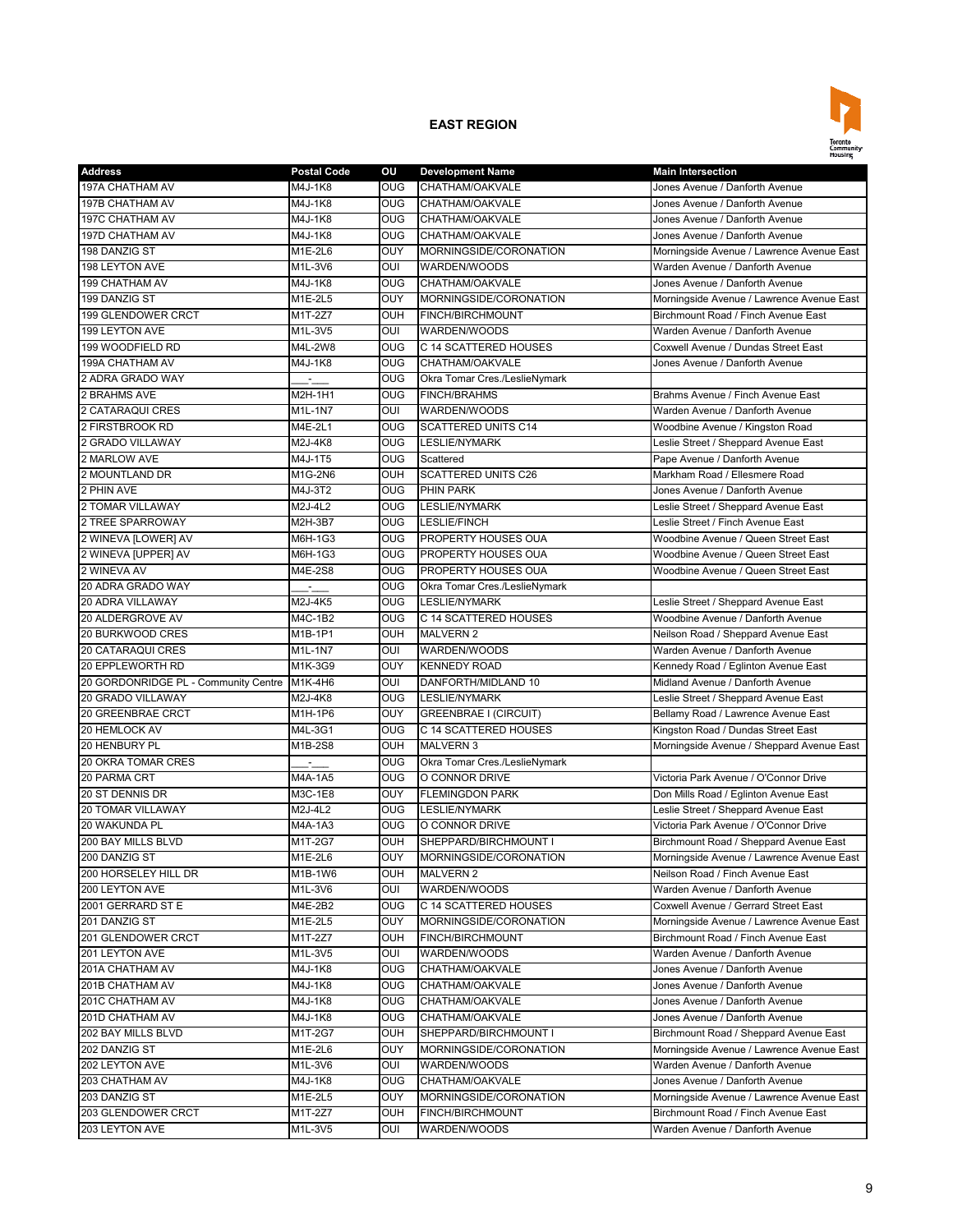

| <b>Address</b>                            | <b>Postal Code</b> | οu                | <b>Development Name</b>                               | <b>Main Intersection</b>                  |
|-------------------------------------------|--------------------|-------------------|-------------------------------------------------------|-------------------------------------------|
| <b>197A CHATHAM AV</b>                    | M4J-1K8            | <b>OUG</b>        | CHATHAM/OAKVALE                                       | Jones Avenue / Danforth Avenue            |
| 197B CHATHAM AV                           | M4J-1K8            | OUG               | CHATHAM/OAKVALE                                       | Jones Avenue / Danforth Avenue            |
| 197C CHATHAM AV                           | M4J-1K8            | OUG               | CHATHAM/OAKVALE                                       | Jones Avenue / Danforth Avenue            |
| 197D CHATHAM AV                           | M4J-1K8            | <b>OUG</b>        | CHATHAM/OAKVALE                                       | Jones Avenue / Danforth Avenue            |
| 198 DANZIG ST                             | M1E-2L6            | OUY               | MORNINGSIDE/CORONATION                                | Morningside Avenue / Lawrence Avenue East |
| 198 LEYTON AVE                            | M1L-3V6            | OUI               | WARDEN/WOODS                                          | Warden Avenue / Danforth Avenue           |
| 199 CHATHAM AV                            | M4J-1K8            | <b>OUG</b>        | CHATHAM/OAKVALE                                       | Jones Avenue / Danforth Avenue            |
| 199 DANZIG ST                             | M1E-2L5            | OUY               | MORNINGSIDE/CORONATION                                | Morningside Avenue / Lawrence Avenue East |
| 199 GLENDOWER CRCT                        | M1T-2Z7            | <b>OUH</b>        | FINCH/BIRCHMOUNT                                      | Birchmount Road / Finch Avenue East       |
| 199 LEYTON AVE                            | M1L-3V5            | OUI               | WARDEN/WOODS                                          | Warden Avenue / Danforth Avenue           |
| 199 WOODFIELD RD                          | M4L-2W8            | <b>OUG</b>        | C 14 SCATTERED HOUSES                                 | Coxwell Avenue / Dundas Street East       |
| 199A CHATHAM AV                           | M4J-1K8            | <b>OUG</b>        | CHATHAM/OAKVALE                                       | Jones Avenue / Danforth Avenue            |
| 2 ADRA GRADO WAY                          | ÷.                 | <b>OUG</b>        | Okra Tomar Cres./LeslieNymark                         |                                           |
| 2 BRAHMS AVE                              | M2H-1H1            | <b>OUG</b>        | <b>FINCH/BRAHMS</b>                                   | Brahms Avenue / Finch Avenue East         |
| 2 CATARAQUI CRES                          | $M1L-1N7$          | OUI               | WARDEN/WOODS                                          | Warden Avenue / Danforth Avenue           |
| 2 FIRSTBROOK RD                           | M4E-2L1            | <b>OUG</b>        | <b>SCATTERED UNITS C14</b>                            | Woodbine Avenue / Kingston Road           |
| 2 GRADO VILLAWAY                          | M2J-4K8            | OUG               | LESLIE/NYMARK                                         | Leslie Street / Sheppard Avenue East      |
| 2 MARLOW AVE                              | M4J-1T5            | <b>OUG</b>        | Scattered                                             | Pape Avenue / Danforth Avenue             |
| 2 MOUNTLAND DR                            | M1G-2N6            | <b>OUH</b>        | <b>SCATTERED UNITS C26</b>                            | Markham Road / Ellesmere Road             |
| 2 PHIN AVE                                | M4J-3T2            | <b>OUG</b>        | <b>PHIN PARK</b>                                      | Jones Avenue / Danforth Avenue            |
| 2 TOMAR VILLAWAY                          | M2J-4L2            | OUG               | LESLIE/NYMARK                                         | Leslie Street / Sheppard Avenue East      |
| 2 TREE SPARROWAY                          | M2H-3B7            | <b>OUG</b>        | LESLIE/FINCH                                          | Leslie Street / Finch Avenue East         |
| 2 WINEVA [LOWER] AV                       | M6H-1G3            | <b>OUG</b>        | PROPERTY HOUSES OUA                                   | Woodbine Avenue / Queen Street East       |
| 2 WINEVA [UPPER] AV                       | M6H-1G3            | <b>OUG</b>        | PROPERTY HOUSES OUA                                   | Woodbine Avenue / Queen Street East       |
| 2 WINEVA AV                               | M4E-2S8            | <b>OUG</b>        | PROPERTY HOUSES OUA                                   | Woodbine Avenue / Queen Street East       |
| 20 ADRA GRADO WAY                         |                    | <b>OUG</b>        | Okra Tomar Cres./LeslieNymark                         |                                           |
| <b>20 ADRA VILLAWAY</b>                   | M2J-4K5            | OUG               | <b>LESLIE/NYMARK</b>                                  | Leslie Street / Sheppard Avenue East      |
| 20 ALDERGROVE AV                          | M4C-1B2            | O <sub>0</sub>    | C 14 SCATTERED HOUSES                                 | Woodbine Avenue / Danforth Avenue         |
| 20 BURKWOOD CRES                          | M1B-1P1            | <b>OUH</b>        | <b>MALVERN 2</b>                                      | Neilson Road / Sheppard Avenue East       |
| <b>20 CATARAQUI CRES</b>                  | M1L-1N7            | OUI               | WARDEN/WOODS                                          | Warden Avenue / Danforth Avenue           |
| 20 EPPLEWORTH RD                          | M1K-3G9            | OUY               | <b>KENNEDY ROAD</b>                                   | Kennedy Road / Eglinton Avenue East       |
| 20 GORDONRIDGE PL - Community Centre      | M1K-4H6            | OUI               | DANFORTH/MIDLAND 10                                   | Midland Avenue / Danforth Avenue          |
| 20 GRADO VILLAWAY                         | M2J-4K8            | <b>OUG</b>        | <b>LESLIE/NYMARK</b>                                  | Leslie Street / Sheppard Avenue East      |
| 20 GREENBRAE CRCT                         |                    | OUY               |                                                       |                                           |
|                                           | M1H-1P6            | <b>OUG</b>        | <b>GREENBRAE I (CIRCUIT)</b><br>C 14 SCATTERED HOUSES | Bellamy Road / Lawrence Avenue East       |
| 20 HEMLOCK AV<br>20 HENBURY PL            | M4L-3G1<br>M1B-2S8 | <b>OUH</b>        | <b>MALVERN 3</b>                                      | Kingston Road / Dundas Street East        |
|                                           |                    |                   |                                                       | Morningside Avenue / Sheppard Avenue East |
| 20 OKRA TOMAR CRES                        |                    | <b>OUG</b>        | Okra Tomar Cres./LeslieNymark                         | Victoria Park Avenue / O'Connor Drive     |
| 20 PARMA CRT<br><b>20 ST DENNIS DR</b>    | M4A-1A5<br>M3C-1E8 | <b>OUG</b><br>OUY | O CONNOR DRIVE<br><b>FLEMINGDON PARK</b>              | Don Mills Road / Eglinton Avenue East     |
|                                           |                    |                   |                                                       |                                           |
| <b>20 TOMAR VILLAWAY</b><br>20 WAKUNDA PL | M2J-4L2            | <b>OUG</b>        | <b>LESLIE/NYMARK</b>                                  | Leslie Street / Sheppard Avenue East      |
|                                           | M4A-1A3<br>M1T-2G7 | <b>OUG</b>        | O CONNOR DRIVE                                        | Victoria Park Avenue / O'Connor Drive     |
| 200 BAY MILLS BLVD                        |                    | OUH               | SHEPPARD/BIRCHMOUNT I                                 | Birchmount Road / Sheppard Avenue East    |
| 200 DANZIG ST                             | M1E-2L6            | <b>OUY</b>        | MORNINGSIDE/CORONATION                                | Morningside Avenue / Lawrence Avenue East |
| 200 HORSELEY HILL DR                      | M1B-1W6            | OUH               | <b>MALVERN 2</b>                                      | Neilson Road / Finch Avenue East          |
| 200 LEYTON AVE                            | M1L-3V6            | OUI               | WARDEN/WOODS                                          | Warden Avenue / Danforth Avenue           |
| 2001 GERRARD ST E                         | M4E-2B2            | <b>OUG</b>        | C 14 SCATTERED HOUSES                                 | Coxwell Avenue / Gerrard Street East      |
| 201 DANZIG ST                             | M1E-2L5            | OUY               | MORNINGSIDE/CORONATION                                | Morningside Avenue / Lawrence Avenue East |
| 201 GLENDOWER CRCT                        | M1T-2Z7            | OUH               | FINCH/BIRCHMOUNT                                      | Birchmount Road / Finch Avenue East       |
| 201 LEYTON AVE                            | M1L-3V5            | OUI               | WARDEN/WOODS                                          | Warden Avenue / Danforth Avenue           |
| 201A CHATHAM AV                           | M4J-1K8            | OUG               | CHATHAM/OAKVALE                                       | Jones Avenue / Danforth Avenue            |
| 201B CHATHAM AV                           | M4J-1K8            | OUG               | CHATHAM/OAKVALE                                       | Jones Avenue / Danforth Avenue            |
| 201C CHATHAM AV                           | M4J-1K8            | <b>OUG</b>        | CHATHAM/OAKVALE                                       | Jones Avenue / Danforth Avenue            |
| 201D CHATHAM AV                           | M4J-1K8            | OUG               | CHATHAM/OAKVALE                                       | Jones Avenue / Danforth Avenue            |
| 202 BAY MILLS BLVD                        | M1T-2G7            | OUH               | SHEPPARD/BIRCHMOUNT I                                 | Birchmount Road / Sheppard Avenue East    |
| 202 DANZIG ST                             | M1E-2L6            | OUY               | MORNINGSIDE/CORONATION                                | Morningside Avenue / Lawrence Avenue East |
| 202 LEYTON AVE                            | M1L-3V6            | OUI               | WARDEN/WOODS                                          | Warden Avenue / Danforth Avenue           |
| 203 CHATHAM AV                            | M4J-1K8            | <b>OUG</b>        | CHATHAM/OAKVALE                                       | Jones Avenue / Danforth Avenue            |
| 203 DANZIG ST                             | M1E-2L5            | <b>OUY</b>        | MORNINGSIDE/CORONATION                                | Morningside Avenue / Lawrence Avenue East |
| 203 GLENDOWER CRCT                        | M1T-2Z7            | <b>OUH</b>        | FINCH/BIRCHMOUNT                                      | Birchmount Road / Finch Avenue East       |
| 203 LEYTON AVE                            | M1L-3V5            | OUI               | WARDEN/WOODS                                          | Warden Avenue / Danforth Avenue           |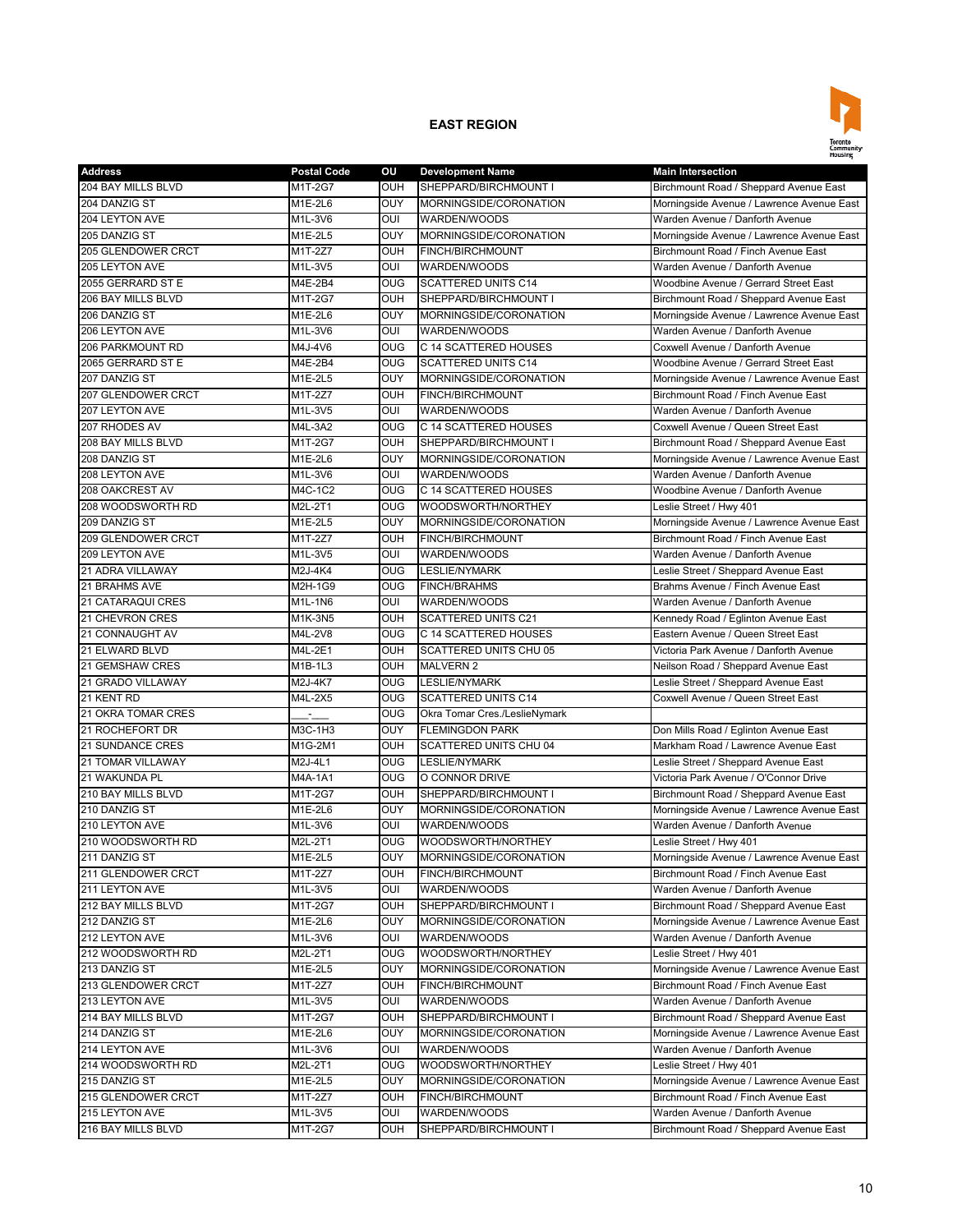

| <b>Address</b>            | <b>Postal Code</b> | OU             | <b>Development Name</b>       | <b>Main Intersection</b>                  |
|---------------------------|--------------------|----------------|-------------------------------|-------------------------------------------|
| 204 BAY MILLS BLVD        | M1T-2G7            | OUH            | SHEPPARD/BIRCHMOUNT I         | Birchmount Road / Sheppard Avenue East    |
| 204 DANZIG ST             | M1E-2L6            | <b>OUY</b>     | MORNINGSIDE/CORONATION        | Morningside Avenue / Lawrence Avenue East |
| 204 LEYTON AVE            | M1L-3V6            | OUI            | WARDEN/WOODS                  | Warden Avenue / Danforth Avenue           |
| 205 DANZIG ST             | M1E-2L5            | OUY            | MORNINGSIDE/CORONATION        | Morningside Avenue / Lawrence Avenue East |
| 205 GLENDOWER CRCT        | M1T-2Z7            | OUH            | FINCH/BIRCHMOUNT              | Birchmount Road / Finch Avenue East       |
| 205 LEYTON AVE            | M1L-3V5            | OUI            | WARDEN/WOODS                  | Warden Avenue / Danforth Avenue           |
| 2055 GERRARD ST E         | M4E-2B4            | <b>OUG</b>     | <b>SCATTERED UNITS C14</b>    | Woodbine Avenue / Gerrard Street East     |
| 206 BAY MILLS BLVD        | M1T-2G7            | OUH            | SHEPPARD/BIRCHMOUNT I         | Birchmount Road / Sheppard Avenue East    |
| 206 DANZIG ST             | M1E-2L6            | OUY            | MORNINGSIDE/CORONATION        | Morningside Avenue / Lawrence Avenue East |
| 206 LEYTON AVE            | M1L-3V6            | OUI            | WARDEN/WOODS                  | Warden Avenue / Danforth Avenue           |
| 206 PARKMOUNT RD          | M4J-4V6            | <b>OUG</b>     | C 14 SCATTERED HOUSES         | Coxwell Avenue / Danforth Avenue          |
| 2065 GERRARD ST E         | M4E-2B4            | <b>OUG</b>     | <b>SCATTERED UNITS C14</b>    | Woodbine Avenue / Gerrard Street East     |
| 207 DANZIG ST             | M1E-2L5            | OUY            | MORNINGSIDE/CORONATION        | Morningside Avenue / Lawrence Avenue East |
| 207 GLENDOWER CRCT        | M1T-2Z7            | <b>OUH</b>     | FINCH/BIRCHMOUNT              | Birchmount Road / Finch Avenue East       |
| 207 LEYTON AVE            | M1L-3V5            | OUI            | WARDEN/WOODS                  | Warden Avenue / Danforth Avenue           |
| 207 RHODES AV             | M4L-3A2            | <b>OUG</b>     | C 14 SCATTERED HOUSES         | Coxwell Avenue / Queen Street East        |
| <b>208 BAY MILLS BLVD</b> | M1T-2G7            | OUH            | SHEPPARD/BIRCHMOUNT I         | Birchmount Road / Sheppard Avenue East    |
| 208 DANZIG ST             | M1E-2L6            | OUY            | MORNINGSIDE/CORONATION        | Morningside Avenue / Lawrence Avenue East |
| 208 LEYTON AVE            | M1L-3V6            | OUI            | WARDEN/WOODS                  | Warden Avenue / Danforth Avenue           |
| 208 OAKCREST AV           | M4C-1C2            | OUG            | C 14 SCATTERED HOUSES         | Woodbine Avenue / Danforth Avenue         |
| 208 WOODSWORTH RD         | M2L-2T1            | <b>OUG</b>     | WOODSWORTH/NORTHEY            | Leslie Street / Hwy 401                   |
| 209 DANZIG ST             | M1E-2L5            | OUY            | MORNINGSIDE/CORONATION        | Morningside Avenue / Lawrence Avenue East |
| 209 GLENDOWER CRCT        | $M1T-2Z7$          | <b>OUH</b>     | FINCH/BIRCHMOUNT              | Birchmount Road / Finch Avenue East       |
| 209 LEYTON AVE            | M1L-3V5            | OUI            | WARDEN/WOODS                  | Warden Avenue / Danforth Avenue           |
| 21 ADRA VILLAWAY          | M2J-4K4            | OUG            | <b>LESLIE/NYMARK</b>          | Leslie Street / Sheppard Avenue East      |
| <b>21 BRAHMS AVE</b>      | M2H-1G9            | OUG            | <b>FINCH/BRAHMS</b>           | Brahms Avenue / Finch Avenue East         |
| 21 CATARAQUI CRES         | M1L-1N6            | OUI            | WARDEN/WOODS                  | Warden Avenue / Danforth Avenue           |
|                           |                    | <b>OUH</b>     |                               |                                           |
| 21 CHEVRON CRES           | M1K-3N5            |                | <b>SCATTERED UNITS C21</b>    | Kennedy Road / Eglinton Avenue East       |
| 21 CONNAUGHT AV           | M4L-2V8            | <b>OUG</b>     | C 14 SCATTERED HOUSES         | Eastern Avenue / Queen Street East        |
| 21 ELWARD BLVD            | M4L-2E1            | OUH            | <b>SCATTERED UNITS CHU 05</b> | Victoria Park Avenue / Danforth Avenue    |
| 21 GEMSHAW CRES           | M1B-1L3            | OUH            | <b>MALVERN 2</b>              | Neilson Road / Sheppard Avenue East       |
| 21 GRADO VILLAWAY         | M2J-4K7            | <b>OUG</b>     | <b>LESLIE/NYMARK</b>          | Leslie Street / Sheppard Avenue East      |
| 21 KENT RD                | M4L-2X5            | <b>OUG</b>     | SCATTERED UNITS C14           | Coxwell Avenue / Queen Street East        |
| 21 OKRA TOMAR CRES        |                    | <b>OUG</b>     | Okra Tomar Cres./LeslieNymark |                                           |
| 21 ROCHEFORT DR           | M3C-1H3            | <b>OUY</b>     | <b>FLEMINGDON PARK</b>        | Don Mills Road / Eglinton Avenue East     |
| <b>21 SUNDANCE CRES</b>   | M1G-2M1            | <b>OUH</b>     | SCATTERED UNITS CHU 04        | Markham Road / Lawrence Avenue East       |
| 21 TOMAR VILLAWAY         | M2J-4L1            | <b>OUG</b>     | <b>LESLIE/NYMARK</b>          | Leslie Street / Sheppard Avenue East      |
| 21 WAKUNDA PL             | M4A-1A1            | <b>OUG</b>     | O CONNOR DRIVE                | Victoria Park Avenue / O'Connor Drive     |
| 210 BAY MILLS BLVD        | M1T-2G7            | <b>OUH</b>     | SHEPPARD/BIRCHMOUNT I         | Birchmount Road / Sheppard Avenue East    |
| 210 DANZIG ST             | M1E-2L6            | <b>OUY</b>     | MORNINGSIDE/CORONATION        | Morningside Avenue / Lawrence Avenue East |
| 210 LEYTON AVE            | M1L-3V6            | OUI            | WARDEN/WOODS                  | Warden Avenue / Danforth Avenue           |
| 210 WOODSWORTH RD         | M2L-2T1            | O <sub>0</sub> | WOODSWORTH/NORTHEY            | Leslie Street / Hwy 401                   |
| 211 DANZIG ST             | M1E-2L5            | OUY            | MORNINGSIDE/CORONATION        | Morningside Avenue / Lawrence Avenue East |
| 211 GLENDOWER CRCT        | M1T-2Z7            | <b>OUH</b>     | FINCH/BIRCHMOUNT              | Birchmount Road / Finch Avenue East       |
| 211 LEYTON AVE            | M1L-3V5            | OUI            | WARDEN/WOODS                  | Warden Avenue / Danforth Avenue           |
| 212 BAY MILLS BLVD        | M1T-2G7            | <b>OUH</b>     | SHEPPARD/BIRCHMOUNT I         | Birchmount Road / Sheppard Avenue East    |
| 212 DANZIG ST             | M1E-2L6            | <b>OUY</b>     | MORNINGSIDE/CORONATION        | Morningside Avenue / Lawrence Avenue East |
| 212 LEYTON AVE            | M1L-3V6            | OUI            | WARDEN/WOODS                  | Warden Avenue / Danforth Avenue           |
| 212 WOODSWORTH RD         | M2L-2T1            | <b>OUG</b>     | WOODSWORTH/NORTHEY            | Leslie Street / Hwy 401                   |
| 213 DANZIG ST             | M1E-2L5            | OUY            | MORNINGSIDE/CORONATION        | Morningside Avenue / Lawrence Avenue East |
| 213 GLENDOWER CRCT        | M1T-2Z7            | <b>OUH</b>     | FINCH/BIRCHMOUNT              | Birchmount Road / Finch Avenue East       |
| 213 LEYTON AVE            | M1L-3V5            | OUI            | WARDEN/WOODS                  | Warden Avenue / Danforth Avenue           |
| 214 BAY MILLS BLVD        | M1T-2G7            | OUH            | SHEPPARD/BIRCHMOUNT I         | Birchmount Road / Sheppard Avenue East    |
| 214 DANZIG ST             | M1E-2L6            | <b>OUY</b>     | MORNINGSIDE/CORONATION        | Morningside Avenue / Lawrence Avenue East |
| 214 LEYTON AVE            | M1L-3V6            | OUI            | WARDEN/WOODS                  | Warden Avenue / Danforth Avenue           |
| 214 WOODSWORTH RD         | M2L-2T1            | <b>OUG</b>     | WOODSWORTH/NORTHEY            | Leslie Street / Hwy 401                   |
| 215 DANZIG ST             | M1E-2L5            | OUY            | MORNINGSIDE/CORONATION        | Morningside Avenue / Lawrence Avenue East |
| 215 GLENDOWER CRCT        | M1T-2Z7            | <b>OUH</b>     | FINCH/BIRCHMOUNT              | Birchmount Road / Finch Avenue East       |
| 215 LEYTON AVE            | M1L-3V5            | OUI            | WARDEN/WOODS                  | Warden Avenue / Danforth Avenue           |
| 216 BAY MILLS BLVD        | M1T-2G7            | <b>OUH</b>     | SHEPPARD/BIRCHMOUNT I         | Birchmount Road / Sheppard Avenue East    |
|                           |                    |                |                               |                                           |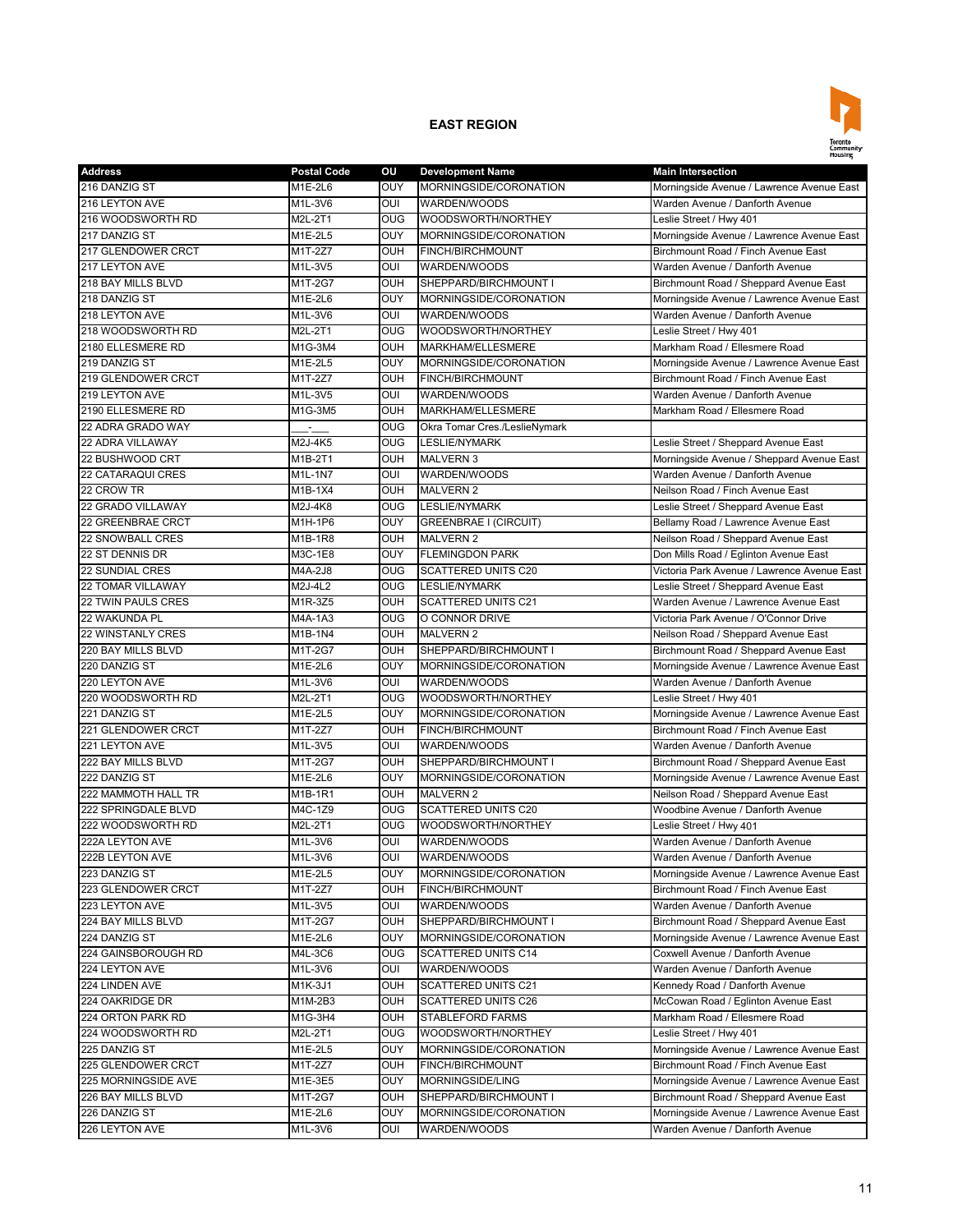

| <b>Address</b>            | <b>Postal Code</b> | OU             | <b>Development Name</b>       | <b>Main Intersection</b>                    |
|---------------------------|--------------------|----------------|-------------------------------|---------------------------------------------|
| 216 DANZIG ST             | M1E-2L6            | OUY            | MORNINGSIDE/CORONATION        | Morningside Avenue / Lawrence Avenue East   |
| 216 LEYTON AVE            | M1L-3V6            | OUI            | WARDEN/WOODS                  | Warden Avenue / Danforth Avenue             |
| 216 WOODSWORTH RD         | M2L-2T1            | <b>OUG</b>     | WOODSWORTH/NORTHEY            | Leslie Street / Hwy 401                     |
| 217 DANZIG ST             | M1E-2L5            | OUY            | MORNINGSIDE/CORONATION        | Morningside Avenue / Lawrence Avenue East   |
| 217 GLENDOWER CRCT        | M1T-2Z7            | <b>OUH</b>     | <b>FINCH/BIRCHMOUNT</b>       | Birchmount Road / Finch Avenue East         |
| 217 LEYTON AVE            | M1L-3V5            | OUI            | WARDEN/WOODS                  | Warden Avenue / Danforth Avenue             |
| 218 BAY MILLS BLVD        | M1T-2G7            | <b>OUH</b>     | SHEPPARD/BIRCHMOUNT I         | Birchmount Road / Sheppard Avenue East      |
| 218 DANZIG ST             | M1E-2L6            | OUY            | MORNINGSIDE/CORONATION        | Morningside Avenue / Lawrence Avenue East   |
| 218 LEYTON AVE            | M1L-3V6            | OUI            | WARDEN/WOODS                  | Warden Avenue / Danforth Avenue             |
| 218 WOODSWORTH RD         | M2L-2T1            | <b>OUG</b>     | WOODSWORTH/NORTHEY            | Leslie Street / Hwy 401                     |
| 2180 ELLESMERE RD         | M1G-3M4            | OUH            | MARKHAM/ELLESMERE             | Markham Road / Ellesmere Road               |
| 219 DANZIG ST             | M1E-2L5            | OUY            | MORNINGSIDE/CORONATION        | Morningside Avenue / Lawrence Avenue East   |
| 219 GLENDOWER CRCT        | M1T-2Z7            | OUH            | FINCH/BIRCHMOUNT              | Birchmount Road / Finch Avenue East         |
| 219 LEYTON AVE            | M1L-3V5            | OUI            | WARDEN/WOODS                  | Warden Avenue / Danforth Avenue             |
| 2190 ELLESMERE RD         | M1G-3M5            | OUH            | MARKHAM/ELLESMERE             | Markham Road / Ellesmere Road               |
| 22 ADRA GRADO WAY         |                    | OUG            | Okra Tomar Cres./LeslieNymark |                                             |
| 22 ADRA VILLAWAY          | ÷.<br>M2J-4K5      | O <sub>0</sub> | <b>LESLIE/NYMARK</b>          | Leslie Street / Sheppard Avenue East        |
| 22 BUSHWOOD CRT           | M1B-2T1            | OUH            | <b>MALVERN 3</b>              | Morningside Avenue / Sheppard Avenue East   |
| <b>22 CATARAQUI CRES</b>  |                    | OUI            |                               | Warden Avenue / Danforth Avenue             |
|                           | M1L-1N7            |                | WARDEN/WOODS                  |                                             |
| 22 CROW TR                | M1B-1X4            | OUH            | <b>MALVERN 2</b>              | Neilson Road / Finch Avenue East            |
| 22 GRADO VILLAWAY         | M2J-4K8            | OUG            | <b>LESLIE/NYMARK</b>          | Leslie Street / Sheppard Avenue East        |
| 22 GREENBRAE CRCT         | M1H-1P6            | OUY            | <b>GREENBRAE I (CIRCUIT)</b>  | Bellamy Road / Lawrence Avenue East         |
| 22 SNOWBALL CRES          | M1B-1R8            | OUH            | <b>MALVERN 2</b>              | Neilson Road / Sheppard Avenue East         |
| 22 ST DENNIS DR           | M3C-1E8            | OUY            | <b>FLEMINGDON PARK</b>        | Don Mills Road / Eglinton Avenue East       |
| 22 SUNDIAL CRES           | M4A-2J8            | OUG            | <b>SCATTERED UNITS C20</b>    | Victoria Park Avenue / Lawrence Avenue East |
| <b>22 TOMAR VILLAWAY</b>  | M2J-4L2            | <b>OUG</b>     | <b>LESLIE/NYMARK</b>          | Leslie Street / Sheppard Avenue East        |
| <b>22 TWIN PAULS CRES</b> | M1R-3Z5            | OUH            | <b>SCATTERED UNITS C21</b>    | Warden Avenue / Lawrence Avenue East        |
| 22 WAKUNDA PL             | M4A-1A3            | <b>OUG</b>     | O CONNOR DRIVE                | Victoria Park Avenue / O'Connor Drive       |
| <b>22 WINSTANLY CRES</b>  | M1B-1N4            | <b>OUH</b>     | <b>MALVERN 2</b>              | Neilson Road / Sheppard Avenue East         |
| 220 BAY MILLS BLVD        | M1T-2G7            | OUH            | SHEPPARD/BIRCHMOUNT I         | Birchmount Road / Sheppard Avenue East      |
| 220 DANZIG ST             | M1E-2L6            | OUY            | MORNINGSIDE/CORONATION        | Morningside Avenue / Lawrence Avenue East   |
| 220 LEYTON AVE            | M1L-3V6            | OUI            | WARDEN/WOODS                  | Warden Avenue / Danforth Avenue             |
| 220 WOODSWORTH RD         | M2L-2T1            | OUG            | WOODSWORTH/NORTHEY            | Leslie Street / Hwy 401                     |
| 221 DANZIG ST             | M1E-2L5            | OUY            | MORNINGSIDE/CORONATION        | Morningside Avenue / Lawrence Avenue East   |
| 221 GLENDOWER CRCT        | M1T-2Z7            | <b>OUH</b>     | FINCH/BIRCHMOUNT              | Birchmount Road / Finch Avenue East         |
| 221 LEYTON AVE            | M1L-3V5            | OUI            | WARDEN/WOODS                  | Warden Avenue / Danforth Avenue             |
| 222 BAY MILLS BLVD        | M1T-2G7            | OUH            | SHEPPARD/BIRCHMOUNT I         | Birchmount Road / Sheppard Avenue East      |
| 222 DANZIG ST             | M1E-2L6            | OUY            | MORNINGSIDE/CORONATION        | Morningside Avenue / Lawrence Avenue East   |
| 222 MAMMOTH HALL TR       | M1B-1R1            | OUH            | <b>MALVERN 2</b>              | Neilson Road / Sheppard Avenue East         |
| 222 SPRINGDALE BLVD       | M4C-1Z9            | OUG            | <b>SCATTERED UNITS C20</b>    | Woodbine Avenue / Danforth Avenue           |
| 222 WOODSWORTH RD         | M2L-2T1            | <b>OUG</b>     | WOODSWORTH/NORTHEY            | Leslie Street / Hwy 401                     |
| 222A LEYTON AVE           | M1L-3V6            | OUI            | WARDEN/WOODS                  | Warden Avenue / Danforth Avenue             |
| 222B LEYTON AVE           | M1L-3V6            | OUI            | WARDEN/WOODS                  | Warden Avenue / Danforth Avenue             |
| 223 DANZIG ST             | M1E-2L5            | <b>OUY</b>     | MORNINGSIDE/CORONATION        | Morningside Avenue / Lawrence Avenue East   |
| 223 GLENDOWER CRCT        | M1T-2Z7            | OUH            | FINCH/BIRCHMOUNT              | Birchmount Road / Finch Avenue East         |
| 223 LEYTON AVE            | M1L-3V5            | OUI            | WARDEN/WOODS                  | Warden Avenue / Danforth Avenue             |
| 224 BAY MILLS BLVD        | M1T-2G7            | OUH            | SHEPPARD/BIRCHMOUNT I         | Birchmount Road / Sheppard Avenue East      |
| 224 DANZIG ST             | M1E-2L6            | <b>OUY</b>     | MORNINGSIDE/CORONATION        | Morningside Avenue / Lawrence Avenue East   |
| 224 GAINSBOROUGH RD       | M4L-3C6            | <b>OUG</b>     | SCATTERED UNITS C14           | Coxwell Avenue / Danforth Avenue            |
|                           |                    |                |                               |                                             |
| 224 LEYTON AVE            | M1L-3V6            | OUI            | WARDEN/WOODS                  | Warden Avenue / Danforth Avenue             |
| 224 LINDEN AVE            | M1K-3J1            | OUH            | SCATTERED UNITS C21           | Kennedy Road / Danforth Avenue              |
| 224 OAKRIDGE DR           | M1M-2B3            | OUH            | SCATTERED UNITS C26           | McCowan Road / Eglinton Avenue East         |
| 224 ORTON PARK RD         | M1G-3H4            | OUH            | STABLEFORD FARMS              | Markham Road / Ellesmere Road               |
| 224 WOODSWORTH RD         | M2L-2T1            | OUG            | WOODSWORTH/NORTHEY            | Leslie Street / Hwy 401                     |
| 225 DANZIG ST             | M1E-2L5            | <b>OUY</b>     | MORNINGSIDE/CORONATION        | Morningside Avenue / Lawrence Avenue East   |
| 225 GLENDOWER CRCT        | M1T-2Z7            | OUH            | FINCH/BIRCHMOUNT              | Birchmount Road / Finch Avenue East         |
| 225 MORNINGSIDE AVE       | M1E-3E5            | OUY            | MORNINGSIDE/LING              | Morningside Avenue / Lawrence Avenue East   |
| 226 BAY MILLS BLVD        | M1T-2G7            | OUH            | SHEPPARD/BIRCHMOUNT I         | Birchmount Road / Sheppard Avenue East      |
| 226 DANZIG ST             | M1E-2L6            | OUY            | MORNINGSIDE/CORONATION        | Morningside Avenue / Lawrence Avenue East   |
| 226 LEYTON AVE            | M1L-3V6            | OUI            | WARDEN/WOODS                  | Warden Avenue / Danforth Avenue             |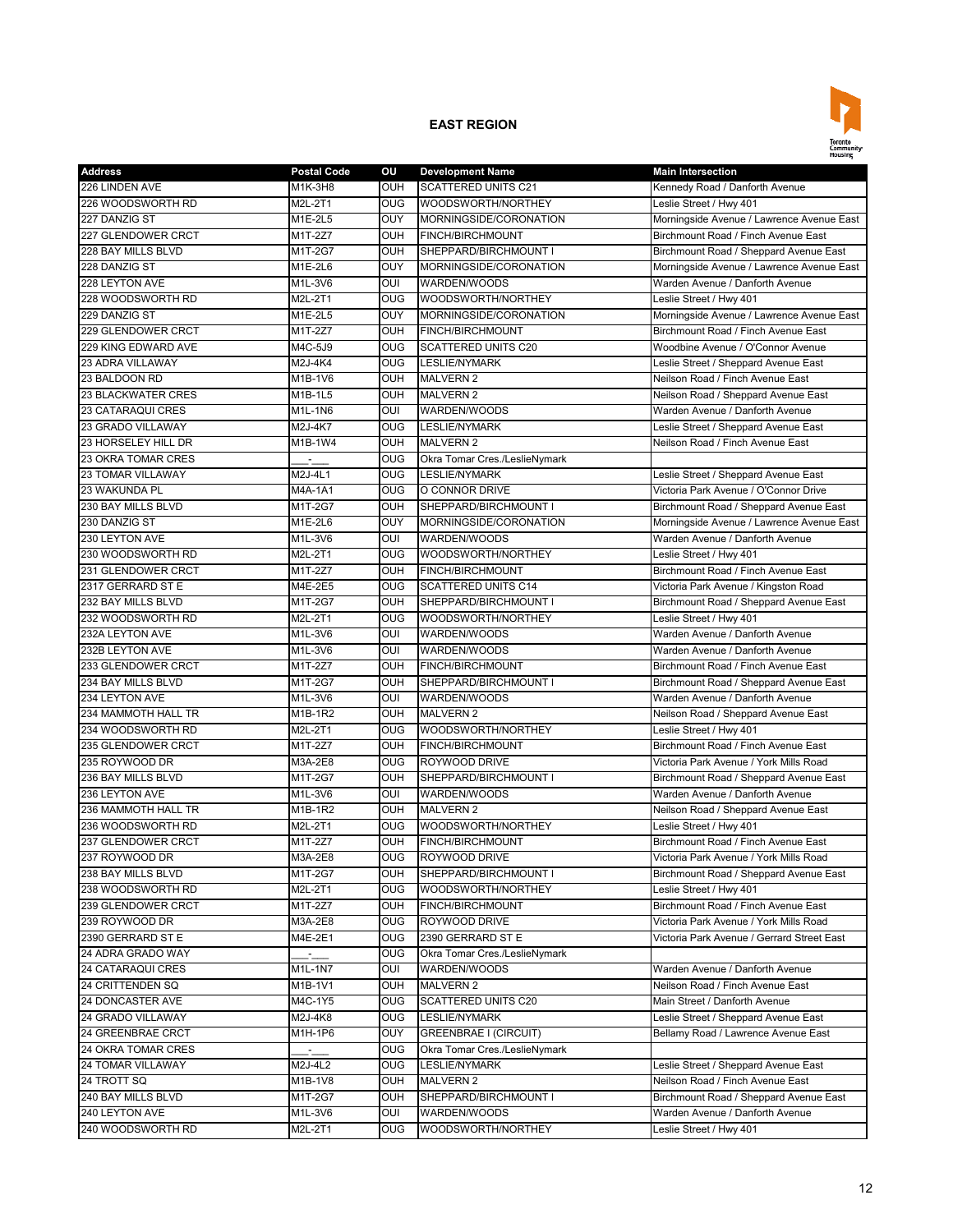

| <b>Address</b>            | <b>Postal Code</b>             | OU                       | <b>Development Name</b>       | <b>Main Intersection</b>                   |
|---------------------------|--------------------------------|--------------------------|-------------------------------|--------------------------------------------|
| 226 LINDEN AVE            | M1K-3H8                        | OUH                      | <b>SCATTERED UNITS C21</b>    | Kennedy Road / Danforth Avenue             |
| 226 WOODSWORTH RD         | M2L-2T1                        | OUG                      | WOODSWORTH/NORTHEY            | Leslie Street / Hwy 401                    |
| 227 DANZIG ST             | M1E-2L5                        | OUY                      | MORNINGSIDE/CORONATION        | Morningside Avenue / Lawrence Avenue East  |
| 227 GLENDOWER CRCT        | M1T-2Z7                        | OUH                      | <b>FINCH/BIRCHMOUNT</b>       | Birchmount Road / Finch Avenue East        |
| 228 BAY MILLS BLVD        | M1T-2G7                        | OUH                      | SHEPPARD/BIRCHMOUNT I         | Birchmount Road / Sheppard Avenue East     |
| 228 DANZIG ST             | $M1E-2L6$                      | OUY                      | MORNINGSIDE/CORONATION        | Morningside Avenue / Lawrence Avenue East  |
| 228 LEYTON AVE            | M1L-3V6                        | OUI                      | WARDEN/WOODS                  | Warden Avenue / Danforth Avenue            |
| 228 WOODSWORTH RD         | M2L-2T1                        | <b>OUG</b>               | WOODSWORTH/NORTHEY            | Leslie Street / Hwy 401                    |
| 229 DANZIG ST             | $\overline{\mathsf{M}}$ 1E-2L5 | OUY                      | MORNINGSIDE/CORONATION        | Morningside Avenue / Lawrence Avenue East  |
| 229 GLENDOWER CRCT        | M1T-2Z7                        | OUH                      | FINCH/BIRCHMOUNT              | Birchmount Road / Finch Avenue East        |
| 229 KING EDWARD AVE       | M4C-5J9                        | <b>OUG</b>               | SCATTERED UNITS C20           | Woodbine Avenue / O'Connor Avenue          |
| 23 ADRA VILLAWAY          | M2J-4K4                        | OUG                      | <b>LESLIE/NYMARK</b>          | Leslie Street / Sheppard Avenue East       |
| 23 BALDOON RD             | M1B-1V6                        | <b>OUH</b>               | <b>MALVERN 2</b>              | Neilson Road / Finch Avenue East           |
| <b>23 BLACKWATER CRES</b> | M1B-1L5                        | <b>OUH</b>               | <b>MALVERN 2</b>              | Neilson Road / Sheppard Avenue East        |
| <b>23 CATARAQUI CRES</b>  | M1L-1N6                        | OUI                      | WARDEN/WOODS                  | Warden Avenue / Danforth Avenue            |
| 23 GRADO VILLAWAY         | M2J-4K7                        | <b>OUG</b>               | <b>LESLIE/NYMARK</b>          | Leslie Street / Sheppard Avenue East       |
| 23 HORSELEY HILL DR       | M1B-1W4                        | OUH                      | <b>MALVERN 2</b>              | Neilson Road / Finch Avenue East           |
| 23 OKRA TOMAR CRES        |                                | OUG                      | Okra Tomar Cres./LeslieNymark |                                            |
| <b>23 TOMAR VILLAWAY</b>  | M2J-4L1                        | OUG                      | <b>LESLIE/NYMARK</b>          | Leslie Street / Sheppard Avenue East       |
| 23 WAKUNDA PL             | M4A-1A1                        | <b>OUG</b>               | O CONNOR DRIVE                | Victoria Park Avenue / O'Connor Drive      |
| 230 BAY MILLS BLVD        | M1T-2G7                        | OUH                      | SHEPPARD/BIRCHMOUNT I         | Birchmount Road / Sheppard Avenue East     |
| 230 DANZIG ST             | M1E-2L6                        | OUY                      | MORNINGSIDE/CORONATION        | Morningside Avenue / Lawrence Avenue East  |
| 230 LEYTON AVE            | M1L-3V6                        | OUI                      | WARDEN/WOODS                  | Warden Avenue / Danforth Avenue            |
| 230 WOODSWORTH RD         | M2L-2T1                        | OUG                      | WOODSWORTH/NORTHEY            | Leslie Street / Hwy 401                    |
| 231 GLENDOWER CRCT        | M1T-2Z7                        | OUH                      | FINCH/BIRCHMOUNT              | Birchmount Road / Finch Avenue East        |
|                           |                                |                          | <b>SCATTERED UNITS C14</b>    | Victoria Park Avenue / Kingston Road       |
| 2317 GERRARD ST E         | M4E-2E5                        | <b>OUG</b><br><b>OUH</b> |                               |                                            |
| 232 BAY MILLS BLVD        | M1T-2G7                        |                          | SHEPPARD/BIRCHMOUNT I         | Birchmount Road / Sheppard Avenue East     |
| 232 WOODSWORTH RD         | M2L-2T1                        | $\overline{\text{OUG}}$  | WOODSWORTH/NORTHEY            | Leslie Street / Hwy 401                    |
| 232A LEYTON AVE           | M1L-3V6                        | OUI                      | WARDEN/WOODS                  | Warden Avenue / Danforth Avenue            |
| 232B LEYTON AVE           | M1L-3V6                        | OUI                      | WARDEN/WOODS                  | Warden Avenue / Danforth Avenue            |
| 233 GLENDOWER CRCT        | M1T-2Z7                        | OUH                      | FINCH/BIRCHMOUNT              | Birchmount Road / Finch Avenue East        |
| 234 BAY MILLS BLVD        | M1T-2G7                        | OUH                      | SHEPPARD/BIRCHMOUNT I         | Birchmount Road / Sheppard Avenue East     |
| 234 LEYTON AVE            | M1L-3V6                        | OUI                      | WARDEN/WOODS                  | Warden Avenue / Danforth Avenue            |
| 234 MAMMOTH HALL TR       | M1B-1R2                        | OUH                      | <b>MALVERN 2</b>              | Neilson Road / Sheppard Avenue East        |
| 234 WOODSWORTH RD         | M2L-2T1                        | OUG                      | WOODSWORTH/NORTHEY            | Leslie Street / Hwy 401                    |
| 235 GLENDOWER CRCT        | M1T-2Z7                        | OUH                      | FINCH/BIRCHMOUNT              | Birchmount Road / Finch Avenue East        |
| 235 ROYWOOD DR            | M3A-2E8                        | OUG                      | ROYWOOD DRIVE                 | Victoria Park Avenue / York Mills Road     |
| 236 BAY MILLS BLVD        | M1T-2G7                        | OUH                      | SHEPPARD/BIRCHMOUNT I         | Birchmount Road / Sheppard Avenue East     |
| 236 LEYTON AVE            | M1L-3V6                        | OUI                      | WARDEN/WOODS                  | Warden Avenue / Danforth Avenue            |
| 236 MAMMOTH HALL TR       | M1B-1R2                        | OUH                      | <b>MALVERN 2</b>              | Neilson Road / Sheppard Avenue East        |
| 236 WOODSWORTH RD         | M2L-2T1                        | OUG                      | WOODSWORTH/NORTHEY            | Leslie Street / Hwy 401                    |
| 237 GLENDOWER CRCT        | M1T-2Z7                        | OUH                      | <b>FINCH/BIRCHMOUNT</b>       | Birchmount Road / Finch Avenue East        |
| 237 ROYWOOD DR            | M3A-2E8                        | OUG                      | ROYWOOD DRIVE                 | Victoria Park Avenue / York Mills Road     |
| 238 BAY MILLS BLVD        | M1T-2G7                        | OUH                      | SHEPPARD/BIRCHMOUNT I         | Birchmount Road / Sheppard Avenue East     |
| 238 WOODSWORTH RD         | M2L-2T1                        | OUG                      | WOODSWORTH/NORTHEY            | Leslie Street / Hwy 401                    |
| 239 GLENDOWER CRCT        | M1T-2Z7                        | OUH                      | FINCH/BIRCHMOUNT              | Birchmount Road / Finch Avenue East        |
| 239 ROYWOOD DR            | M3A-2E8                        | <b>OUG</b>               | ROYWOOD DRIVE                 | Victoria Park Avenue / York Mills Road     |
| 2390 GERRARD ST E         | M4E-2E1                        | <b>OUG</b>               | 2390 GERRARD ST E             | Victoria Park Avenue / Gerrard Street East |
| 24 ADRA GRADO WAY         |                                | <b>OUG</b>               | Okra Tomar Cres./LeslieNymark |                                            |
| <b>24 CATARAQUI CRES</b>  | M1L-1N7                        | OUI                      | WARDEN/WOODS                  | Warden Avenue / Danforth Avenue            |
| 24 CRITTENDEN SQ          | M1B-1V1                        | OUH                      | <b>MALVERN 2</b>              | Neilson Road / Finch Avenue East           |
| 24 DONCASTER AVE          | M4C-1Y5                        | OUG                      | SCATTERED UNITS C20           | Main Street / Danforth Avenue              |
| 24 GRADO VILLAWAY         | M2J-4K8                        | <b>OUG</b>               | <b>LESLIE/NYMARK</b>          | Leslie Street / Sheppard Avenue East       |
| 24 GREENBRAE CRCT         | M1H-1P6                        | OUY                      | GREENBRAE I (CIRCUIT)         | Bellamy Road / Lawrence Avenue East        |
| 24 OKRA TOMAR CRES        | г.,                            | OUG                      | Okra Tomar Cres./LeslieNymark |                                            |
| 24 TOMAR VILLAWAY         | M2J-4L2                        | <b>OUG</b>               | LESLIE/NYMARK                 | Leslie Street / Sheppard Avenue East       |
| 24 TROTT SQ               | M1B-1V8                        | OUH                      | <b>MALVERN 2</b>              | Neilson Road / Finch Avenue East           |
| 240 BAY MILLS BLVD        | M1T-2G7                        | OUH                      | SHEPPARD/BIRCHMOUNT I         | Birchmount Road / Sheppard Avenue East     |
| 240 LEYTON AVE            | M1L-3V6                        | OUI                      | WARDEN/WOODS                  | Warden Avenue / Danforth Avenue            |
| 240 WOODSWORTH RD         | M2L-2T1                        | OUG                      | WOODSWORTH/NORTHEY            | Leslie Street / Hwy 401                    |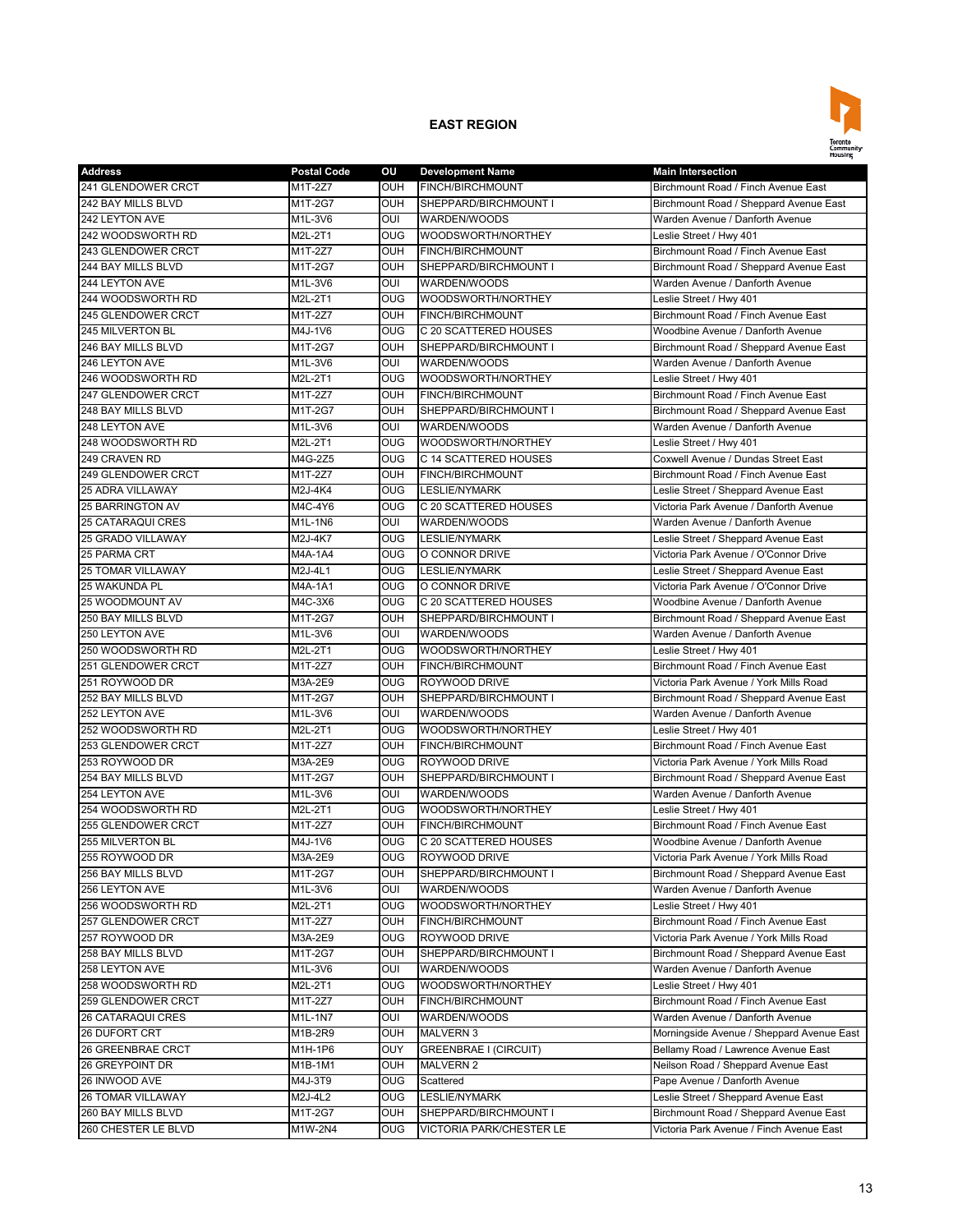

| <b>Address</b>           | <b>Postal Code</b>           | OU                      | <b>Development Name</b>  | <b>Main Intersection</b>                  |
|--------------------------|------------------------------|-------------------------|--------------------------|-------------------------------------------|
| 241 GLENDOWER CRCT       | M1T-2Z7                      | OUH                     | FINCH/BIRCHMOUNT         | Birchmount Road / Finch Avenue East       |
| 242 BAY MILLS BLVD       | M1T-2G7                      | OUH                     | SHEPPARD/BIRCHMOUNT I    | Birchmount Road / Sheppard Avenue East    |
| 242 LEYTON AVE           | M1L-3V6                      | OUI                     | WARDEN/WOODS             | Warden Avenue / Danforth Avenue           |
| 242 WOODSWORTH RD        | M2L-2T1                      | OUG                     | WOODSWORTH/NORTHEY       | Leslie Street / Hwy 401                   |
| 243 GLENDOWER CRCT       | M1T-2Z7                      | OUH                     | FINCH/BIRCHMOUNT         | Birchmount Road / Finch Avenue East       |
| 244 BAY MILLS BLVD       | M1T-2G7                      | OUH                     | SHEPPARD/BIRCHMOUNT I    | Birchmount Road / Sheppard Avenue East    |
| 244 LEYTON AVE           | M1L-3V6                      | OUI                     | WARDEN/WOODS             | Warden Avenue / Danforth Avenue           |
| 244 WOODSWORTH RD        | M2L-2T1                      | OUG                     | WOODSWORTH/NORTHEY       | Leslie Street / Hwy 401                   |
| 245 GLENDOWER CRCT       | M1T-2Z7                      | <b>OUH</b>              | FINCH/BIRCHMOUNT         | Birchmount Road / Finch Avenue East       |
| 245 MILVERTON BL         | M4J-1V6                      | <b>OUG</b>              | C 20 SCATTERED HOUSES    | Woodbine Avenue / Danforth Avenue         |
| 246 BAY MILLS BLVD       | M1T-2G7                      | OUH                     | SHEPPARD/BIRCHMOUNT I    | Birchmount Road / Sheppard Avenue East    |
| 246 LEYTON AVE           | M1L-3V6                      | OUI                     | WARDEN/WOODS             | Warden Avenue / Danforth Avenue           |
| 246 WOODSWORTH RD        | M2L-2T1                      | OUG                     | WOODSWORTH/NORTHEY       | Leslie Street / Hwy 401                   |
| 247 GLENDOWER CRCT       | M1T-2Z7                      | OUH                     | FINCH/BIRCHMOUNT         | Birchmount Road / Finch Avenue East       |
| 248 BAY MILLS BLVD       | M1T-2G7                      | OUH                     | SHEPPARD/BIRCHMOUNT I    | Birchmount Road / Sheppard Avenue East    |
| 248 LEYTON AVE           | M1L-3V6                      | OUI                     | WARDEN/WOODS             | Warden Avenue / Danforth Avenue           |
| 248 WOODSWORTH RD        | M2L-2T1                      | $\overline{\text{OUG}}$ | WOODSWORTH/NORTHEY       | Leslie Street / Hwy 401                   |
| 249 CRAVEN RD            | M4G-2Z5                      | <b>OUG</b>              | C 14 SCATTERED HOUSES    | Coxwell Avenue / Dundas Street East       |
| 249 GLENDOWER CRCT       | $M1T-2Z7$                    | OUH                     | <b>FINCH/BIRCHMOUNT</b>  | Birchmount Road / Finch Avenue East       |
| <b>25 ADRA VILLAWAY</b>  | M2J-4K4                      | OUG                     | <b>LESLIE/NYMARK</b>     | Leslie Street / Sheppard Avenue East      |
| <b>25 BARRINGTON AV</b>  | M4C-4Y6                      | <b>OUG</b>              | C 20 SCATTERED HOUSES    | Victoria Park Avenue / Danforth Avenue    |
| <b>25 CATARAQUI CRES</b> | M1L-1N6                      | OUI                     | WARDEN/WOODS             | Warden Avenue / Danforth Avenue           |
| 25 GRADO VILLAWAY        | M2J-4K7                      | OUG                     | <b>LESLIE/NYMARK</b>     | Leslie Street / Sheppard Avenue East      |
| 25 PARMA CRT             | M4A-1A4                      | <b>OUG</b>              | O CONNOR DRIVE           | Victoria Park Avenue / O'Connor Drive     |
| <b>25 TOMAR VILLAWAY</b> |                              | OUG                     |                          | Leslie Street / Sheppard Avenue East      |
|                          | M2J-4L1                      |                         | <b>LESLIE/NYMARK</b>     | Victoria Park Avenue / O'Connor Drive     |
| <b>25 WAKUNDA PL</b>     | M4A-1A1                      | <b>OUG</b>              | O CONNOR DRIVE           |                                           |
| 25 WOODMOUNT AV          | M4C-3X6                      | OUG                     | C 20 SCATTERED HOUSES    | Woodbine Avenue / Danforth Avenue         |
| 250 BAY MILLS BLVD       | M1T-2G7                      | OUH                     | SHEPPARD/BIRCHMOUNT I    | Birchmount Road / Sheppard Avenue East    |
| 250 LEYTON AVE           | $\overline{\text{M}}$ 1L-3V6 | OUI                     | WARDEN/WOODS             | Warden Avenue / Danforth Avenue           |
| 250 WOODSWORTH RD        | M2L-2T1                      | OUG                     | WOODSWORTH/NORTHEY       | Leslie Street / Hwy 401                   |
| 251 GLENDOWER CRCT       | M1T-2Z7                      | OUH                     | FINCH/BIRCHMOUNT         | Birchmount Road / Finch Avenue East       |
| 251 ROYWOOD DR           | M3A-2E9                      | OUG                     | ROYWOOD DRIVE            | Victoria Park Avenue / York Mills Road    |
| 252 BAY MILLS BLVD       | M1T-2G7                      | OUH                     | SHEPPARD/BIRCHMOUNT I    | Birchmount Road / Sheppard Avenue East    |
| 252 LEYTON AVE           | M1L-3V6                      | OUI                     | WARDEN/WOODS             | Warden Avenue / Danforth Avenue           |
| 252 WOODSWORTH RD        | M2L-2T1                      | <b>OUG</b>              | WOODSWORTH/NORTHEY       | Leslie Street / Hwy 401                   |
| 253 GLENDOWER CRCT       | M1T-2Z7                      | OUH                     | <b>FINCH/BIRCHMOUNT</b>  | Birchmount Road / Finch Avenue East       |
| 253 ROYWOOD DR           | M3A-2E9                      | <b>OUG</b>              | ROYWOOD DRIVE            | Victoria Park Avenue / York Mills Road    |
| 254 BAY MILLS BLVD       | M1T-2G7                      | OUH                     | SHEPPARD/BIRCHMOUNT I    | Birchmount Road / Sheppard Avenue East    |
| 254 LEYTON AVE           | M1L-3V6                      | OUI                     | WARDEN/WOODS             | Warden Avenue / Danforth Avenue           |
| 254 WOODSWORTH RD        | M2L-2T1                      | O <sub>0</sub>          | WOODSWORTH/NORTHEY       | Leslie Street / Hwy 401                   |
| 255 GLENDOWER CRCT       | M1T-2Z7                      | <b>OUH</b>              | <b>FINCH/BIRCHMOUNT</b>  | Birchmount Road / Finch Avenue East       |
| 255 MILVERTON BL         | M4J-1V6                      | <b>OUG</b>              | C 20 SCATTERED HOUSES    | Woodbine Avenue / Danforth Avenue         |
| 255 ROYWOOD DR           | M3A-2E9                      | <b>OUG</b>              | ROYWOOD DRIVE            | Victoria Park Avenue / York Mills Road    |
| 256 BAY MILLS BLVD       | M1T-2G7                      | OUH                     | SHEPPARD/BIRCHMOUNT I    | Birchmount Road / Sheppard Avenue East    |
| 256 LEYTON AVE           | M1L-3V6                      | OUI                     | WARDEN/WOODS             | Warden Avenue / Danforth Avenue           |
| 256 WOODSWORTH RD        | M2L-2T1                      | OUG                     | WOODSWORTH/NORTHEY       | Leslie Street / Hwy 401                   |
| 257 GLENDOWER CRCT       | M1T-2Z7                      | OUH                     | FINCH/BIRCHMOUNT         | Birchmount Road / Finch Avenue East       |
| 257 ROYWOOD DR           | M3A-2E9                      | <b>OUG</b>              | ROYWOOD DRIVE            | Victoria Park Avenue / York Mills Road    |
| 258 BAY MILLS BLVD       | M1T-2G7                      | OUH                     | SHEPPARD/BIRCHMOUNT I    | Birchmount Road / Sheppard Avenue East    |
| 258 LEYTON AVE           | M1L-3V6                      | OUI                     | WARDEN/WOODS             | Warden Avenue / Danforth Avenue           |
| 258 WOODSWORTH RD        | M2L-2T1                      | OUG                     | WOODSWORTH/NORTHEY       | Leslie Street / Hwy 401                   |
| 259 GLENDOWER CRCT       | M1T-2Z7                      | OUH                     | FINCH/BIRCHMOUNT         | Birchmount Road / Finch Avenue East       |
| <b>26 CATARAQUI CRES</b> | M1L-1N7                      | OUI                     | WARDEN/WOODS             | Warden Avenue / Danforth Avenue           |
| 26 DUFORT CRT            | M1B-2R9                      | OUH                     | <b>MALVERN 3</b>         | Morningside Avenue / Sheppard Avenue East |
| 26 GREENBRAE CRCT        | M1H-1P6                      | OUY                     | GREENBRAE I (CIRCUIT)    | Bellamy Road / Lawrence Avenue East       |
| 26 GREYPOINT DR          | M1B-1M1                      | OUH                     | <b>MALVERN 2</b>         | Neilson Road / Sheppard Avenue East       |
| 26 INWOOD AVE            | M4J-3T9                      | <b>OUG</b>              | Scattered                | Pape Avenue / Danforth Avenue             |
| <b>26 TOMAR VILLAWAY</b> | M2J-4L2                      | OUG                     | <b>LESLIE/NYMARK</b>     | Leslie Street / Sheppard Avenue East      |
| 260 BAY MILLS BLVD       | M1T-2G7                      | OUH                     | SHEPPARD/BIRCHMOUNT I    | Birchmount Road / Sheppard Avenue East    |
| 260 CHESTER LE BLVD      | M1W-2N4                      | OUG                     | VICTORIA PARK/CHESTER LE | Victoria Park Avenue / Finch Avenue East  |
|                          |                              |                         |                          |                                           |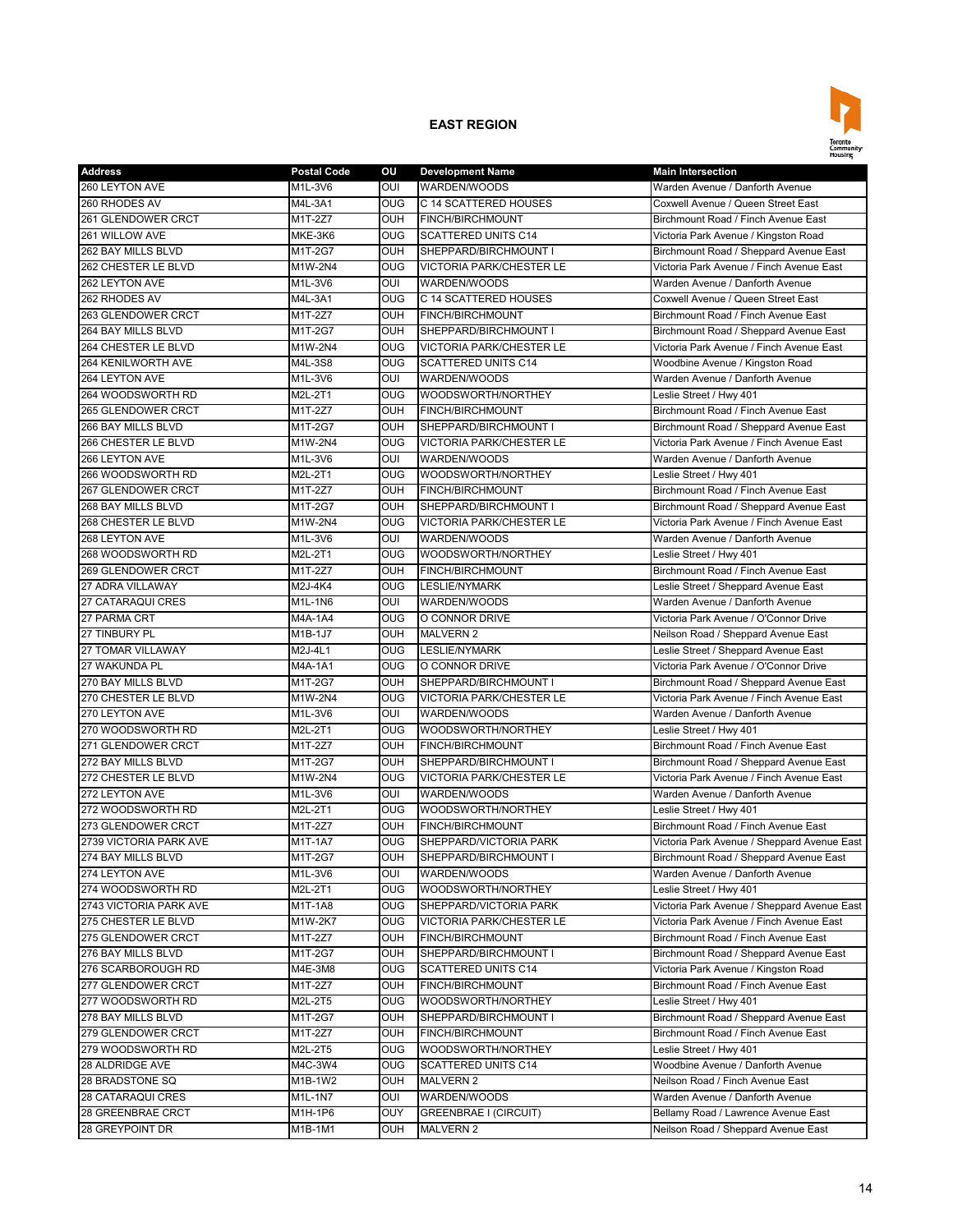

| <b>Address</b>           | <b>Postal Code</b> | ΟU                      | <b>Development Name</b>                  | <b>Main Intersection</b>                                                    |
|--------------------------|--------------------|-------------------------|------------------------------------------|-----------------------------------------------------------------------------|
| 260 LEYTON AVE           | M1L-3V6            | OUI                     | WARDEN/WOODS                             | Warden Avenue / Danforth Avenue                                             |
| 260 RHODES AV            | M4L-3A1            | OUG                     | C 14 SCATTERED HOUSES                    | Coxwell Avenue / Queen Street East                                          |
| 261 GLENDOWER CRCT       | M1T-2Z7            | OUH                     | FINCH/BIRCHMOUNT                         | Birchmount Road / Finch Avenue East                                         |
| 261 WILLOW AVE           | MKE-3K6            | <b>OUG</b>              | <b>SCATTERED UNITS C14</b>               | Victoria Park Avenue / Kingston Road                                        |
| 262 BAY MILLS BLVD       | M1T-2G7            | OUH                     | SHEPPARD/BIRCHMOUNT I                    | Birchmount Road / Sheppard Avenue East                                      |
| 262 CHESTER LE BLVD      | M1W-2N4            | <b>OUG</b>              | <b>VICTORIA PARK/CHESTER LE</b>          | Victoria Park Avenue / Finch Avenue East                                    |
| 262 LEYTON AVE           | M1L-3V6            | OUI                     | WARDEN/WOODS                             | Warden Avenue / Danforth Avenue                                             |
| 262 RHODES AV            | M4L-3A1            | OUG                     | C 14 SCATTERED HOUSES                    | Coxwell Avenue / Queen Street East                                          |
| 263 GLENDOWER CRCT       | $M1T-2Z7$          | OUH                     | <b>FINCH/BIRCHMOUNT</b>                  | Birchmount Road / Finch Avenue East                                         |
| 264 BAY MILLS BLVD       | M1T-2G7            | OUH                     | SHEPPARD/BIRCHMOUNT I                    | Birchmount Road / Sheppard Avenue East                                      |
| 264 CHESTER LE BLVD      | M1W-2N4            | <b>OUG</b>              | <b>VICTORIA PARK/CHESTER LE</b>          | Victoria Park Avenue / Finch Avenue East                                    |
| 264 KENILWORTH AVE       | M4L-3S8            | <b>OUG</b>              | <b>SCATTERED UNITS C14</b>               | Woodbine Avenue / Kingston Road                                             |
| 264 LEYTON AVE           | M1L-3V6            | OUI                     | WARDEN/WOODS                             | Warden Avenue / Danforth Avenue                                             |
| 264 WOODSWORTH RD        | M2L-2T1            | $\overline{\text{OUG}}$ | WOODSWORTH/NORTHEY                       | Leslie Street / Hwy 401                                                     |
| 265 GLENDOWER CRCT       | M1T-2Z7            | OUH                     | FINCH/BIRCHMOUNT                         | Birchmount Road / Finch Avenue East                                         |
| 266 BAY MILLS BLVD       | M1T-2G7            | OUH                     | SHEPPARD/BIRCHMOUNT I                    | Birchmount Road / Sheppard Avenue East                                      |
| 266 CHESTER LE BLVD      | M1W-2N4            | <b>OUG</b>              | <b>VICTORIA PARK/CHESTER LE</b>          | Victoria Park Avenue / Finch Avenue East                                    |
| 266 LEYTON AVE           | M1L-3V6            | OUI                     | WARDEN/WOODS                             | Warden Avenue / Danforth Avenue                                             |
| 266 WOODSWORTH RD        | M2L-2T1            | OUG                     | WOODSWORTH/NORTHEY                       | Leslie Street / Hwy 401                                                     |
| 267 GLENDOWER CRCT       | M1T-2Z7            | OUH                     | FINCH/BIRCHMOUNT                         | Birchmount Road / Finch Avenue East                                         |
| 268 BAY MILLS BLVD       | M1T-2G7            | OUH                     | SHEPPARD/BIRCHMOUNT I                    | Birchmount Road / Sheppard Avenue East                                      |
| 268 CHESTER LE BLVD      | M1W-2N4            | <b>OUG</b>              | <b>VICTORIA PARK/CHESTER LE</b>          | Victoria Park Avenue / Finch Avenue East                                    |
| 268 LEYTON AVE           | M1L-3V6            | OUI                     | WARDEN/WOODS                             | Warden Avenue / Danforth Avenue                                             |
| 268 WOODSWORTH RD        | M2L-2T1            | OUG                     | WOODSWORTH/NORTHEY                       | Leslie Street / Hwy 401                                                     |
| 269 GLENDOWER CRCT       | M1T-2Z7            | OUH                     | FINCH/BIRCHMOUNT                         | Birchmount Road / Finch Avenue East                                         |
| <b>27 ADRA VILLAWAY</b>  | M2J-4K4            | <b>OUG</b>              | <b>LESLIE/NYMARK</b>                     | Leslie Street / Sheppard Avenue East                                        |
| <b>27 CATARAQUI CRES</b> | M1L-1N6            | OUI                     | WARDEN/WOODS                             | Warden Avenue / Danforth Avenue                                             |
| 27 PARMA CRT             | M4A-1A4            | <b>OUG</b>              | O CONNOR DRIVE                           | Victoria Park Avenue / O'Connor Drive                                       |
| 27 TINBURY PL            |                    | OUH                     |                                          |                                                                             |
| <b>27 TOMAR VILLAWAY</b> | M1B-1J7<br>M2J-4L1 | OUG                     | <b>MALVERN 2</b><br><b>LESLIE/NYMARK</b> | Neilson Road / Sheppard Avenue East<br>Leslie Street / Sheppard Avenue East |
| 27 WAKUNDA PL            | M4A-1A1            | $_{\text{OUG}}$         | O CONNOR DRIVE                           | Victoria Park Avenue / O'Connor Drive                                       |
|                          |                    | OUH                     |                                          |                                                                             |
| 270 BAY MILLS BLVD       | M1T-2G7            |                         | SHEPPARD/BIRCHMOUNT I                    | Birchmount Road / Sheppard Avenue East                                      |
| 270 CHESTER LE BLVD      | M1W-2N4            | <b>OUG</b>              | <b>VICTORIA PARK/CHESTER LE</b>          | Victoria Park Avenue / Finch Avenue East                                    |
| 270 LEYTON AVE           | M1L-3V6            | OUI                     | WARDEN/WOODS                             | Warden Avenue / Danforth Avenue                                             |
| 270 WOODSWORTH RD        | M2L-2T1            | <b>OUG</b>              | WOODSWORTH/NORTHEY                       | Leslie Street / Hwy 401<br>Birchmount Road / Finch Avenue East              |
| 271 GLENDOWER CRCT       | M1T-2Z7            | <b>OUH</b>              | <b>FINCH/BIRCHMOUNT</b>                  |                                                                             |
| 272 BAY MILLS BLVD       | M1T-2G7            | OUH                     | SHEPPARD/BIRCHMOUNT I                    | Birchmount Road / Sheppard Avenue East                                      |
| 272 CHESTER LE BLVD      | M1W-2N4            | <b>OUG</b>              | <b>VICTORIA PARK/CHESTER LE</b>          | Victoria Park Avenue / Finch Avenue East                                    |
| 272 LEYTON AVE           | M1L-3V6            | OUI                     | WARDEN/WOODS                             | Warden Avenue / Danforth Avenue                                             |
| 272 WOODSWORTH RD        | M2L-2T1            | OUG                     | WOODSWORTH/NORTHEY                       | Leslie Street / Hwy 401                                                     |
| 273 GLENDOWER CRCT       | M1T-2Z7            | OUH                     | FINCH/BIRCHMOUNT                         | Birchmount Road / Finch Avenue East                                         |
| 2739 VICTORIA PARK AVE   | M1T-1A7            | <b>OUG</b>              | SHEPPARD/VICTORIA PARK                   | Victoria Park Avenue / Sheppard Avenue East                                 |
| 274 BAY MILLS BLVD       | M1T-2G7            | OUH                     | SHEPPARD/BIRCHMOUNT I                    | Birchmount Road / Sheppard Avenue East                                      |
| 274 LEYTON AVE           | M1L-3V6            | OUI                     | WARDEN/WOODS                             | Warden Avenue / Danforth Avenue                                             |
| 274 WOODSWORTH RD        | M2L-2T1            | OUG                     | WOODSWORTH/NORTHEY                       | Leslie Street / Hwy 401                                                     |
| 2743 VICTORIA PARK AVE   | M1T-1A8            | <b>OUG</b>              | SHEPPARD/VICTORIA PARK                   | Victoria Park Avenue / Sheppard Avenue East                                 |
| 275 CHESTER LE BLVD      | M1W-2K7            | <b>OUG</b>              | <b>VICTORIA PARK/CHESTER LE</b>          | Victoria Park Avenue / Finch Avenue East                                    |
| 275 GLENDOWER CRCT       | M1T-2Z7            | OUH                     | FINCH/BIRCHMOUNT                         | Birchmount Road / Finch Avenue East                                         |
| 276 BAY MILLS BLVD       | M1T-2G7            | OUH                     | SHEPPARD/BIRCHMOUNT I                    | Birchmount Road / Sheppard Avenue East                                      |
| 276 SCARBOROUGH RD       | M4E-3M8            | <b>OUG</b>              | SCATTERED UNITS C14                      | Victoria Park Avenue / Kingston Road                                        |
| 277 GLENDOWER CRCT       | M1T-2Z7            | OUH                     | FINCH/BIRCHMOUNT                         | Birchmount Road / Finch Avenue East                                         |
| 277 WOODSWORTH RD        | M2L-2T5            | OUG                     | WOODSWORTH/NORTHEY                       | Leslie Street / Hwy 401                                                     |
| 278 BAY MILLS BLVD       | M1T-2G7            | OUH                     | SHEPPARD/BIRCHMOUNT I                    | Birchmount Road / Sheppard Avenue East                                      |
| 279 GLENDOWER CRCT       | M1T-2Z7            | OUH                     | FINCH/BIRCHMOUNT                         | Birchmount Road / Finch Avenue East                                         |
| 279 WOODSWORTH RD        | M2L-2T5            | OUG                     | WOODSWORTH/NORTHEY                       | Leslie Street / Hwy 401                                                     |
| 28 ALDRIDGE AVE          | M4C-3W4            | OUG                     | SCATTERED UNITS C14                      | Woodbine Avenue / Danforth Avenue                                           |
| 28 BRADSTONE SQ          | M1B-1W2            | OUH                     | <b>MALVERN 2</b>                         | Neilson Road / Finch Avenue East                                            |
| 28 CATARAQUI CRES        | M1L-1N7            | OUI                     | WARDEN/WOODS                             | Warden Avenue / Danforth Avenue                                             |
| 28 GREENBRAE CRCT        | M1H-1P6            | OUY                     | <b>GREENBRAE I (CIRCUIT)</b>             | Bellamy Road / Lawrence Avenue East                                         |
| 28 GREYPOINT DR          | M1B-1M1            | OUH                     | MALVERN 2                                | Neilson Road / Sheppard Avenue East                                         |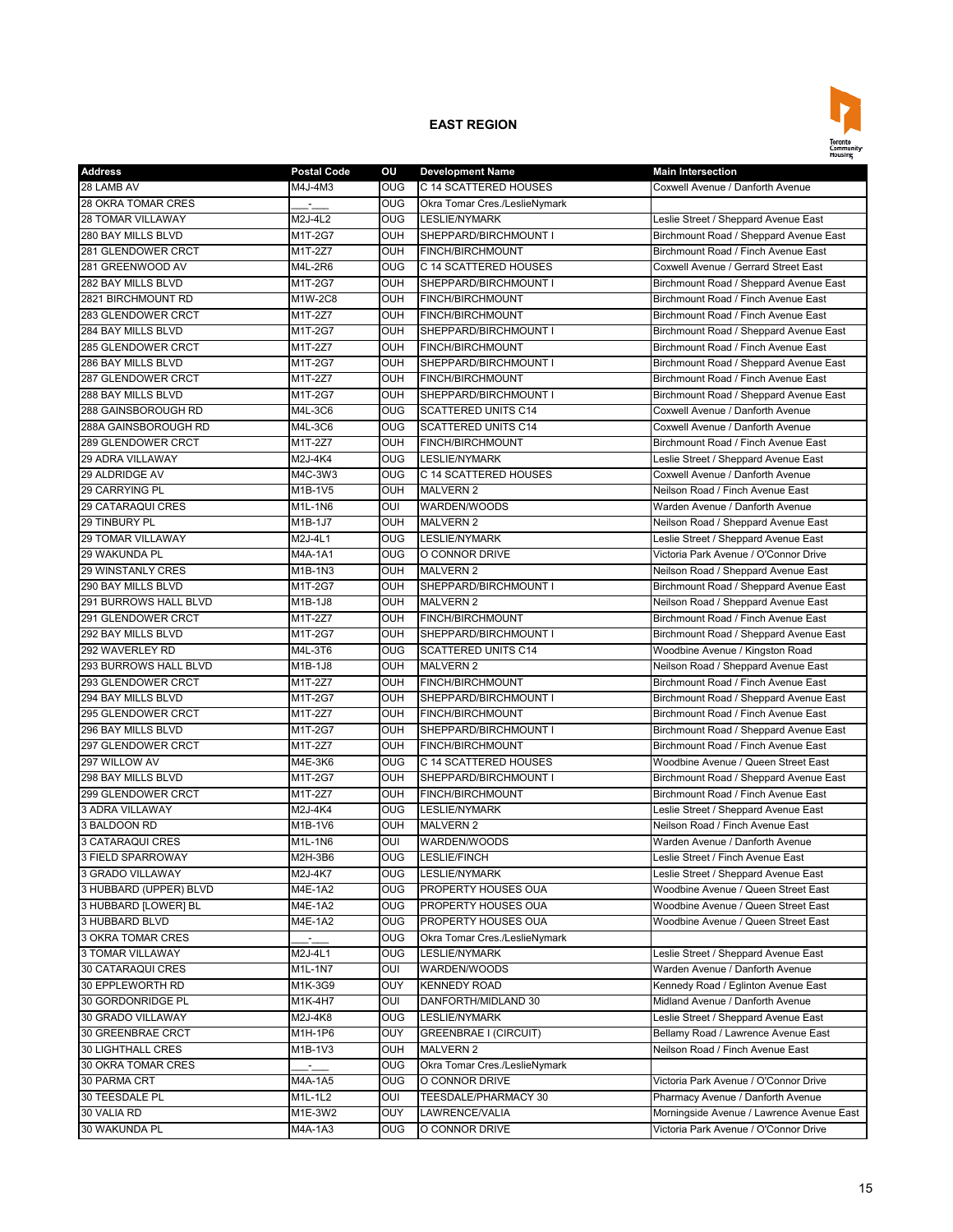

| <b>Address</b>                         | <b>Postal Code</b> | οu                       | <b>Development Name</b>                    | <b>Main Intersection</b>                                                   |
|----------------------------------------|--------------------|--------------------------|--------------------------------------------|----------------------------------------------------------------------------|
| 28 LAMB AV                             | M4J-4M3            | <b>OUG</b>               | C 14 SCATTERED HOUSES                      | Coxwell Avenue / Danforth Avenue                                           |
| 28 OKRA TOMAR CRES                     |                    | <b>OUG</b>               | Okra Tomar Cres./LeslieNymark              |                                                                            |
| 28 TOMAR VILLAWAY                      | M2J-4L2            | $\overline{\text{O}}$    | <b>LESLIE/NYMARK</b>                       | Leslie Street / Sheppard Avenue East                                       |
| 280 BAY MILLS BLVD                     | M1T-2G7            | OUH                      | SHEPPARD/BIRCHMOUNT I                      | Birchmount Road / Sheppard Avenue East                                     |
| 281 GLENDOWER CRCT                     | M1T-2Z7            | OUH                      | <b>FINCH/BIRCHMOUNT</b>                    | Birchmount Road / Finch Avenue East                                        |
| 281 GREENWOOD AV                       | M4L-2R6            | <b>OUG</b>               | C 14 SCATTERED HOUSES                      | Coxwell Avenue / Gerrard Street East                                       |
| 282 BAY MILLS BLVD                     | M1T-2G7            | <b>OUH</b>               | SHEPPARD/BIRCHMOUNT I                      | Birchmount Road / Sheppard Avenue East                                     |
| 2821 BIRCHMOUNT RD                     | M1W-2C8            | OUH                      | FINCH/BIRCHMOUNT                           | Birchmount Road / Finch Avenue East                                        |
| 283 GLENDOWER CRCT                     | M1T-2Z7            | OUH                      | FINCH/BIRCHMOUNT                           | Birchmount Road / Finch Avenue East                                        |
| 284 BAY MILLS BLVD                     | M1T-2G7            | OUH                      | SHEPPARD/BIRCHMOUNT I                      | Birchmount Road / Sheppard Avenue East                                     |
| 285 GLENDOWER CRCT                     | M1T-2Z7            | OUH                      | <b>FINCH/BIRCHMOUNT</b>                    | Birchmount Road / Finch Avenue East                                        |
| 286 BAY MILLS BLVD                     | M1T-2G7            | OUH                      | SHEPPARD/BIRCHMOUNT I                      | Birchmount Road / Sheppard Avenue East                                     |
| 287 GLENDOWER CRCT                     | M1T-2Z7            | <b>OUH</b>               | FINCH/BIRCHMOUNT                           | Birchmount Road / Finch Avenue East                                        |
| 288 BAY MILLS BLVD                     | M1T-2G7            | OUH                      | SHEPPARD/BIRCHMOUNT I                      | Birchmount Road / Sheppard Avenue East                                     |
| 288 GAINSBOROUGH RD                    | M4L-3C6            | <b>OUG</b>               | <b>SCATTERED UNITS C14</b>                 | Coxwell Avenue / Danforth Avenue                                           |
| 288A GAINSBOROUGH RD                   | M4L-3C6            | <b>OUG</b>               | <b>SCATTERED UNITS C14</b>                 | Coxwell Avenue / Danforth Avenue                                           |
| 289 GLENDOWER CRCT                     | M1T-2Z7            | OUH                      | <b>FINCH/BIRCHMOUNT</b>                    | Birchmount Road / Finch Avenue East                                        |
| 29 ADRA VILLAWAY                       | M2J-4K4            | <b>OUG</b>               | <b>LESLIE/NYMARK</b>                       | Leslie Street / Sheppard Avenue East                                       |
| 29 ALDRIDGE AV                         | M4C-3W3            | OUG                      | C 14 SCATTERED HOUSES                      | Coxwell Avenue / Danforth Avenue                                           |
| 29 CARRYING PL                         | $M1B-1V5$          | OUH                      | <b>MALVERN 2</b>                           | Neilson Road / Finch Avenue East                                           |
| 29 CATARAQUI CRES                      | M1L-1N6            | OUI                      | WARDEN/WOODS                               | Warden Avenue / Danforth Avenue                                            |
| 29 TINBURY PL                          | M1B-1J7            | OUH                      | <b>MALVERN 2</b>                           | Neilson Road / Sheppard Avenue East                                        |
| 29 TOMAR VILLAWAY                      | M2J-4L1            | OUG                      | <b>LESLIE/NYMARK</b>                       | Leslie Street / Sheppard Avenue East                                       |
| 29 WAKUNDA PL                          | M4A-1A1            | <b>OUG</b>               | O CONNOR DRIVE                             | Victoria Park Avenue / O'Connor Drive                                      |
| <b>29 WINSTANLY CRES</b>               | M1B-1N3            | <b>OUH</b>               | <b>MALVERN 2</b>                           | Neilson Road / Sheppard Avenue East                                        |
| 290 BAY MILLS BLVD                     | M1T-2G7            | OUH                      | SHEPPARD/BIRCHMOUNT I                      | Birchmount Road / Sheppard Avenue East                                     |
| 291 BURROWS HALL BLVD                  | M1B-1J8            | OUH                      | <b>MALVERN 2</b>                           | Neilson Road / Sheppard Avenue East                                        |
| 291 GLENDOWER CRCT                     | M1T-2Z7            | OUH                      | FINCH/BIRCHMOUNT                           | Birchmount Road / Finch Avenue East                                        |
| 292 BAY MILLS BLVD                     | M1T-2G7            | OUH                      | SHEPPARD/BIRCHMOUNT I                      | Birchmount Road / Sheppard Avenue East                                     |
| 292 WAVERLEY RD                        | M4L-3T6            | <b>OUG</b>               | <b>SCATTERED UNITS C14</b>                 | Woodbine Avenue / Kingston Road                                            |
| 293 BURROWS HALL BLVD                  | M1B-1J8            | OUH                      | <b>MALVERN 2</b>                           | Neilson Road / Sheppard Avenue East                                        |
| 293 GLENDOWER CRCT                     | M1T-2Z7            | OUH                      | FINCH/BIRCHMOUNT                           | Birchmount Road / Finch Avenue East                                        |
| 294 BAY MILLS BLVD                     | M1T-2G7            | OUH                      | SHEPPARD/BIRCHMOUNT I                      | Birchmount Road / Sheppard Avenue East                                     |
| 295 GLENDOWER CRCT                     | M1T-2Z7            | OUH                      | FINCH/BIRCHMOUNT                           | Birchmount Road / Finch Avenue East                                        |
| 296 BAY MILLS BLVD                     | M1T-2G7            | OUH                      | SHEPPARD/BIRCHMOUNT I                      | Birchmount Road / Sheppard Avenue East                                     |
| 297 GLENDOWER CRCT                     | M1T-2Z7            | OUH                      | <b>FINCH/BIRCHMOUNT</b>                    | Birchmount Road / Finch Avenue East                                        |
| 297 WILLOW AV                          | M4E-3K6            | <b>OUG</b>               | C 14 SCATTERED HOUSES                      | Woodbine Avenue / Queen Street East                                        |
| 298 BAY MILLS BLVD                     | M1T-2G7            | <b>OUH</b>               | SHEPPARD/BIRCHMOUNT I                      | Birchmount Road / Sheppard Avenue East                                     |
| 299 GLENDOWER CRCT                     | M1T-2Z7            | OUH                      | FINCH/BIRCHMOUNT                           | Birchmount Road / Finch Avenue East                                        |
| 3 ADRA VILLAWAY                        | M2J-4K4            | OUG                      | <b>LESLIE/NYMARK</b>                       |                                                                            |
| 3 BALDOON RD                           | M1B-1V6            | OUH                      | <b>MALVERN 2</b>                           | Leslie Street / Sheppard Avenue East<br>Neilson Road / Finch Avenue East   |
| 3 CATARAQUI CRES                       | M1L-1N6            | OUI                      | WARDEN/WOODS                               | Warden Avenue / Danforth Avenue                                            |
|                                        |                    |                          | <b>LESLIE/FINCH</b>                        | Leslie Street / Finch Avenue East                                          |
| 3 FIELD SPARROWAY<br>3 GRADO VILLAWAY  | M2H-3B6<br>M2J-4K7 | <b>OUG</b><br><b>OUG</b> |                                            |                                                                            |
|                                        |                    |                          | <b>LESLIE/NYMARK</b>                       | Leslie Street / Sheppard Avenue East                                       |
| 3 HUBBARD (UPPER) BLVD                 | M4E-1A2            | <b>OUG</b>               | PROPERTY HOUSES OUA<br>PROPERTY HOUSES OUA | Woodbine Avenue / Queen Street East                                        |
| 3 HUBBARD [LOWER] BL<br>3 HUBBARD BLVD | M4E-1A2            | <b>OUG</b>               | PROPERTY HOUSES OUA                        | Woodbine Avenue / Queen Street East<br>Woodbine Avenue / Queen Street East |
|                                        | M4E-1A2            | OUG                      |                                            |                                                                            |
| 3 OKRA TOMAR CRES                      |                    | OUG                      | Okra Tomar Cres./LeslieNymark              |                                                                            |
| 3 TOMAR VILLAWAY                       | M2J-4L1            | <b>OUG</b>               | LESLIE/NYMARK                              | Leslie Street / Sheppard Avenue East                                       |
| 30 CATARAQUI CRES                      | M1L-1N7            | OUI                      | WARDEN/WOODS                               | Warden Avenue / Danforth Avenue                                            |
| 30 EPPLEWORTH RD                       | M1K-3G9            | OUY                      | <b>KENNEDY ROAD</b>                        | Kennedy Road / Eglinton Avenue East                                        |
| 30 GORDONRIDGE PL                      | M1K-4H7            | OUI                      | DANFORTH/MIDLAND 30                        | Midland Avenue / Danforth Avenue                                           |
| 30 GRADO VILLAWAY                      | M2J-4K8            | OUG                      | LESLIE/NYMARK                              | Leslie Street / Sheppard Avenue East                                       |
| 30 GREENBRAE CRCT                      | M1H-1P6            | OUY                      | <b>GREENBRAE I (CIRCUIT)</b>               | Bellamy Road / Lawrence Avenue East                                        |
| 30 LIGHTHALL CRES                      | M1B-1V3            | OUH                      | <b>MALVERN 2</b>                           | Neilson Road / Finch Avenue East                                           |
| 30 OKRA TOMAR CRES                     | z.                 | OUG                      | Okra Tomar Cres./LeslieNymark              |                                                                            |
| 30 PARMA CRT                           | M4A-1A5            | <b>OUG</b>               | O CONNOR DRIVE                             | Victoria Park Avenue / O'Connor Drive                                      |
| 30 TEESDALE PL                         | M1L-1L2            | OUI                      | TEESDALE/PHARMACY 30                       | Pharmacy Avenue / Danforth Avenue                                          |
| 30 VALIA RD                            | M1E-3W2            | OUY                      | LAWRENCE/VALIA                             | Morningside Avenue / Lawrence Avenue East                                  |
| 30 WAKUNDA PL                          | M4A-1A3            | OUG                      | O CONNOR DRIVE                             | Victoria Park Avenue / O'Connor Drive                                      |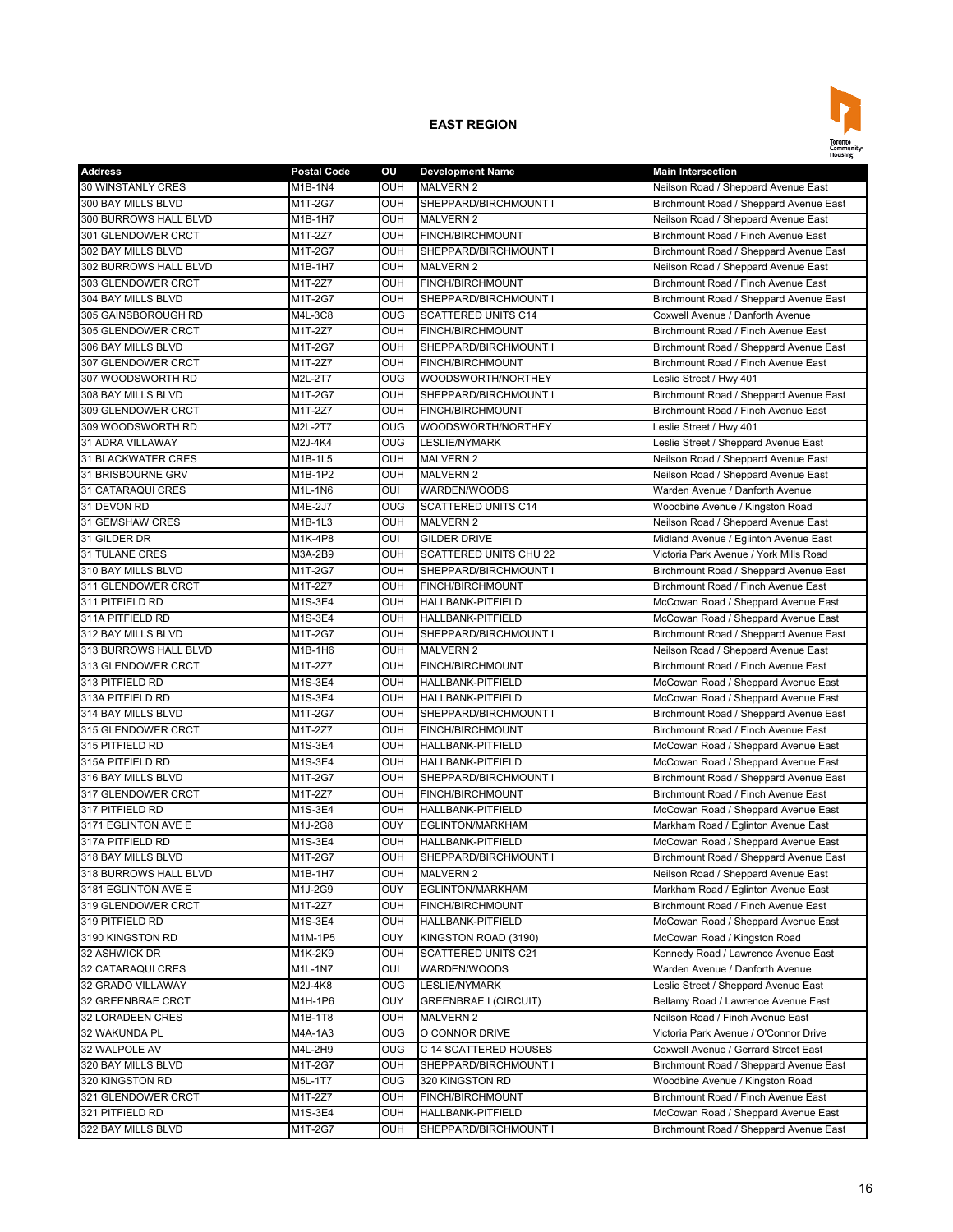

| <b>Address</b>               | <b>Postal Code</b> | OU              | <b>Development Name</b>      | <b>Main Intersection</b>               |
|------------------------------|--------------------|-----------------|------------------------------|----------------------------------------|
| <b>30 WINSTANLY CRES</b>     | M1B-1N4            | <b>OUH</b>      | <b>MALVERN 2</b>             | Neilson Road / Sheppard Avenue East    |
| 300 BAY MILLS BLVD           | M1T-2G7            | OUH             | SHEPPARD/BIRCHMOUNT I        | Birchmount Road / Sheppard Avenue East |
| <b>300 BURROWS HALL BLVD</b> | M1B-1H7            | OUH             | <b>MALVERN 2</b>             | Neilson Road / Sheppard Avenue East    |
| 301 GLENDOWER CRCT           | M1T-2Z7            | OUH             | FINCH/BIRCHMOUNT             | Birchmount Road / Finch Avenue East    |
| 302 BAY MILLS BLVD           | M1T-2G7            | OUH             | SHEPPARD/BIRCHMOUNT I        | Birchmount Road / Sheppard Avenue East |
| 302 BURROWS HALL BLVD        | M1B-1H7            | OUH             | <b>MALVERN 2</b>             | Neilson Road / Sheppard Avenue East    |
| 303 GLENDOWER CRCT           | M1T-2Z7            | OUH             | FINCH/BIRCHMOUNT             | Birchmount Road / Finch Avenue East    |
| 304 BAY MILLS BLVD           | M1T-2G7            | OUH             | SHEPPARD/BIRCHMOUNT I        | Birchmount Road / Sheppard Avenue East |
| 305 GAINSBOROUGH RD          | M4L-3C8            | <b>OUG</b>      | <b>SCATTERED UNITS C14</b>   | Coxwell Avenue / Danforth Avenue       |
| 305 GLENDOWER CRCT           | M1T-2Z7            | OUH             | FINCH/BIRCHMOUNT             | Birchmount Road / Finch Avenue East    |
| 306 BAY MILLS BLVD           | M1T-2G7            | <b>OUH</b>      | SHEPPARD/BIRCHMOUNT I        | Birchmount Road / Sheppard Avenue East |
| 307 GLENDOWER CRCT           | M1T-2Z7            | <b>OUH</b>      | FINCH/BIRCHMOUNT             | Birchmount Road / Finch Avenue East    |
| 307 WOODSWORTH RD            | M2L-2T7            | OUG             | WOODSWORTH/NORTHEY           | Leslie Street / Hwy 401                |
| 308 BAY MILLS BLVD           | M1T-2G7            | OUH             | SHEPPARD/BIRCHMOUNT I        | Birchmount Road / Sheppard Avenue East |
| 309 GLENDOWER CRCT           | M1T-2Z7            | OUH             | FINCH/BIRCHMOUNT             | Birchmount Road / Finch Avenue East    |
| 309 WOODSWORTH RD            | M2L-2T7            | <b>OUG</b>      | WOODSWORTH/NORTHEY           | Leslie Street / Hwy 401                |
| 31 ADRA VILLAWAY             | M2J-4K4            | $_{\text{OUG}}$ | <b>LESLIE/NYMARK</b>         | Leslie Street / Sheppard Avenue East   |
| <b>31 BLACKWATER CRES</b>    | M1B-1L5            | <b>OUH</b>      | <b>MALVERN 2</b>             | Neilson Road / Sheppard Avenue East    |
| 31 BRISBOURNE GRV            | $M1B-1P2$          | OUH             | <b>MALVERN 2</b>             | Neilson Road / Sheppard Avenue East    |
| 31 CATARAQUI CRES            | M1L-1N6            | OUI             | WARDEN/WOODS                 | Warden Avenue / Danforth Avenue        |
| 31 DEVON RD                  | M4E-2J7            | <b>OUG</b>      | <b>SCATTERED UNITS C14</b>   | Woodbine Avenue / Kingston Road        |
| 31 GEMSHAW CRES              | M1B-1L3            | OUH             | <b>MALVERN 2</b>             | Neilson Road / Sheppard Avenue East    |
| 31 GILDER DR                 | M1K-4P8            | OUI             | <b>GILDER DRIVE</b>          | Midland Avenue / Eglinton Avenue East  |
| <b>31 TULANE CRES</b>        | M3A-2B9            | OUH             | SCATTERED UNITS CHU 22       | Victoria Park Avenue / York Mills Road |
| 310 BAY MILLS BLVD           | M1T-2G7            | OUH             | SHEPPARD/BIRCHMOUNT I        |                                        |
|                              |                    |                 |                              | Birchmount Road / Sheppard Avenue East |
| 311 GLENDOWER CRCT           | M1T-2Z7            | OUH             | FINCH/BIRCHMOUNT             | Birchmount Road / Finch Avenue East    |
| 311 PITFIELD RD              | M1S-3E4            | OUH             | <b>HALLBANK-PITFIELD</b>     | McCowan Road / Sheppard Avenue East    |
| 311A PITFIELD RD             | M1S-3E4            | OUH             | HALLBANK-PITFIELD            | McCowan Road / Sheppard Avenue East    |
| 312 BAY MILLS BLVD           | M1T-2G7            | OUH             | SHEPPARD/BIRCHMOUNT I        | Birchmount Road / Sheppard Avenue East |
| 313 BURROWS HALL BLVD        | M1B-1H6            | OUH             | <b>MALVERN 2</b>             | Neilson Road / Sheppard Avenue East    |
| 313 GLENDOWER CRCT           | M1T-2Z7            | OUH             | FINCH/BIRCHMOUNT             | Birchmount Road / Finch Avenue East    |
| 313 PITFIELD RD              | M1S-3E4            | OUH             | HALLBANK-PITFIELD            | McCowan Road / Sheppard Avenue East    |
| 313A PITFIELD RD             | M1S-3E4            | OUH             | HALLBANK-PITFIELD            | McCowan Road / Sheppard Avenue East    |
| 314 BAY MILLS BLVD           | M1T-2G7            | OUH             | SHEPPARD/BIRCHMOUNT I        | Birchmount Road / Sheppard Avenue East |
| 315 GLENDOWER CRCT           | M1T-2Z7            | <b>OUH</b>      | FINCH/BIRCHMOUNT             | Birchmount Road / Finch Avenue East    |
| 315 PITFIELD RD              | M1S-3E4            | OUH             | HALLBANK-PITFIELD            | McCowan Road / Sheppard Avenue East    |
| 315A PITFIELD RD             | M1S-3E4            | OUH             | HALLBANK-PITFIELD            | McCowan Road / Sheppard Avenue East    |
| 316 BAY MILLS BLVD           | M1T-2G7            | OUH             | SHEPPARD/BIRCHMOUNT I        | Birchmount Road / Sheppard Avenue East |
| 317 GLENDOWER CRCT           | M1T-2Z7            | OUH             | FINCH/BIRCHMOUNT             | Birchmount Road / Finch Avenue East    |
| 317 PITFIELD RD              | M1S-3E4            | <b>OUH</b>      | HALLBANK-PITFIELD            | McCowan Road / Sheppard Avenue East    |
| 3171 EGLINTON AVE E          | M1J-2G8            | <b>OUY</b>      | EGLINTON/MARKHAM             | Markham Road / Eglinton Avenue East    |
| 317A PITFIELD RD             | M1S-3E4            | OUH             | HALLBANK-PITFIELD            | McCowan Road / Sheppard Avenue East    |
| 318 BAY MILLS BLVD           | M1T-2G7            | <b>OUH</b>      | SHEPPARD/BIRCHMOUNT I        | Birchmount Road / Sheppard Avenue East |
| 318 BURROWS HALL BLVD        | M1B-1H7            | OUH             | MALVERN 2                    | Neilson Road / Sheppard Avenue East    |
| 3181 EGLINTON AVE E          | M1J-2G9            | OUY             | EGLINTON/MARKHAM             | Markham Road / Eglinton Avenue East    |
| 319 GLENDOWER CRCT           | M1T-2Z7            | OUH             | FINCH/BIRCHMOUNT             | Birchmount Road / Finch Avenue East    |
| 319 PITFIELD RD              | M1S-3E4            | OUH             | HALLBANK-PITFIELD            | McCowan Road / Sheppard Avenue East    |
| 3190 KINGSTON RD             | M1M-1P5            | OUY             | KINGSTON ROAD (3190)         | McCowan Road / Kingston Road           |
| 32 ASHWICK DR                | M1K-2K9            | OUH             | SCATTERED UNITS C21          | Kennedy Road / Lawrence Avenue East    |
| 32 CATARAQUI CRES            | M1L-1N7            | oui             | WARDEN/WOODS                 | Warden Avenue / Danforth Avenue        |
| 32 GRADO VILLAWAY            | M2J-4K8            | OUG             | LESLIE/NYMARK                | Leslie Street / Sheppard Avenue East   |
| 32 GREENBRAE CRCT            | M1H-1P6            | OUY             | <b>GREENBRAE I (CIRCUIT)</b> | Bellamy Road / Lawrence Avenue East    |
| 32 LORADEEN CRES             | M1B-1T8            | OUH             | MALVERN 2                    | Neilson Road / Finch Avenue East       |
| 32 WAKUNDA PL                | M4A-1A3            | <b>OUG</b>      | O CONNOR DRIVE               | Victoria Park Avenue / O'Connor Drive  |
| 32 WALPOLE AV                | M4L-2H9            | <b>OUG</b>      | C 14 SCATTERED HOUSES        | Coxwell Avenue / Gerrard Street East   |
| 320 BAY MILLS BLVD           | M1T-2G7            | OUH             | SHEPPARD/BIRCHMOUNT I        | Birchmount Road / Sheppard Avenue East |
| 320 KINGSTON RD              | M5L-1T7            | <b>OUG</b>      | 320 KINGSTON RD              | Woodbine Avenue / Kingston Road        |
| 321 GLENDOWER CRCT           | M1T-2Z7            | OUH             | FINCH/BIRCHMOUNT             | Birchmount Road / Finch Avenue East    |
| 321 PITFIELD RD              | M1S-3E4            | OUH             | HALLBANK-PITFIELD            | McCowan Road / Sheppard Avenue East    |
| 322 BAY MILLS BLVD           | M1T-2G7            | OUH             | SHEPPARD/BIRCHMOUNT I        | Birchmount Road / Sheppard Avenue East |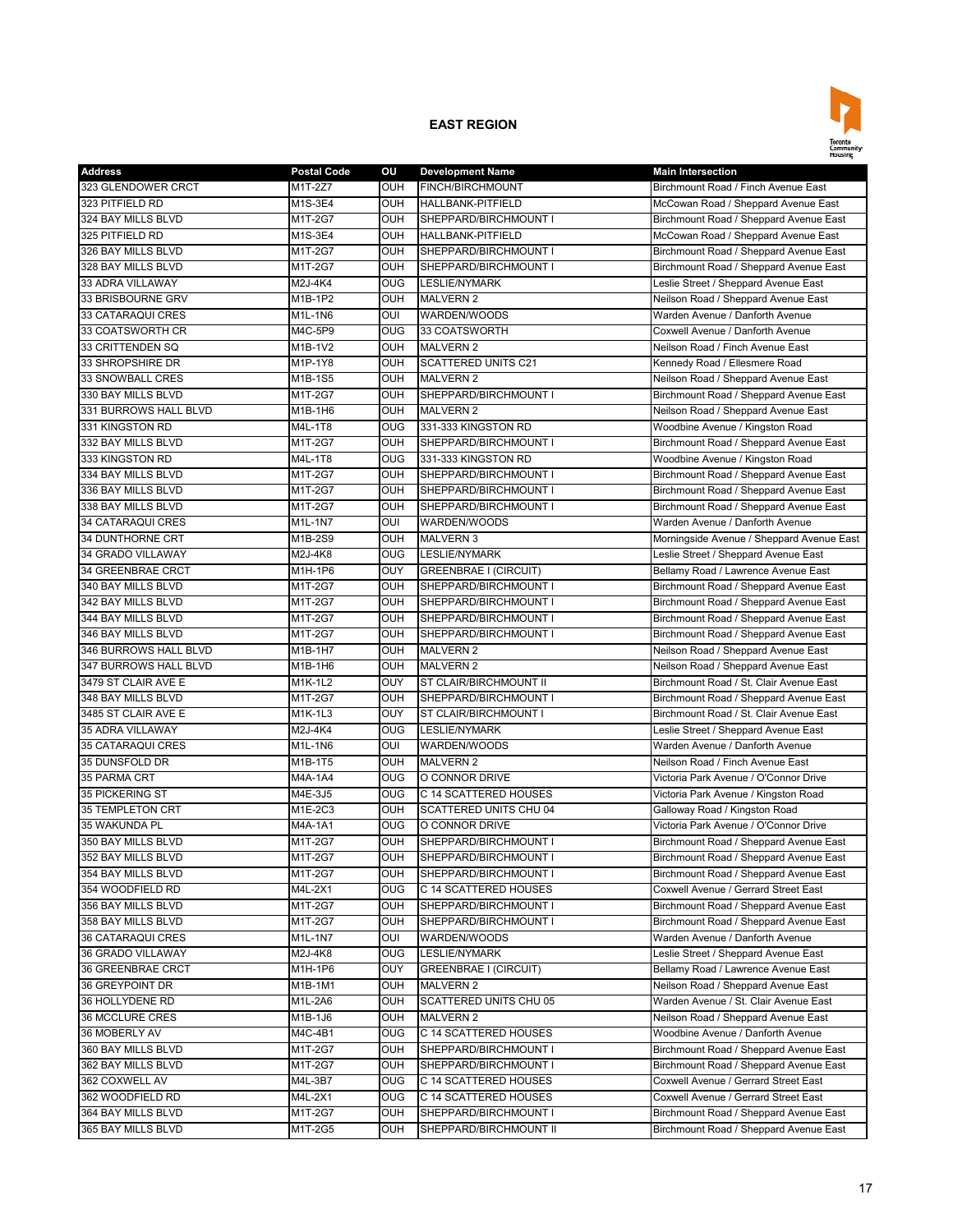

| <b>Address</b>          | <b>Postal Code</b> | οu         | <b>Development Name</b>       | <b>Main Intersection</b>                  |
|-------------------------|--------------------|------------|-------------------------------|-------------------------------------------|
| 323 GLENDOWER CRCT      | M1T-2Z7            | OUH        | FINCH/BIRCHMOUNT              | Birchmount Road / Finch Avenue East       |
| 323 PITFIELD RD         | M1S-3E4            | OUH        | HALLBANK-PITFIELD             | McCowan Road / Sheppard Avenue East       |
| 324 BAY MILLS BLVD      | M1T-2G7            | OUH        | SHEPPARD/BIRCHMOUNT I         | Birchmount Road / Sheppard Avenue East    |
| 325 PITFIELD RD         | M1S-3E4            | OUH        | <b>HALLBANK-PITFIELD</b>      | McCowan Road / Sheppard Avenue East       |
| 326 BAY MILLS BLVD      | M1T-2G7            | OUH        | SHEPPARD/BIRCHMOUNT I         | Birchmount Road / Sheppard Avenue East    |
| 328 BAY MILLS BLVD      | M1T-2G7            | OUH        | SHEPPARD/BIRCHMOUNT I         | Birchmount Road / Sheppard Avenue East    |
| 33 ADRA VILLAWAY        | M2J-4K4            | OUG        | <b>LESLIE/NYMARK</b>          | Leslie Street / Sheppard Avenue East      |
| 33 BRISBOURNE GRV       | M1B-1P2            | OUH        | <b>MALVERN 2</b>              | Neilson Road / Sheppard Avenue East       |
| 33 CATARAQUI CRES       | M1L-1N6            | OUI        | WARDEN/WOODS                  | Warden Avenue / Danforth Avenue           |
| 33 COATSWORTH CR        | M4C-5P9            | OUG        | 33 COATSWORTH                 | Coxwell Avenue / Danforth Avenue          |
| 33 CRITTENDEN SQ        | M1B-1V2            | OUH        | <b>MALVERN 2</b>              | Neilson Road / Finch Avenue East          |
| 33 SHROPSHIRE DR        | M1P-1Y8            | OUH        | <b>SCATTERED UNITS C21</b>    | Kennedy Road / Ellesmere Road             |
| <b>33 SNOWBALL CRES</b> | M1B-1S5            | OUH        | <b>MALVERN 2</b>              | Neilson Road / Sheppard Avenue East       |
| 330 BAY MILLS BLVD      | M1T-2G7            | OUH        | SHEPPARD/BIRCHMOUNT I         | Birchmount Road / Sheppard Avenue East    |
| 331 BURROWS HALL BLVD   | M1B-1H6            | OUH        | <b>MALVERN 2</b>              | Neilson Road / Sheppard Avenue East       |
| 331 KINGSTON RD         | M4L-1T8            | OUG        | 331-333 KINGSTON RD           | Woodbine Avenue / Kingston Road           |
| 332 BAY MILLS BLVD      | M1T-2G7            | OUH        | SHEPPARD/BIRCHMOUNT I         | Birchmount Road / Sheppard Avenue East    |
| 333 KINGSTON RD         | M4L-1T8            | OUG        | 331-333 KINGSTON RD           | Woodbine Avenue / Kingston Road           |
| 334 BAY MILLS BLVD      | M1T-2G7            | OUH        | SHEPPARD/BIRCHMOUNT I         | Birchmount Road / Sheppard Avenue East    |
| 336 BAY MILLS BLVD      | M1T-2G7            | OUH        | SHEPPARD/BIRCHMOUNT I         | Birchmount Road / Sheppard Avenue East    |
| 338 BAY MILLS BLVD      | M1T-2G7            | OUH        | SHEPPARD/BIRCHMOUNT I         | Birchmount Road / Sheppard Avenue East    |
| 34 CATARAQUI CRES       | M1L-1N7            | OUI        | WARDEN/WOODS                  | Warden Avenue / Danforth Avenue           |
| 34 DUNTHORNE CRT        | M1B-2S9            | <b>OUH</b> | <b>MALVERN 3</b>              | Morningside Avenue / Sheppard Avenue East |
| 34 GRADO VILLAWAY       | M2J-4K8            | <b>OUG</b> | <b>LESLIE/NYMARK</b>          | Leslie Street / Sheppard Avenue East      |
|                         |                    |            |                               |                                           |
| 34 GREENBRAE CRCT       | M1H-1P6            | OUY        | <b>GREENBRAE I (CIRCUIT)</b>  | Bellamy Road / Lawrence Avenue East       |
| 340 BAY MILLS BLVD      | M1T-2G7            | OUH        | SHEPPARD/BIRCHMOUNT I         | Birchmount Road / Sheppard Avenue East    |
| 342 BAY MILLS BLVD      | M1T-2G7            | OUH        | SHEPPARD/BIRCHMOUNT I         | Birchmount Road / Sheppard Avenue East    |
| 344 BAY MILLS BLVD      | M1T-2G7            | OUH        | SHEPPARD/BIRCHMOUNT I         | Birchmount Road / Sheppard Avenue East    |
| 346 BAY MILLS BLVD      | M1T-2G7            | OUH        | SHEPPARD/BIRCHMOUNT I         | Birchmount Road / Sheppard Avenue East    |
| 346 BURROWS HALL BLVD   | M1B-1H7            | OUH        | <b>MALVERN 2</b>              | Neilson Road / Sheppard Avenue East       |
| 347 BURROWS HALL BLVD   | M1B-1H6            | OUH        | <b>MALVERN 2</b>              | Neilson Road / Sheppard Avenue East       |
| 3479 ST CLAIR AVE E     | M1K-1L2            | OUY        | ST CLAIR/BIRCHMOUNT II        | Birchmount Road / St. Clair Avenue East   |
| 348 BAY MILLS BLVD      | M1T-2G7            | OUH        | SHEPPARD/BIRCHMOUNT I         | Birchmount Road / Sheppard Avenue East    |
| 3485 ST CLAIR AVE E     | M1K-1L3            | OUY        | ST CLAIR/BIRCHMOUNT I         | Birchmount Road / St. Clair Avenue East   |
| 35 ADRA VILLAWAY        | M2J-4K4            | <b>OUG</b> | <b>LESLIE/NYMARK</b>          | Leslie Street / Sheppard Avenue East      |
| 35 CATARAQUI CRES       | M1L-1N6            | OUI        | WARDEN/WOODS                  | Warden Avenue / Danforth Avenue           |
| 35 DUNSFOLD DR          | M1B-1T5            | OUH        | <b>MALVERN 2</b>              | Neilson Road / Finch Avenue East          |
| 35 PARMA CRT            | M4A-1A4            | OUG        | O CONNOR DRIVE                | Victoria Park Avenue / O'Connor Drive     |
| 35 PICKERING ST         | M4E-3J5            | OUG        | C 14 SCATTERED HOUSES         | Victoria Park Avenue / Kingston Road      |
| 35 TEMPLETON CRT        | M1E-2C3            | OUH        | <b>SCATTERED UNITS CHU 04</b> | Galloway Road / Kingston Road             |
| 35 WAKUNDA PL           | M4A-1A1            | <b>OUG</b> | O CONNOR DRIVE                | Victoria Park Avenue / O'Connor Drive     |
| 350 BAY MILLS BLVD      | M1T-2G7            | OUH        | SHEPPARD/BIRCHMOUNT I         | Birchmount Road / Sheppard Avenue East    |
| 352 BAY MILLS BLVD      | M1T-2G7            | <b>OUH</b> | SHEPPARD/BIRCHMOUNT I         | Birchmount Road / Sheppard Avenue East    |
| 354 BAY MILLS BLVD      | M1T-2G7            | OUH        | SHEPPARD/BIRCHMOUNT I         | Birchmount Road / Sheppard Avenue East    |
| 354 WOODFIELD RD        | M4L-2X1            | OUG        | C 14 SCATTERED HOUSES         | Coxwell Avenue / Gerrard Street East      |
| 356 BAY MILLS BLVD      | M1T-2G7            | OUH        | SHEPPARD/BIRCHMOUNT I         | Birchmount Road / Sheppard Avenue East    |
| 358 BAY MILLS BLVD      | M1T-2G7            | OUH        | SHEPPARD/BIRCHMOUNT I         | Birchmount Road / Sheppard Avenue East    |
| 36 CATARAQUI CRES       | M1L-1N7            | oui        | WARDEN/WOODS                  | Warden Avenue / Danforth Avenue           |
| 36 GRADO VILLAWAY       | M2J-4K8            | OUG        | LESLIE/NYMARK                 | Leslie Street / Sheppard Avenue East      |
| 36 GREENBRAE CRCT       | M1H-1P6            | OUY        | GREENBRAE I (CIRCUIT)         | Bellamy Road / Lawrence Avenue East       |
| 36 GREYPOINT DR         | M1B-1M1            | OUH        | <b>MALVERN 2</b>              | Neilson Road / Sheppard Avenue East       |
| 36 HOLLYDENE RD         | M1L-2A6            | OUH        | SCATTERED UNITS CHU 05        | Warden Avenue / St. Clair Avenue East     |
| 36 MCCLURE CRES         | M1B-1J6            | OUH        | MALVERN 2                     | Neilson Road / Sheppard Avenue East       |
| 36 MOBERLY AV           | M4C-4B1            | OUG        | C 14 SCATTERED HOUSES         | Woodbine Avenue / Danforth Avenue         |
| 360 BAY MILLS BLVD      | M1T-2G7            | OUH        | SHEPPARD/BIRCHMOUNT I         | Birchmount Road / Sheppard Avenue East    |
| 362 BAY MILLS BLVD      | M1T-2G7            | ОUН        | SHEPPARD/BIRCHMOUNT I         | Birchmount Road / Sheppard Avenue East    |
| 362 COXWELL AV          | M4L-3B7            | OUG        | C 14 SCATTERED HOUSES         | Coxwell Avenue / Gerrard Street East      |
| 362 WOODFIELD RD        | M4L-2X1            | OUG        | C 14 SCATTERED HOUSES         | Coxwell Avenue / Gerrard Street East      |
| 364 BAY MILLS BLVD      | M1T-2G7            | OUH        | SHEPPARD/BIRCHMOUNT I         | Birchmount Road / Sheppard Avenue East    |
| 365 BAY MILLS BLVD      | M1T-2G5            | OUH        | SHEPPARD/BIRCHMOUNT II        | Birchmount Road / Sheppard Avenue East    |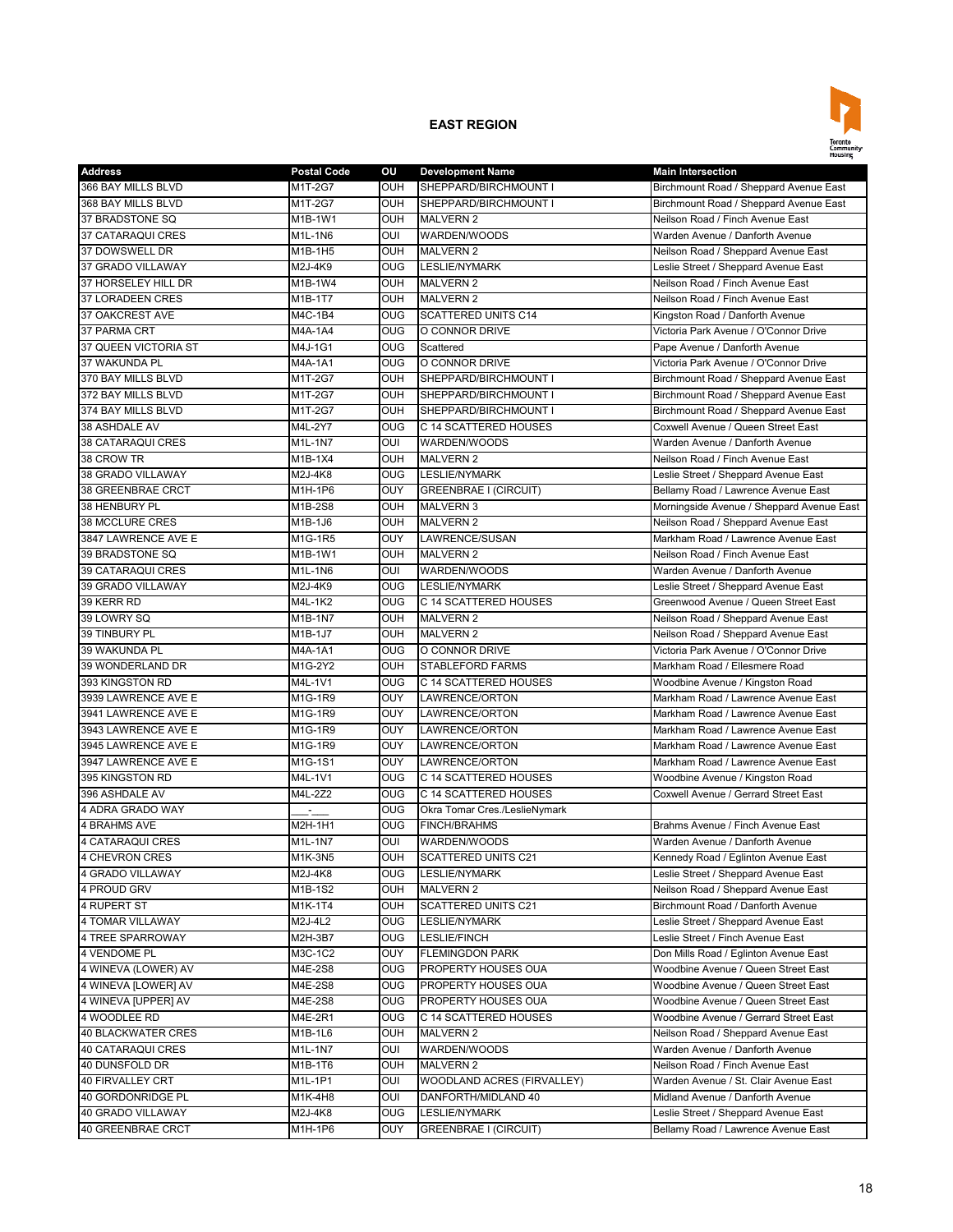

| <b>Address</b>            | <b>Postal Code</b> | OU             | <b>Development Name</b>       | <b>Main Intersection</b>                  |
|---------------------------|--------------------|----------------|-------------------------------|-------------------------------------------|
| 366 BAY MILLS BLVD        | M1T-2G7            | OUH            | SHEPPARD/BIRCHMOUNT I         | Birchmount Road / Sheppard Avenue East    |
| 368 BAY MILLS BLVD        | M1T-2G7            | OUH            | SHEPPARD/BIRCHMOUNT I         | Birchmount Road / Sheppard Avenue East    |
| 37 BRADSTONE SQ           | M1B-1W1            | <b>OUH</b>     | <b>MALVERN 2</b>              | Neilson Road / Finch Avenue East          |
| 37 CATARAQUI CRES         | M1L-1N6            | OUI            | WARDEN/WOODS                  | Warden Avenue / Danforth Avenue           |
| 37 DOWSWELL DR            | M1B-1H5            | <b>OUH</b>     | <b>MALVERN 2</b>              | Neilson Road / Sheppard Avenue East       |
| 37 GRADO VILLAWAY         | M2J-4K9            | O <sub>0</sub> | <b>LESLIE/NYMARK</b>          | Leslie Street / Sheppard Avenue East      |
| 37 HORSELEY HILL DR       | M1B-1W4            | OUH            | <b>MALVERN 2</b>              | Neilson Road / Finch Avenue East          |
| 37 LORADEEN CRES          | M1B-1T7            | <b>OUH</b>     | <b>MALVERN 2</b>              | Neilson Road / Finch Avenue East          |
| 37 OAKCREST AVE           | M4C-1B4            | <b>OUG</b>     | <b>SCATTERED UNITS C14</b>    | Kingston Road / Danforth Avenue           |
| 37 PARMA CRT              | M4A-1A4            | <b>OUG</b>     | O CONNOR DRIVE                | Victoria Park Avenue / O'Connor Drive     |
| 37 QUEEN VICTORIA ST      | M4J-1G1            | <b>OUG</b>     | Scattered                     | Pape Avenue / Danforth Avenue             |
| 37 WAKUNDA PL             | M4A-1A1            | <b>OUG</b>     | O CONNOR DRIVE                | Victoria Park Avenue / O'Connor Drive     |
| 370 BAY MILLS BLVD        | M1T-2G7            | OUH            | SHEPPARD/BIRCHMOUNT I         | Birchmount Road / Sheppard Avenue East    |
| 372 BAY MILLS BLVD        | M1T-2G7            | <b>OUH</b>     | SHEPPARD/BIRCHMOUNT I         | Birchmount Road / Sheppard Avenue East    |
| 374 BAY MILLS BLVD        | M1T-2G7            | <b>OUH</b>     | SHEPPARD/BIRCHMOUNT I         | Birchmount Road / Sheppard Avenue East    |
| 38 ASHDALE AV             | M4L-2Y7            | <b>OUG</b>     | C 14 SCATTERED HOUSES         | Coxwell Avenue / Queen Street East        |
| 38 CATARAQUI CRES         | M1L-1N7            | OUI            | WARDEN/WOODS                  | Warden Avenue / Danforth Avenue           |
| 38 CROW TR                | M1B-1X4            | <b>OUH</b>     | <b>MALVERN 2</b>              | Neilson Road / Finch Avenue East          |
| 38 GRADO VILLAWAY         | M2J-4K8            | <b>OUG</b>     | <b>LESLIE/NYMARK</b>          | Leslie Street / Sheppard Avenue East      |
| <b>38 GREENBRAE CRCT</b>  | M1H-1P6            | OUY            | <b>GREENBRAE I (CIRCUIT)</b>  | Bellamy Road / Lawrence Avenue East       |
| 38 HENBURY PL             | M1B-2S8            | <b>OUH</b>     | <b>MALVERN 3</b>              | Morningside Avenue / Sheppard Avenue East |
| 38 MCCLURE CRES           | M1B-1J6            | <b>OUH</b>     | <b>MALVERN 2</b>              | Neilson Road / Sheppard Avenue East       |
| 3847 LAWRENCE AVE E       | M1G-1R5            | <b>OUY</b>     | LAWRENCE/SUSAN                | Markham Road / Lawrence Avenue East       |
| 39 BRADSTONE SQ           | M1B-1W1            | <b>OUH</b>     | <b>MALVERN 2</b>              | Neilson Road / Finch Avenue East          |
| 39 CATARAQUI CRES         | M1L-1N6            | OUI            |                               | Warden Avenue / Danforth Avenue           |
|                           |                    |                | WARDEN/WOODS                  |                                           |
| 39 GRADO VILLAWAY         | M2J-4K9            | <b>OUG</b>     | <b>LESLIE/NYMARK</b>          | Leslie Street / Sheppard Avenue East      |
| 39 KERR RD                | M4L-1K2            | <b>OUG</b>     | C 14 SCATTERED HOUSES         | Greenwood Avenue / Queen Street East      |
| 39 LOWRY SQ               | M1B-1N7            | <b>OUH</b>     | <b>MALVERN 2</b>              | Neilson Road / Sheppard Avenue East       |
| 39 TINBURY PL             | M1B-1J7            | <b>OUH</b>     | <b>MALVERN 2</b>              | Neilson Road / Sheppard Avenue East       |
| 39 WAKUNDA PL             | M4A-1A1            | <b>OUG</b>     | O CONNOR DRIVE                | Victoria Park Avenue / O'Connor Drive     |
| 39 WONDERLAND DR          | M1G-2Y2            | OUH            | <b>STABLEFORD FARMS</b>       | Markham Road / Ellesmere Road             |
| 393 KINGSTON RD           | M4L-1V1            | <b>OUG</b>     | C 14 SCATTERED HOUSES         | Woodbine Avenue / Kingston Road           |
| 3939 LAWRENCE AVE E       | M1G-1R9            | OUY            | LAWRENCE/ORTON                | Markham Road / Lawrence Avenue East       |
| 3941 LAWRENCE AVE E       | M1G-1R9            | OUY            | LAWRENCE/ORTON                | Markham Road / Lawrence Avenue East       |
| 3943 LAWRENCE AVE E       | M1G-1R9            | <b>OUY</b>     | LAWRENCE/ORTON                | Markham Road / Lawrence Avenue East       |
| 3945 LAWRENCE AVE E       | M1G-1R9            | OUY            | LAWRENCE/ORTON                | Markham Road / Lawrence Avenue East       |
| 3947 LAWRENCE AVE E       | M1G-1S1            | OUY            | LAWRENCE/ORTON                | Markham Road / Lawrence Avenue East       |
| 395 KINGSTON RD           | M4L-1V1            | <b>OUG</b>     | C 14 SCATTERED HOUSES         | Woodbine Avenue / Kingston Road           |
| 396 ASHDALE AV            | M4L-2Z2            | OUG            | C 14 SCATTERED HOUSES         | Coxwell Avenue / Gerrard Street East      |
| 4 ADRA GRADO WAY          |                    | <b>OUG</b>     | Okra Tomar Cres./LeslieNymark |                                           |
| <b>4 BRAHMS AVE</b>       | M2H-1H1            | <b>OUG</b>     | <b>FINCH/BRAHMS</b>           | Brahms Avenue / Finch Avenue East         |
| <b>4 CATARAQUI CRES</b>   | M1L-1N7            | OUI            | WARDEN/WOODS                  | Warden Avenue / Danforth Avenue           |
| 4 CHEVRON CRES            | M1K-3N5            | <b>OUH</b>     | <b>SCATTERED UNITS C21</b>    | Kennedy Road / Eglinton Avenue East       |
| 4 GRADO VILLAWAY          | M2J-4K8            | <b>OUG</b>     | LESLIE/NYMARK                 | Leslie Street / Sheppard Avenue East      |
| 4 PROUD GRV               | M1B-1S2            | <b>OUH</b>     | <b>MALVERN 2</b>              | Neilson Road / Sheppard Avenue East       |
| 4 RUPERT ST               | M1K-1T4            | <b>OUH</b>     | SCATTERED UNITS C21           | Birchmount Road / Danforth Avenue         |
| 4 TOMAR VILLAWAY          | M2J-4L2            | <b>OUG</b>     | LESLIE/NYMARK                 | Leslie Street / Sheppard Avenue East      |
| 4 TREE SPARROWAY          | M2H-3B7            | <b>OUG</b>     | LESLIE/FINCH                  | Leslie Street / Finch Avenue East         |
| 4 VENDOME PL              | M3C-1C2            | <b>OUY</b>     | <b>FLEMINGDON PARK</b>        | Don Mills Road / Eglinton Avenue East     |
| 4 WINEVA (LOWER) AV       | M4E-2S8            | <b>OUG</b>     | PROPERTY HOUSES OUA           | Woodbine Avenue / Queen Street East       |
| 4 WINEVA [LOWER] AV       | M4E-2S8            | <b>OUG</b>     | PROPERTY HOUSES OUA           | Woodbine Avenue / Queen Street East       |
| 4 WINEVA [UPPER] AV       | M4E-2S8            | <b>OUG</b>     | PROPERTY HOUSES OUA           | Woodbine Avenue / Queen Street East       |
| 4 WOODLEE RD              | M4E-2R1            | <b>OUG</b>     | C 14 SCATTERED HOUSES         | Woodbine Avenue / Gerrard Street East     |
| <b>40 BLACKWATER CRES</b> | M1B-1L6            | <b>OUH</b>     | <b>MALVERN 2</b>              | Neilson Road / Sheppard Avenue East       |
| 40 CATARAQUI CRES         | M1L-1N7            | OUI            | WARDEN/WOODS                  | Warden Avenue / Danforth Avenue           |
| 40 DUNSFOLD DR            | M1B-1T6            | <b>OUH</b>     | <b>MALVERN 2</b>              | Neilson Road / Finch Avenue East          |
| 40 FIRVALLEY CRT          | M1L-1P1            | OUI            | WOODLAND ACRES (FIRVALLEY)    | Warden Avenue / St. Clair Avenue East     |
| 40 GORDONRIDGE PL         | M1K-4H8            | OUI            | DANFORTH/MIDLAND 40           | Midland Avenue / Danforth Avenue          |
| 40 GRADO VILLAWAY         | M2J-4K8            | OUG            | LESLIE/NYMARK                 | Leslie Street / Sheppard Avenue East      |
| 40 GREENBRAE CRCT         | M1H-1P6            | <b>OUY</b>     | GREENBRAE I (CIRCUIT)         | Bellamy Road / Lawrence Avenue East       |
|                           |                    |                |                               |                                           |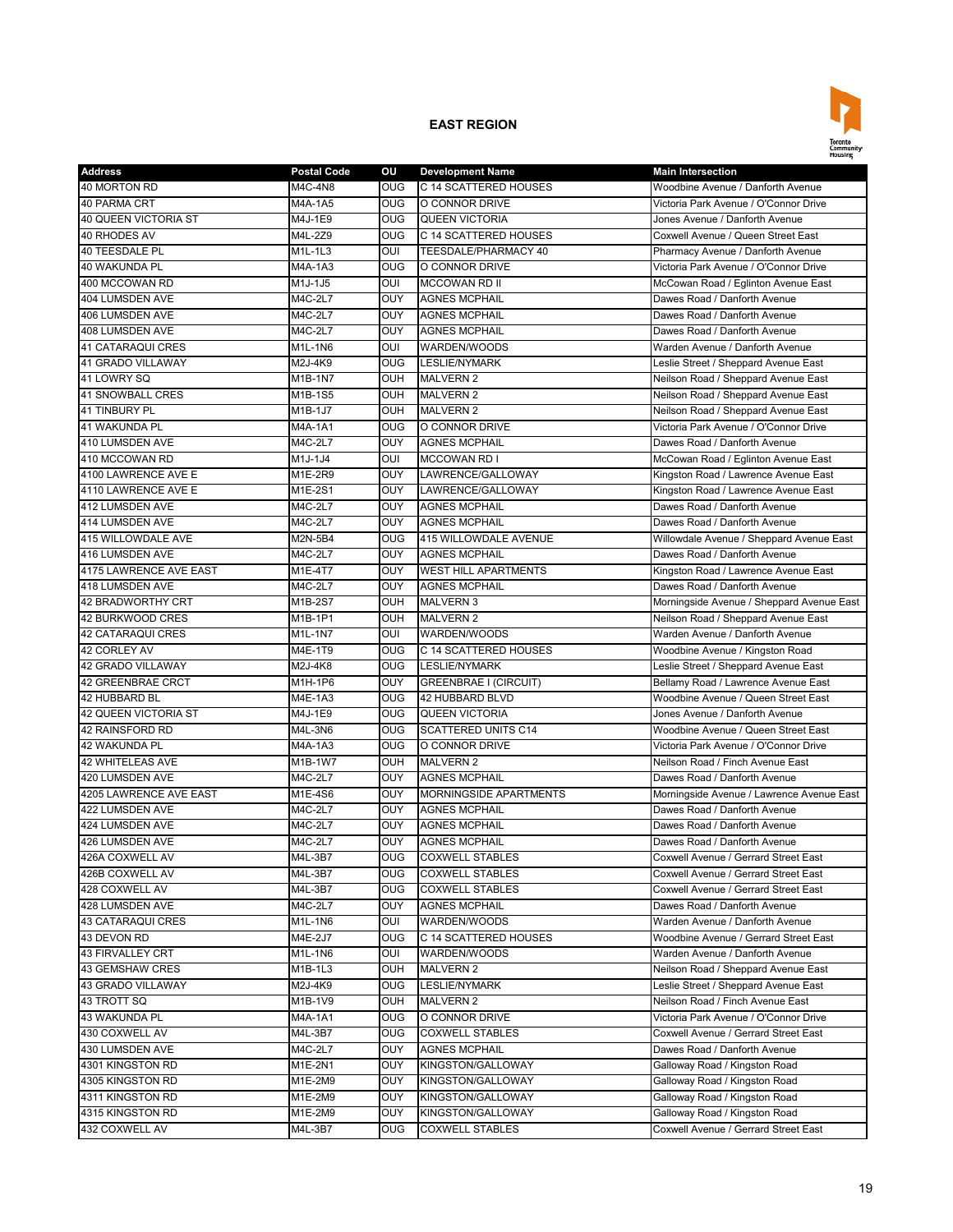

| <b>Address</b>                    | <b>Postal Code</b> | οu                | <b>Development Name</b>               | <b>Main Intersection</b>                                                |
|-----------------------------------|--------------------|-------------------|---------------------------------------|-------------------------------------------------------------------------|
| 40 MORTON RD                      | M4C-4N8            | <b>OUG</b>        | C 14 SCATTERED HOUSES                 | Woodbine Avenue / Danforth Avenue                                       |
| 40 PARMA CRT                      | M4A-1A5            | OUG               | O CONNOR DRIVE                        | Victoria Park Avenue / O'Connor Drive                                   |
| 40 QUEEN VICTORIA ST              | M4J-1E9            | <b>OUG</b>        | <b>QUEEN VICTORIA</b>                 | Jones Avenue / Danforth Avenue                                          |
| 40 RHODES AV                      | M4L-2Z9            | <b>OUG</b>        | C 14 SCATTERED HOUSES                 | Coxwell Avenue / Queen Street East                                      |
| <b>40 TEESDALE PL</b>             | M1L-1L3            | OUI               | TEESDALE/PHARMACY 40                  | Pharmacy Avenue / Danforth Avenue                                       |
| 40 WAKUNDA PL                     | M4A-1A3            | O <sub>0</sub>    | O CONNOR DRIVE                        | Victoria Park Avenue / O'Connor Drive                                   |
| 400 MCCOWAN RD                    | M1J-1J5            | OUI               | <b>MCCOWAN RD II</b>                  | McCowan Road / Eglinton Avenue East                                     |
| 404 LUMSDEN AVE                   | M4C-2L7            | OUY               | <b>AGNES MCPHAIL</b>                  | Dawes Road / Danforth Avenue                                            |
| 406 LUMSDEN AVE                   | M4C-2L7            | OUY               | <b>AGNES MCPHAIL</b>                  | Dawes Road / Danforth Avenue                                            |
| 408 LUMSDEN AVE                   | M4C-2L7            | OUY               | <b>AGNES MCPHAIL</b>                  | Dawes Road / Danforth Avenue                                            |
| <b>41 CATARAQUI CRES</b>          | M1L-1N6            | OUI               | WARDEN/WOODS                          | Warden Avenue / Danforth Avenue                                         |
| 41 GRADO VILLAWAY                 | M2J-4K9            | OUG               | <b>LESLIE/NYMARK</b>                  | Leslie Street / Sheppard Avenue East                                    |
| 41 LOWRY SQ                       | M1B-1N7            | OUH               | <b>MALVERN 2</b>                      | Neilson Road / Sheppard Avenue East                                     |
| <b>41 SNOWBALL CRES</b>           | M1B-1S5            | <b>OUH</b>        | <b>MALVERN 2</b>                      | Neilson Road / Sheppard Avenue East                                     |
| 41 TINBURY PL                     | M1B-1J7            | OUH               | <b>MALVERN 2</b>                      | Neilson Road / Sheppard Avenue East                                     |
| 41 WAKUNDA PL                     | M4A-1A1            | <b>OUG</b>        | O CONNOR DRIVE                        | Victoria Park Avenue / O'Connor Drive                                   |
| 410 LUMSDEN AVE                   | M4C-2L7            | <b>OUY</b>        | <b>AGNES MCPHAIL</b>                  | Dawes Road / Danforth Avenue                                            |
| 410 MCCOWAN RD                    | M1J-1J4            | OUI               | <b>MCCOWAN RD I</b>                   | McCowan Road / Eglinton Avenue East                                     |
| 4100 LAWRENCE AVE E               | M1E-2R9            | OUY               | LAWRENCE/GALLOWAY                     | Kingston Road / Lawrence Avenue East                                    |
| 4110 LAWRENCE AVE E               | M1E-2S1            | OUY               | LAWRENCE/GALLOWAY                     | Kingston Road / Lawrence Avenue East                                    |
| 412 LUMSDEN AVE                   | M4C-2L7            | OUY               | <b>AGNES MCPHAIL</b>                  | Dawes Road / Danforth Avenue                                            |
| <b>414 LUMSDEN AVE</b>            | M4C-2L7            | OUY               | <b>AGNES MCPHAIL</b>                  | Dawes Road / Danforth Avenue                                            |
| 415 WILLOWDALE AVE                | M2N-5B4            | <b>OUG</b>        | 415 WILLOWDALE AVENUE                 | Willowdale Avenue / Sheppard Avenue East                                |
| 416 LUMSDEN AVE                   | M4C-2L7            | OUY               | <b>AGNES MCPHAIL</b>                  | Dawes Road / Danforth Avenue                                            |
| 4175 LAWRENCE AVE EAST            | M1E-4T7            | <b>OUY</b>        | <b>WEST HILL APARTMENTS</b>           | Kingston Road / Lawrence Avenue East                                    |
| 418 LUMSDEN AVE                   | M4C-2L7            | <b>OUY</b>        | <b>AGNES MCPHAIL</b>                  | Dawes Road / Danforth Avenue                                            |
| <b>42 BRADWORTHY CRT</b>          | M1B-2S7            | OUH               | <b>MALVERN 3</b>                      | Morningside Avenue / Sheppard Avenue East                               |
| 42 BURKWOOD CRES                  | M1B-1P1            | <b>OUH</b>        | <b>MALVERN 2</b>                      | Neilson Road / Sheppard Avenue East                                     |
|                                   | M1L-1N7            |                   |                                       | Warden Avenue / Danforth Avenue                                         |
| 42 CATARAQUI CRES<br>42 CORLEY AV | M4E-1T9            | OUI<br><b>OUG</b> | WARDEN/WOODS<br>C 14 SCATTERED HOUSES |                                                                         |
| <b>42 GRADO VILLAWAY</b>          | M2J-4K8            | O <sub>0</sub>    | <b>LESLIE/NYMARK</b>                  | Woodbine Avenue / Kingston Road<br>Leslie Street / Sheppard Avenue East |
|                                   |                    | OUY               |                                       |                                                                         |
| 42 GREENBRAE CRCT                 | M1H-1P6            |                   | <b>GREENBRAE I (CIRCUIT)</b>          | Bellamy Road / Lawrence Avenue East                                     |
| 42 HUBBARD BL                     | M4E-1A3            | OUG               | 42 HUBBARD BLVD                       | Woodbine Avenue / Queen Street East                                     |
| 42 QUEEN VICTORIA ST              | M4J-1E9            | OUG               | <b>QUEEN VICTORIA</b>                 | Jones Avenue / Danforth Avenue                                          |
| 42 RAINSFORD RD                   | M4L-3N6            | <b>OUG</b>        | <b>SCATTERED UNITS C14</b>            | Woodbine Avenue / Queen Street East                                     |
| 42 WAKUNDA PL                     | M4A-1A3            | <b>OUG</b>        | O CONNOR DRIVE                        | Victoria Park Avenue / O'Connor Drive                                   |
| <b>42 WHITELEAS AVE</b>           | M1B-1W7            | OUH               | <b>MALVERN 2</b>                      | Neilson Road / Finch Avenue East                                        |
| 420 LUMSDEN AVE                   | M4C-2L7            | OUY               | <b>AGNES MCPHAIL</b>                  | Dawes Road / Danforth Avenue                                            |
| 4205 LAWRENCE AVE EAST            | M1E-4S6            | <b>OUY</b>        | <b>MORNINGSIDE APARTMENTS</b>         | Morningside Avenue / Lawrence Avenue East                               |
| 422 LUMSDEN AVE                   | M4C-2L7            | OUY               | <b>AGNES MCPHAIL</b>                  | Dawes Road / Danforth Avenue                                            |
| 424 LUMSDEN AVE                   | M4C-2L7            | OUY               | <b>AGNES MCPHAIL</b>                  | Dawes Road / Danforth Avenue                                            |
| 426 LUMSDEN AVE                   | M4C-2L7            | <b>OUY</b>        | <b>AGNES MCPHAIL</b>                  | Dawes Road / Danforth Avenue                                            |
| 426A COXWELL AV                   | M4L-3B7            | <b>OUG</b>        | <b>COXWELL STABLES</b>                | Coxwell Avenue / Gerrard Street East                                    |
| 426B COXWELL AV                   | M4L-3B7            | <b>OUG</b>        | <b>COXWELL STABLES</b>                | Coxwell Avenue / Gerrard Street East                                    |
| 428 COXWELL AV                    | M4L-3B7            | <b>OUG</b>        | <b>COXWELL STABLES</b>                | Coxwell Avenue / Gerrard Street East                                    |
| 428 LUMSDEN AVE                   | M4C-2L7            | OUY               | <b>AGNES MCPHAIL</b>                  | Dawes Road / Danforth Avenue                                            |
| 43 CATARAQUI CRES                 | M1L-1N6            | OUI               | WARDEN/WOODS                          | Warden Avenue / Danforth Avenue                                         |
| 43 DEVON RD                       | M4E-2J7            | <b>OUG</b>        | C 14 SCATTERED HOUSES                 | Woodbine Avenue / Gerrard Street East                                   |
| 43 FIRVALLEY CRT                  | M1L-1N6            | OUI               | WARDEN/WOODS                          | Warden Avenue / Danforth Avenue                                         |
| 43 GEMSHAW CRES                   | M1B-1L3            | <b>OUH</b>        | <b>MALVERN 2</b>                      | Neilson Road / Sheppard Avenue East                                     |
| 43 GRADO VILLAWAY                 | M2J-4K9            | <b>OUG</b>        | LESLIE/NYMARK                         | Leslie Street / Sheppard Avenue East                                    |
| 43 TROTT SQ                       | M1B-1V9            | <b>OUH</b>        | <b>MALVERN 2</b>                      | Neilson Road / Finch Avenue East                                        |
| 43 WAKUNDA PL                     | M4A-1A1            | <b>OUG</b>        | O CONNOR DRIVE                        | Victoria Park Avenue / O'Connor Drive                                   |
| 430 COXWELL AV                    | M4L-3B7            | <b>OUG</b>        | <b>COXWELL STABLES</b>                | Coxwell Avenue / Gerrard Street East                                    |
| 430 LUMSDEN AVE                   | M4C-2L7            | <b>OUY</b>        | <b>AGNES MCPHAIL</b>                  | Dawes Road / Danforth Avenue                                            |
| 4301 KINGSTON RD                  | M1E-2N1            | OUY               | KINGSTON/GALLOWAY                     | Galloway Road / Kingston Road                                           |
| 4305 KINGSTON RD                  | M1E-2M9            | <b>OUY</b>        | KINGSTON/GALLOWAY                     | Galloway Road / Kingston Road                                           |
| 4311 KINGSTON RD                  | M1E-2M9            | OUY               | KINGSTON/GALLOWAY                     | Galloway Road / Kingston Road                                           |
| 4315 KINGSTON RD                  | M1E-2M9            | <b>OUY</b>        | KINGSTON/GALLOWAY                     | Galloway Road / Kingston Road                                           |
| 432 COXWELL AV                    | M4L-3B7            | <b>OUG</b>        | <b>COXWELL STABLES</b>                | Coxwell Avenue / Gerrard Street East                                    |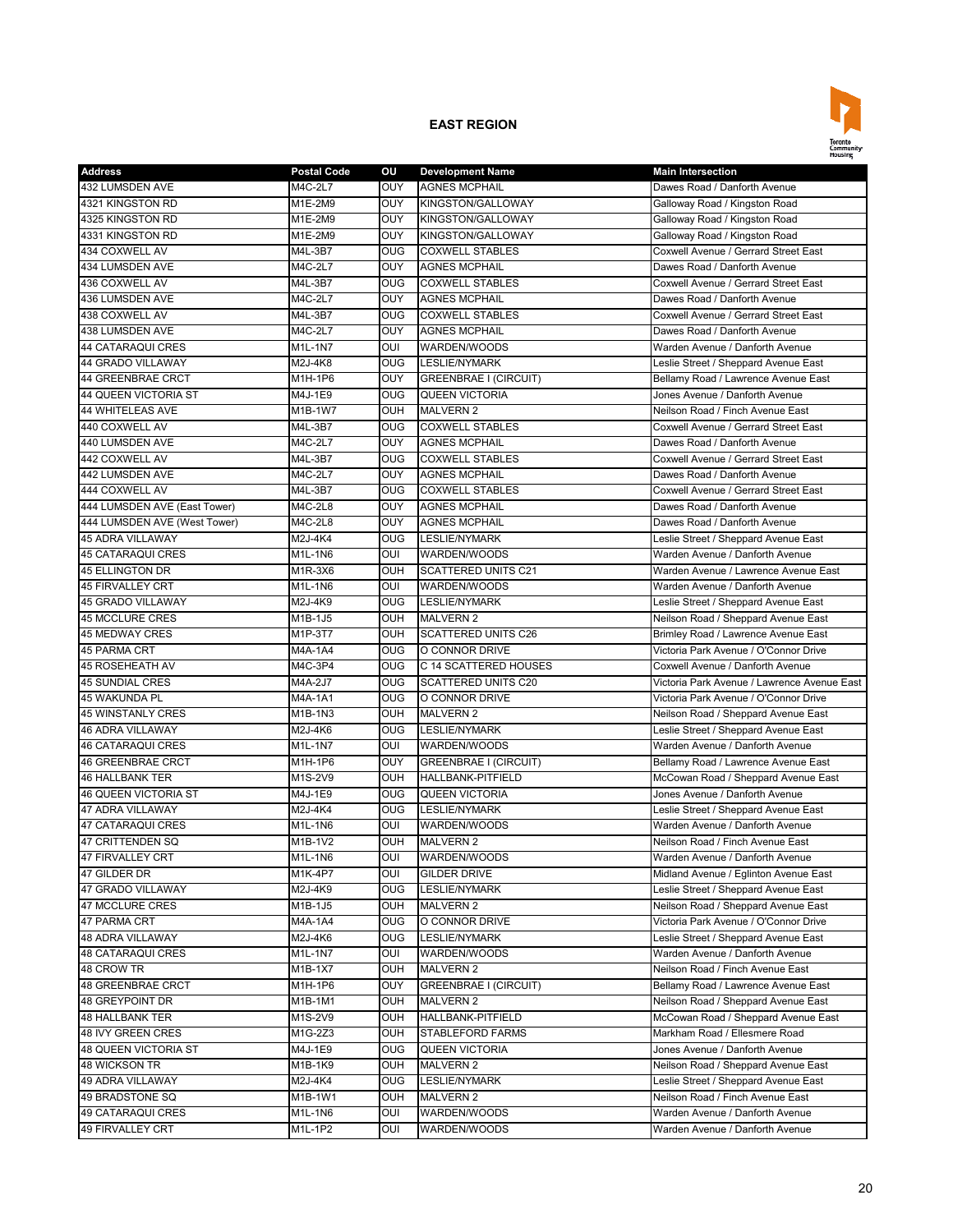

| <b>Address</b>               | <b>Postal Code</b> | οu                    | <b>Development Name</b>      | <b>Main Intersection</b>                                                     |
|------------------------------|--------------------|-----------------------|------------------------------|------------------------------------------------------------------------------|
| 432 LUMSDEN AVE              | M4C-2L7            | OUY                   | <b>AGNES MCPHAIL</b>         | Dawes Road / Danforth Avenue                                                 |
| 4321 KINGSTON RD             | M1E-2M9            | OUY                   | KINGSTON/GALLOWAY            | Galloway Road / Kingston Road                                                |
| 4325 KINGSTON RD             | M1E-2M9            | OUY                   | KINGSTON/GALLOWAY            | Galloway Road / Kingston Road                                                |
| 4331 KINGSTON RD             | M1E-2M9            | OUY                   | KINGSTON/GALLOWAY            | Galloway Road / Kingston Road                                                |
| 434 COXWELL AV               | M4L-3B7            | <b>OUG</b>            | <b>COXWELL STABLES</b>       | Coxwell Avenue / Gerrard Street East                                         |
| <b>434 LUMSDEN AVE</b>       | M4C-2L7            | OUY                   | <b>AGNES MCPHAIL</b>         | Dawes Road / Danforth Avenue                                                 |
| 436 COXWELL AV               | M4L-3B7            | <b>OUG</b>            | <b>COXWELL STABLES</b>       | Coxwell Avenue / Gerrard Street East                                         |
| 436 LUMSDEN AVE              | M4C-2L7            | OUY                   | <b>AGNES MCPHAIL</b>         | Dawes Road / Danforth Avenue                                                 |
| 438 COXWELL AV               | M4L-3B7            | <b>OUG</b>            | <b>COXWELL STABLES</b>       | Coxwell Avenue / Gerrard Street East                                         |
| <b>438 LUMSDEN AVE</b>       | M4C-2L7            | OUY                   | <b>AGNES MCPHAIL</b>         | Dawes Road / Danforth Avenue                                                 |
| <b>44 CATARAQUI CRES</b>     | M1L-1N7            | OUI                   | WARDEN/WOODS                 | Warden Avenue / Danforth Avenue                                              |
| 44 GRADO VILLAWAY            | M2J-4K8            | OUG                   | <b>LESLIE/NYMARK</b>         | Leslie Street / Sheppard Avenue East                                         |
| <b>44 GREENBRAE CRCT</b>     | M1H-1P6            | OUY                   | <b>GREENBRAE I (CIRCUIT)</b> | Bellamy Road / Lawrence Avenue East                                          |
| 44 QUEEN VICTORIA ST         | M4J-1E9            | $\overline{O}$        | <b>QUEEN VICTORIA</b>        | Jones Avenue / Danforth Avenue                                               |
| <b>44 WHITELEAS AVE</b>      | M1B-1W7            | OUH                   | <b>MALVERN 2</b>             | Neilson Road / Finch Avenue East                                             |
| 440 COXWELL AV               | M4L-3B7            | <b>OUG</b>            | <b>COXWELL STABLES</b>       | Coxwell Avenue / Gerrard Street East                                         |
| 440 LUMSDEN AVE              | M4C-2L7            | OUY                   | <b>AGNES MCPHAIL</b>         | Dawes Road / Danforth Avenue                                                 |
| 442 COXWELL AV               | M4L-3B7            | OUG                   | <b>COXWELL STABLES</b>       | Coxwell Avenue / Gerrard Street East                                         |
| 442 LUMSDEN AVE              | M4C-2L7            | OUY                   | <b>AGNES MCPHAIL</b>         | Dawes Road / Danforth Avenue                                                 |
| 444 COXWELL AV               | M4L-3B7            | OUG                   | <b>COXWELL STABLES</b>       | Coxwell Avenue / Gerrard Street East                                         |
| 444 LUMSDEN AVE (East Tower) | M4C-2L8            | OUY                   | <b>AGNES MCPHAIL</b>         | Dawes Road / Danforth Avenue                                                 |
| 444 LUMSDEN AVE (West Tower) | M4C-2L8            | OUY                   | <b>AGNES MCPHAIL</b>         | Dawes Road / Danforth Avenue                                                 |
| <b>45 ADRA VILLAWAY</b>      | M2J-4K4            | OUG                   | <b>LESLIE/NYMARK</b>         | Leslie Street / Sheppard Avenue East                                         |
| <b>45 CATARAQUI CRES</b>     | M1L-1N6            | OUI                   | WARDEN/WOODS                 | Warden Avenue / Danforth Avenue                                              |
| 45 ELLINGTON DR              | M1R-3X6            | <b>OUH</b>            | <b>SCATTERED UNITS C21</b>   | Warden Avenue / Lawrence Avenue East                                         |
| <b>45 FIRVALLEY CRT</b>      | M1L-1N6            | OUI                   | WARDEN/WOODS                 | Warden Avenue / Danforth Avenue                                              |
| <b>45 GRADO VILLAWAY</b>     | M2J-4K9            | OUG                   | <b>LESLIE/NYMARK</b>         |                                                                              |
| 45 MCCLURE CRES              | M1B-1J5            | <b>OUH</b>            | <b>MALVERN 2</b>             | Leslie Street / Sheppard Avenue East<br>Neilson Road / Sheppard Avenue East  |
|                              |                    |                       |                              |                                                                              |
| <b>45 MEDWAY CRES</b>        | M1P-3T7            | <b>OUH</b>            | <b>SCATTERED UNITS C26</b>   | Brimley Road / Lawrence Avenue East<br>Victoria Park Avenue / O'Connor Drive |
| 45 PARMA CRT                 | M4A-1A4<br>M4C-3P4 | OUG<br>O <sub>0</sub> | O CONNOR DRIVE               |                                                                              |
| 45 ROSEHEATH AV              |                    |                       | C 14 SCATTERED HOUSES        | Coxwell Avenue / Danforth Avenue                                             |
| <b>45 SUNDIAL CRES</b>       | M4A-2J7            | <b>OUG</b>            | <b>SCATTERED UNITS C20</b>   | Victoria Park Avenue / Lawrence Avenue East                                  |
| 45 WAKUNDA PL                | M4A-1A1            | <b>OUG</b>            | O CONNOR DRIVE               | Victoria Park Avenue / O'Connor Drive                                        |
| <b>45 WINSTANLY CRES</b>     | M1B-1N3            | OUH                   | <b>MALVERN 2</b>             | Neilson Road / Sheppard Avenue East                                          |
| <b>46 ADRA VILLAWAY</b>      | M2J-4K6            | <b>OUG</b>            | <b>LESLIE/NYMARK</b>         | Leslie Street / Sheppard Avenue East                                         |
| <b>46 CATARAQUI CRES</b>     | M1L-1N7            | OUI                   | WARDEN/WOODS                 | Warden Avenue / Danforth Avenue                                              |
| <b>46 GREENBRAE CRCT</b>     | M1H-1P6            | OUY                   | <b>GREENBRAE I (CIRCUIT)</b> | Bellamy Road / Lawrence Avenue East                                          |
| <b>46 HALLBANK TER</b>       | M1S-2V9            | <b>OUH</b>            | HALLBANK-PITFIELD            | McCowan Road / Sheppard Avenue East                                          |
| 46 QUEEN VICTORIA ST         | M4J-1E9            | <b>OUG</b>            | <b>QUEEN VICTORIA</b>        | Jones Avenue / Danforth Avenue                                               |
| <b>47 ADRA VILLAWAY</b>      | M2J-4K4            | <b>OUG</b>            | <b>LESLIE/NYMARK</b>         | Leslie Street / Sheppard Avenue East                                         |
| <b>47 CATARAQUI CRES</b>     | M1L-1N6            | OUI                   | WARDEN/WOODS                 | Warden Avenue / Danforth Avenue                                              |
| 47 CRITTENDEN SQ             | M1B-1V2            | <b>OUH</b>            | <b>MALVERN 2</b>             | Neilson Road / Finch Avenue East                                             |
| <b>47 FIRVALLEY CRT</b>      | M1L-1N6            | OUI                   | WARDEN/WOODS                 | Warden Avenue / Danforth Avenue                                              |
| 47 GILDER DR                 | M1K-4P7            | OUI                   | <b>GILDER DRIVE</b>          | Midland Avenue / Eglinton Avenue East                                        |
| 47 GRADO VILLAWAY            | M2J-4K9            | OUG                   | LESLIE/NYMARK                | Leslie Street / Sheppard Avenue East                                         |
| 47 MCCLURE CRES              | M1B-1J5            | OUH                   | MALVERN 2                    | Neilson Road / Sheppard Avenue East                                          |
| 47 PARMA CRT                 | M4A-1A4            | OUG                   | O CONNOR DRIVE               | Victoria Park Avenue / O'Connor Drive                                        |
| <b>48 ADRA VILLAWAY</b>      | M2J-4K6            | <b>OUG</b>            | LESLIE/NYMARK                | Leslie Street / Sheppard Avenue East                                         |
| <b>48 CATARAQUI CRES</b>     | M1L-1N7            | OUI                   | WARDEN/WOODS                 | Warden Avenue / Danforth Avenue                                              |
| 48 CROW TR                   | M1B-1X7            | OUH                   | <b>MALVERN 2</b>             | Neilson Road / Finch Avenue East                                             |
| 48 GREENBRAE CRCT            | M1H-1P6            | OUY                   | GREENBRAE I (CIRCUIT)        | Bellamy Road / Lawrence Avenue East                                          |
| 48 GREYPOINT DR              | M1B-1M1            | OUH                   | MALVERN 2                    | Neilson Road / Sheppard Avenue East                                          |
| 48 HALLBANK TER              | M1S-2V9            | OUH                   | HALLBANK-PITFIELD            | McCowan Road / Sheppard Avenue East                                          |
| 48 IVY GREEN CRES            | M1G-2Z3            | OUH                   | STABLEFORD FARMS             | Markham Road / Ellesmere Road                                                |
| 48 QUEEN VICTORIA ST         | M4J-1E9            | <b>OUG</b>            | <b>QUEEN VICTORIA</b>        | Jones Avenue / Danforth Avenue                                               |
| <b>48 WICKSON TR</b>         | M1B-1K9            | OUH                   | <b>MALVERN 2</b>             | Neilson Road / Sheppard Avenue East                                          |
| 49 ADRA VILLAWAY             | M2J-4K4            | OUG                   | LESLIE/NYMARK                | Leslie Street / Sheppard Avenue East                                         |
| 49 BRADSTONE SQ              | M1B-1W1            | OUH                   | MALVERN 2                    | Neilson Road / Finch Avenue East                                             |
| 49 CATARAQUI CRES            | M1L-1N6            | OUI                   | WARDEN/WOODS                 | Warden Avenue / Danforth Avenue                                              |
| 49 FIRVALLEY CRT             | M1L-1P2            | OUI                   | WARDEN/WOODS                 | Warden Avenue / Danforth Avenue                                              |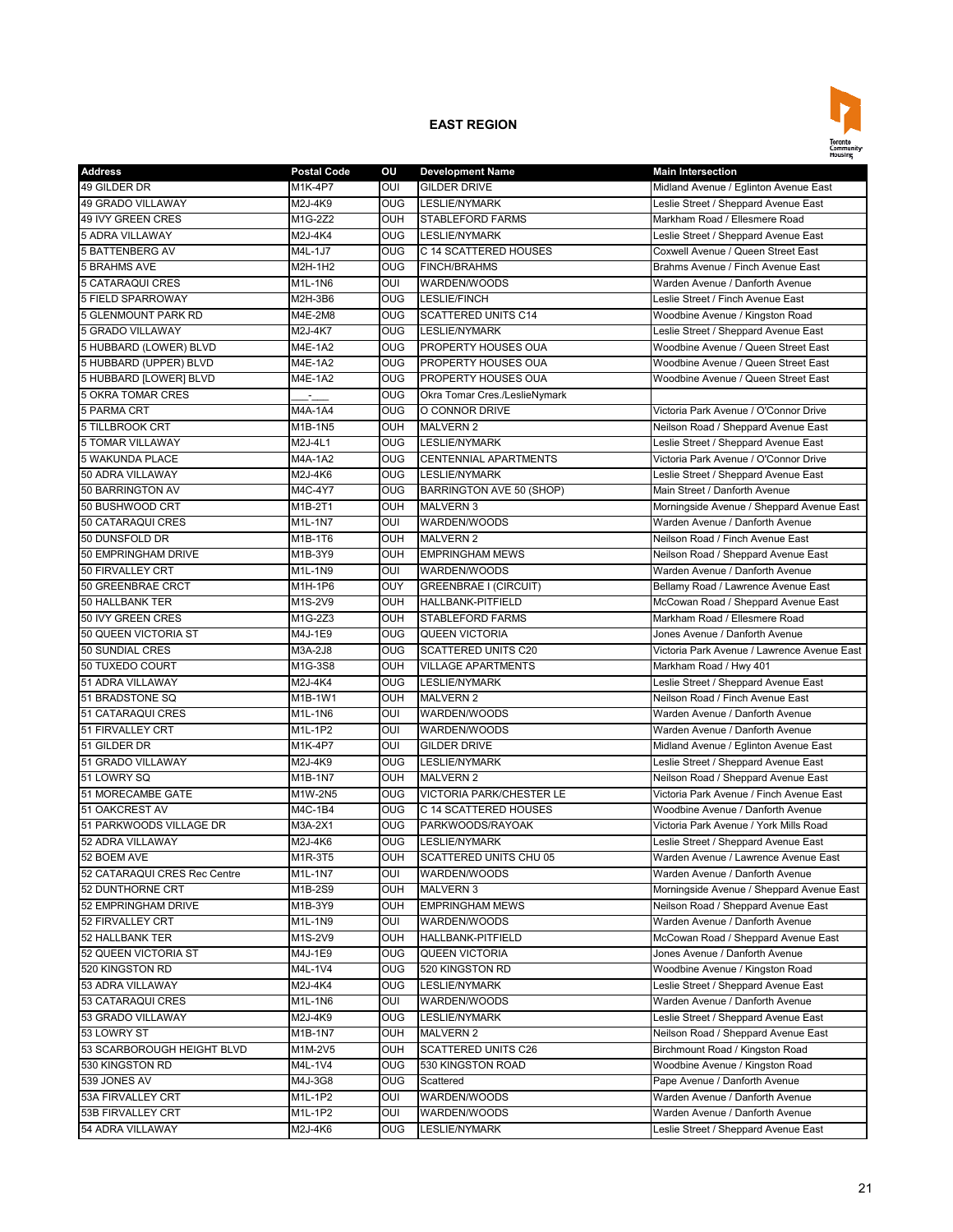

| <b>Address</b>                          | <b>Postal Code</b> | οu         | <b>Development Name</b>       | <b>Main Intersection</b>                    |
|-----------------------------------------|--------------------|------------|-------------------------------|---------------------------------------------|
| 49 GILDER DR                            | M1K-4P7            | OUI        | <b>GILDER DRIVE</b>           | Midland Avenue / Eglinton Avenue East       |
| 49 GRADO VILLAWAY                       | M2J-4K9            | OUG        | <b>LESLIE/NYMARK</b>          | Leslie Street / Sheppard Avenue East        |
| 49 IVY GREEN CRES                       | M1G-2Z2            | <b>OUH</b> | <b>STABLEFORD FARMS</b>       | Markham Road / Ellesmere Road               |
| <b>5 ADRA VILLAWAY</b>                  | M2J-4K4            | <b>OUG</b> | <b>LESLIE/NYMARK</b>          | Leslie Street / Sheppard Avenue East        |
| <b>5 BATTENBERG AV</b>                  | M4L-1J7            | OUG        | C 14 SCATTERED HOUSES         | Coxwell Avenue / Queen Street East          |
| <b>5 BRAHMS AVE</b>                     | M2H-1H2            | OUG        | <b>FINCH/BRAHMS</b>           | Brahms Avenue / Finch Avenue East           |
| 5 CATARAQUI CRES                        | M1L-1N6            | OUI        | WARDEN/WOODS                  | Warden Avenue / Danforth Avenue             |
| <b>5 FIELD SPARROWAY</b>                | M2H-3B6            | OUG        | <b>LESLIE/FINCH</b>           | Leslie Street / Finch Avenue East           |
| 5 GLENMOUNT PARK RD                     | M4E-2M8            | OUG        | <b>SCATTERED UNITS C14</b>    | Woodbine Avenue / Kingston Road             |
| 5 GRADO VILLAWAY                        | M2J-4K7            | <b>OUG</b> | <b>LESLIE/NYMARK</b>          | Leslie Street / Sheppard Avenue East        |
| 5 HUBBARD (LOWER) BLVD                  | M4E-1A2            | <b>OUG</b> | PROPERTY HOUSES OUA           | Woodbine Avenue / Queen Street East         |
| 5 HUBBARD (UPPER) BLVD                  | M4E-1A2            | <b>OUG</b> | PROPERTY HOUSES OUA           | Woodbine Avenue / Queen Street East         |
| 5 HUBBARD [LOWER] BLVD                  | M4E-1A2            | <b>OUG</b> | PROPERTY HOUSES OUA           | Woodbine Avenue / Queen Street East         |
| <b>5 OKRA TOMAR CRES</b>                | ż.                 | <b>OUG</b> | Okra Tomar Cres./LeslieNymark |                                             |
| <b>5 PARMA CRT</b>                      | M4A-1A4            | <b>OUG</b> | O CONNOR DRIVE                | Victoria Park Avenue / O'Connor Drive       |
| 5 TILLBROOK CRT                         | M1B-1N5            | OUH        | <b>MALVERN 2</b>              | Neilson Road / Sheppard Avenue East         |
| <b>5 TOMAR VILLAWAY</b>                 | M2J-4L1            | <b>OUG</b> | <b>LESLIE/NYMARK</b>          | Leslie Street / Sheppard Avenue East        |
| <b>5 WAKUNDA PLACE</b>                  | M4A-1A2            | <b>OUG</b> | CENTENNIAL APARTMENTS         | Victoria Park Avenue / O'Connor Drive       |
| 50 ADRA VILLAWAY                        | M2J-4K6            | OUG        | <b>LESLIE/NYMARK</b>          | Leslie Street / Sheppard Avenue East        |
| 50 BARRINGTON AV                        | M4C-4Y7            | OUG        | BARRINGTON AVE 50 (SHOP)      | Main Street / Danforth Avenue               |
| 50 BUSHWOOD CRT                         | M1B-2T1            | OUH        | <b>MALVERN 3</b>              | Morningside Avenue / Sheppard Avenue East   |
| 50 CATARAQUI CRES                       | M1L-1N7            | OUI        | WARDEN/WOODS                  | Warden Avenue / Danforth Avenue             |
| 50 DUNSFOLD DR                          | M1B-1T6            | OUH        | <b>MALVERN 2</b>              | Neilson Road / Finch Avenue East            |
|                                         |                    | <b>OUH</b> |                               |                                             |
| 50 EMPRINGHAM DRIVE<br>50 FIRVALLEY CRT | M1B-3Y9<br>M1L-1N9 |            | <b>EMPRINGHAM MEWS</b>        | Neilson Road / Sheppard Avenue East         |
|                                         |                    | OUI        | WARDEN/WOODS                  | Warden Avenue / Danforth Avenue             |
| 50 GREENBRAE CRCT                       | M1H-1P6            | OUY        | <b>GREENBRAE I (CIRCUIT)</b>  | Bellamy Road / Lawrence Avenue East         |
| 50 HALLBANK TER                         | M1S-2V9            | OUH        | <b>HALLBANK-PITFIELD</b>      | McCowan Road / Sheppard Avenue East         |
| 50 IVY GREEN CRES                       | M1G-2Z3            | <b>OUH</b> | <b>STABLEFORD FARMS</b>       | Markham Road / Ellesmere Road               |
| 50 QUEEN VICTORIA ST                    | M4J-1E9            | <b>OUG</b> | <b>QUEEN VICTORIA</b>         | Jones Avenue / Danforth Avenue              |
| 50 SUNDIAL CRES                         | M3A-2J8            | <b>OUG</b> | <b>SCATTERED UNITS C20</b>    | Victoria Park Avenue / Lawrence Avenue East |
| 50 TUXEDO COURT                         | M1G-3S8            | OUH        | <b>VILLAGE APARTMENTS</b>     | Markham Road / Hwy 401                      |
| 51 ADRA VILLAWAY                        | M2J-4K4            | <b>OUG</b> | <b>LESLIE/NYMARK</b>          | Leslie Street / Sheppard Avenue East        |
| 51 BRADSTONE SQ                         | M1B-1W1            | OUH        | <b>MALVERN 2</b>              | Neilson Road / Finch Avenue East            |
| 51 CATARAQUI CRES                       | M1L-1N6            | OUI        | WARDEN/WOODS                  | Warden Avenue / Danforth Avenue             |
| 51 FIRVALLEY CRT                        | M1L-1P2            | OUI        | WARDEN/WOODS                  | Warden Avenue / Danforth Avenue             |
| 51 GILDER DR                            | <b>M1K-4P7</b>     | OUI        | <b>GILDER DRIVE</b>           | Midland Avenue / Eglinton Avenue East       |
| 51 GRADO VILLAWAY                       | M2J-4K9            | <b>OUG</b> | <b>LESLIE/NYMARK</b>          | Leslie Street / Sheppard Avenue East        |
| 51 LOWRY SQ                             | <b>M1B-1N7</b>     | OUH        | <b>MALVERN 2</b>              | Neilson Road / Sheppard Avenue East         |
| 51 MORECAMBE GATE                       | M1W-2N5            | <b>OUG</b> | VICTORIA PARK/CHESTER LE      | Victoria Park Avenue / Finch Avenue East    |
| 51 OAKCREST AV                          | M4C-1B4            | OUG        | C 14 SCATTERED HOUSES         | Woodbine Avenue / Danforth Avenue           |
| 51 PARKWOODS VILLAGE DR                 | M3A-2X1            | <b>OUG</b> | PARKWOODS/RAYOAK              | Victoria Park Avenue / York Mills Road      |
| 52 ADRA VILLAWAY                        | M2J-4K6            | <b>OUG</b> | <b>LESLIE/NYMARK</b>          | Leslie Street / Sheppard Avenue East        |
| 52 BOEM AVE                             | M1R-3T5            | <b>OUH</b> | SCATTERED UNITS CHU 05        | Warden Avenue / Lawrence Avenue East        |
| 52 CATARAQUI CRES Rec Centre            | M1L-1N7            | OUI        | WARDEN/WOODS                  | Warden Avenue / Danforth Avenue             |
| 52 DUNTHORNE CRT                        | M1B-2S9            | OUH        | <b>MALVERN 3</b>              | Morningside Avenue / Sheppard Avenue East   |
| 52 EMPRINGHAM DRIVE                     | M1B-3Y9            | OUH        | <b>EMPRINGHAM MEWS</b>        | Neilson Road / Sheppard Avenue East         |
| 52 FIRVALLEY CRT                        | M1L-1N9            | OUI        | WARDEN/WOODS                  | Warden Avenue / Danforth Avenue             |
| 52 HALLBANK TER                         | M1S-2V9            | OUH        | HALLBANK-PITFIELD             | McCowan Road / Sheppard Avenue East         |
| 52 QUEEN VICTORIA ST                    | M4J-1E9            | <b>OUG</b> | <b>QUEEN VICTORIA</b>         | Jones Avenue / Danforth Avenue              |
| 520 KINGSTON RD                         | M4L-1V4            | OUG        | 520 KINGSTON RD               | Woodbine Avenue / Kingston Road             |
| 53 ADRA VILLAWAY                        | M2J-4K4            | <b>OUG</b> | LESLIE/NYMARK                 | Leslie Street / Sheppard Avenue East        |
| 53 CATARAQUI CRES                       | M1L-1N6            | OUI        | WARDEN/WOODS                  | Warden Avenue / Danforth Avenue             |
| 53 GRADO VILLAWAY                       | M2J-4K9            | <b>OUG</b> | LESLIE/NYMARK                 | Leslie Street / Sheppard Avenue East        |
| 53 LOWRY ST                             | M1B-1N7            | OUH        | <b>MALVERN 2</b>              | Neilson Road / Sheppard Avenue East         |
| 53 SCARBOROUGH HEIGHT BLVD              | M1M-2V5            | OUH        | SCATTERED UNITS C26           | Birchmount Road / Kingston Road             |
| 530 KINGSTON RD                         | M4L-1V4            | <b>OUG</b> | 530 KINGSTON ROAD             | Woodbine Avenue / Kingston Road             |
| 539 JONES AV                            | M4J-3G8            | OUG        | Scattered                     | Pape Avenue / Danforth Avenue               |
| 53A FIRVALLEY CRT                       | M1L-1P2            | OUI        | WARDEN/WOODS                  | Warden Avenue / Danforth Avenue             |
| 53B FIRVALLEY CRT                       | M1L-1P2            | OUI        | WARDEN/WOODS                  | Warden Avenue / Danforth Avenue             |
| 54 ADRA VILLAWAY                        | M2J-4K6            | OUG        | LESLIE/NYMARK                 | Leslie Street / Sheppard Avenue East        |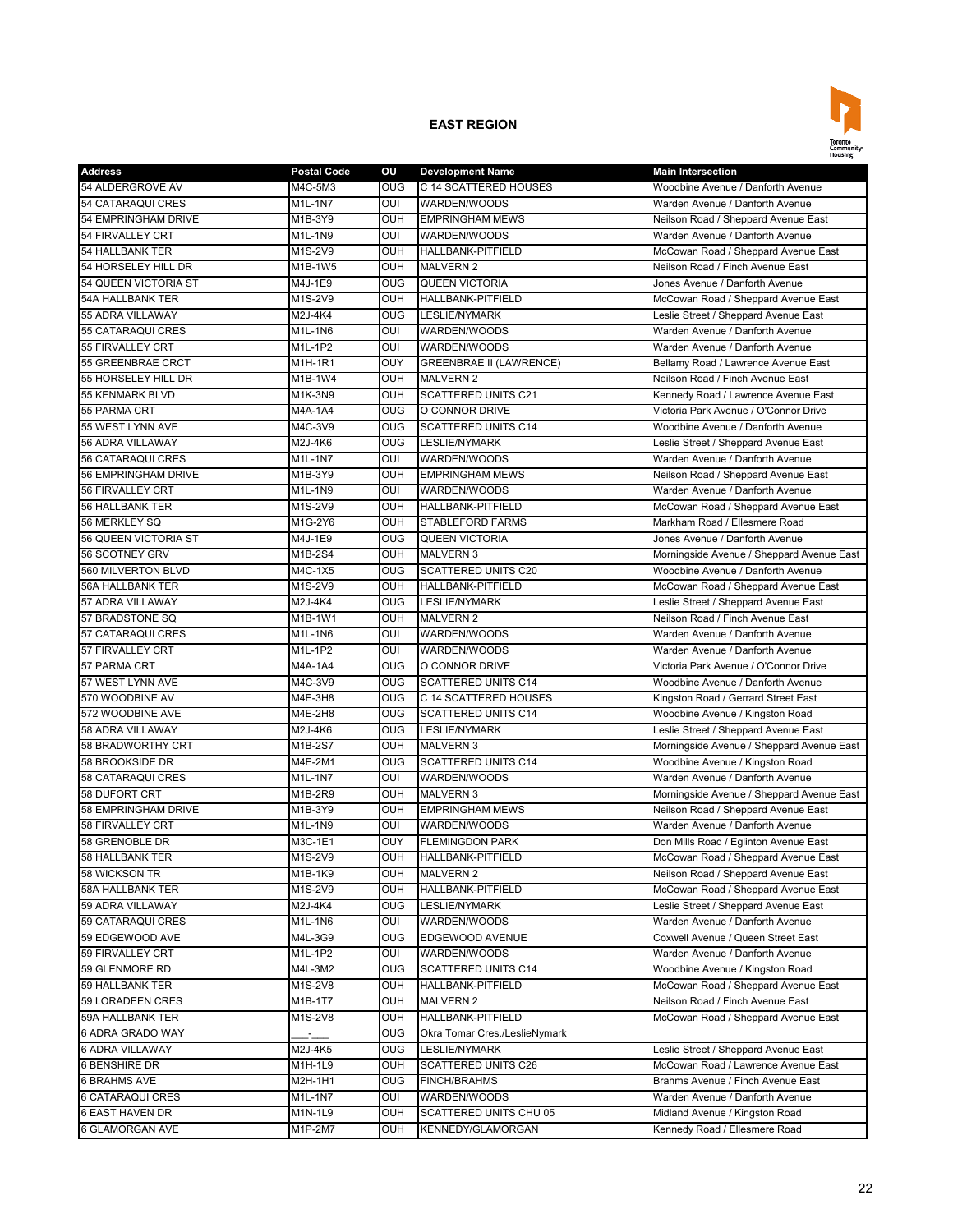

| <b>Address</b>                      | <b>Postal Code</b> | οu                    | <b>Development Name</b>        | <b>Main Intersection</b>                                                 |
|-------------------------------------|--------------------|-----------------------|--------------------------------|--------------------------------------------------------------------------|
| 54 ALDERGROVE AV                    | M4C-5M3            | <b>OUG</b>            | C 14 SCATTERED HOUSES          | Woodbine Avenue / Danforth Avenue                                        |
| 54 CATARAQUI CRES                   | M1L-1N7            | OUI                   | WARDEN/WOODS                   | Warden Avenue / Danforth Avenue                                          |
| 54 EMPRINGHAM DRIVE                 | M1B-3Y9            | OUH                   | <b>EMPRINGHAM MEWS</b>         | Neilson Road / Sheppard Avenue East                                      |
| 54 FIRVALLEY CRT                    | M1L-1N9            | OUI                   | WARDEN/WOODS                   | Warden Avenue / Danforth Avenue                                          |
| <b>54 HALLBANK TER</b>              | M1S-2V9            | OUH                   | <b>HALLBANK-PITFIELD</b>       | McCowan Road / Sheppard Avenue East                                      |
| 54 HORSELEY HILL DR                 | M1B-1W5            | OUH                   | <b>MALVERN 2</b>               | Neilson Road / Finch Avenue East                                         |
| 54 QUEEN VICTORIA ST                | M4J-1E9            | <b>OUG</b>            | <b>QUEEN VICTORIA</b>          | Jones Avenue / Danforth Avenue                                           |
| 54A HALLBANK TER                    | M1S-2V9            | <b>OUH</b>            | HALLBANK-PITFIELD              | McCowan Road / Sheppard Avenue East                                      |
| 55 ADRA VILLAWAY                    | M2J-4K4            | <b>OUG</b>            | <b>LESLIE/NYMARK</b>           | Leslie Street / Sheppard Avenue East                                     |
| 55 CATARAQUI CRES                   | M1L-1N6            | OUI                   | WARDEN/WOODS                   | Warden Avenue / Danforth Avenue                                          |
| 55 FIRVALLEY CRT                    | M1L-1P2            | OUI                   | WARDEN/WOODS                   | Warden Avenue / Danforth Avenue                                          |
| 55 GREENBRAE CRCT                   | M1H-1R1            | OUY                   | <b>GREENBRAE II (LAWRENCE)</b> | Bellamy Road / Lawrence Avenue East                                      |
| 55 HORSELEY HILL DR                 | M1B-1W4            | OUH                   | <b>MALVERN 2</b>               | Neilson Road / Finch Avenue East                                         |
| <b>55 KENMARK BLVD</b>              | M1K-3N9            | OUH                   | <b>SCATTERED UNITS C21</b>     | Kennedy Road / Lawrence Avenue East                                      |
| 55 PARMA CRT                        | M4A-1A4            | OUG                   | O CONNOR DRIVE                 | Victoria Park Avenue / O'Connor Drive                                    |
| 55 WEST LYNN AVE                    | M4C-3V9            | OUG                   | <b>SCATTERED UNITS C14</b>     | Woodbine Avenue / Danforth Avenue                                        |
| 56 ADRA VILLAWAY                    | M2J-4K6            | <b>OUG</b>            | <b>LESLIE/NYMARK</b>           | Leslie Street / Sheppard Avenue East                                     |
| 56 CATARAQUI CRES                   | M1L-1N7            | OUI                   | WARDEN/WOODS                   | Warden Avenue / Danforth Avenue                                          |
| 56 EMPRINGHAM DRIVE                 | M1B-3Y9            | <b>OUH</b>            | <b>EMPRINGHAM MEWS</b>         | Neilson Road / Sheppard Avenue East                                      |
| 56 FIRVALLEY CRT                    | $M1L-1N9$          | OUI                   | WARDEN/WOODS                   | Warden Avenue / Danforth Avenue                                          |
| 56 HALLBANK TER                     | M1S-2V9            | OUH                   | HALLBANK-PITFIELD              | McCowan Road / Sheppard Avenue East                                      |
| 56 MERKLEY SQ                       | M1G-2Y6            | OUH                   | <b>STABLEFORD FARMS</b>        | Markham Road / Ellesmere Road                                            |
| 56 QUEEN VICTORIA ST                | M4J-1E9            | OUG                   | <b>QUEEN VICTORIA</b>          | Jones Avenue / Danforth Avenue                                           |
| 56 SCOTNEY GRV                      | M1B-2S4            | OUH                   | <b>MALVERN 3</b>               | Morningside Avenue / Sheppard Avenue East                                |
| 560 MILVERTON BLVD                  | M4C-1X5            | <b>OUG</b>            | <b>SCATTERED UNITS C20</b>     | Woodbine Avenue / Danforth Avenue                                        |
| <b>56A HALLBANK TER</b>             |                    | <b>OUH</b>            | <b>HALLBANK-PITFIELD</b>       |                                                                          |
|                                     | M1S-2V9            | OUG                   | <b>LESLIE/NYMARK</b>           | McCowan Road / Sheppard Avenue East                                      |
| 57 ADRA VILLAWAY<br>57 BRADSTONE SQ | M2J-4K4            |                       |                                | Leslie Street / Sheppard Avenue East<br>Neilson Road / Finch Avenue East |
|                                     | M1B-1W1            | <b>OUH</b>            | <b>MALVERN 2</b>               |                                                                          |
| 57 CATARAQUI CRES                   | M1L-1N6            | OUI                   | WARDEN/WOODS                   | Warden Avenue / Danforth Avenue                                          |
| 57 FIRVALLEY CRT                    | M1L-1P2            | OUI<br>O <sub>0</sub> | WARDEN/WOODS                   | Warden Avenue / Danforth Avenue                                          |
| 57 PARMA CRT                        | M4A-1A4            |                       | O CONNOR DRIVE                 | Victoria Park Avenue / O'Connor Drive                                    |
| 57 WEST LYNN AVE                    | M4C-3V9            | <b>OUG</b>            | <b>SCATTERED UNITS C14</b>     | Woodbine Avenue / Danforth Avenue                                        |
| 570 WOODBINE AV                     | M4E-3H8            | <b>OUG</b>            | C 14 SCATTERED HOUSES          | Kingston Road / Gerrard Street East                                      |
| 572 WOODBINE AVE                    | M4E-2H8            | OUG                   | <b>SCATTERED UNITS C14</b>     | Woodbine Avenue / Kingston Road                                          |
| 58 ADRA VILLAWAY                    | M2J-4K6            | OUG                   | <b>LESLIE/NYMARK</b>           | Leslie Street / Sheppard Avenue East                                     |
| 58 BRADWORTHY CRT                   | M1B-2S7            | <b>OUH</b>            | <b>MALVERN 3</b>               | Morningside Avenue / Sheppard Avenue East                                |
| 58 BROOKSIDE DR                     | M4E-2M1            | <b>OUG</b>            | <b>SCATTERED UNITS C14</b>     | Woodbine Avenue / Kingston Road                                          |
| 58 CATARAQUI CRES                   | M1L-1N7            | OUI                   | WARDEN/WOODS                   | Warden Avenue / Danforth Avenue                                          |
| 58 DUFORT CRT                       | M1B-2R9            | <b>OUH</b>            | <b>MALVERN 3</b>               | Morningside Avenue / Sheppard Avenue East                                |
| 58 EMPRINGHAM DRIVE                 | M1B-3Y9            | <b>OUH</b>            | <b>EMPRINGHAM MEWS</b>         | Neilson Road / Sheppard Avenue East                                      |
| 58 FIRVALLEY CRT                    | M1L-1N9            | OUI                   | WARDEN/WOODS                   | Warden Avenue / Danforth Avenue                                          |
| 58 GRENOBLE DR                      | M3C-1E1            | OUY                   | <b>FLEMINGDON PARK</b>         | Don Mills Road / Eglinton Avenue East                                    |
| 58 HALLBANK TER                     | M1S-2V9            | <b>OUH</b>            | <b>HALLBANK-PITFIELD</b>       | McCowan Road / Sheppard Avenue East                                      |
| 58 WICKSON TR                       | M1B-1K9            | OUH                   | <b>MALVERN 2</b>               | Neilson Road / Sheppard Avenue East                                      |
| 58A HALLBANK TER                    | M1S-2V9            | OUH                   | HALLBANK-PITFIELD              | McCowan Road / Sheppard Avenue East                                      |
| 59 ADRA VILLAWAY                    | M2J-4K4            | <b>OUG</b>            | <b>LESLIE/NYMARK</b>           | Leslie Street / Sheppard Avenue East                                     |
| 59 CATARAQUI CRES                   | M1L-1N6            | OUI                   | WARDEN/WOODS                   | Warden Avenue / Danforth Avenue                                          |
| 59 EDGEWOOD AVE                     | M4L-3G9            | OUG                   | EDGEWOOD AVENUE                | Coxwell Avenue / Queen Street East                                       |
| 59 FIRVALLEY CRT                    | M1L-1P2            | OUI                   | WARDEN/WOODS                   | Warden Avenue / Danforth Avenue                                          |
| 59 GLENMORE RD                      | M4L-3M2            | OUG                   | <b>SCATTERED UNITS C14</b>     | Woodbine Avenue / Kingston Road                                          |
| 59 HALLBANK TER                     | M1S-2V8            | OUH                   | HALLBANK-PITFIELD              | McCowan Road / Sheppard Avenue East                                      |
| 59 LORADEEN CRES                    | M1B-1T7            | <b>OUH</b>            | <b>MALVERN 2</b>               | Neilson Road / Finch Avenue East                                         |
| 59A HALLBANK TER                    | M1S-2V8            | OUH                   | HALLBANK-PITFIELD              | McCowan Road / Sheppard Avenue East                                      |
| 6 ADRA GRADO WAY                    | a.                 | OUG                   | Okra Tomar Cres./LeslieNymark  |                                                                          |
| 6 ADRA VILLAWAY                     | M2J-4K5            | <b>OUG</b>            | LESLIE/NYMARK                  | Leslie Street / Sheppard Avenue East                                     |
| 6 BENSHIRE DR                       | M1H-1L9            | OUH                   | <b>SCATTERED UNITS C26</b>     | McCowan Road / Lawrence Avenue East                                      |
| <b>6 BRAHMS AVE</b>                 | M2H-1H1            | OUG                   | <b>FINCH/BRAHMS</b>            | Brahms Avenue / Finch Avenue East                                        |
| 6 CATARAQUI CRES                    | M1L-1N7            | OUI                   | WARDEN/WOODS                   | Warden Avenue / Danforth Avenue                                          |
| <b>6 EAST HAVEN DR</b>              | M1N-1L9            | <b>OUH</b>            | SCATTERED UNITS CHU 05         | Midland Avenue / Kingston Road                                           |
| 6 GLAMORGAN AVE                     | M1P-2M7            | OUH                   | KENNEDY/GLAMORGAN              | Kennedy Road / Ellesmere Road                                            |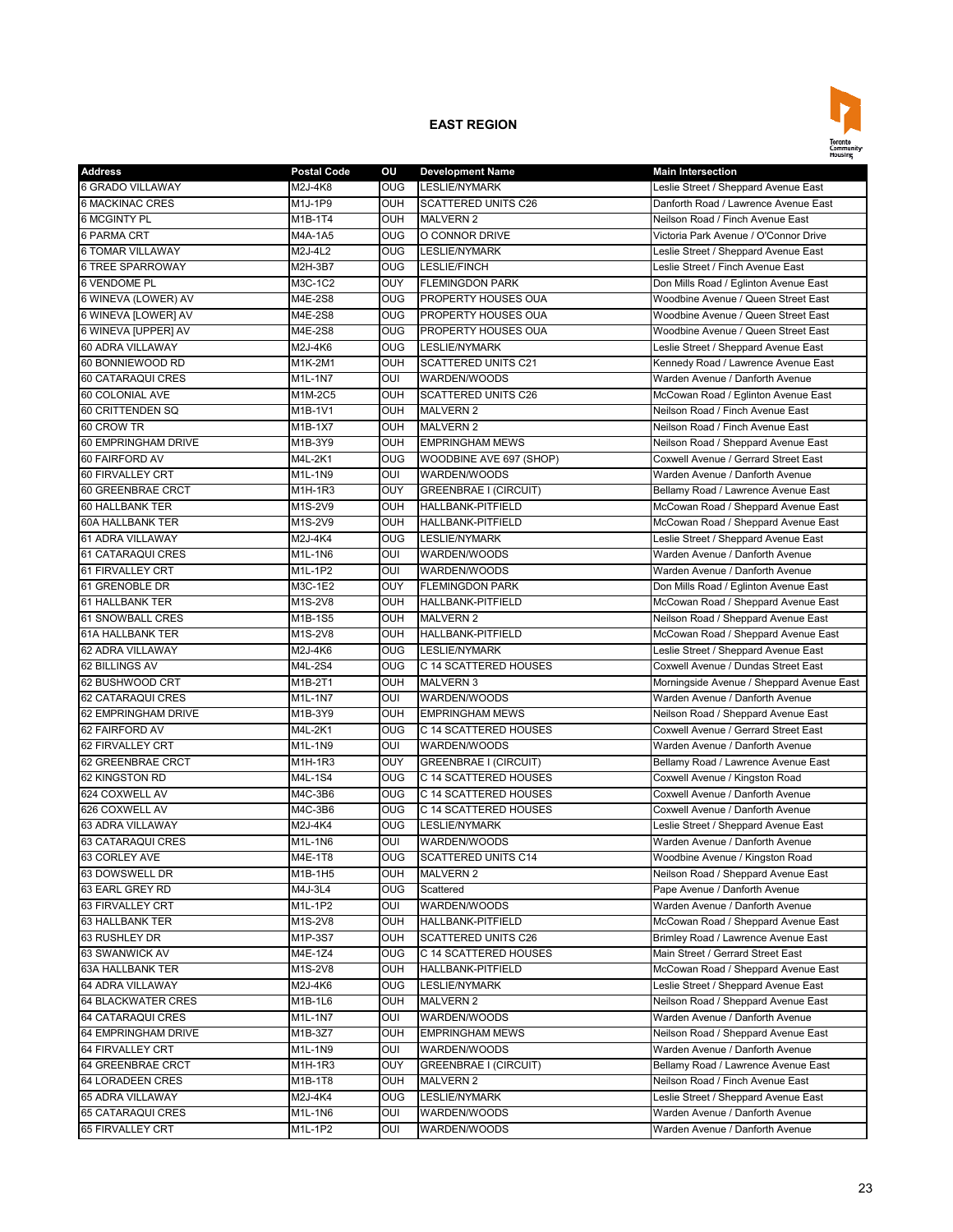

| <b>Address</b>                            | <b>Postal Code</b> | ou         | <b>Development Name</b>      | <b>Main Intersection</b>                  |
|-------------------------------------------|--------------------|------------|------------------------------|-------------------------------------------|
| 6 GRADO VILLAWAY                          | M2J-4K8            | <b>OUG</b> | <b>LESLIE/NYMARK</b>         | Leslie Street / Sheppard Avenue East      |
| <b>6 MACKINAC CRES</b>                    | M1J-1P9            | <b>OUH</b> | <b>SCATTERED UNITS C26</b>   | Danforth Road / Lawrence Avenue East      |
| <b>6 MCGINTY PL</b>                       | M1B-1T4            | <b>OUH</b> | <b>MALVERN 2</b>             | Neilson Road / Finch Avenue East          |
| <b>6 PARMA CRT</b>                        | M4A-1A5            | OUG        | O CONNOR DRIVE               | Victoria Park Avenue / O'Connor Drive     |
| <b>6 TOMAR VILLAWAY</b>                   | M2J-4L2            | <b>OUG</b> | <b>LESLIE/NYMARK</b>         | Leslie Street / Sheppard Avenue East      |
| <b>6 TREE SPARROWAY</b>                   | M2H-3B7            | OUG        | <b>LESLIE/FINCH</b>          | Leslie Street / Finch Avenue East         |
| <b>6 VENDOME PL</b>                       | M3C-1C2            | <b>OUY</b> | <b>FLEMINGDON PARK</b>       | Don Mills Road / Eglinton Avenue East     |
| 6 WINEVA (LOWER) AV                       | M4E-2S8            | <b>OUG</b> | PROPERTY HOUSES OUA          | Woodbine Avenue / Queen Street East       |
| 6 WINEVA [LOWER] AV                       | M4E-2S8            | <b>OUG</b> | PROPERTY HOUSES OUA          | Woodbine Avenue / Queen Street East       |
| 6 WINEVA [UPPER] AV                       | M4E-2S8            | <b>OUG</b> | PROPERTY HOUSES OUA          | Woodbine Avenue / Queen Street East       |
| 60 ADRA VILLAWAY                          | M2J-4K6            | <b>OUG</b> | <b>LESLIE/NYMARK</b>         | Leslie Street / Sheppard Avenue East      |
| 60 BONNIEWOOD RD                          | M1K-2M1            | <b>OUH</b> | <b>SCATTERED UNITS C21</b>   | Kennedy Road / Lawrence Avenue East       |
| 60 CATARAQUI CRES                         | M1L-1N7            | OUI        | WARDEN/WOODS                 | Warden Avenue / Danforth Avenue           |
| 60 COLONIAL AVE                           | M1M-2C5            | OUH        | <b>SCATTERED UNITS C26</b>   | McCowan Road / Eglinton Avenue East       |
| 60 CRITTENDEN SQ                          | M1B-1V1            | OUH        | <b>MALVERN 2</b>             | Neilson Road / Finch Avenue East          |
| 60 CROW TR                                | M1B-1X7            | OUH        | <b>MALVERN 2</b>             | Neilson Road / Finch Avenue East          |
| 60 EMPRINGHAM DRIVE                       | M1B-3Y9            | <b>OUH</b> | <b>EMPRINGHAM MEWS</b>       | Neilson Road / Sheppard Avenue East       |
| 60 FAIRFORD AV                            | M4L-2K1            | OUG        | WOODBINE AVE 697 (SHOP)      | Coxwell Avenue / Gerrard Street East      |
| 60 FIRVALLEY CRT                          | M1L-1N9            | OUI        | WARDEN/WOODS                 | Warden Avenue / Danforth Avenue           |
| 60 GREENBRAE CRCT                         | M1H-1R3            | OUY        | <b>GREENBRAE I (CIRCUIT)</b> | Bellamy Road / Lawrence Avenue East       |
| 60 HALLBANK TER                           | M1S-2V9            | OUH        | <b>HALLBANK-PITFIELD</b>     | McCowan Road / Sheppard Avenue East       |
| <b>60A HALLBANK TER</b>                   | M1S-2V9            | OUH        | <b>HALLBANK-PITFIELD</b>     | McCowan Road / Sheppard Avenue East       |
| 61 ADRA VILLAWAY                          | M2J-4K4            | OUG        | <b>LESLIE/NYMARK</b>         | Leslie Street / Sheppard Avenue East      |
| 61 CATARAQUI CRES                         | M1L-1N6            | OUI        | WARDEN/WOODS                 | Warden Avenue / Danforth Avenue           |
| 61 FIRVALLEY CRT                          | M1L-1P2            | OUI        | WARDEN/WOODS                 | Warden Avenue / Danforth Avenue           |
| 61 GRENOBLE DR                            | $M3C-1E2$          | OUY        | <b>FLEMINGDON PARK</b>       | Don Mills Road / Eglinton Avenue East     |
| <b>61 HALLBANK TER</b>                    | M1S-2V8            | OUH        | <b>HALLBANK-PITFIELD</b>     | McCowan Road / Sheppard Avenue East       |
| <b>61 SNOWBALL CRES</b>                   | M1B-1S5            | OUH        | <b>MALVERN 2</b>             | Neilson Road / Sheppard Avenue East       |
| <b>61A HALLBANK TER</b>                   | M1S-2V8            | OUH        | <b>HALLBANK-PITFIELD</b>     | McCowan Road / Sheppard Avenue East       |
| 62 ADRA VILLAWAY                          | M2J-4K6            | OUG        | <b>LESLIE/NYMARK</b>         | Leslie Street / Sheppard Avenue East      |
| 62 BILLINGS AV                            | M4L-2S4            | <b>OUG</b> | C 14 SCATTERED HOUSES        | Coxwell Avenue / Dundas Street East       |
| 62 BUSHWOOD CRT                           | M1B-2T1            | OUH        | <b>MALVERN 3</b>             | Morningside Avenue / Sheppard Avenue East |
| 62 CATARAQUI CRES                         | M1L-1N7            | OUI        | WARDEN/WOODS                 | Warden Avenue / Danforth Avenue           |
| 62 EMPRINGHAM DRIVE                       | M1B-3Y9            | OUH        | <b>EMPRINGHAM MEWS</b>       | Neilson Road / Sheppard Avenue East       |
| 62 FAIRFORD AV                            | M4L-2K1            | <b>OUG</b> | C 14 SCATTERED HOUSES        | Coxwell Avenue / Gerrard Street East      |
| 62 FIRVALLEY CRT                          | M1L-1N9            | OUI        | WARDEN/WOODS                 | Warden Avenue / Danforth Avenue           |
| 62 GREENBRAE CRCT                         | M1H-1R3            | OUY        | <b>GREENBRAE I (CIRCUIT)</b> | Bellamy Road / Lawrence Avenue East       |
| <b>62 KINGSTON RD</b>                     | M4L-1S4            | <b>OUG</b> | C 14 SCATTERED HOUSES        | Coxwell Avenue / Kingston Road            |
| 624 COXWELL AV                            | M4C-3B6            | OUG        | C 14 SCATTERED HOUSES        | Coxwell Avenue / Danforth Avenue          |
| 626 COXWELL AV                            | M4C-3B6            | <b>OUG</b> | C 14 SCATTERED HOUSES        | Coxwell Avenue / Danforth Avenue          |
| 63 ADRA VILLAWAY                          | M2J-4K4            | <b>OUG</b> | <b>LESLIE/NYMARK</b>         | Leslie Street / Sheppard Avenue East      |
| 63 CATARAQUI CRES                         | M1L-1N6            | OUI        | WARDEN/WOODS                 | Warden Avenue / Danforth Avenue           |
| 63 CORLEY AVE                             | M4E-1T8            | OUG        | <b>SCATTERED UNITS C14</b>   | Woodbine Avenue / Kingston Road           |
| 63 DOWSWELL DR                            | M1B-1H5            | OUH        | <b>MALVERN 2</b>             | Neilson Road / Sheppard Avenue East       |
| 63 EARL GREY RD                           | M4J-3L4            | <b>OUG</b> | Scattered                    | Pape Avenue / Danforth Avenue             |
| 63 FIRVALLEY CRT                          | M1L-1P2            | OUI        | WARDEN/WOODS                 | Warden Avenue / Danforth Avenue           |
| 63 HALLBANK TER                           | M1S-2V8            | OUH        | HALLBANK-PITFIELD            | McCowan Road / Sheppard Avenue East       |
|                                           |                    | OUH        |                              |                                           |
| 63 RUSHLEY DR                             | M1P-3S7            | OUG        | <b>SCATTERED UNITS C26</b>   | Brimley Road / Lawrence Avenue East       |
| 63 SWANWICK AV<br><b>63A HALLBANK TER</b> | M4E-1Z4            |            | C 14 SCATTERED HOUSES        | Main Street / Gerrard Street East         |
|                                           | M1S-2V8            | OUH        | HALLBANK-PITFIELD            | McCowan Road / Sheppard Avenue East       |
| 64 ADRA VILLAWAY                          | M2J-4K6            | <b>OUG</b> | LESLIE/NYMARK                | Leslie Street / Sheppard Avenue East      |
| <b>64 BLACKWATER CRES</b>                 | M1B-1L6            | OUH        | <b>MALVERN 2</b>             | Neilson Road / Sheppard Avenue East       |
| 64 CATARAQUI CRES                         | M1L-1N7            | OUI        | WARDEN/WOODS                 | Warden Avenue / Danforth Avenue           |
| 64 EMPRINGHAM DRIVE                       | M1B-3Z7            | OUH        | <b>EMPRINGHAM MEWS</b>       | Neilson Road / Sheppard Avenue East       |
| 64 FIRVALLEY CRT                          | M1L-1N9            | OUI        | WARDEN/WOODS                 | Warden Avenue / Danforth Avenue           |
| 64 GREENBRAE CRCT                         | M1H-1R3            | OUY        | GREENBRAE I (CIRCUIT)        | Bellamy Road / Lawrence Avenue East       |
| 64 LORADEEN CRES                          | M1B-1T8            | <b>OUH</b> | <b>MALVERN 2</b>             | Neilson Road / Finch Avenue East          |
| 65 ADRA VILLAWAY                          | M2J-4K4            | <b>OUG</b> | LESLIE/NYMARK                | Leslie Street / Sheppard Avenue East      |
| 65 CATARAQUI CRES                         | M1L-1N6            | OUI        | WARDEN/WOODS                 | Warden Avenue / Danforth Avenue           |
| 65 FIRVALLEY CRT                          | M1L-1P2            | OUI        | WARDEN/WOODS                 | Warden Avenue / Danforth Avenue           |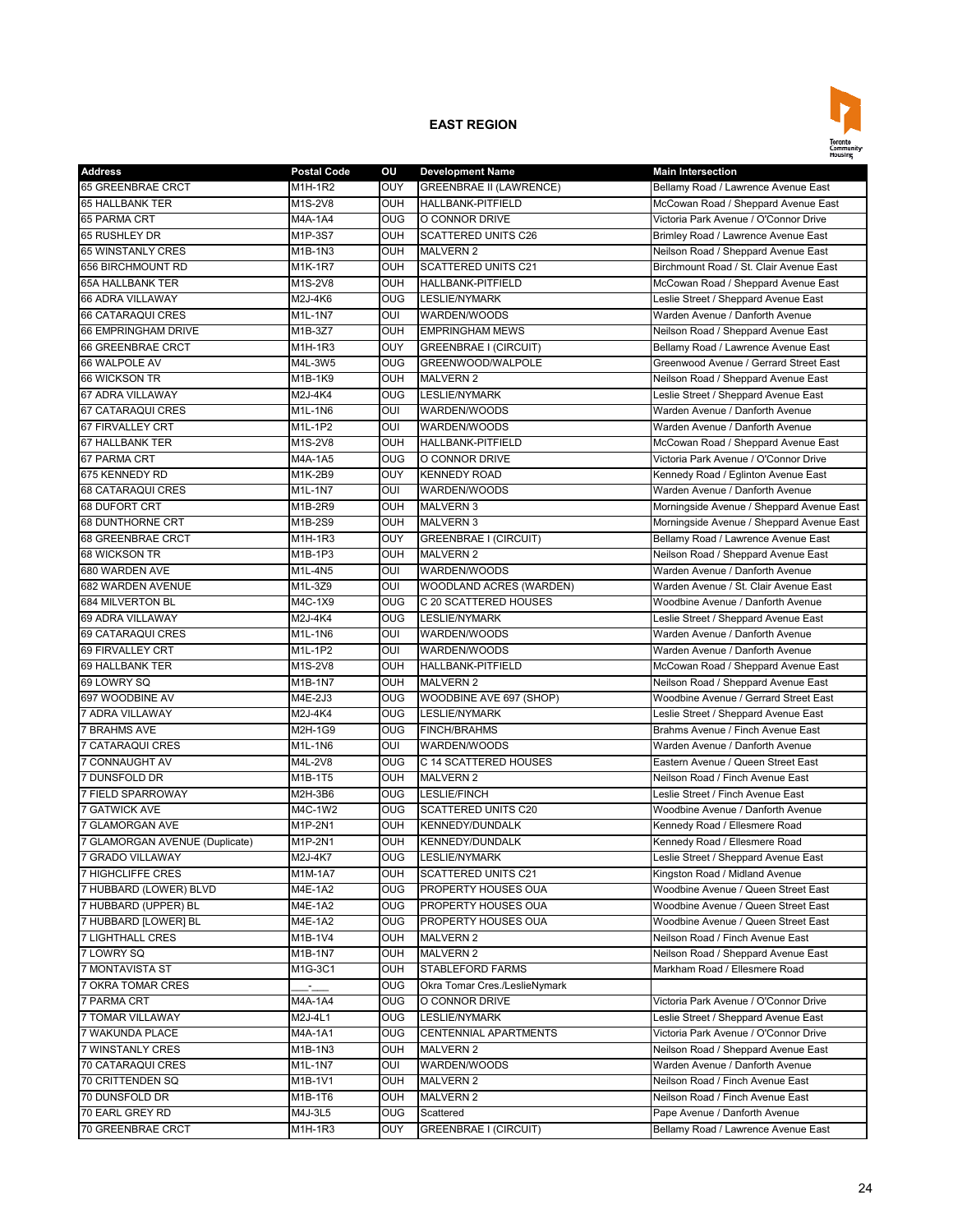

| <b>Address</b>                 | <b>Postal Code</b> | οu             | <b>Development Name</b>        | <b>Main Intersection</b>                  |
|--------------------------------|--------------------|----------------|--------------------------------|-------------------------------------------|
| <b>65 GREENBRAE CRCT</b>       | M1H-1R2            | <b>OUY</b>     | <b>GREENBRAE II (LAWRENCE)</b> | Bellamy Road / Lawrence Avenue East       |
| <b>65 HALLBANK TER</b>         | M1S-2V8            | <b>OUH</b>     | HALLBANK-PITFIELD              | McCowan Road / Sheppard Avenue East       |
| 65 PARMA CRT                   | <b>M4A-1A4</b>     | O <sub>0</sub> | O CONNOR DRIVE                 | Victoria Park Avenue / O'Connor Drive     |
| 65 RUSHLEY DR                  | M1P-3S7            | OUH            | <b>SCATTERED UNITS C26</b>     | Brimley Road / Lawrence Avenue East       |
| 65 WINSTANLY CRES              | M1B-1N3            | <b>OUH</b>     | <b>MALVERN 2</b>               | Neilson Road / Sheppard Avenue East       |
| 656 BIRCHMOUNT RD              | M1K-1R7            | <b>OUH</b>     | <b>SCATTERED UNITS C21</b>     | Birchmount Road / St. Clair Avenue East   |
| <b>65A HALLBANK TER</b>        | M1S-2V8            | OUH            | <b>HALLBANK-PITFIELD</b>       | McCowan Road / Sheppard Avenue East       |
| 66 ADRA VILLAWAY               | M2J-4K6            | <b>OUG</b>     | LESLIE/NYMARK                  | Leslie Street / Sheppard Avenue East      |
| 66 CATARAQUI CRES              | M1L-1N7            | OUI            | WARDEN/WOODS                   | Warden Avenue / Danforth Avenue           |
| 66 EMPRINGHAM DRIVE            | M1B-3Z7            | <b>OUH</b>     | <b>EMPRINGHAM MEWS</b>         | Neilson Road / Sheppard Avenue East       |
| 66 GREENBRAE CRCT              | M1H-1R3            | OUY            | <b>GREENBRAE I (CIRCUIT)</b>   | Bellamy Road / Lawrence Avenue East       |
| 66 WALPOLE AV                  | M4L-3W5            | <b>OUG</b>     | GREENWOOD/WALPOLE              | Greenwood Avenue / Gerrard Street East    |
| 66 WICKSON TR                  | M1B-1K9            | OUH            | <b>MALVERN 2</b>               | Neilson Road / Sheppard Avenue East       |
| 67 ADRA VILLAWAY               | M2J-4K4            | <b>OUG</b>     | <b>LESLIE/NYMARK</b>           | Leslie Street / Sheppard Avenue East      |
| 67 CATARAQUI CRES              | M1L-1N6            | OUI            | WARDEN/WOODS                   | Warden Avenue / Danforth Avenue           |
| <b>67 FIRVALLEY CRT</b>        | M1L-1P2            | OUI            | WARDEN/WOODS                   | Warden Avenue / Danforth Avenue           |
| <b>67 HALLBANK TER</b>         | M1S-2V8            | <b>OUH</b>     | <b>HALLBANK-PITFIELD</b>       | McCowan Road / Sheppard Avenue East       |
| 67 PARMA CRT                   | M4A-1A5            | <b>OUG</b>     | O CONNOR DRIVE                 | Victoria Park Avenue / O'Connor Drive     |
| 675 KENNEDY RD                 | M1K-2B9            | <b>OUY</b>     | <b>KENNEDY ROAD</b>            | Kennedy Road / Eglinton Avenue East       |
| 68 CATARAQUI CRES              | M1L-1N7            | OUI            | WARDEN/WOODS                   | Warden Avenue / Danforth Avenue           |
| 68 DUFORT CRT                  | M1B-2R9            | <b>OUH</b>     | <b>MALVERN 3</b>               | Morningside Avenue / Sheppard Avenue East |
| 68 DUNTHORNE CRT               | M1B-2S9            | <b>OUH</b>     | <b>MALVERN 3</b>               | Morningside Avenue / Sheppard Avenue East |
|                                |                    |                |                                |                                           |
| 68 GREENBRAE CRCT              | M1H-1R3            | OUY            | <b>GREENBRAE I (CIRCUIT)</b>   | Bellamy Road / Lawrence Avenue East       |
| 68 WICKSON TR                  | M1B-1P3            | OUH            | <b>MALVERN 2</b>               | Neilson Road / Sheppard Avenue East       |
| 680 WARDEN AVE                 | M1L-4N5            | OUI            | WARDEN/WOODS                   | Warden Avenue / Danforth Avenue           |
| 682 WARDEN AVENUE              | M1L-3Z9            | OUI            | WOODLAND ACRES (WARDEN)        | Warden Avenue / St. Clair Avenue East     |
| <b>684 MILVERTON BL</b>        | M4C-1X9            | <b>OUG</b>     | C 20 SCATTERED HOUSES          | Woodbine Avenue / Danforth Avenue         |
| 69 ADRA VILLAWAY               | M2J-4K4            | O <sub>0</sub> | <b>LESLIE/NYMARK</b>           | Leslie Street / Sheppard Avenue East      |
| 69 CATARAQUI CRES              | M1L-1N6            | OUI            | WARDEN/WOODS                   | Warden Avenue / Danforth Avenue           |
| 69 FIRVALLEY CRT               | M1L-1P2            | OUI            | WARDEN/WOODS                   | Warden Avenue / Danforth Avenue           |
| 69 HALLBANK TER                | M1S-2V8            | <b>OUH</b>     | HALLBANK-PITFIELD              | McCowan Road / Sheppard Avenue East       |
| 69 LOWRY SQ                    | M1B-1N7            | <b>OUH</b>     | <b>MALVERN 2</b>               | Neilson Road / Sheppard Avenue East       |
| 697 WOODBINE AV                | M4E-2J3            | <b>OUG</b>     | WOODBINE AVE 697 (SHOP)        | Woodbine Avenue / Gerrard Street East     |
| 7 ADRA VILLAWAY                | M2J-4K4            | OUG            | <b>LESLIE/NYMARK</b>           | Leslie Street / Sheppard Avenue East      |
| <b>7 BRAHMS AVE</b>            | M2H-1G9            | <b>OUG</b>     | <b>FINCH/BRAHMS</b>            | Brahms Avenue / Finch Avenue East         |
| 7 CATARAQUI CRES               | M1L-1N6            | OUI            | WARDEN/WOODS                   | Warden Avenue / Danforth Avenue           |
| 7 CONNAUGHT AV                 | M4L-2V8            | <b>OUG</b>     | C 14 SCATTERED HOUSES          | Eastern Avenue / Queen Street East        |
| 7 DUNSFOLD DR                  | M1B-1T5            | <b>OUH</b>     | <b>MALVERN 2</b>               | Neilson Road / Finch Avenue East          |
| 7 FIELD SPARROWAY              | M2H-3B6            | <b>OUG</b>     | LESLIE/FINCH                   | Leslie Street / Finch Avenue East         |
| <b>7 GATWICK AVE</b>           | M4C-1W2            | <b>OUG</b>     | SCATTERED UNITS C20            | Woodbine Avenue / Danforth Avenue         |
| 7 GLAMORGAN AVE                | M1P-2N1            | <b>OUH</b>     | <b>KENNEDY/DUNDALK</b>         | Kennedy Road / Ellesmere Road             |
| 7 GLAMORGAN AVENUE (Duplicate) | M1P-2N1            | <b>OUH</b>     | <b>KENNEDY/DUNDALK</b>         | Kennedy Road / Ellesmere Road             |
| 7 GRADO VILLAWAY               | M2J-4K7            | <b>OUG</b>     | <b>LESLIE/NYMARK</b>           | Leslie Street / Sheppard Avenue East      |
| 7 HIGHCLIFFE CRES              | M1M-1A7            | <b>OUH</b>     | <b>SCATTERED UNITS C21</b>     | Kingston Road / Midland Avenue            |
| 7 HUBBARD (LOWER) BLVD         | M4E-1A2            | <b>OUG</b>     | PROPERTY HOUSES OUA            | Woodbine Avenue / Queen Street East       |
| 7 HUBBARD (UPPER) BL           | M4E-1A2            | <b>OUG</b>     | PROPERTY HOUSES OUA            | Woodbine Avenue / Queen Street East       |
| 7 HUBBARD [LOWER] BL           | M4E-1A2            | <b>OUG</b>     | PROPERTY HOUSES OUA            | Woodbine Avenue / Queen Street East       |
| <b>7 LIGHTHALL CRES</b>        | M1B-1V4            | <b>OUH</b>     | <b>MALVERN 2</b>               | Neilson Road / Finch Avenue East          |
| 7 LOWRY SQ                     | M1B-1N7            | OUH            | <b>MALVERN 2</b>               | Neilson Road / Sheppard Avenue East       |
| 7 MONTAVISTA ST                | M1G-3C1            | <b>OUH</b>     | STABLEFORD FARMS               | Markham Road / Ellesmere Road             |
| 7 OKRA TOMAR CRES              |                    | <b>OUG</b>     | Okra Tomar Cres./LeslieNymark  |                                           |
| <b>7 PARMA CRT</b>             | z.<br>M4A-1A4      | <b>OUG</b>     | O CONNOR DRIVE                 | Victoria Park Avenue / O'Connor Drive     |
| 7 TOMAR VILLAWAY               | M2J-4L1            | <b>OUG</b>     | LESLIE/NYMARK                  | eslie Street / Sheppard Avenue East_      |
| 7 WAKUNDA PLACE                | M4A-1A1            | <b>OUG</b>     | CENTENNIAL APARTMENTS          | Victoria Park Avenue / O'Connor Drive     |
|                                | M1B-1N3            |                |                                | Neilson Road / Sheppard Avenue East       |
| 7 WINSTANLY CRES               |                    | <b>OUH</b>     | <b>MALVERN 2</b>               |                                           |
| 70 CATARAQUI CRES              | M1L-1N7            | OUI            | WARDEN/WOODS                   | Warden Avenue / Danforth Avenue           |
| 70 CRITTENDEN SQ               | M1B-1V1            | <b>OUH</b>     | <b>MALVERN 2</b>               | Neilson Road / Finch Avenue East          |
| 70 DUNSFOLD DR                 | M1B-1T6            | <b>OUH</b>     | <b>MALVERN 2</b>               | Neilson Road / Finch Avenue East          |
| 70 EARL GREY RD                | M4J-3L5            | <b>OUG</b>     | Scattered                      | Pape Avenue / Danforth Avenue             |
| 70 GREENBRAE CRCT              | M1H-1R3            | <b>OUY</b>     | GREENBRAE I (CIRCUIT)          | Bellamy Road / Lawrence Avenue East       |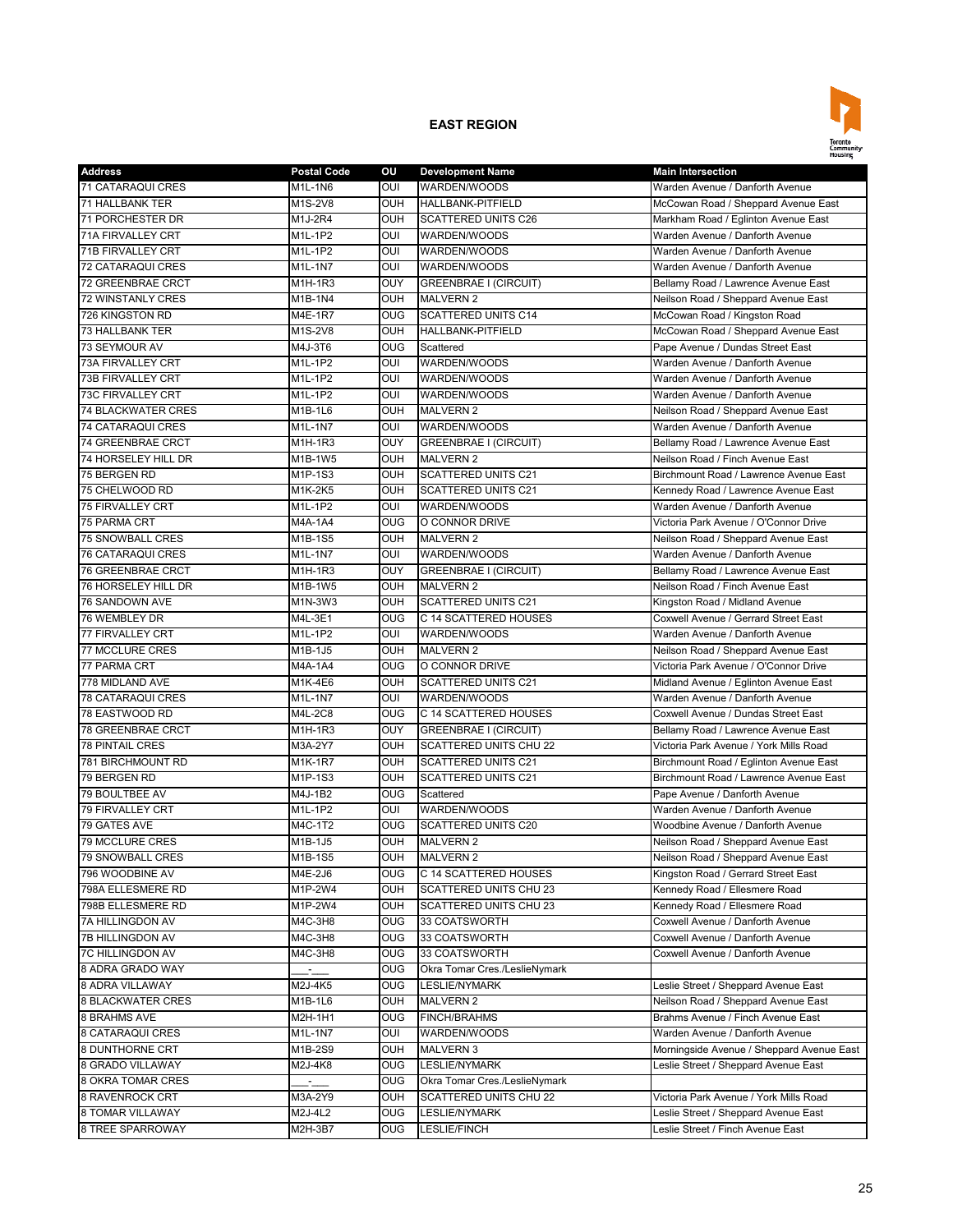

| <b>Address</b>            | <b>Postal Code</b> | οu                    | <b>Development Name</b>                   | <b>Main Intersection</b>                  |
|---------------------------|--------------------|-----------------------|-------------------------------------------|-------------------------------------------|
| 71 CATARAQUI CRES         | M1L-1N6            | OUI                   | WARDEN/WOODS                              | Warden Avenue / Danforth Avenue           |
| 71 HALLBANK TER           | M1S-2V8            | OUH                   | HALLBANK-PITFIELD                         | McCowan Road / Sheppard Avenue East       |
| <b>71 PORCHESTER DR</b>   | M1J-2R4            | OUH                   | <b>SCATTERED UNITS C26</b>                | Markham Road / Eglinton Avenue East       |
| 71A FIRVALLEY CRT         | M1L-1P2            | OUI                   | WARDEN/WOODS                              | Warden Avenue / Danforth Avenue           |
| 71B FIRVALLEY CRT         | M1L-1P2            | OUI                   | WARDEN/WOODS                              | Warden Avenue / Danforth Avenue           |
| <b>72 CATARAQUI CRES</b>  | M1L-1N7            | OUI                   | WARDEN/WOODS                              | Warden Avenue / Danforth Avenue           |
| 72 GREENBRAE CRCT         | M1H-1R3            | OUY                   | <b>GREENBRAE I (CIRCUIT)</b>              | Bellamy Road / Lawrence Avenue East       |
| <b>72 WINSTANLY CRES</b>  | M1B-1N4            | OUH                   | <b>MALVERN 2</b>                          | Neilson Road / Sheppard Avenue East       |
| 726 KINGSTON RD           | M4E-1R7            | OUG                   | <b>SCATTERED UNITS C14</b>                | McCowan Road / Kingston Road              |
| 73 HALLBANK TER           | M1S-2V8            | OUH                   | HALLBANK-PITFIELD                         | McCowan Road / Sheppard Avenue East       |
| 73 SEYMOUR AV             | M4J-3T6            | <b>OUG</b>            | Scattered                                 | Pape Avenue / Dundas Street East          |
| 73A FIRVALLEY CRT         | M1L-1P2            | OUI                   | WARDEN/WOODS                              | Warden Avenue / Danforth Avenue           |
| 73B FIRVALLEY CRT         | M1L-1P2            | OUI                   | WARDEN/WOODS                              | Warden Avenue / Danforth Avenue           |
| <b>73C FIRVALLEY CRT</b>  | M1L-1P2            | $\overline{\text{C}}$ | WARDEN/WOODS                              | Warden Avenue / Danforth Avenue           |
| <b>74 BLACKWATER CRES</b> | M1B-1L6            | OUH                   | <b>MALVERN 2</b>                          | Neilson Road / Sheppard Avenue East       |
| 74 CATARAQUI CRES         | M1L-1N7            | OUI                   | WARDEN/WOODS                              | Warden Avenue / Danforth Avenue           |
| <b>74 GREENBRAE CRCT</b>  | M1H-1R3            | OUY                   | <b>GREENBRAE I (CIRCUIT)</b>              | Bellamy Road / Lawrence Avenue East       |
| 74 HORSELEY HILL DR       | M1B-1W5            | OUH                   | <b>MALVERN 2</b>                          | Neilson Road / Finch Avenue East          |
| 75 BERGEN RD              | M1P-1S3            | OUH                   | <b>SCATTERED UNITS C21</b>                | Birchmount Road / Lawrence Avenue East    |
| 75 CHELWOOD RD            | M1K-2K5            | OUH                   | <b>SCATTERED UNITS C21</b>                | Kennedy Road / Lawrence Avenue East       |
| 75 FIRVALLEY CRT          | M1L-1P2            | OUI                   | WARDEN/WOODS                              | Warden Avenue / Danforth Avenue           |
| 75 PARMA CRT              | M4A-1A4            | OUG                   | O CONNOR DRIVE                            | Victoria Park Avenue / O'Connor Drive     |
| <b>75 SNOWBALL CRES</b>   | M1B-1S5            | <b>OUH</b>            | <b>MALVERN 2</b>                          | Neilson Road / Sheppard Avenue East       |
| <b>76 CATARAQUI CRES</b>  | M1L-1N7            | OUI                   | WARDEN/WOODS                              | Warden Avenue / Danforth Avenue           |
| 76 GREENBRAE CRCT         | M1H-1R3            | OUY                   |                                           |                                           |
|                           |                    |                       | GREENBRAE I (CIRCUIT)<br><b>MALVERN 2</b> | Bellamy Road / Lawrence Avenue East       |
| 76 HORSELEY HILL DR       | M1B-1W5            | OUH                   | <b>SCATTERED UNITS C21</b>                | Neilson Road / Finch Avenue East          |
| 76 SANDOWN AVE            | M1N-3W3            | OUH                   |                                           | Kingston Road / Midland Avenue            |
| 76 WEMBLEY DR             | M4L-3E1            | <b>OUG</b>            | C 14 SCATTERED HOUSES                     | Coxwell Avenue / Gerrard Street East      |
| 77 FIRVALLEY CRT          | M1L-1P2            | OUI                   | WARDEN/WOODS                              | Warden Avenue / Danforth Avenue           |
| 77 MCCLURE CRES           | M1B-1J5            | <b>OUH</b>            | <b>MALVERN 2</b>                          | Neilson Road / Sheppard Avenue East       |
| <b>77 PARMA CRT</b>       | M4A-1A4            | $_{\text{OUG}}$       | O CONNOR DRIVE                            | Victoria Park Avenue / O'Connor Drive     |
| 778 MIDLAND AVE           | M1K-4E6            | OUH                   | <b>SCATTERED UNITS C21</b>                | Midland Avenue / Eglinton Avenue East     |
| 78 CATARAQUI CRES         | M1L-1N7            | OUI                   | WARDEN/WOODS                              | Warden Avenue / Danforth Avenue           |
| 78 EASTWOOD RD            | M4L-2C8            | <b>OUG</b>            | C 14 SCATTERED HOUSES                     | Coxwell Avenue / Dundas Street East       |
| 78 GREENBRAE CRCT         | M1H-1R3            | <b>OUY</b>            | <b>GREENBRAE I (CIRCUIT)</b>              | Bellamy Road / Lawrence Avenue East       |
| <b>78 PINTAIL CRES</b>    | M3A-2Y7            | OUH                   | <b>SCATTERED UNITS CHU 22</b>             | Victoria Park Avenue / York Mills Road    |
| 781 BIRCHMOUNT RD         | M1K-1R7            | OUH                   | <b>SCATTERED UNITS C21</b>                | Birchmount Road / Eglinton Avenue East    |
| 79 BERGEN RD              | M1P-1S3            | OUH                   | SCATTERED UNITS C21                       | Birchmount Road / Lawrence Avenue East    |
| 79 BOULTBEE AV            | M4J-1B2            | <b>OUG</b>            | Scattered                                 | Pape Avenue / Danforth Avenue             |
| 79 FIRVALLEY CRT          | M1L-1P2            | OUI                   | WARDEN/WOODS                              | Warden Avenue / Danforth Avenue           |
| 79 GATES AVE              | M4C-1T2            | OUG                   | <b>SCATTERED UNITS C20</b>                | Woodbine Avenue / Danforth Avenue         |
| <b>79 MCCLURE CRES</b>    | M1B-1J5            | <b>OUH</b>            | <b>MALVERN 2</b>                          | Neilson Road / Sheppard Avenue East       |
| <b>79 SNOWBALL CRES</b>   | M1B-1S5            | <b>OUH</b>            | <b>MALVERN 2</b>                          | Neilson Road / Sheppard Avenue East       |
| 796 WOODBINE AV           | M4E-2J6            | <b>OUG</b>            | C 14 SCATTERED HOUSES                     | Kingston Road / Gerrard Street East       |
| 798A ELLESMERE RD         | M1P-2W4            | OUH                   | SCATTERED UNITS CHU 23                    | Kennedy Road / Ellesmere Road             |
| 798B ELLESMERE RD         | M1P-2W4            | OUH                   | SCATTERED UNITS CHU 23                    | Kennedy Road / Ellesmere Road             |
| 7A HILLINGDON AV          | M4C-3H8            | <b>OUG</b>            | 33 COATSWORTH                             | Coxwell Avenue / Danforth Avenue          |
| 7B HILLINGDON AV          | M4C-3H8            | <b>OUG</b>            | 33 COATSWORTH                             | Coxwell Avenue / Danforth Avenue          |
| 7C HILLINGDON AV          | M4C-3H8            | <b>OUG</b>            | 33 COATSWORTH                             | Coxwell Avenue / Danforth Avenue          |
| 8 ADRA GRADO WAY          | г.,                | OUG                   | Okra Tomar Cres./LeslieNymark             |                                           |
| 8 ADRA VILLAWAY           | M2J-4K5            | OUG                   | <b>LESLIE/NYMARK</b>                      | Leslie Street / Sheppard Avenue East      |
| <b>8 BLACKWATER CRES</b>  | M1B-1L6            | OUH                   | MALVERN 2                                 | Neilson Road / Sheppard Avenue East       |
| 8 BRAHMS AVE              | M2H-1H1            | OUG                   | <b>FINCH/BRAHMS</b>                       | Brahms Avenue / Finch Avenue East         |
| 8 CATARAQUI CRES          | M1L-1N7            | OUI                   | WARDEN/WOODS                              | Warden Avenue / Danforth Avenue           |
| 8 DUNTHORNE CRT           | M1B-2S9            | OUH                   | MALVERN 3                                 | Morningside Avenue / Sheppard Avenue East |
| 8 GRADO VILLAWAY          | M2J-4K8            | <b>OUG</b>            | LESLIE/NYMARK                             | eslie Street / Sheppard Avenue East       |
| 8 OKRA TOMAR CRES         |                    | <b>OUG</b>            | Okra Tomar Cres./LeslieNymark             |                                           |
| 8 RAVENROCK CRT           | M3A-2Y9            | OUH                   | SCATTERED UNITS CHU 22                    | Victoria Park Avenue / York Mills Road    |
| 8 TOMAR VILLAWAY          | M2J-4L2            | OUG                   | LESLIE/NYMARK                             | eslie Street / Sheppard Avenue East       |
| 8 TREE SPARROWAY          | M2H-3B7            | OUG                   | LESLIE/FINCH                              | eslie Street / Finch Avenue East          |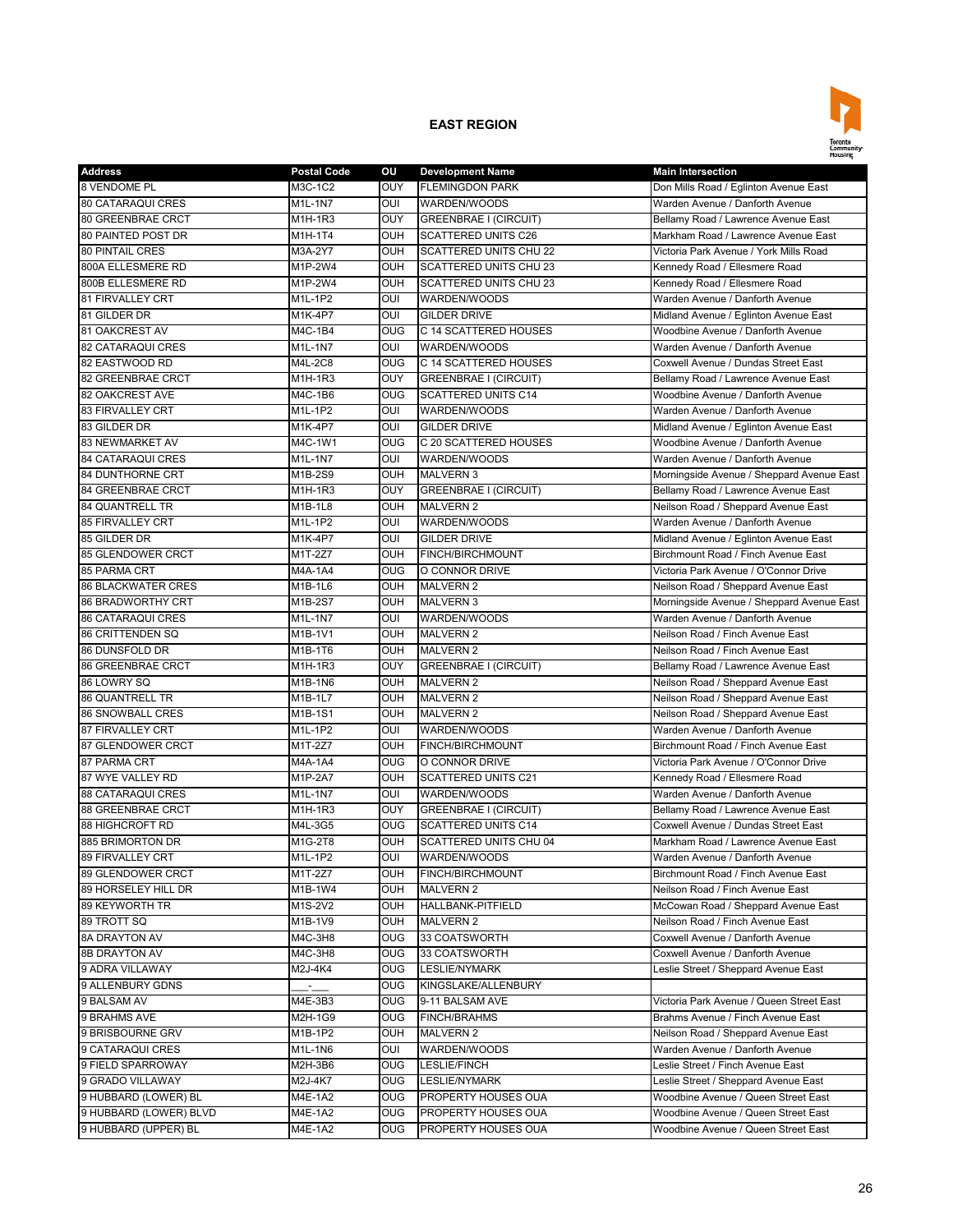

| <b>Address</b>            | <b>Postal Code</b>           | ου  | <b>Development Name</b>       | <b>Main Intersection</b>                  |
|---------------------------|------------------------------|-----|-------------------------------|-------------------------------------------|
| 8 VENDOME PL              | M3C-1C2                      | OUY | <b>FLEMINGDON PARK</b>        | Don Mills Road / Eglinton Avenue East     |
| <b>80 CATARAQUI CRES</b>  | M1L-1N7                      | OUI | WARDEN/WOODS                  | Warden Avenue / Danforth Avenue           |
| 80 GREENBRAE CRCT         | M1H-1R3                      | OUY | <b>GREENBRAE I (CIRCUIT)</b>  | Bellamy Road / Lawrence Avenue East       |
| 80 PAINTED POST DR        | M1H-1T4                      | OUH | <b>SCATTERED UNITS C26</b>    | Markham Road / Lawrence Avenue East       |
| <b>80 PINTAIL CRES</b>    | M3A-2Y7                      | OUH | SCATTERED UNITS CHU 22        | Victoria Park Avenue / York Mills Road    |
| 800A ELLESMERE RD         | M1P-2W4                      | OUH | <b>SCATTERED UNITS CHU 23</b> | Kennedy Road / Ellesmere Road             |
| 800B ELLESMERE RD         | M1P-2W4                      | OUH | <b>SCATTERED UNITS CHU 23</b> | Kennedy Road / Ellesmere Road             |
| 81 FIRVALLEY CRT          | M1L-1P2                      | OUI | WARDEN/WOODS                  | Warden Avenue / Danforth Avenue           |
| 81 GILDER DR              | M1K-4P7                      | OUI | <b>GILDER DRIVE</b>           | Midland Avenue / Eglinton Avenue East     |
| 81 OAKCREST AV            | M4C-1B4                      | OUG | C 14 SCATTERED HOUSES         | Woodbine Avenue / Danforth Avenue         |
| <b>82 CATARAQUI CRES</b>  | M1L-1N7                      | OUI | WARDEN/WOODS                  | Warden Avenue / Danforth Avenue           |
| 82 EASTWOOD RD            | M4L-2C8                      | OUG | C 14 SCATTERED HOUSES         | Coxwell Avenue / Dundas Street East       |
| 82 GREENBRAE CRCT         | M1H-1R3                      | OUY | <b>GREENBRAE I (CIRCUIT)</b>  | Bellamy Road / Lawrence Avenue East       |
| 82 OAKCREST AVE           | M4C-1B6                      | OUG | <b>SCATTERED UNITS C14</b>    | Woodbine Avenue / Danforth Avenue         |
| 83 FIRVALLEY CRT          | M1L-1P2                      | OUI | WARDEN/WOODS                  | Warden Avenue / Danforth Avenue           |
| 83 GILDER DR              | M1K-4P7                      | oui | <b>GILDER DRIVE</b>           | Midland Avenue / Eglinton Avenue East     |
| 83 NEWMARKET AV           | M4C-1W1                      | OUG | C 20 SCATTERED HOUSES         | Woodbine Avenue / Danforth Avenue         |
|                           |                              | OUI |                               |                                           |
| <b>84 CATARAQUI CRES</b>  | M1L-1N7                      |     | WARDEN/WOODS                  | Warden Avenue / Danforth Avenue           |
| <b>84 DUNTHORNE CRT</b>   | M1B-2S9                      | OUH | <b>MALVERN 3</b>              | Morningside Avenue / Sheppard Avenue East |
| 84 GREENBRAE CRCT         | M1H-1R3                      | OUY | <b>GREENBRAE I (CIRCUIT)</b>  | Bellamy Road / Lawrence Avenue East       |
| 84 QUANTRELL TR           | M1B-1L8                      | OUH | <b>MALVERN 2</b>              | Neilson Road / Sheppard Avenue East       |
| 85 FIRVALLEY CRT          | M1L-1P2                      | oui | WARDEN/WOODS                  | Warden Avenue / Danforth Avenue           |
| 85 GILDER DR              | M1K-4P7                      | OUI | <b>GILDER DRIVE</b>           | Midland Avenue / Eglinton Avenue East     |
| 85 GLENDOWER CRCT         | M1T-2Z7                      | OUH | FINCH/BIRCHMOUNT              | Birchmount Road / Finch Avenue East       |
| <b>85 PARMA CRT</b>       | M4A-1A4                      | OUG | O CONNOR DRIVE                | Victoria Park Avenue / O'Connor Drive     |
| <b>86 BLACKWATER CRES</b> | M1B-1L6                      | OUH | <b>MALVERN 2</b>              | Neilson Road / Sheppard Avenue East       |
| <b>86 BRADWORTHY CRT</b>  | M1B-2S7                      | OUH | <b>MALVERN 3</b>              | Morningside Avenue / Sheppard Avenue East |
| <b>86 CATARAQUI CRES</b>  | M1L-1N7                      | OUI | WARDEN/WOODS                  | Warden Avenue / Danforth Avenue           |
| 86 CRITTENDEN SQ          | M1B-1V1                      | OUH | <b>MALVERN 2</b>              | Neilson Road / Finch Avenue East          |
| 86 DUNSFOLD DR            | M1B-1T6                      | OUH | <b>MALVERN 2</b>              | Neilson Road / Finch Avenue East          |
| <b>86 GREENBRAE CRCT</b>  | M1H-1R3                      | OUY | <b>GREENBRAE I (CIRCUIT)</b>  | Bellamy Road / Lawrence Avenue East       |
| 86 LOWRY SQ               | M1B-1N6                      | OUH | <b>MALVERN 2</b>              | Neilson Road / Sheppard Avenue East       |
| 86 QUANTRELL TR           | M1B-1L7                      | OUH | <b>MALVERN 2</b>              | Neilson Road / Sheppard Avenue East       |
| <b>86 SNOWBALL CRES</b>   | M1B-1S1                      | OUH | <b>MALVERN 2</b>              | Neilson Road / Sheppard Avenue East       |
| 87 FIRVALLEY CRT          | M1L-1P2                      | OUI | WARDEN/WOODS                  | Warden Avenue / Danforth Avenue           |
| 87 GLENDOWER CRCT         | M1T-2Z7                      | OUH | FINCH/BIRCHMOUNT              | Birchmount Road / Finch Avenue East       |
| 87 PARMA CRT              | M4A-1A4                      | OUG | O CONNOR DRIVE                | Victoria Park Avenue / O'Connor Drive     |
| 87 WYE VALLEY RD          | M1P-2A7                      | OUH | <b>SCATTERED UNITS C21</b>    | Kennedy Road / Ellesmere Road             |
| <b>88 CATARAQUI CRES</b>  | M1L-1N7                      | OUI | WARDEN/WOODS                  | Warden Avenue / Danforth Avenue           |
| 88 GREENBRAE CRCT         | M1H-1R3                      | OUY | <b>GREENBRAE I (CIRCUIT)</b>  | Bellamy Road / Lawrence Avenue East       |
| 88 HIGHCROFT RD           | M4L-3G5                      | OUG | <b>SCATTERED UNITS C14</b>    | Coxwell Avenue / Dundas Street East       |
| 885 BRIMORTON DR          | M1G-2T8                      | OUH | <b>SCATTERED UNITS CHU 04</b> | Markham Road / Lawrence Avenue East       |
| 89 FIRVALLEY CRT          | $\overline{\text{M}}$ 1L-1P2 | OUI | WARDEN/WOODS                  | Warden Avenue / Danforth Avenue           |
| 89 GLENDOWER CRCT         | M1T-2Z7                      | OUH | FINCH/BIRCHMOUNT              | Birchmount Road / Finch Avenue East       |
| 89 HORSELEY HILL DR       | M1B-1W4                      | OUH | MALVERN 2                     | Neilson Road / Finch Avenue East          |
| 89 KEYWORTH TR            | M1S-2V2                      | OUH | HALLBANK-PITFIELD             | McCowan Road / Sheppard Avenue East       |
|                           | M1B-1V9                      | OUH | <b>MALVERN 2</b>              | Neilson Road / Finch Avenue East          |
| 89 TROTT SQ               |                              |     |                               |                                           |
| <b>8A DRAYTON AV</b>      | M4C-3H8                      | OUG | 33 COATSWORTH                 | Coxwell Avenue / Danforth Avenue          |
| 8B DRAYTON AV             | M4C-3H8                      | OUG | 33 COATSWORTH                 | Coxwell Avenue / Danforth Avenue          |
| 9 ADRA VILLAWAY           | M2J-4K4                      | OUG | LESLIE/NYMARK                 | eslie Street / Sheppard Avenue East       |
| 9 ALLENBURY GDNS          | г.,                          | OUG | KINGSLAKE/ALLENBURY           |                                           |
| 9 BALSAM AV               | M4E-3B3                      | OUG | 9-11 BALSAM AVE               | Victoria Park Avenue / Queen Street East  |
| 9 BRAHMS AVE              | M2H-1G9                      | OUG | <b>FINCH/BRAHMS</b>           | Brahms Avenue / Finch Avenue East         |
| 9 BRISBOURNE GRV          | M1B-1P2                      | OUH | <b>MALVERN 2</b>              | Neilson Road / Sheppard Avenue East       |
| 9 CATARAQUI CRES          | M1L-1N6                      | OUI | WARDEN/WOODS                  | Warden Avenue / Danforth Avenue           |
| 9 FIELD SPARROWAY         | M2H-3B6                      | OUG | LESLIE/FINCH                  | eslie Street / Finch Avenue East          |
| 9 GRADO VILLAWAY          | M2J-4K7                      | OUG | LESLIE/NYMARK                 | Leslie Street / Sheppard Avenue East      |
| 9 HUBBARD (LOWER) BL      | M4E-1A2                      | OUG | PROPERTY HOUSES OUA           | Woodbine Avenue / Queen Street East       |
| 9 HUBBARD (LOWER) BLVD    | M4E-1A2                      | OUG | PROPERTY HOUSES OUA           | Woodbine Avenue / Queen Street East       |
| 9 HUBBARD (UPPER) BL      | M4E-1A2                      | OUG | PROPERTY HOUSES OUA           | Woodbine Avenue / Queen Street East       |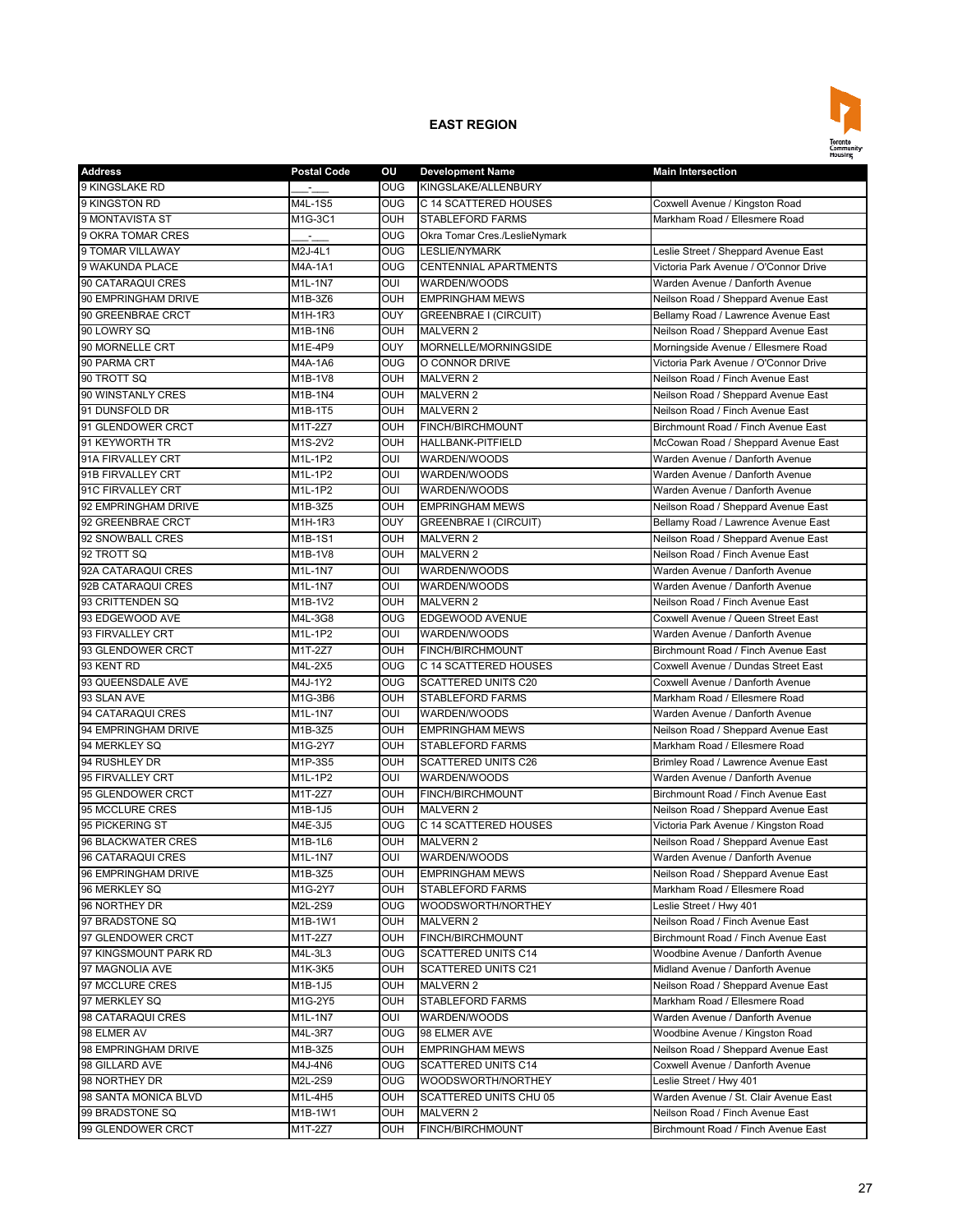

| <b>Address</b>        | <b>Postal Code</b>    | οu              | <b>Development Name</b>       | <b>Main Intersection</b>              |
|-----------------------|-----------------------|-----------------|-------------------------------|---------------------------------------|
| 9 KINGSLAKE RD        |                       | <b>OUG</b>      | KINGSLAKE/ALLENBURY           |                                       |
| 9 KINGSTON RD         | M4L-1S5               | <b>OUG</b>      | C 14 SCATTERED HOUSES         | Coxwell Avenue / Kingston Road        |
| 9 MONTAVISTA ST       | M1G-3C1               | OUH             | <b>STABLEFORD FARMS</b>       | Markham Road / Ellesmere Road         |
| 9 OKRA TOMAR CRES     | ÷.                    | <b>OUG</b>      | Okra Tomar Cres./LeslieNymark |                                       |
| 9 TOMAR VILLAWAY      | M2J-4L1               | OUG             | <b>LESLIE/NYMARK</b>          | Leslie Street / Sheppard Avenue East  |
| 9 WAKUNDA PLACE       | M4A-1A1               | <b>OUG</b>      | <b>CENTENNIAL APARTMENTS</b>  | Victoria Park Avenue / O'Connor Drive |
| 90 CATARAQUI CRES     | M1L-1N7               | OUI             | WARDEN/WOODS                  | Warden Avenue / Danforth Avenue       |
| 90 EMPRINGHAM DRIVE   | M1B-3Z6               | <b>OUH</b>      | <b>EMPRINGHAM MEWS</b>        | Neilson Road / Sheppard Avenue East   |
| 90 GREENBRAE CRCT     | $M1H-1R3$             | OUY             | <b>GREENBRAE I (CIRCUIT)</b>  | Bellamy Road / Lawrence Avenue East   |
| 90 LOWRY SQ           | M1B-1N6               | <b>OUH</b>      | <b>MALVERN 2</b>              | Neilson Road / Sheppard Avenue East   |
| 90 MORNELLE CRT       | M1E-4P9               | OUY             | MORNELLE/MORNINGSIDE          | Morningside Avenue / Ellesmere Road   |
| 90 PARMA CRT          | M4A-1A6               | OUG             | O CONNOR DRIVE                | Victoria Park Avenue / O'Connor Drive |
| 90 TROTT SQ           | M1B-1V8               | <b>OUH</b>      | <b>MALVERN 2</b>              | Neilson Road / Finch Avenue East      |
| 90 WINSTANLY CRES     | M1B-1N4               | OUH             | <b>MALVERN 2</b>              | Neilson Road / Sheppard Avenue East   |
| 91 DUNSFOLD DR        | $\overline{M}$ 1B-1T5 | <b>OUH</b>      | <b>MALVERN 2</b>              | Neilson Road / Finch Avenue East      |
| 91 GLENDOWER CRCT     | $M1T-2Z7$             | OUH             | FINCH/BIRCHMOUNT              | Birchmount Road / Finch Avenue East   |
| 91 KEYWORTH TR        | M1S-2V2               | OUH             | <b>HALLBANK-PITFIELD</b>      | McCowan Road / Sheppard Avenue East   |
| 91A FIRVALLEY CRT     | M1L-1P2               | OUI             | WARDEN/WOODS                  | Warden Avenue / Danforth Avenue       |
| 91B FIRVALLEY CRT     | M1L-1P2               | OUI             | WARDEN/WOODS                  | Warden Avenue / Danforth Avenue       |
| 91C FIRVALLEY CRT     | $M1L-1P2$             | OUI             | WARDEN/WOODS                  | Warden Avenue / Danforth Avenue       |
| 92 EMPRINGHAM DRIVE   | M1B-3Z5               | <b>OUH</b>      | <b>EMPRINGHAM MEWS</b>        | Neilson Road / Sheppard Avenue East   |
| 92 GREENBRAE CRCT     | M1H-1R3               | OUY             | <b>GREENBRAE I (CIRCUIT)</b>  | Bellamy Road / Lawrence Avenue East   |
| 92 SNOWBALL CRES      | M1B-1S1               | OUH             | <b>MALVERN 2</b>              | Neilson Road / Sheppard Avenue East   |
| 92 TROTT SQ           | M1B-1V8               | OUH             | <b>MALVERN 2</b>              | Neilson Road / Finch Avenue East      |
| 92A CATARAQUI CRES    | M1L-1N7               | OUI             | WARDEN/WOODS                  | Warden Avenue / Danforth Avenue       |
| 92B CATARAQUI CRES    | M1L-1N7               | OUI             | WARDEN/WOODS                  | Warden Avenue / Danforth Avenue       |
| 93 CRITTENDEN SQ      | M1B-1V2               | <b>OUH</b>      | <b>MALVERN 2</b>              | Neilson Road / Finch Avenue East      |
| 93 EDGEWOOD AVE       | M4L-3G8               | $_{\text{OUG}}$ | EDGEWOOD AVENUE               | Coxwell Avenue / Queen Street East    |
|                       |                       |                 |                               |                                       |
| 93 FIRVALLEY CRT      | M1L-1P2               | OUI             | WARDEN/WOODS                  | Warden Avenue / Danforth Avenue       |
| 93 GLENDOWER CRCT     | M1T-2Z7               | OUH             | FINCH/BIRCHMOUNT              | Birchmount Road / Finch Avenue East   |
| 93 KENT RD            | M4L-2X5               | <b>OUG</b>      | C 14 SCATTERED HOUSES         | Coxwell Avenue / Dundas Street East   |
| 93 QUEENSDALE AVE     | M4J-1Y2               | <b>OUG</b>      | <b>SCATTERED UNITS C20</b>    | Coxwell Avenue / Danforth Avenue      |
| 93 SLAN AVE           | M1G-3B6               | OUH             | <b>STABLEFORD FARMS</b>       | Markham Road / Ellesmere Road         |
| 94 CATARAQUI CRES     | M1L-1N7               | OUI             | WARDEN/WOODS                  | Warden Avenue / Danforth Avenue       |
| 94 EMPRINGHAM DRIVE   | M1B-3Z5               | <b>OUH</b>      | <b>EMPRINGHAM MEWS</b>        | Neilson Road / Sheppard Avenue East   |
| 94 MERKLEY SQ         | M1G-2Y7               | OUH             | <b>STABLEFORD FARMS</b>       | Markham Road / Ellesmere Road         |
| 94 RUSHLEY DR         | M1P-3S5               | OUH             | <b>SCATTERED UNITS C26</b>    | Brimley Road / Lawrence Avenue East   |
| 95 FIRVALLEY CRT      | M1L-1P2               | OUI             | WARDEN/WOODS                  | Warden Avenue / Danforth Avenue       |
| 95 GLENDOWER CRCT     | M1T-2Z7               | OUH             | FINCH/BIRCHMOUNT              | Birchmount Road / Finch Avenue East   |
| 95 MCCLURE CRES       | M1B-1J5               | OUH             | <b>MALVERN 2</b>              | Neilson Road / Sheppard Avenue East   |
| 95 PICKERING ST       | M4E-3J5               | <b>OUG</b>      | C 14 SCATTERED HOUSES         | Victoria Park Avenue / Kingston Road  |
| 96 BLACKWATER CRES    | M1B-1L6               | OUH             | <b>MALVERN 2</b>              | Neilson Road / Sheppard Avenue East   |
| 96 CATARAQUI CRES     | M1L-1N7               | OUI             | WARDEN/WOODS                  | Warden Avenue / Danforth Avenue       |
| 96 EMPRINGHAM DRIVE   | M1B-3Z5               | OUH             | <b>EMPRINGHAM MEWS</b>        | Neilson Road / Sheppard Avenue East   |
| 96 MERKLEY SQ         | M1G-2Y7               | OUH             | STABLEFORD FARMS              | Markham Road / Ellesmere Road         |
| 96 NORTHEY DR         | M2L-2S9               | OUG             | WOODSWORTH/NORTHEY            | Leslie Street / Hwy 401               |
| 97 BRADSTONE SQ       | M1B-1W1               | OUH             | <b>MALVERN 2</b>              | Neilson Road / Finch Avenue East      |
| 97 GLENDOWER CRCT     | M1T-2Z7               | OUH             | FINCH/BIRCHMOUNT              | Birchmount Road / Finch Avenue East   |
| 97 KINGSMOUNT PARK RD | M4L-3L3               | <b>OUG</b>      | SCATTERED UNITS C14           | Woodbine Avenue / Danforth Avenue     |
| 97 MAGNOLIA AVE       | M1K-3K5               | OUH             | SCATTERED UNITS C21           | Midland Avenue / Danforth Avenue      |
| 97 MCCLURE CRES       | M1B-1J5               | OUH             | MALVERN 2                     | Neilson Road / Sheppard Avenue East   |
| 97 MERKLEY SQ         | M1G-2Y5               | OUH             | STABLEFORD FARMS              | Markham Road / Ellesmere Road         |
| 98 CATARAQUI CRES     | M1L-1N7               | OUI             | WARDEN/WOODS                  | Warden Avenue / Danforth Avenue       |
| 98 ELMER AV           | M4L-3R7               | OUG             | 98 ELMER AVE                  | Woodbine Avenue / Kingston Road       |
| 98 EMPRINGHAM DRIVE   | M1B-3Z5               | OUH             | <b>EMPRINGHAM MEWS</b>        | Neilson Road / Sheppard Avenue East   |
| 98 GILLARD AVE        | M4J-4N6               | <b>OUG</b>      | <b>SCATTERED UNITS C14</b>    | Coxwell Avenue / Danforth Avenue      |
| 98 NORTHEY DR         | M2L-2S9               | OUG             | WOODSWORTH/NORTHEY            | Leslie Street / Hwy 401               |
| 98 SANTA MONICA BLVD  | M1L-4H5               | <b>OUH</b>      | SCATTERED UNITS CHU 05        | Warden Avenue / St. Clair Avenue East |
| 99 BRADSTONE SQ       | M1B-1W1               | <b>OUH</b>      | MALVERN 2                     | Neilson Road / Finch Avenue East      |
| 99 GLENDOWER CRCT     | M1T-2Z7               | OUH             | FINCH/BIRCHMOUNT              | Birchmount Road / Finch Avenue East   |